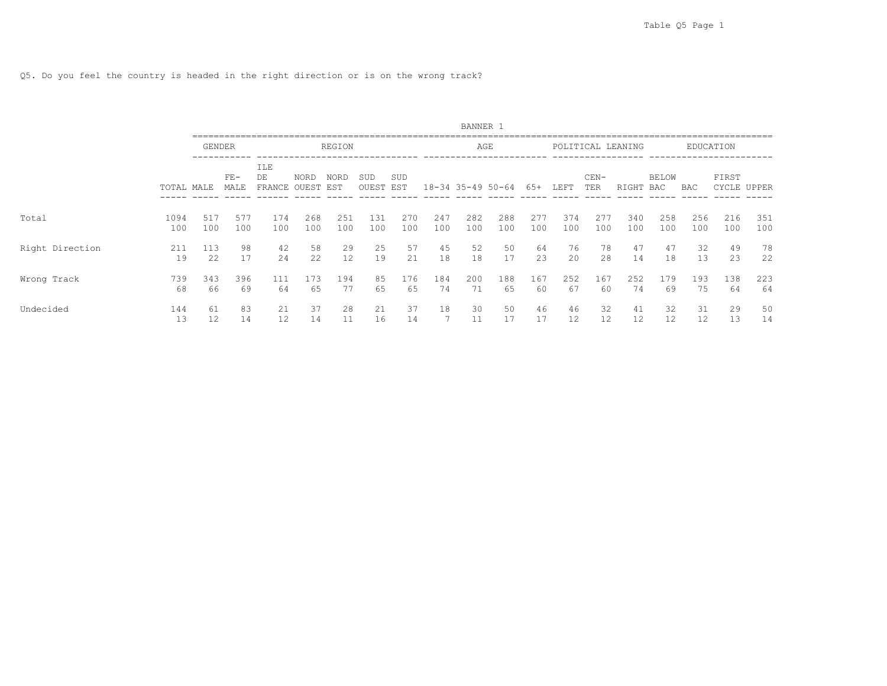Q5. Do you feel the country is headed in the right direction or is on the wrong track?

|                 |             |               |               |                     |                      |             |              |            |            | BANNER 1              |            |            |            |               |                   |                     |            |            |             |
|-----------------|-------------|---------------|---------------|---------------------|----------------------|-------------|--------------|------------|------------|-----------------------|------------|------------|------------|---------------|-------------------|---------------------|------------|------------|-------------|
|                 |             | <b>GENDER</b> |               |                     |                      | REGION      |              |            |            | AGE                   |            |            |            |               | POLITICAL LEANING |                     |            | EDUCATION  |             |
|                 | TOTAL MALE  |               | $FE-$<br>MALE | ILE<br>DE<br>FRANCE | <b>NORD</b><br>OUEST | NORD<br>EST | SUD<br>OUEST | SUD<br>EST |            | $18 - 34$ 35-49 50-64 |            | 65+        | LEFT       | $CEN-$<br>TER | RIGHT             | <b>BELOW</b><br>BAC | BAC        | FIRST      | CYCLE UPPER |
| Total           | 1094<br>100 | 517<br>100    | 577<br>100    | 174<br>100          | 268<br>100           | 251<br>100  | 131<br>100   | 270<br>100 | 247<br>100 | 282<br>100            | 288<br>100 | 277<br>100 | 374<br>100 | 277<br>100    | 340<br>100        | 258<br>100          | 256<br>100 | 216<br>100 | 351<br>100  |
| Right Direction | 211<br>19   | 113<br>22     | 98<br>17      | 42<br>2.4           | 58<br>2.2.           | 29<br>12.   | 25<br>19     | 57<br>2.1  | 45<br>18   | 52<br>18              | 50<br>17   | 64<br>23   | 76<br>2.0  | 78<br>28      | 47<br>14          | 47<br>18            | 32<br>13   | 49<br>23   | 78<br>22    |
| Wrong Track     | 739<br>68   | 343<br>66     | 396<br>69     | 111<br>64           | 173<br>65            | 194<br>77   | 85<br>65     | 176<br>65  | 184<br>74  | 200<br>71             | 188<br>65  | 167<br>60  | 252<br>67  | 167<br>60     | 252<br>74         | 179<br>69           | 193<br>75  | 138<br>64  | 223<br>64   |
| Undecided       | 144<br>13   | 61<br>12      | 83<br>14      | 21<br>12            | 37<br>14             | 28<br>11    | 21<br>16     | 37<br>14   | 18         | 30                    | 50<br>17   | 46<br>17   | 46<br>12   | 32<br>12      | 41<br>12          | 32<br>12            | 31<br>12   | 29<br>13   | 50<br>14    |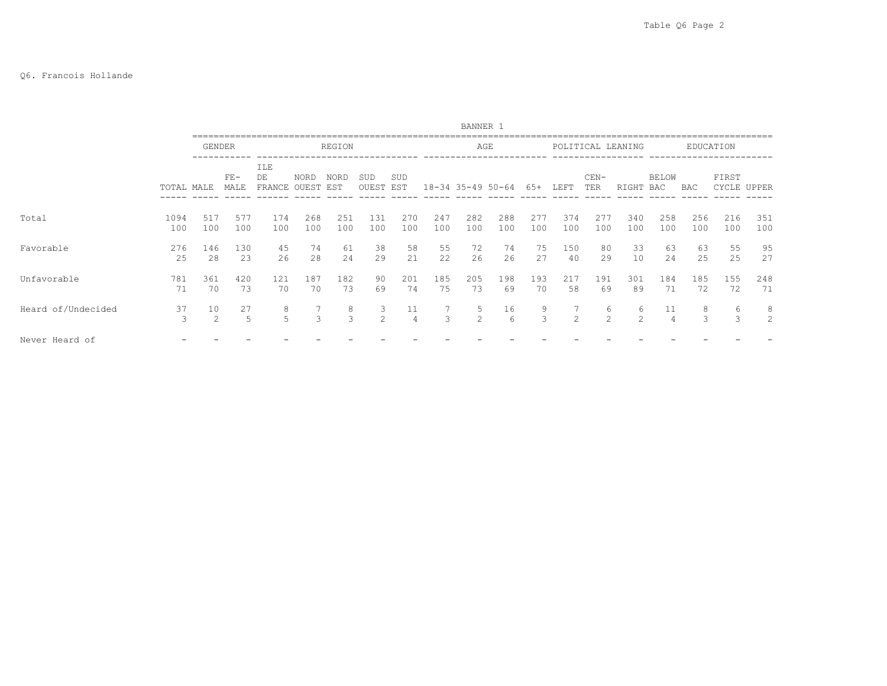## Q6. Francois Hollande

|                    |             |            |               |                             |               |             |                     |                      |            | BANNER 1          |            |             |               |               |                     |                      |            |                |            |
|--------------------|-------------|------------|---------------|-----------------------------|---------------|-------------|---------------------|----------------------|------------|-------------------|------------|-------------|---------------|---------------|---------------------|----------------------|------------|----------------|------------|
|                    |             |            | <b>GENDER</b> |                             |               | REGION      |                     |                      |            | AGE               |            |             |               |               | POLITICAL LEANING   |                      |            | EDUCATION      |            |
|                    | TOTAL MALE  |            | $FE-$<br>MALE | <b>ILE</b><br>DE.<br>FRANCE | NORD<br>OUEST | NORD<br>EST | SUD<br>OUEST        | SUD<br>EST           |            | 18-34 35-49 50-64 |            | 65+         | LEFT          | $CEN-$<br>TER | RIGHT               | BELOW<br>BAC         | <b>BAC</b> | FIRST<br>CYCLE | UPPER      |
| Total              | 1094<br>100 | 517<br>100 | 577<br>100    | 174<br>100                  | 268<br>100    | 251<br>100  | 131<br>100          | 270<br>100           | 247<br>100 | 282<br>100        | 288<br>100 | 2.77<br>100 | 374<br>100    | 277<br>100    | 340<br>100          | 258<br>100           | 256<br>100 | 216<br>100     | 351<br>100 |
| Favorable          | 276<br>25   | 146<br>28  | 130<br>23     | 45<br>26                    | 74<br>28      | 61<br>24    | 38<br>29            | 58<br>21             | 55<br>22   | 72<br>26          | 74<br>26   | 75<br>27    | 150<br>40     | 80<br>29      | 33<br>10            | 63<br>24             | 63<br>25   | 55<br>25       | 95<br>27   |
| Unfavorable        | 781<br>71   | 361<br>70  | 420<br>73     | 121<br>70                   | 187<br>70     | 182<br>73   | 90<br>69            | 201<br>74            | 185<br>75  | 205<br>73         | 198<br>69  | 193<br>70   | 217<br>58     | 191<br>69     | 301<br>89           | 184<br>71            | 185<br>72  | 155<br>72      | 248<br>71  |
| Heard of/Undecided | 37<br>3     | 10<br>2    | 27<br>5       | 8<br>5                      | 3             | 8<br>3      | 3<br>$\mathfrak{D}$ | 11<br>$\overline{4}$ | 3          | 5<br>2            | 16<br>6    | 9<br>3      | $\mathcal{L}$ | 6<br>2        | 6<br>$\mathfrak{D}$ | 11<br>$\overline{4}$ | 8<br>3     | 6<br>3         | 8<br>2     |
| Never Heard of     |             |            |               |                             |               |             |                     |                      |            |                   |            |             |               |               |                     |                      |            |                |            |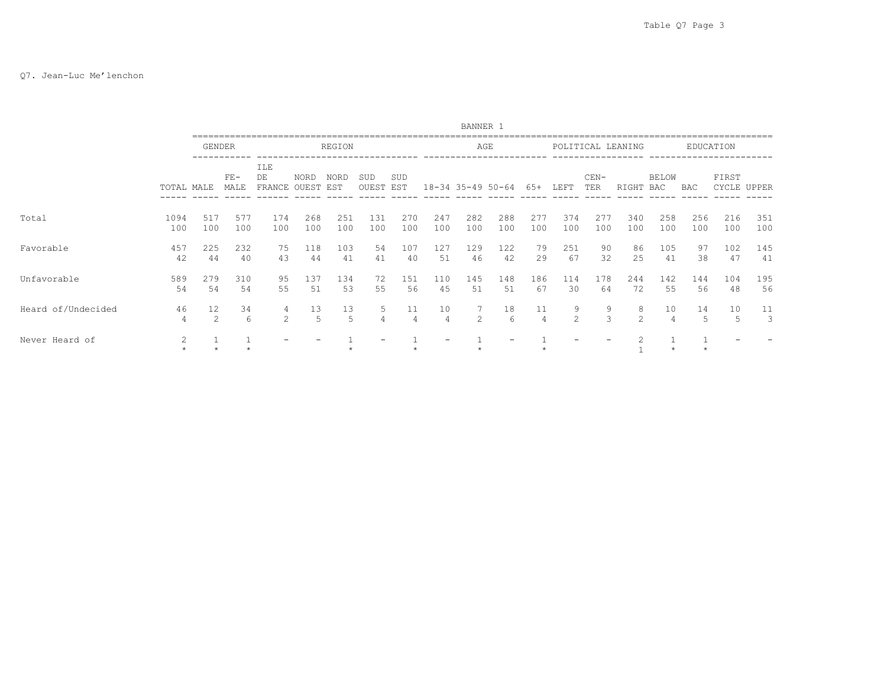### Q7. Jean-Luc Me'lenchon

|                    |                |            |               |                     |                      |                    |              |            |            | BANNER 1      |                       |            |                     |               |                   |                      |            |                      |            |
|--------------------|----------------|------------|---------------|---------------------|----------------------|--------------------|--------------|------------|------------|---------------|-----------------------|------------|---------------------|---------------|-------------------|----------------------|------------|----------------------|------------|
|                    |                | GENDER     |               |                     |                      | REGION             |              |            |            | AGE           |                       |            |                     |               | POLITICAL LEANING |                      |            | EDUCATION            |            |
|                    | TOTAL MALE     |            | $FE-$<br>MALE | ILE<br>DE<br>FRANCE | <b>NORD</b><br>OUEST | <b>NORD</b><br>EST | SUD<br>OUEST | SUD<br>EST |            |               | $18 - 34$ 35-49 50-64 | 65+        | LEFT                | $CEN-$<br>TER | RIGHT             | <b>BELOW</b><br>BAC  | <b>BAC</b> | FIRST<br>CYCLE UPPER |            |
| Total              | 1094<br>100    | 517<br>100 | 577<br>100    | 174<br>100          | 268<br>100           | 251<br>100         | 131<br>100   | 270<br>100 | 247<br>100 | 282<br>100    | 288<br>100            | 277<br>100 | 374<br>100          | 277<br>100    | 340<br>100        | 258<br>100           | 256<br>100 | 216<br>100           | 351<br>100 |
| Favorable          | 457<br>42      | 225<br>44  | 232<br>40     | 75<br>43            | 118<br>44            | 103<br>41          | 54<br>41     | 107<br>40  | 127<br>51  | 129<br>46     | 122<br>42             | 79<br>29   | 251<br>67           | 90<br>32      | 86<br>25          | 105<br>41            | 97<br>38   | 102<br>47            | 145<br>41  |
| Unfavorable        | 589<br>54      | 279<br>54  | 310<br>54     | 95<br>55            | 137<br>51            | 134<br>53          | 72<br>55     | 151<br>56  | 110<br>45  | 145<br>51     | 148<br>51             | 186<br>67  | 114<br>30           | 178<br>64     | 244<br>72         | 142<br>55            | 144<br>56  | 104<br>48            | 195<br>56  |
| Heard of/Undecided | 46<br>4        | 12<br>2    | 34<br>6       | 4<br>2              | 13<br>5              | 13<br>5            | 5.           | 11<br>4    | 10<br>4    | $\mathcal{D}$ | 18<br>6               | 11<br>4    | 9<br>$\overline{c}$ | 9<br>3        | 8<br>2            | 10<br>$\overline{4}$ | 14<br>5    | 10<br>5              | 11<br>3    |
| Never Heard of     | $\overline{2}$ |            |               |                     |                      |                    |              |            |            |               |                       |            |                     |               |                   |                      |            |                      |            |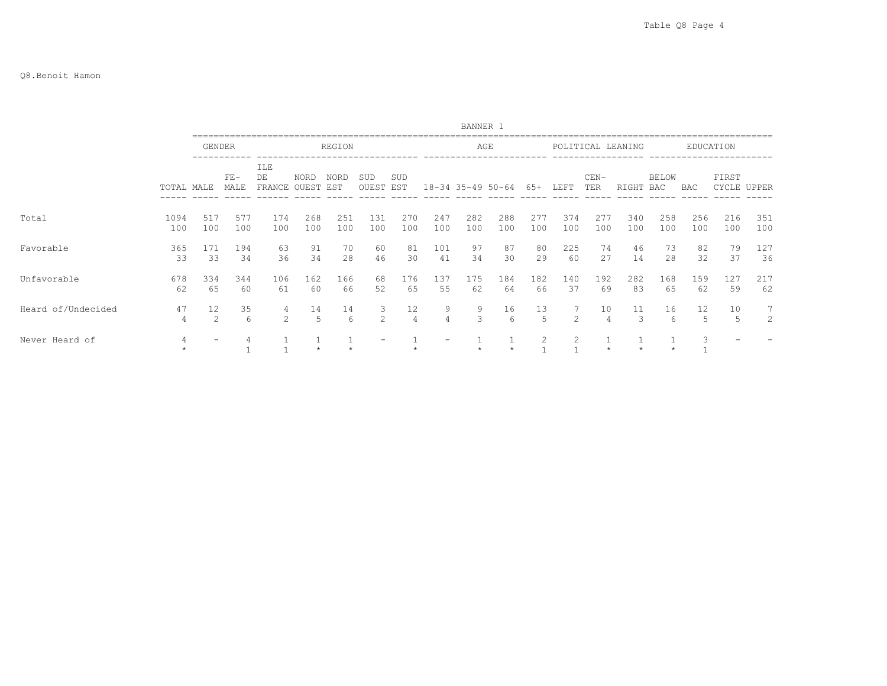|                    |             |               |               |                     |               |             |                    |            |                     | BANNER 1          |            |               |                |                      |                   |              |            |                      |                |
|--------------------|-------------|---------------|---------------|---------------------|---------------|-------------|--------------------|------------|---------------------|-------------------|------------|---------------|----------------|----------------------|-------------------|--------------|------------|----------------------|----------------|
|                    |             | <b>GENDER</b> |               |                     |               | REGION      |                    |            |                     | AGE               |            |               |                |                      | POLITICAL LEANING |              |            | EDUCATION            |                |
|                    | TOTAL MALE  |               | $FE-$<br>MALE | ILE<br>DE<br>FRANCE | NORD<br>OUEST | NORD<br>EST | SUD<br>OUEST       | SUD<br>EST |                     | 18-34 35-49 50-64 |            | 65+           | LEFT           | $CEN-$<br>TER        | RIGHT             | BELOW<br>BAC | BAC        | FIRST<br>CYCLE UPPER |                |
| Total              | 1094<br>100 | 517<br>100    | 577<br>100    | 174<br>100          | 268<br>100    | 251<br>100  | 131<br>100         | 270<br>100 | 247<br>100          | 282<br>100        | 288<br>100 | 277<br>100    | 374<br>100     | 277<br>100           | 340<br>100        | 258<br>100   | 256<br>100 | 216<br>100           | 351<br>100     |
| Favorable          | 365<br>33   | 171<br>33     | 194<br>34     | 63<br>36            | 91<br>34      | 70<br>28    | 60<br>46           | 81<br>30   | 101<br>41           | 97<br>34          | 87<br>30   | 80<br>29      | 225<br>60      | 74<br>27             | 46<br>14          | 73<br>28     | 82<br>32   | 79<br>37             | 127<br>36      |
| Unfavorable        | 678<br>62   | 334<br>65     | 344<br>60     | 106<br>61           | 162<br>60     | 166<br>66   | 68<br>52           | 176<br>65  | 137<br>55           | 175<br>62         | 184<br>64  | 182<br>66     | 140<br>37      | 192<br>69            | 282<br>83         | 168<br>65    | 159<br>62  | 127<br>59            | 217<br>62      |
| Heard of/Undecided | 47<br>4     | 12<br>2       | 35<br>6       | 4<br>2              | 14<br>5       | 14<br>6     | 3<br>$\mathcal{L}$ | 12<br>4    | 9<br>$\overline{4}$ | 9<br>3            | 16<br>6    | 13<br>5       | $\mathfrak{D}$ | 10<br>$\overline{4}$ | 11                | 16<br>6      | 12<br>5    | 10<br>5              | $\overline{7}$ |
| Never Heard of     | 4           |               |               |                     |               |             |                    |            |                     |                   |            | $\mathcal{L}$ | $\mathcal{L}$  |                      |                   |              | 3          |                      |                |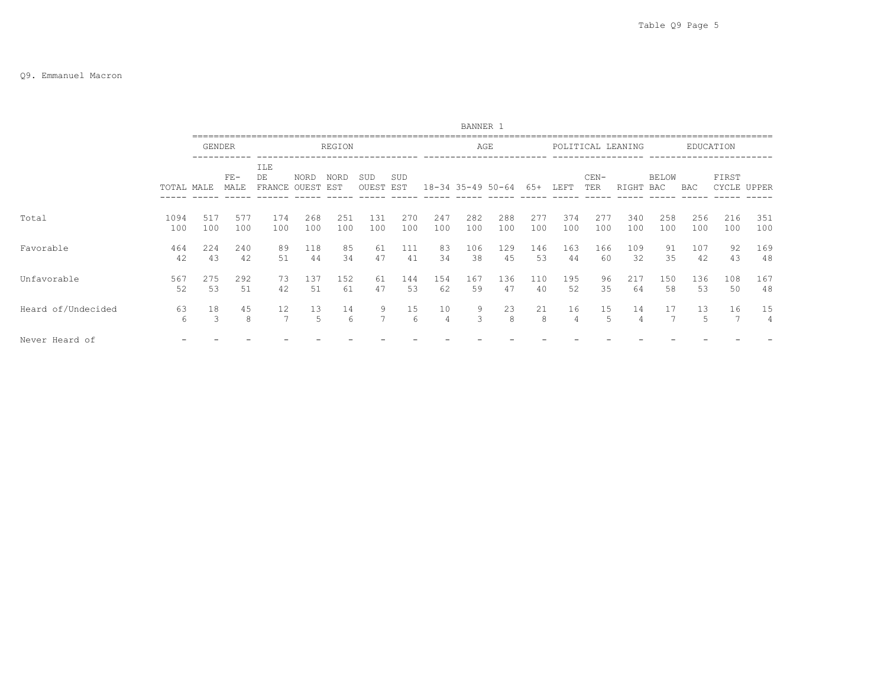### Q9. Emmanuel Macron

|                    |             |               |               |                            |                      |                    |              |            |            | BANNER 1              |            |            |            |               |                   |                     |            |                |            |
|--------------------|-------------|---------------|---------------|----------------------------|----------------------|--------------------|--------------|------------|------------|-----------------------|------------|------------|------------|---------------|-------------------|---------------------|------------|----------------|------------|
|                    |             | <b>GENDER</b> |               |                            |                      | REGION             |              |            |            | AGE                   |            |            |            |               | POLITICAL LEANING |                     |            | EDUCATION      |            |
|                    | TOTAL MALE  |               | $FE-$<br>MALE | <b>ILE</b><br>DE<br>FRANCE | <b>NORD</b><br>OUEST | <b>NORD</b><br>EST | SUD<br>OUEST | SUD<br>EST |            | $18 - 34$ 35-49 50-64 |            | 65+        | LEFT       | $CEN-$<br>TER | RIGHT             | <b>BELOW</b><br>BAC | BAC        | FIRST<br>CYCLE | UPPER      |
| Total              | 1094<br>100 | 517<br>100    | 577<br>100    | 174<br>100                 | 268<br>100           | 251<br>100         | 131<br>100   | 270<br>100 | 247<br>100 | 282<br>100            | 288<br>100 | 277<br>100 | 374<br>100 | 277<br>100    | 340<br>100        | 258<br>100          | 256<br>100 | 216<br>100     | 351<br>100 |
| Favorable          | 464<br>42   | 224<br>43     | 240<br>42     | 89<br>51                   | 118<br>44            | 85<br>34           | 61<br>47     | 111<br>41  | 83<br>34   | 106<br>38             | 129<br>45  | 146<br>53  | 163<br>44  | 166<br>60     | 109<br>32         | 91<br>35            | 107<br>42  | 92<br>43       | 169<br>48  |
| Unfavorable        | 567<br>52   | 275<br>53     | 292<br>51     | 73<br>42                   | 137<br>51            | 152<br>61          | 61<br>47     | 144<br>53  | 154<br>62  | 167<br>59             | 136<br>47  | 110<br>40  | 195<br>52  | 96<br>35      | 217<br>64         | 150<br>58           | 136<br>53  | 108<br>50      | 167<br>48  |
| Heard of/Undecided | 63<br>6     | 18<br>3       | 45<br>8       | 12<br>7                    | 13<br>.5             | 14<br>6            | 9<br>7       | 15<br>6    | 10<br>4    | 9<br>3                | 23<br>8    | 21<br>8    | 16<br>4    | 15<br>5       | 14                | 17                  | 13<br>5.   | 16             | 15<br>4    |
| Never Heard of     |             |               |               |                            |                      |                    |              |            |            |                       |            |            |            |               |                   |                     |            |                |            |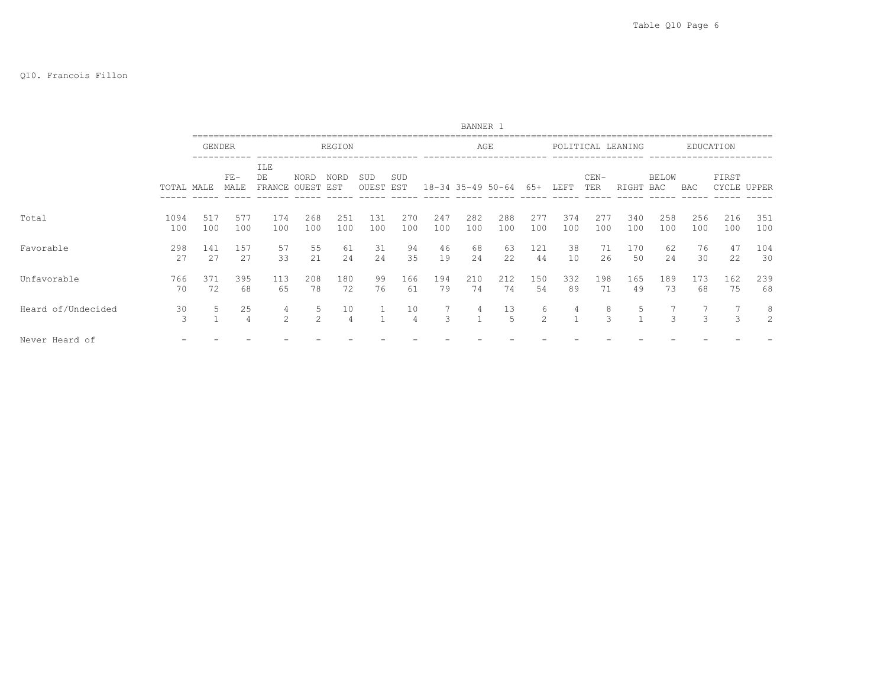## Q10. Francois Fillon

|                    |             |               |                      |                                      |                     |                      |              |                      |            | BANNER 1              |                      |                    |            |               |                   |                     |            |                |            |
|--------------------|-------------|---------------|----------------------|--------------------------------------|---------------------|----------------------|--------------|----------------------|------------|-----------------------|----------------------|--------------------|------------|---------------|-------------------|---------------------|------------|----------------|------------|
|                    |             | <b>GENDER</b> |                      |                                      |                     | REGION               |              |                      |            | AGE                   |                      |                    |            |               | POLITICAL LEANING |                     |            | EDUCATION      |            |
|                    | TOTAL MALE  |               | $FE-$<br>MALE        | <b>ILE</b><br>DE<br>FRANCE OUEST EST | <b>NORD</b>         | <b>NORD</b>          | SUD<br>OUEST | SUD<br>EST           |            | $18 - 34$ 35-49 50-64 |                      | 65+                | LEFT       | $CEN-$<br>TER | RIGHT             | <b>BELOW</b><br>BAC | BAC        | FIRST<br>CYCLE | UPPER      |
| Total              | 1094<br>100 | 517<br>100    | 577<br>100           | 174<br>100                           | 268<br>100          | 251<br>100           | 131<br>100   | 270<br>100           | 247<br>100 | 282<br>100            | 288<br>100           | 277<br>100         | 374<br>100 | 277<br>100    | 340<br>100        | 258<br>100          | 256<br>100 | 216<br>100     | 351<br>100 |
| Favorable          | 298<br>27   | 141<br>27     | 157<br>27            | 57<br>33                             | 55<br>21            | 61<br>24             | 31<br>24     | 94<br>35             | 46<br>19   | 68<br>24              | 63<br>22             | 121<br>44          | 38<br>10   | 71<br>26      | 170<br>50         | 62<br>24            | 76<br>30   | 47<br>22       | 104<br>30  |
| Unfavorable        | 766<br>70   | 371<br>72     | 395<br>68            | 113<br>65                            | 208<br>78           | 180<br>72            | 99<br>76     | 166<br>61            | 194<br>79  | 210<br>74             | 212<br>74            | 150<br>54          | 332<br>89  | 198<br>71     | 165<br>49         | 189<br>73           | 173<br>68  | 162<br>75      | 239<br>68  |
| Heard of/Undecided | 30<br>3     |               | 25<br>$\overline{4}$ | 4<br>2                               | 5<br>$\mathfrak{D}$ | 10<br>$\overline{4}$ |              | 10<br>$\overline{4}$ | 3          | 4                     | 13<br>$\overline{5}$ | 6<br>$\mathcal{L}$ | 4          | 8<br>3        |                   | $\mathcal{L}$       | 3          | 3              | 8<br>2     |
| Never Heard of     |             |               |                      |                                      |                     |                      |              |                      |            |                       |                      |                    |            |               |                   |                     |            |                |            |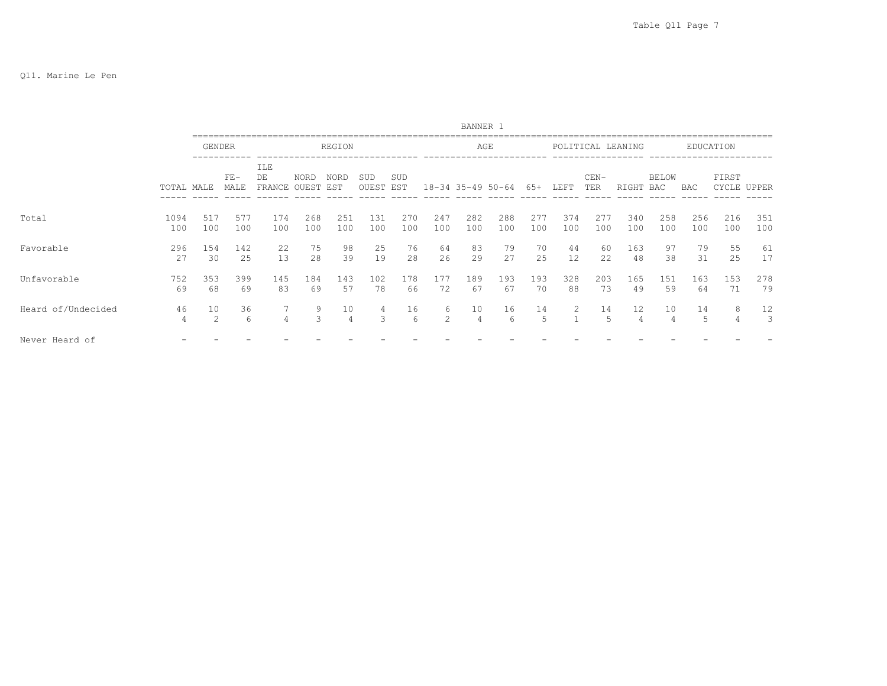|                    |             |               |               |                           |             |                      |                  |            |            | BANNER 1             |                   |            |            |               |                      |                     |            |                      |            |
|--------------------|-------------|---------------|---------------|---------------------------|-------------|----------------------|------------------|------------|------------|----------------------|-------------------|------------|------------|---------------|----------------------|---------------------|------------|----------------------|------------|
|                    |             | <b>GENDER</b> |               |                           |             | REGION               |                  |            |            | AGE                  |                   |            |            |               | POLITICAL LEANING    |                     |            | EDUCATION            |            |
|                    | TOTAL MALE  |               | $FE-$<br>MALE | ILE<br>DE<br>FRANCE OUEST | <b>NORD</b> | <b>NORD</b><br>EST   | SUD<br>OUEST EST | SUD        |            |                      | 18-34 35-49 50-64 | 65+        | LEFT       | $CEN-$<br>TER | RIGHT                | <b>BELOW</b><br>BAC | BAC        | FIRST<br>CYCLE UPPER |            |
| Total              | 1094<br>100 | 517<br>100    | 577<br>100    | 174<br>100                | 268<br>100  | 251<br>100           | 131<br>100       | 270<br>100 | 247<br>100 | 282<br>100           | 288<br>100        | 277<br>100 | 374<br>100 | 277<br>100    | 340<br>100           | 258<br>100          | 256<br>100 | 216<br>100           | 351<br>100 |
| Favorable          | 296<br>27   | 154<br>30     | 142<br>25     | 22<br>13                  | 75<br>28    | 98<br>39             | 25<br>19         | 76<br>28   | 64<br>26   | 83<br>29             | 79<br>27          | 70<br>25   | 44<br>12   | 60<br>22      | 163<br>48            | 97<br>38            | 79<br>31   | 55<br>25             | 61<br>17   |
| Unfavorable        | 752<br>69   | 353<br>68     | 399<br>69     | 145<br>83                 | 184<br>69   | 143<br>57            | 102<br>78        | 178<br>66  | 177<br>72  | 189<br>67            | 193<br>67         | 193<br>70  | 328<br>88  | 203<br>73     | 165<br>49            | 151<br>59           | 163<br>64  | 153<br>71            | 278<br>79  |
| Heard of/Undecided | 46<br>4     | 10<br>2       | 36<br>6       | 7<br>$\overline{4}$       | 9<br>3      | 10<br>$\overline{4}$ | 4<br>3           | 16<br>6    | 6<br>2     | 10<br>$\overline{4}$ | 16<br>6           | 14<br>5    | 2          | 14<br>5       | 12<br>$\overline{4}$ | 10<br>4             | 14<br>5    | 8<br>4               | 12<br>3    |
| Never Heard of     |             |               |               |                           |             |                      |                  |            |            |                      |                   |            |            |               |                      |                     |            |                      |            |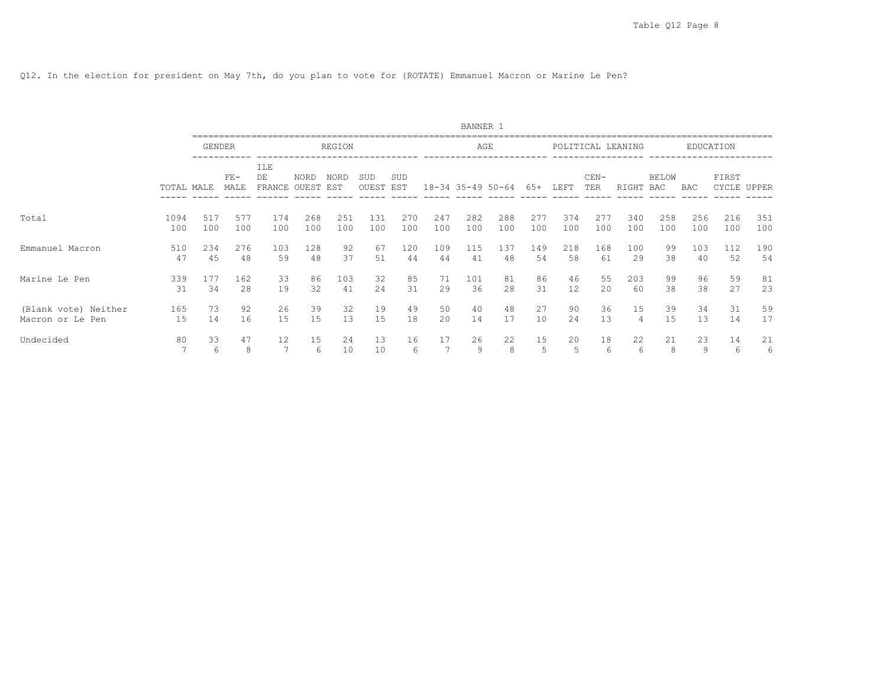Q12. In the election for president on May 7th, do you plan to vote for {ROTATE} Emmanuel Macron or Marine Le Pen?

|                      |            |               |               |                     |                   |          |              |            |     | BANNER 1              |         |         |         |               |                   |                     |         |                |         |
|----------------------|------------|---------------|---------------|---------------------|-------------------|----------|--------------|------------|-----|-----------------------|---------|---------|---------|---------------|-------------------|---------------------|---------|----------------|---------|
|                      |            | <b>GENDER</b> |               |                     |                   | REGION   |              |            |     |                       | AGE     |         |         |               | POLITICAL LEANING |                     |         | EDUCATION      |         |
|                      | TOTAL MALE |               | $FE-$<br>MALE | ILE<br>DE<br>FRANCE | NORD<br>OUEST EST | NORD     | SUD<br>OUEST | SUD<br>EST |     | $18 - 34$ 35-49 50-64 |         | 65+     | LEFT    | $CEN-$<br>TER | RIGHT             | <b>BELOW</b><br>BAC | BAC     | FIRST<br>CYCLE | UPPER   |
| Total                | 1094       | 517           | 577           | 174                 | 268               | 251      | 131          | 270        | 247 | 282                   | 288     | 277     | 374     | 277           | 340               | 258                 | 256     | 216            | 351     |
|                      | 100        | 100           | 100           | 100                 | 100               | 100      | 100          | 100        | 100 | 100                   | 100     | 100     | 100     | 100           | 100               | 100                 | 100     | 100            | 100     |
| Emmanuel Macron      | 510        | 234           | 276           | 103                 | 128               | 92       | 67           | 120        | 109 | 115                   | 137     | 149     | 218     | 168           | 100               | 99                  | 103     | 112            | 190     |
|                      | 47         | 45            | 48            | 59                  | 48                | 37       | 51           | 44         | 44  | 41                    | 48      | 54      | 58      | 61            | 29                | 38                  | 40      | 52             | 54      |
| Marine Le Pen        | 339        | 177           | 162           | 33                  | 86                | 103      | 32           | 85         | 71  | 101                   | 81      | 86      | 46      | 55            | 203               | 99                  | 96      | 59             | 81      |
|                      | 31         | 34            | 28            | 19                  | 32                | 41       | 24           | 31         | 29  | 36                    | 2.8     | 31      | 12      | 20            | 60                | 38                  | 38      | 27             | 23      |
| (Blank vote) Neither | 165        | 73            | 92            | 26                  | 39                | 32       | 19           | 49         | 50  | 40                    | 48      | 27      | 90      | 36            | 15                | 39                  | 34      | 31             | 59      |
| Macron or Le Pen     | 15         | 14            | 16            | 15                  | 15                | 13       | 15           | 18         | 20  | 14                    | 17      | 10      | 24      | 13            | 4                 | 15                  | 13      | 14             | 17      |
| Undecided            | 80         | 33<br>6       | 47<br>8       | 12                  | 15<br>6           | 24<br>10 | 13<br>10     | 16<br>6    | 17  | 26<br>9               | 22<br>8 | 15<br>5 | 20<br>5 | 18<br>6       | 22<br>6           | 21<br>8             | 23<br>9 | 14<br>6        | 21<br>6 |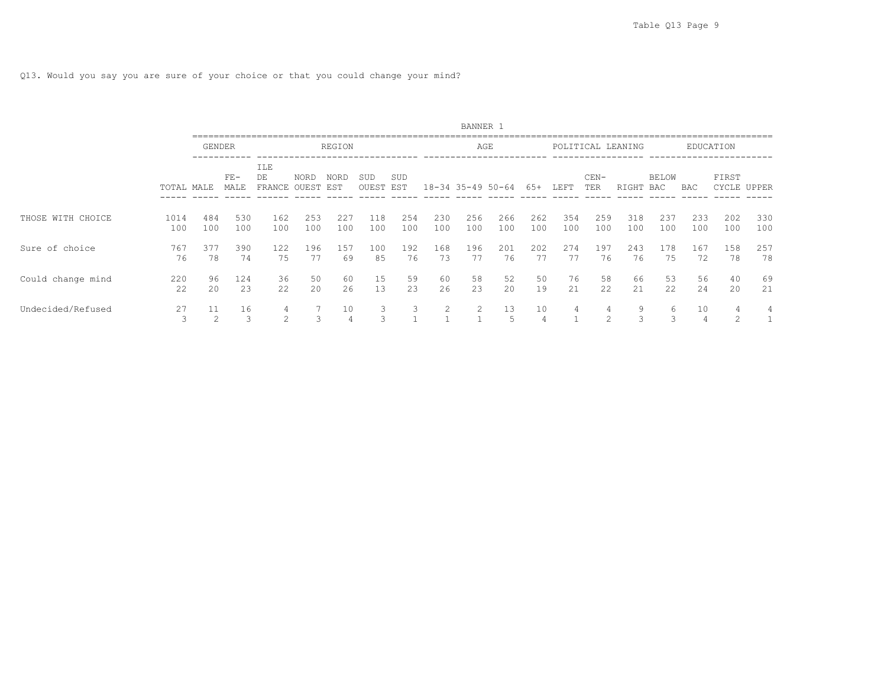Q13. Would you say you are sure of your choice or that you could change your mind?

|                   |             |               |               |                               |            |                      |              |            |            | BANNER 1          |            |            |            |                    |                   |                     |            |                |            |
|-------------------|-------------|---------------|---------------|-------------------------------|------------|----------------------|--------------|------------|------------|-------------------|------------|------------|------------|--------------------|-------------------|---------------------|------------|----------------|------------|
|                   |             | <b>GENDER</b> |               |                               |            | REGION               |              |            |            |                   | AGE        |            |            |                    | POLITICAL LEANING |                     |            | EDUCATION      |            |
|                   | TOTAL MALE  |               | $FE-$<br>MALE | ILE<br>DE<br>FRANCE OUEST EST | NORD       | NORD                 | SUD<br>OUEST | SUD<br>EST |            | 18-34 35-49 50-64 |            | 65+        | LEFT       | $CEN-$<br>TER      | RIGHT             | <b>BELOW</b><br>BAC | BAC        | FIRST<br>CYCLE | UPPER      |
| THOSE WITH CHOICE | 1014<br>100 | 484<br>100    | 530<br>100    | 162<br>100                    | 253<br>100 | 227<br>100           | 118<br>100   | 254<br>100 | 230<br>100 | 256<br>100        | 266<br>100 | 262<br>100 | 354<br>100 | 259<br>100         | 318<br>100        | 237<br>100          | 233<br>100 | 202<br>100     | 330<br>100 |
| Sure of choice    | 767<br>76   | 377<br>78     | 390<br>74     | 122<br>75                     | 196<br>77  | 157<br>69            | 100<br>85    | 192<br>76  | 168<br>73  | 196<br>77         | 201<br>76  | 202<br>77  | 274<br>77  | 197<br>76          | 243<br>76         | 178<br>75           | 167<br>72  | 158<br>78      | 257<br>78  |
| Could change mind | 220<br>22   | 96<br>20      | 124<br>23     | 36<br>22                      | 50<br>20   | 60<br>26             | 15<br>13     | 59<br>23   | 60<br>26   | 58<br>23          | 52<br>20   | 50<br>19   | 76<br>21   | 58<br>22           | 66<br>21          | 53<br>22            | 56<br>24   | 40<br>20       | -69<br>21  |
| Undecided/Refused | 27<br>3     | 11            | 16<br>3       | 4<br>$\mathfrak{D}$           | 3          | 10<br>$\overline{4}$ | 3.<br>3      | 3          | 2          | $\mathcal{L}$     | 13<br>5    | 10         |            | 4<br>$\mathcal{L}$ | 9<br>3            | 6<br>3              | 10         |                | 4          |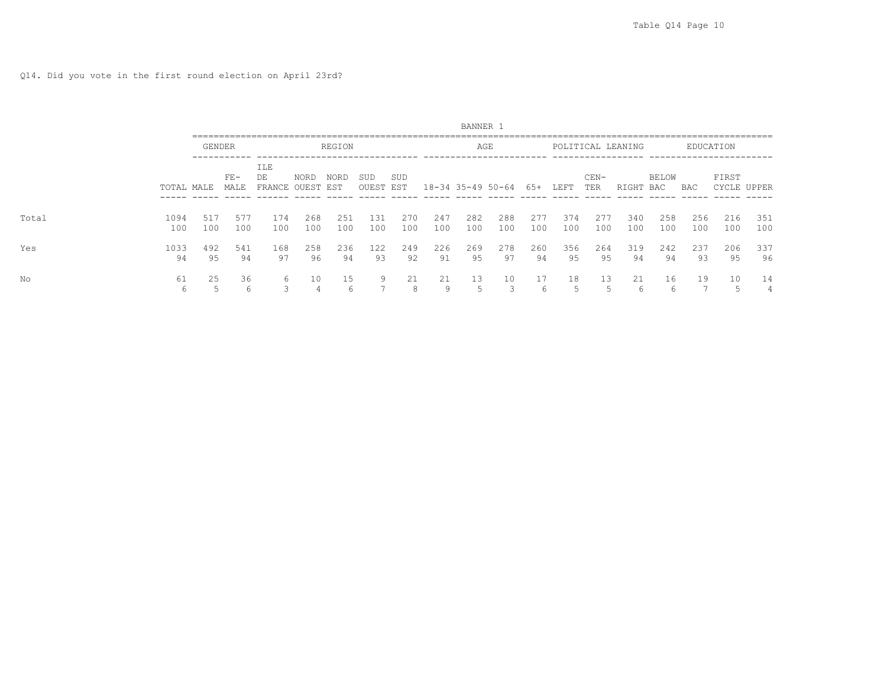|       |             |               |               |                           |            |             |              |            |            | BANNER 1              |            |            |            |               |                   |              |            |            |             |
|-------|-------------|---------------|---------------|---------------------------|------------|-------------|--------------|------------|------------|-----------------------|------------|------------|------------|---------------|-------------------|--------------|------------|------------|-------------|
|       |             | <b>GENDER</b> |               |                           |            | REGION      |              |            |            | AGE                   |            |            |            |               | POLITICAL LEANING |              |            | EDUCATION  |             |
|       | TOTAL MALE  |               | $FE-$<br>MALE | ILE<br>DE<br>FRANCE OUEST | NORD       | NORD<br>EST | SUD<br>OUEST | SUD<br>EST |            | $18 - 34$ 35-49 50-64 |            | 65+        | LEFT       | $CEN-$<br>TER | RIGHT             | BELOW<br>BAC | BAC        | FIRST      | CYCLE UPPER |
| Total | 1094<br>100 | 517<br>100    | 577<br>100    | 174<br>100                | 268<br>100 | 251<br>100  | 131<br>100   | 270<br>100 | 247<br>100 | 282<br>100            | 288<br>100 | 277<br>100 | 374<br>100 | 277<br>100    | 340<br>100        | 258<br>100   | 256<br>100 | 216<br>100 | 351<br>100  |
| Yes   | 1033<br>94  | 492<br>95     | 541<br>94     | 168<br>97                 | 258<br>96  | 236<br>94   | 122<br>93    | 249<br>92  | 226<br>91  | 269<br>95             | 278<br>97  | 260<br>94  | 356<br>95  | 264<br>95     | 319<br>94         | 242<br>94    | 237<br>93  | 206<br>-95 | 337<br>96   |
| No    | 61<br>6     | 25            | 36<br>6       | 6<br>3                    | 10         | 15<br>h     | q            | 21<br>8    | 21<br>q    | 13                    | 10         | 17<br>h    | 18<br>5    | 13            | 21<br>O           | 16<br>6      | 19         | 10<br>5    | 14<br>4     |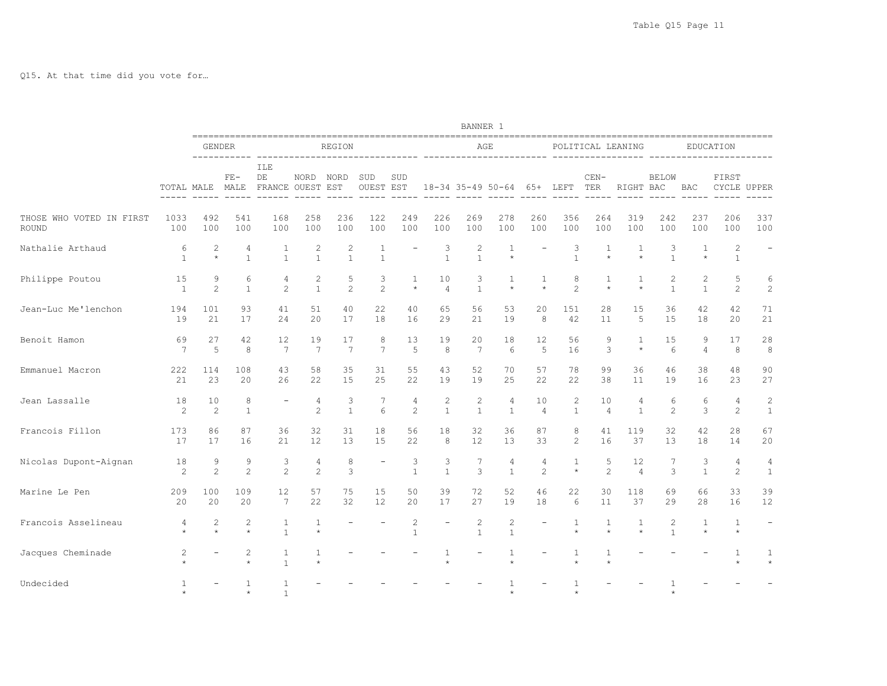Q15. At that time did you vote for…

|                                   |                       |                      |                                |                               |                         |                                |                         |                      |                                | BANNER 1                       |                            |                      |                            |                      |                         |                       |                     |                              |                                |
|-----------------------------------|-----------------------|----------------------|--------------------------------|-------------------------------|-------------------------|--------------------------------|-------------------------|----------------------|--------------------------------|--------------------------------|----------------------------|----------------------|----------------------------|----------------------|-------------------------|-----------------------|---------------------|------------------------------|--------------------------------|
|                                   |                       | GENDER               | -----------                    |                               |                         | REGION                         |                         |                      |                                |                                | AGE                        |                      |                            |                      | POLITICAL LEANING       |                       |                     | EDUCATION                    |                                |
|                                   |                       | TOTAL MALE           | $FE-$<br>MALE<br>$- - - - - -$ | ILE<br>DE<br>FRANCE OUEST EST | NORD NORD               |                                | SUD<br><b>OUEST EST</b> | SUD<br>$- - - - - -$ |                                |                                | 18-34 35-49 50-64 65+ LEFT |                      |                            | $CEN-$<br>TER        | RIGHT BAC               | <b>BELOW</b>          | <b>BAC</b>          | FIRST                        | CYCLE UPPER                    |
| THOSE WHO VOTED IN FIRST<br>ROUND | 1033<br>100           | 492<br>100           | 541<br>100                     | 168<br>100                    | 258<br>100              | 236<br>100                     | 122<br>100              | 249<br>100           | 226<br>100                     | 269<br>100                     | 278<br>100                 | 260<br>100           | 356<br>100                 | 264<br>100           | 319<br>100              | 242<br>100            | 237<br>100          | 206<br>100                   | 337<br>100                     |
| Nathalie Arthaud                  | 6<br>$\mathbf{1}$     | 2<br>$\star$         | 4<br>$\mathbf{1}$              | $\mathbf{1}$<br>$\mathbf{1}$  | 2<br>$\mathbf{1}$       | $\overline{c}$<br>$\mathbf{1}$ | 1<br>$\mathbf{1}$       |                      | 3<br>$\mathbf{1}$              | 2<br>$\mathbf{1}$              | $\mathbf{1}$<br>$\star$    |                      | 3<br>$\mathbf{1}$          | 1<br>$\star$         | 1<br>$\star$            | 3<br>$\mathbf{1}$     | 1                   | $\mathbf{2}$<br>$\mathbf{1}$ |                                |
| Philippe Poutou                   | 15<br>$\mathbf{1}$    | 9<br>2               | 6<br>$\mathbf{1}$              | 4<br>$\mathbf{2}$             | 2<br>$\mathbf{1}$       | 5<br>$\overline{2}$            | 3<br>2                  | 1<br>$\star$         | 10<br>$\overline{4}$           | 3<br>$\mathbf{1}$              | 1<br>$\star$               | 1<br>$\star$         | 8<br>$\overline{2}$        | 1<br>$\star$         | $\mathbf{1}$<br>$\star$ | 2<br>$\mathbf{1}$     | 2<br>$\mathbf{1}$   | 5<br>2                       | 6<br>$\overline{c}$            |
| Jean-Luc Me'lenchon               | 194<br>19             | 101<br>21            | 93<br>17                       | 41<br>24                      | 51<br>20                | 40<br>17                       | 22<br>18                | 40<br>16             | 65<br>29                       | 56<br>21                       | 53<br>19                   | 20<br>8              | 151<br>42                  | 28<br>11             | 15<br>5                 | 36<br>15              | 42<br>18            | 42<br>20                     | 71<br>21                       |
| Benoit Hamon                      | 69<br>$7\phantom{.0}$ | 27<br>$\overline{5}$ | 42<br>8                        | 12<br>7                       | 19<br>7                 | 17<br>7                        | 8<br>$7\phantom{.0}$    | 13<br>$\overline{5}$ | 19<br>8                        | 20<br>$7\phantom{.0}$          | 18<br>6                    | 12<br>$\overline{5}$ | 56<br>16                   | 9<br>3               | 1<br>$\star$            | 15<br>$6\overline{6}$ | 9<br>$\overline{4}$ | 17<br>8                      | 28<br>8                        |
| Emmanuel Macron                   | 222<br>21             | 114<br>23            | 108<br>20                      | 43<br>26                      | 58<br>22                | 35<br>15                       | 31<br>25                | 55<br>22             | 43<br>19                       | 52<br>19                       | 70<br>25                   | 57<br>22             | 78<br>22                   | 99<br>38             | 36<br>11                | 46<br>19              | 38<br>16            | 48<br>23                     | 90<br>27                       |
| Jean Lassalle                     | 18<br>2               | 10<br>2              | 8<br>$\mathbf{1}$              |                               | 4<br>2                  | 3<br>$\mathbf{1}$              | 7<br>$6\overline{6}$    | 4<br>$\overline{c}$  | $\overline{c}$<br>$\mathbf{1}$ | $\overline{c}$<br>$\mathbf{1}$ | 4<br>$\mathbf{1}$          | 10<br>$\overline{4}$ | 2<br>$\mathbf{1}$          | 10<br>$\overline{4}$ | 4<br>$\mathbf{1}$       | 6<br>$\overline{c}$   | 6<br>3              | 4<br>2                       | $\overline{c}$<br>$1\,$        |
| Francois Fillon                   | 173<br>17             | 86<br>17             | 87<br>16                       | 36<br>21                      | 32<br>$12 \overline{ }$ | 31<br>13                       | 18<br>15                | 56<br>22             | 18<br>8                        | 32<br>$12 \overline{ }$        | 36<br>13                   | 87<br>33             | 8<br>$\mathbf{2}^{\prime}$ | 41<br>16             | 119<br>37               | 32<br>13              | 42<br>18            | 28<br>14                     | 67<br>20                       |
| Nicolas Dupont-Aignan             | 18<br>2               | 9<br>2               | 9<br>$\overline{c}$            | 3<br>$\overline{c}$           | 4<br>$\overline{c}$     | 8<br>3                         |                         | 3<br>$\mathbf{1}$    | 3<br>$\overline{1}$            | 7<br>3                         | 4<br>$\mathbf{1}$          | 4<br>$\mathfrak{D}$  | 1<br>$\star$               | 5<br>$\mathfrak{D}$  | 12<br>$\overline{4}$    | 7<br>3                | 3<br>$\overline{1}$ | 4<br>$\overline{c}$          | $\overline{4}$<br>$\mathbf{1}$ |
| Marine Le Pen                     | 209<br>20             | 100<br>20            | 109<br>20                      | 12<br>7                       | 57<br>22                | 75<br>32                       | 15<br>12                | 50<br>20             | 39<br>17                       | 72<br>27                       | 52<br>19                   | 46<br>18             | 22<br>6                    | 30<br>11             | 118<br>37               | 69<br>29              | 66<br>28            | 33<br>16                     | 39<br>12                       |
| Francois Asselineau               | 4<br>$\star$          | 2<br>$\star$         | $\overline{c}$<br>$\star$      | 1<br>$\mathbf{1}$             | $\mathbf{1}$<br>$\star$ |                                |                         | 2<br>$\mathbf{1}$    |                                | 2<br>$\mathbf{1}$              | 2<br>$\mathbf{1}$          |                      | 1<br>$\star$               | 1<br>$\star$         | 1<br>$\star$            | 2<br>$\mathbf{1}$     | 1<br>$\star$        | $\mathbf{1}$<br>$\star$      |                                |
| Jacques Cheminade                 | $\overline{c}$        |                      | 2<br>$\star$                   | $\mathbf{1}$<br>$\mathbf{1}$  | 1<br>$\star$            |                                |                         |                      |                                |                                |                            |                      | 1                          | 1                    |                         |                       |                     |                              | -1                             |
| Undecided                         |                       |                      | 1<br>$^\star$                  | $\mathbf{1}$<br>$\mathbf{1}$  |                         |                                |                         |                      |                                |                                |                            |                      | $\star$                    |                      |                         |                       |                     |                              |                                |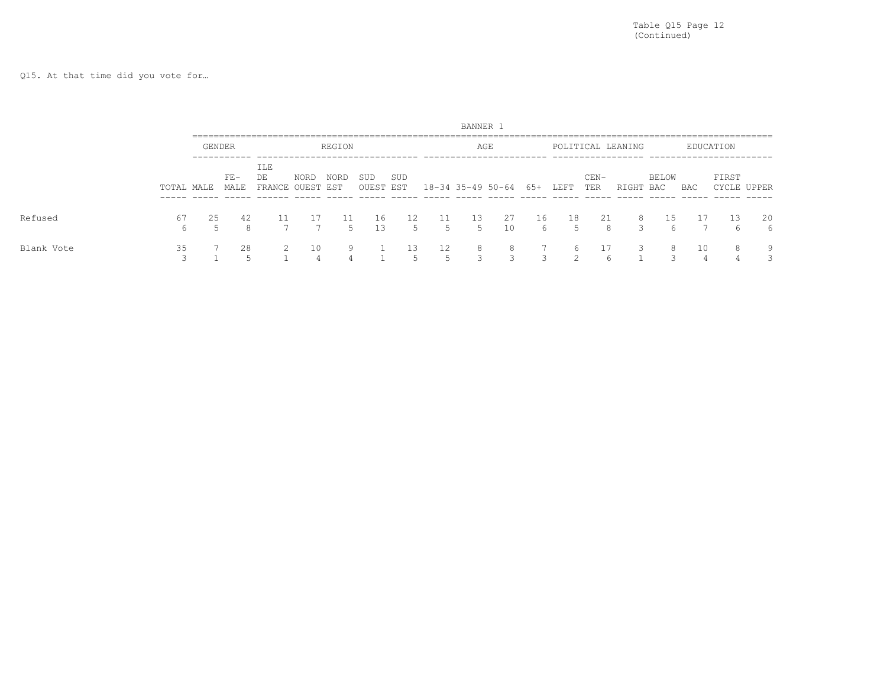Q15. At that time did you vote for…

|            |                                |        |                |                               |      |          |                  |          |         | BANNER 1 |                               |                          |          |               |                   |              |     |           |             |
|------------|--------------------------------|--------|----------------|-------------------------------|------|----------|------------------|----------|---------|----------|-------------------------------|--------------------------|----------|---------------|-------------------|--------------|-----|-----------|-------------|
|            |                                | GENDER |                |                               |      | REGION   |                  |          |         |          | AGE                           |                          |          |               | POLITICAL LEANING |              |     | EDUCATION |             |
|            | TOTAL MALE                     |        | $FE -$<br>MALE | ILE<br>DE<br>FRANCE OUEST EST | NORD | NORD     | SUD<br>OUEST EST | SUD      |         |          | 18-34 35-49 50-64 65+         |                          | LEFT     | $CEN-$<br>TER | RIGHT             | BELOW<br>BAC | BAC | FIRST     | CYCLE UPPER |
| Refused    | 67<br>6                        | 25     | 42<br>8        |                               |      | 11<br>5. | 16<br>13         | 12<br>5. | 11<br>5 | 13<br>5  | -27<br>10                     | 16<br>6                  | 18<br>5. | 21<br>8       | 8<br>२            | 15<br>h      |     | 13        | 20<br>6     |
| Blank Vote | 35<br>$\overline{\phantom{0}}$ |        | 28             |                               | 10   | 9        |                  | ⊥3       | 12<br>↳ | 8<br>₹   | 8<br>$\overline{\phantom{0}}$ | $\overline{\phantom{0}}$ | h        | 6             |                   | 8<br>$\sim$  | 10  | 8         | 9           |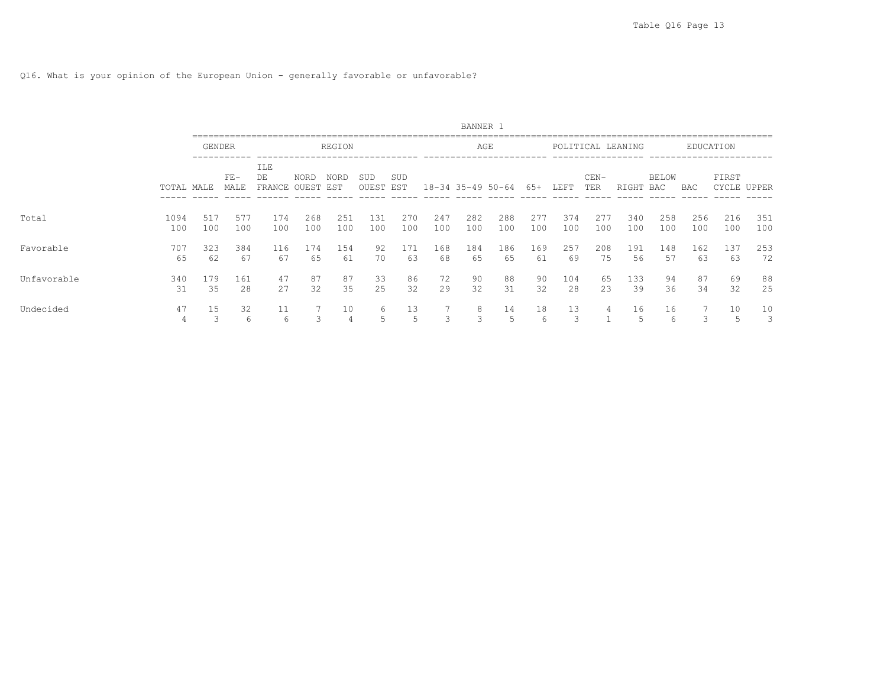# Q16. What is your opinion of the European Union - generally favorable or unfavorable?

|             |             |            |               |                            |                      |             |              |            |            | BANNER 1          |            |            |            |               |                   |                     |            |                  |             |
|-------------|-------------|------------|---------------|----------------------------|----------------------|-------------|--------------|------------|------------|-------------------|------------|------------|------------|---------------|-------------------|---------------------|------------|------------------|-------------|
|             |             | GENDER     |               |                            |                      | REGION      |              |            |            |                   | AGE        |            |            |               | POLITICAL LEANING |                     |            | <b>EDUCATION</b> |             |
|             | TOTAL MALE  |            | $FE-$<br>MALE | <b>ILE</b><br>DE<br>FRANCE | <b>NORD</b><br>OUEST | NORD<br>EST | SUD<br>OUEST | SUD<br>EST |            | 18-34 35-49 50-64 |            | 65+        | LEFT       | $CEN-$<br>TER | RIGHT             | <b>BELOW</b><br>BAC | BAC        | FIRST            | CYCLE UPPER |
| Total       | 1094<br>100 | 517<br>100 | 577<br>100    | 174<br>100                 | 268<br>100           | 251<br>100  | 131<br>100   | 270<br>100 | 247<br>100 | 282<br>100        | 288<br>100 | 277<br>100 | 374<br>100 | 277<br>100    | 340<br>100        | 258<br>100          | 256<br>100 | 216<br>100       | 351<br>100  |
| Favorable   | 707<br>65   | 323<br>62  | 384<br>67     | 116<br>67                  | 174<br>65            | 154<br>61   | 92<br>70     | 171<br>63  | 168<br>68  | 184<br>65         | 186<br>65  | 169<br>61  | 257<br>69  | 208<br>75     | 191<br>56         | 148<br>57           | 162<br>63  | 137<br>63        | 253<br>72   |
| Unfavorable | 340<br>31   | 179<br>35  | 161<br>28     | 47<br>27                   | 87<br>32             | 87<br>35    | 33<br>25     | 86<br>32   | 72<br>29   | 90<br>32          | 88<br>31   | 90<br>32   | 104<br>28  | 65<br>23      | 133<br>39         | 94<br>36            | 87<br>34   | 69<br>32         | 88<br>25    |
| Undecided   | 47<br>4     | 15         | 32<br>6       | 11<br>6                    | 3                    | 10          | 6            | 13<br>.5   | 3          | 8<br>3            | 14<br>5    | 18<br>6    | 13<br>3    | 4             | 16                | 16<br>6             | 3          | 10<br>5          | 10<br>3     |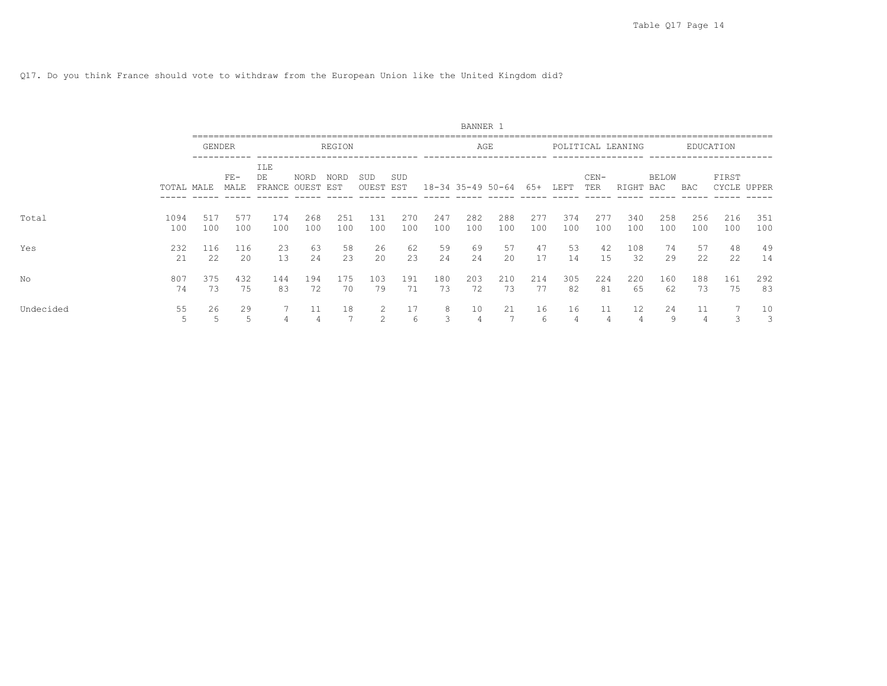Q17. Do you think France should vote to withdraw from the European Union like the United Kingdom did?

|           |             |               |               |                     |               |             |               |            |            | BANNER 1          |            |            |            |               |                   |                     |            |                  |            |
|-----------|-------------|---------------|---------------|---------------------|---------------|-------------|---------------|------------|------------|-------------------|------------|------------|------------|---------------|-------------------|---------------------|------------|------------------|------------|
|           |             | <b>GENDER</b> |               |                     |               | REGION      |               |            |            |                   | AGE        |            |            |               | POLITICAL LEANING |                     |            | <b>EDUCATION</b> |            |
|           | TOTAL MALE  |               | $FE-$<br>MALE | ILE<br>DE<br>FRANCE | NORD<br>OUEST | NORD<br>EST | SUD<br>OUEST  | SUD<br>EST |            | 18-34 35-49 50-64 |            | 65+        | LEFT       | $CEN-$<br>TER | RIGHT             | <b>BELOW</b><br>BAC | BAC        | FIRST<br>CYCLE   | UPPER      |
| Total     | 1094<br>100 | 517<br>100    | 577<br>100    | 174<br>100          | 268<br>100    | 251<br>100  | 131<br>100    | 270<br>100 | 247<br>100 | 282<br>100        | 288<br>100 | 277<br>100 | 374<br>100 | 277<br>100    | 340<br>100        | 258<br>100          | 256<br>100 | 216<br>100       | 351<br>100 |
| Yes       | 232<br>2.1  | 116<br>22     | 116<br>20     | 23<br>13            | 63<br>2.4     | 58<br>23    | 26<br>20      | 62<br>23   | 59<br>24   | 69<br>2.4         | 57<br>2.0  | 47<br>17   | 53<br>14   | 42<br>15      | 108<br>32         | 74<br>29            | 57<br>2.2. | 48<br>22         | 49<br>14   |
| No        | 807<br>74   | 375<br>73     | 432<br>75     | 144<br>83           | 194<br>72     | 175<br>70   | 103<br>79     | 191<br>71  | 180<br>73  | 203<br>72         | 210<br>73  | 214<br>77  | 305<br>82  | 224<br>81     | 220<br>65         | 160<br>62           | 188<br>73  | 161<br>75        | 292<br>83  |
| Undecided | 55          | 26<br>5       | 29<br>5       |                     |               | 18          | $\mathcal{D}$ | 17<br>6    | 8          | 10                | 21         | 16<br>6    | 16         | 11            | 12                | 24<br>9             | 11         |                  | 10<br>3    |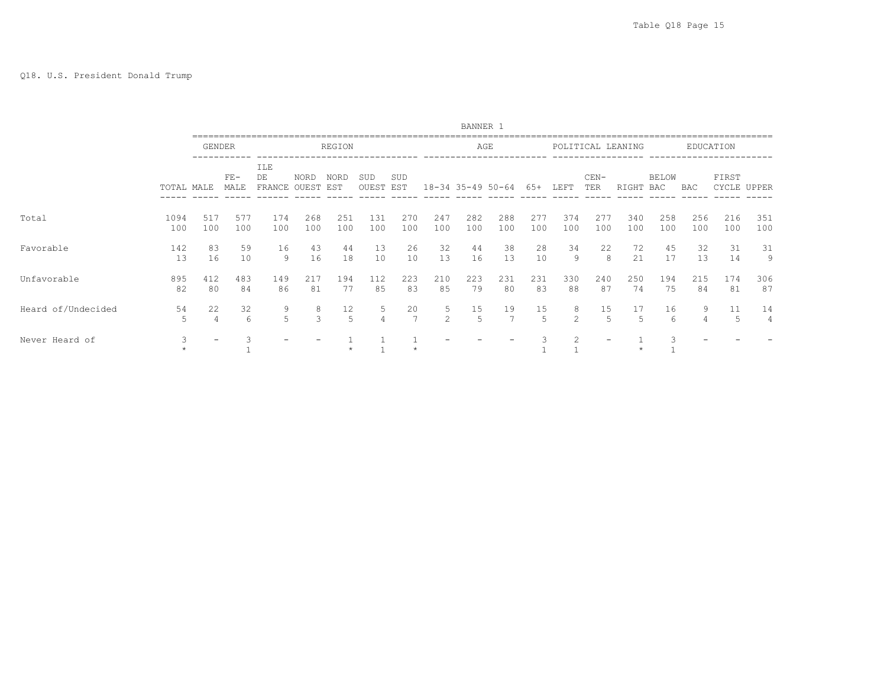|                    |             |            |               |                            |               |             |              |            |            | BANNER 1          |            |            |                     |               |                   |              |            |            |             |
|--------------------|-------------|------------|---------------|----------------------------|---------------|-------------|--------------|------------|------------|-------------------|------------|------------|---------------------|---------------|-------------------|--------------|------------|------------|-------------|
|                    |             |            | <b>GENDER</b> |                            |               | REGION      |              |            |            |                   | AGE        |            |                     |               | POLITICAL LEANING |              |            | EDUCATION  |             |
|                    | TOTAL MALE  |            | $FE-$<br>MALE | <b>ILE</b><br>DE<br>FRANCE | NORD<br>OUEST | NORD<br>EST | SUD<br>OUEST | SUD<br>EST |            | 18-34 35-49 50-64 |            | 65+        | LEFT                | $CEN-$<br>TER | RIGHT             | BELOW<br>BAC | BAC        | FIRST      | CYCLE UPPER |
| Total              | 1094<br>100 | 517<br>100 | 577<br>100    | 174<br>100                 | 268<br>100    | 251<br>100  | 131<br>100   | 270<br>100 | 247<br>100 | 282<br>100        | 288<br>100 | 277<br>100 | 374<br>100          | 277<br>100    | 340<br>100        | 258<br>100   | 256<br>100 | 216<br>100 | 351<br>100  |
| Favorable          | 142<br>13   | 83<br>16   | 59<br>10      | 16<br>9                    | 43<br>16      | 44<br>18    | 13<br>10     | 26<br>10   | 32<br>13   | 44<br>16          | 38<br>13   | 28<br>10   | 34<br>9             | 22<br>8       | 72<br>21          | 45<br>17     | 32<br>13   | 31<br>14   | 31<br>9     |
| Unfavorable        | 895<br>82   | 412<br>80  | 483<br>84     | 149<br>86                  | 217<br>81     | 194<br>77   | 112<br>85    | 223<br>83  | 210<br>85  | 223<br>79         | 231<br>80  | 231<br>83  | 330<br>88           | 240<br>87     | 250<br>74         | 194<br>75    | 215<br>84  | 174<br>81  | 306<br>87   |
| Heard of/Undecided | 54<br>5     | 22<br>4    | 32<br>6       | 9<br>5                     | 8<br>3        | 12<br>.5    | 5.           | 20         | 5<br>2     | 15<br>.5          | 19         | 15<br>5    | 8<br>$\mathfrak{D}$ | 15<br>5       | 17                | 16<br>6      | 9          | 11<br>5    | 14<br>4     |
| Never Heard of     | 3           |            |               |                            |               |             |              |            |            |                   |            |            |                     |               |                   |              |            |            |             |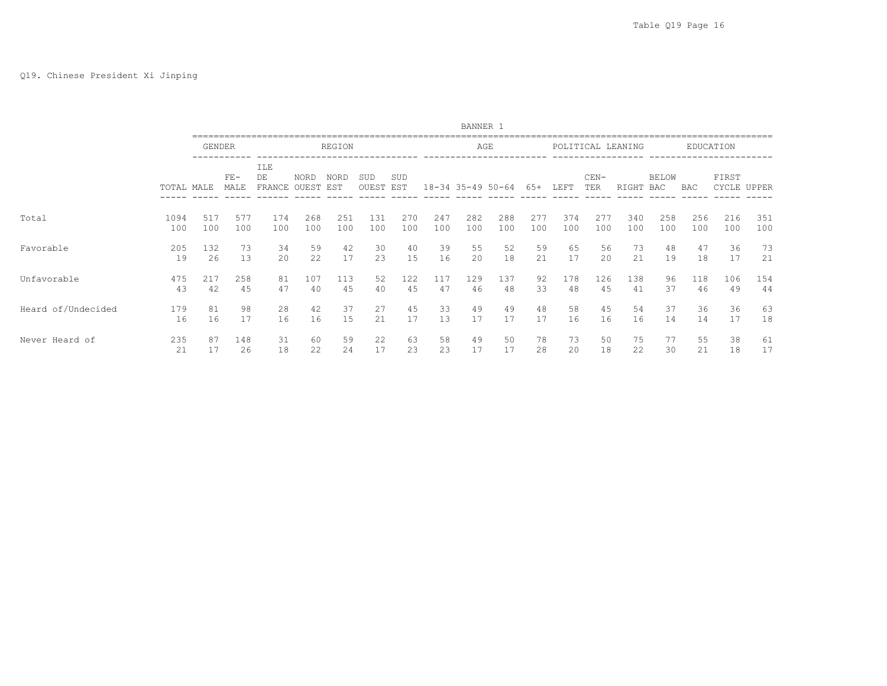|                    |            |               |               |                     |               |                    |              |            |     | BANNER 1          |     |     |      |               |                   |              |     |           |             |
|--------------------|------------|---------------|---------------|---------------------|---------------|--------------------|--------------|------------|-----|-------------------|-----|-----|------|---------------|-------------------|--------------|-----|-----------|-------------|
|                    |            | <b>GENDER</b> |               |                     |               | REGION             |              |            |     |                   | AGE |     |      |               | POLITICAL LEANING |              |     | EDUCATION |             |
|                    | TOTAL MALE |               | $FE-$<br>MALE | ILE<br>DE<br>FRANCE | NORD<br>OUEST | <b>NORD</b><br>EST | SUD<br>OUEST | SUD<br>EST |     | 18-34 35-49 50-64 |     | 65+ | LEFT | $CEN-$<br>TER | RIGHT             | BELOW<br>BAC | BAC | FIRST     | CYCLE UPPER |
| Total              | 1094       | 517           | 577           | 174                 | 268           | 251                | 131          | 270        | 247 | 282               | 288 | 277 | 374  | 277           | 340               | 258          | 256 | 216       | 351         |
|                    | 100        | 100           | 100           | 100                 | 100           | 100                | 100          | 100        | 100 | 100               | 100 | 100 | 100  | 100           | 100               | 100          | 100 | 100       | 100         |
| Favorable          | 205        | 132           | 73            | 34                  | 59            | 42                 | 30           | 40         | 39  | 55                | 52  | 59  | 65   | 56            | 73                | 48           | 47  | 36        | 73          |
|                    | 19         | 26            | 13            | 20                  | 22            | 17                 | 23           | 15         | 16  | 20                | 18  | 21  | 17   | 20            | 21                | 19           | 18  | 17        | 21          |
| Unfavorable        | 475        | 217           | 258           | 81                  | 107           | 113                | 52           | 122        | 117 | 129               | 137 | 92  | 178  | 126           | 138               | 96           | 118 | 106       | 154         |
|                    | 43         | 42            | 45            | 47                  | 40            | 45                 | 40           | 45         | 47  | 46                | 48  | 33  | 48   | 45            | 41                | 37           | 46  | 49        | 44          |
| Heard of/Undecided | 179        | 81            | 98            | 28                  | 42            | 37                 | 27           | 45         | 33  | 49                | 49  | 48  | 58   | 45            | 54                | 37           | 36  | 36        | 63          |
|                    | 16         | 16            | 17            | 16                  | 16            | 15                 | 21           | 17         | 13  | 17                | 17  | 17  | 16   | 16            | 16                | 14           | 14  | 17        | 18          |
| Never Heard of     | 235        | 87            | 148           | 31                  | 60            | 59                 | 22           | 63         | 58  | 49                | 50  | 78  | 73   | 50            | 75                | 77           | 55  | 38        | 61          |
|                    | 21         | 17            | 26            | 18                  | 22            | 24                 | 17           | 23         | 23  | 17                | 17  | 28  | 20   | 18            | 22                | 30           | 21  | 18        | 17          |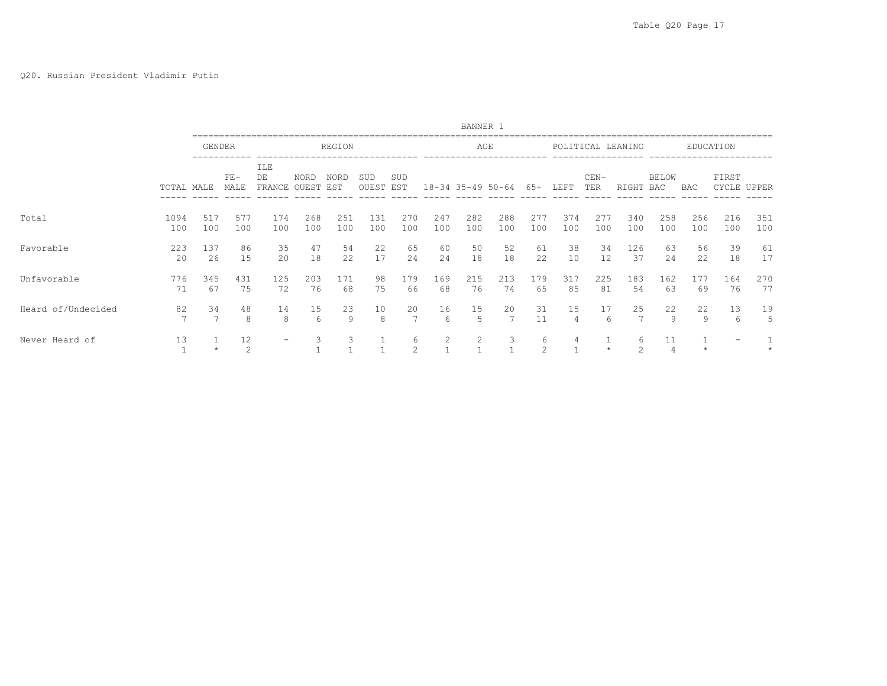## Q20. Russian President Vladimir Putin

|                    |             |               |               |                               |            |                    |                         |            |            | BANNER 1   |                       |            |            |               |                   |                      |            |                      |            |
|--------------------|-------------|---------------|---------------|-------------------------------|------------|--------------------|-------------------------|------------|------------|------------|-----------------------|------------|------------|---------------|-------------------|----------------------|------------|----------------------|------------|
|                    |             | <b>GENDER</b> |               |                               |            | REGION             |                         |            |            |            | AGE                   |            |            |               | POLITICAL LEANING |                      |            | EDUCATION            |            |
|                    | TOTAL MALE  |               | $FE-$<br>MALE | ILE<br>DE<br>FRANCE OUEST EST | NORD       | <b>NORD</b>        | SUD<br><b>OUEST EST</b> | SUD        |            |            | $18 - 34$ 35-49 50-64 | 65+        | LEFT       | $CEN-$<br>TER | RIGHT             | <b>BELOW</b><br>BAC  | BAC        | FIRST<br>CYCLE UPPER |            |
| Total              | 1094<br>100 | 517<br>100    | 577<br>100    | 174<br>100                    | 268<br>100 | 251<br>100         | 131<br>100              | 270<br>100 | 247<br>100 | 282<br>100 | 288<br>100            | 277<br>100 | 374<br>100 | 277<br>100    | 340<br>100        | 258<br>100           | 256<br>100 | 216<br>100           | 351<br>100 |
| Favorable          | 223<br>20   | 137<br>26     | 86<br>15      | 35<br>20                      | 47<br>18   | 54<br>22           | 22<br>17                | 65<br>24   | 60<br>24   | 50<br>18   | 52<br>18              | 61<br>22   | 38<br>10   | 34<br>12      | 126<br>37         | 63<br>24             | 56<br>22   | 39<br>18             | 61<br>17   |
| Unfavorable        | 776<br>71   | 345<br>67     | 431<br>75     | 125<br>72                     | 203<br>76  | 171<br>68          | 98<br>75                | 179<br>66  | 169<br>68  | 215<br>76  | 213<br>74             | 179<br>65  | 317<br>85  | 225<br>81     | 183<br>54         | 162<br>63            | 177<br>69  | 164<br>76            | 270<br>77  |
| Heard of/Undecided | 82          | 34            | 48<br>8       | 14<br>8                       | 15<br>6    | 23<br>$\mathsf{Q}$ | 10<br>8                 | 20         | 16<br>6    | 15<br>5    | 20                    | 31<br>11   | 15<br>4    | 17<br>6       | 25                | 22<br>9              | 22<br>9    | 13<br>6              | 19<br>5    |
| Never Heard of     | 13          |               | 12<br>2       | $\overline{\phantom{0}}$      | 3          | 3                  |                         | 6<br>2     | 2          | 2          | 3                     | 6<br>2     |            |               | 6<br>2            | 11<br>$\overline{4}$ |            |                      |            |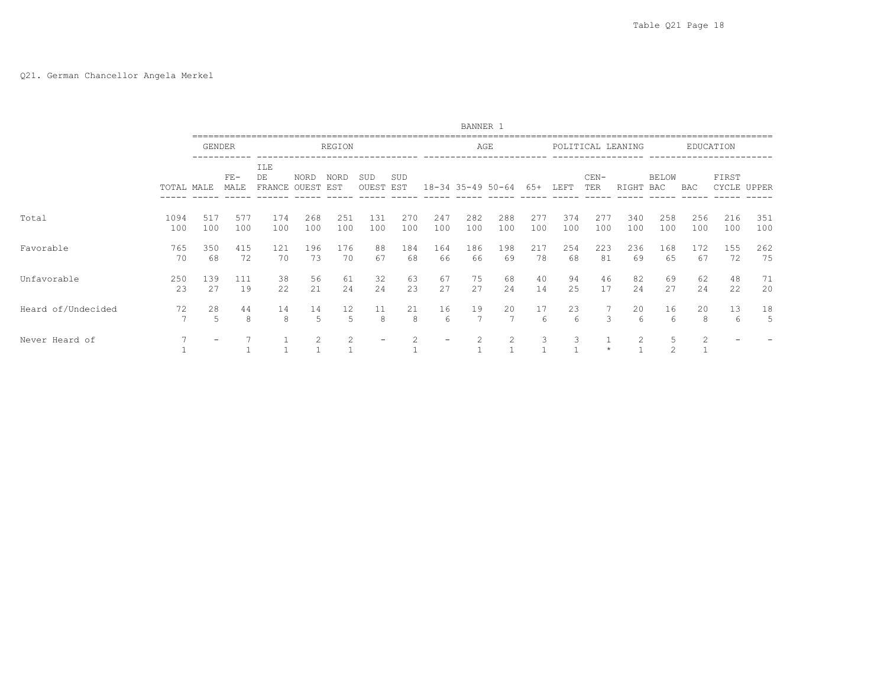# Q21. German Chancellor Angela Merkel

|                    |             |                          |               |                               |                |            |                  |            |            | BANNER 1          |            |             |            |               |                   |                     |                |                      |            |
|--------------------|-------------|--------------------------|---------------|-------------------------------|----------------|------------|------------------|------------|------------|-------------------|------------|-------------|------------|---------------|-------------------|---------------------|----------------|----------------------|------------|
|                    |             | <b>GENDER</b>            |               |                               |                | REGION     |                  |            |            | AGE               |            |             |            |               | POLITICAL LEANING |                     |                | EDUCATION            |            |
|                    | TOTAL MALE  |                          | $FE-$<br>MALE | ILE<br>DE<br>FRANCE OUEST EST | NORD           | NORD       | SUD<br>OUEST EST | SUD        |            | 18-34 35-49 50-64 |            | 65+         | LEFT       | $CEN-$<br>TER | RIGHT             | <b>BELOW</b><br>BAC | BAC            | FIRST<br>CYCLE UPPER |            |
| Total              | 1094<br>100 | 517<br>100               | 577<br>100    | 174<br>100                    | 268<br>100     | 251<br>100 | 131<br>100       | 270<br>100 | 247<br>100 | 282<br>100        | 288<br>100 | 2.77<br>100 | 374<br>100 | 277<br>100    | 340<br>100        | 258<br>100          | 256<br>100     | 216<br>100           | 351<br>100 |
| Favorable          | 765<br>70   | 350<br>68                | 415<br>72     | 121<br>70                     | 196<br>73      | 176<br>70  | 88<br>67         | 184<br>68  | 164<br>66  | 186<br>66         | 198<br>69  | 217<br>78   | 254<br>68  | 223<br>81     | 236<br>69         | 168<br>65           | 172<br>67      | 155<br>72            | 262<br>75  |
| Unfavorable        | 250<br>23   | 139<br>27                | 111<br>19     | 38<br>22                      | 56<br>21       | 61<br>24   | 32<br>24         | 63<br>23   | 67<br>27   | 75<br>27          | 68<br>24   | 40<br>14    | 94<br>25   | 46<br>17      | 82<br>24          | 69<br>27            | 62<br>24       | 48<br>22             | 71<br>20   |
| Heard of/Undecided | 72          | 28<br>5                  | 44<br>8       | 14<br>8                       | 14<br>5        | 12<br>5    | 11<br>8          | 21<br>8    | 16<br>6    | 19                | 20         | 17<br>6     | 23<br>6    | 3             | 20<br>6           | 16<br>6             | 20<br>8        | 13<br>6              | 18<br>5    |
| Never Heard of     |             | $\overline{\phantom{0}}$ |               |                               | $\mathfrak{D}$ | 2          |                  |            |            |                   | 2          | 3           | 3          |               | 2                 | .5<br>$\mathcal{D}$ | $\mathfrak{D}$ |                      |            |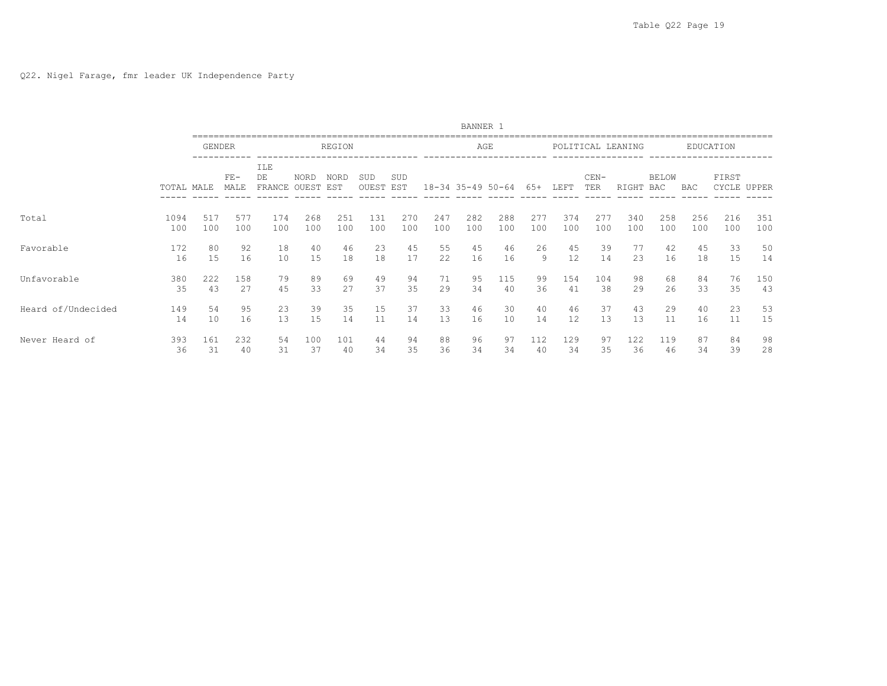|                    |            |        |               |                     |               |             |              |            |     | BANNER 1          |     |     |      |               |                   |                     |     |                |       |
|--------------------|------------|--------|---------------|---------------------|---------------|-------------|--------------|------------|-----|-------------------|-----|-----|------|---------------|-------------------|---------------------|-----|----------------|-------|
|                    |            | GENDER |               |                     |               | REGION      |              |            |     | AGE               |     |     |      |               | POLITICAL LEANING |                     |     | EDUCATION      |       |
|                    | TOTAL MALE |        | $FE-$<br>MALE | ILE<br>DE<br>FRANCE | NORD<br>OUEST | NORD<br>EST | SUD<br>OUEST | SUD<br>EST |     | 18-34 35-49 50-64 |     | 65+ | LEFT | $CEN-$<br>TER | RIGHT             | <b>BELOW</b><br>BAC | BAC | FIRST<br>CYCLE | UPPER |
| Total              | 1094       | 517    | 577           | 174                 | 268           | 251         | 131          | 270        | 247 | 282               | 288 | 277 | 374  | 277           | 340               | 258                 | 256 | 216            | 351   |
|                    | 100        | 100    | 100           | 100                 | 100           | 100         | 100          | 100        | 100 | 100               | 100 | 100 | 100  | 100           | 100               | 100                 | 100 | 100            | 100   |
| Favorable          | 172        | 80     | 92            | 18                  | 40            | 46          | 23           | 45         | 55  | 45                | 46  | 26  | 45   | 39            | 77                | 42                  | 45  | 33             | 50    |
|                    | 16         | 15     | 16            | 10                  | 15            | 18          | 18           | 17         | 22  | 16                | 16  | 9   | 12   | 14            | 23                | 16                  | 18  | 15             | 14    |
| Unfavorable        | 380        | 222    | 158           | 79                  | 89            | 69          | 49           | 94         | 71  | 95                | 115 | 99  | 154  | 104           | 98                | 68                  | 84  | 76             | 150   |
|                    | 35         | 43     | 27            | 45                  | 33            | 27          | 37           | 35         | 29  | 34                | 40  | 36  | 41   | 38            | 29                | 26                  | 33  | 35             | 43    |
| Heard of/Undecided | 149        | 54     | 95            | 23                  | 39            | 35          | 15           | 37         | 33  | 46                | 30  | 40  | 46   | 37            | 43                | 29                  | 40  | 23             | 53    |
|                    | 14         | 10     | 16            | 13                  | 15            | 14          | 11           | 14         | 13  | 16                | 10  | 14  | 12   | 13            | 13                | 11                  | 16  | 11             | 15    |
| Never Heard of     | 393        | 161    | 232           | 54                  | 100           | 101         | 44           | 94         | 88  | 96                | 97  | 112 | 129  | 97            | 122               | 119                 | 87  | 84             | 98    |
|                    | 36         | 31     | 40            | 31                  | 37            | 40          | 34           | 35         | 36  | 34                | 34  | 40  | 34   | 35            | 36                | 46                  | 34  | 39             | 28    |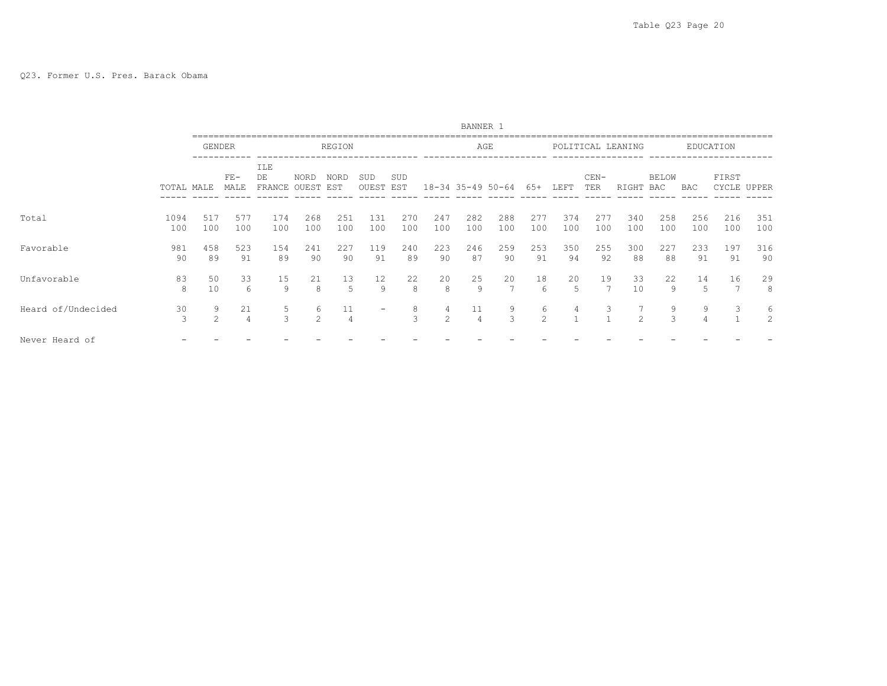|                    |             |                     |                      |                            |                      |                      |              |            |            | BANNER 1              |            |                     |            |               |                   |                     |            |                |            |
|--------------------|-------------|---------------------|----------------------|----------------------------|----------------------|----------------------|--------------|------------|------------|-----------------------|------------|---------------------|------------|---------------|-------------------|---------------------|------------|----------------|------------|
|                    |             | <b>GENDER</b>       |                      |                            |                      | REGION               |              |            |            | AGE                   |            |                     |            |               | POLITICAL LEANING |                     |            | EDUCATION      |            |
|                    | TOTAL MALE  |                     | $FE-$<br>MALE        | <b>ILE</b><br>DE<br>FRANCE | <b>NORD</b><br>OUEST | NORD<br>EST          | SUD<br>OUEST | SUD<br>EST |            | $18 - 34$ 35-49 50-64 |            | 65+                 | LEFT       | $CEN-$<br>TER | RIGHT             | <b>BELOW</b><br>BAC | BAC        | FIRST<br>CYCLE | UPPER      |
| Total              | 1094<br>100 | 517<br>100          | 577<br>100           | 174<br>100                 | 268<br>100           | 251<br>100           | 131<br>100   | 270<br>100 | 247<br>100 | 282<br>100            | 288<br>100 | 277<br>100          | 374<br>100 | 277<br>100    | 340<br>100        | 258<br>100          | 256<br>100 | 216<br>100     | 351<br>100 |
| Favorable          | 981<br>90   | 458<br>89           | 523<br>91            | 154<br>89                  | 241<br>90            | 227<br>90            | 119<br>91    | 240<br>89  | 223<br>90  | 246<br>87             | 259<br>90  | 253<br>91           | 350<br>94  | 255<br>92     | 300<br>88         | 227<br>88           | 233<br>91  | 197<br>91      | 316<br>90  |
| Unfavorable        | 83<br>8     | 50<br>10            | 33<br>6              | 15<br>9                    | 21<br>8              | 13<br>5              | 12<br>9      | 22<br>8    | 20<br>8    | 25<br>9               | 20         | 18<br>6             | 20<br>5    | 19            | 33<br>10          | 22<br>9             | 14<br>5    | 16             | 29<br>8    |
| Heard of/Undecided | 30<br>3     | 9<br>$\overline{c}$ | 21<br>$\overline{4}$ | 5<br>3                     | 6<br>2               | 11<br>$\overline{4}$ |              | 8<br>3     | 4<br>2     | 11<br>4               | 9<br>3     | 6<br>$\overline{2}$ | 4          | 3             | 2                 | 9                   | 9          | 3              | 6<br>2     |
| Never Heard of     |             |                     |                      |                            |                      |                      |              |            |            |                       |            |                     |            |               |                   |                     |            |                |            |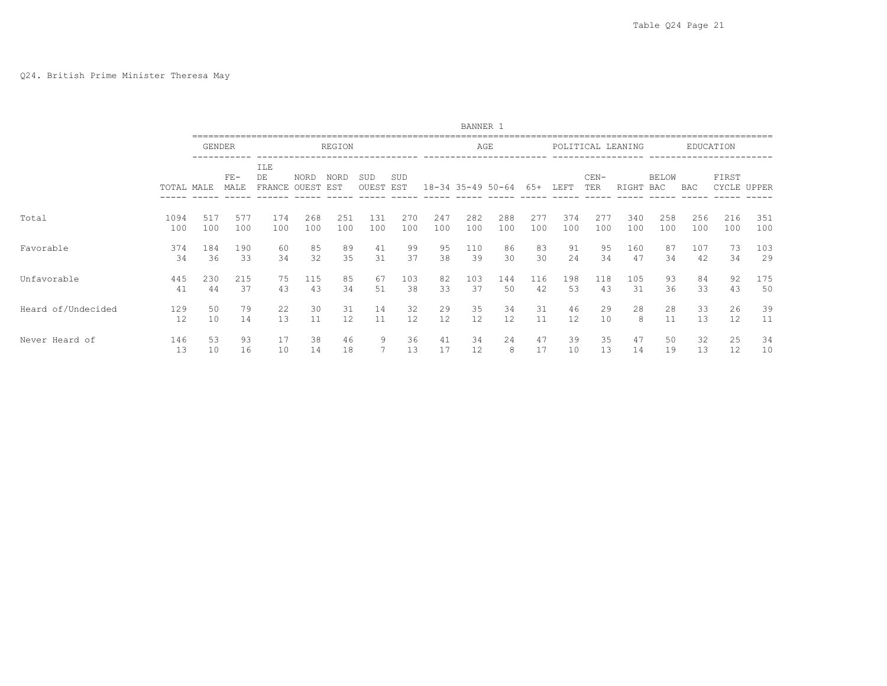## Q24. British Prime Minister Theresa May

|                    |            |               |               |                      |               |               |              |            |          | BANNER 1          |         |          |          |               |                   |                     |            |           |             |
|--------------------|------------|---------------|---------------|----------------------|---------------|---------------|--------------|------------|----------|-------------------|---------|----------|----------|---------------|-------------------|---------------------|------------|-----------|-------------|
|                    |            | <b>GENDER</b> |               |                      |               | <b>REGION</b> |              |            |          | AGE               |         |          |          |               | POLITICAL LEANING |                     |            | EDUCATION |             |
|                    | TOTAL MALE |               | $FE-$<br>MALE | ILE<br>DE.<br>FRANCE | NORD<br>OUEST | NORD<br>EST   | SUD<br>OUEST | SUD<br>EST |          | 18-34 35-49 50-64 |         | 65+      | LEFT     | $CEN-$<br>TER | RIGHT             | <b>BELOW</b><br>BAC | <b>BAC</b> | FIRST     | CYCLE UPPER |
| Total              | 1094       | 517           | 577           | 174                  | 268           | 251           | 131          | 270        | 247      | 282               | 288     | 2.77     | 374      | 277           | 340               | 258                 | 256        | 216       | 351         |
|                    | 100        | 100           | 100           | 100                  | 100           | 100           | 100          | 100        | 100      | 100               | 100     | 100      | 100      | 100           | 100               | 100                 | 100        | 100       | 100         |
| Favorable          | 374        | 184           | 190           | 60                   | 85            | 89            | 41           | 99         | 95       | 110               | 86      | 83       | 91       | 95            | 160               | 87                  | 107        | 73        | 103         |
|                    | 34         | 36            | 33            | 34                   | 32            | 35            | 31           | 37         | 38       | 39                | 30      | 30       | 24       | 34            | 47                | 34                  | 42         | 34        | 29          |
| Unfavorable        | 445        | 230           | 215           | 75                   | 115           | 85            | 67           | 103        | 82       | 103               | 144     | 116      | 198      | 118           | 105               | 93                  | 84         | 92        | 175         |
|                    | 41         | 44            | 37            | 43                   | 43            | 34            | 51           | 38         | 33       | 37                | 50      | 42       | 53       | 43            | 31                | 36                  | 33         | 43        | 50          |
| Heard of/Undecided | 129        | 50            | 79            | 22                   | 30            | 31            | 14           | 32         | 29       | 35                | 34      | 31       | 46       | 29            | 28                | 28                  | 33         | 26        | 39          |
|                    | 12         | 10            | 14            | 13                   | 11            | 12            | 11           | 12         | 12       | 12                | 12      | 11       | 12       | 10            | 8                 | 11                  | 13         | 12        | 11          |
| Never Heard of     | 146<br>13  | 53<br>10      | 93<br>16      | 17<br>10             | 38<br>14      | 46<br>18      | 9            | 36<br>13   | 41<br>17 | 34<br>12          | 24<br>8 | 47<br>17 | 39<br>10 | 35<br>13      | 47<br>14          | 50<br>19            | 32<br>13   | 25<br>12  | 34<br>10    |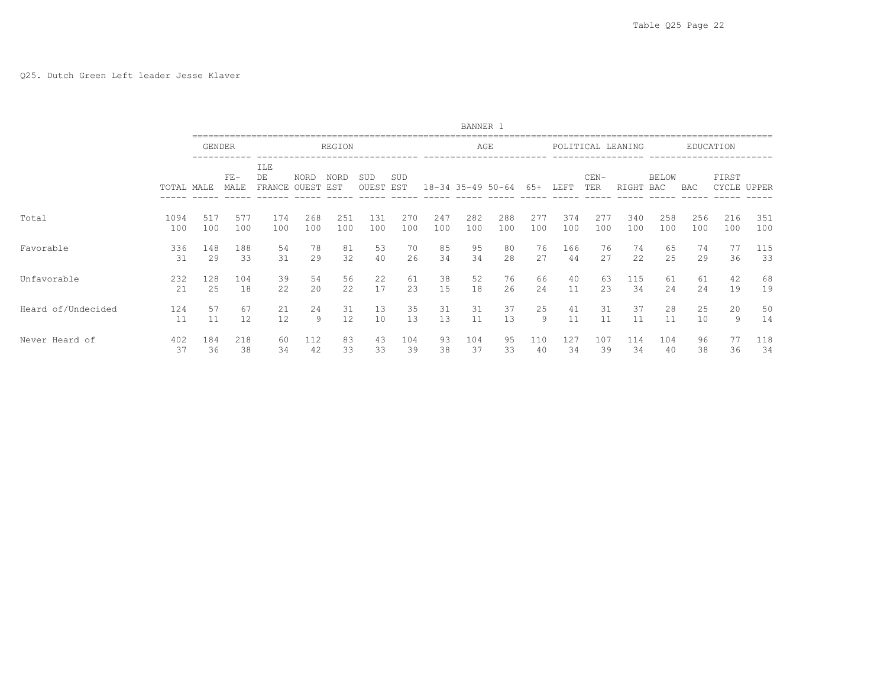|                    |            |           |               |                     |               |             |              |            |          | BANNER 1          |          |           |           |               |                   |              |            |           |             |
|--------------------|------------|-----------|---------------|---------------------|---------------|-------------|--------------|------------|----------|-------------------|----------|-----------|-----------|---------------|-------------------|--------------|------------|-----------|-------------|
|                    |            | GENDER    |               |                     |               | REGION      |              |            |          | AGE               |          |           |           |               | POLITICAL LEANING |              |            | EDUCATION |             |
|                    | TOTAL MALE |           | $FE-$<br>MALE | ILE<br>DE<br>FRANCE | NORD<br>OUEST | NORD<br>EST | SUD<br>OUEST | SUD<br>EST |          | 18-34 35-49 50-64 |          | 65+       | LEFT      | $CEN-$<br>TER | RIGHT             | BELOW<br>BAC | <b>BAC</b> | FIRST     | CYCLE UPPER |
| Total              | 1094       | 517       | 577           | 174                 | 268           | 251         | 131          | 270        | 247      | 282               | 288      | 277       | 374       | 277           | 340               | 258          | 256        | 216       | 351         |
|                    | 100        | 100       | 100           | 100                 | 100           | 100         | 100          | 100        | 100      | 100               | 100      | 100       | 100       | 100           | 100               | 100          | 100        | 100       | 100         |
| Favorable          | 336        | 148       | 188           | 54                  | 78            | 81          | 53           | 70         | 85       | 95                | 80       | 76        | 166       | 76            | 74                | 65           | 74         | 77        | 115         |
|                    | 31         | 29        | 33            | 31                  | 29            | 32          | 40           | 26         | 34       | 34                | 28       | 27        | 44        | 27            | 22                | 25           | 29         | 36        | 33          |
| Unfavorable        | 232        | 128       | 104           | 39                  | 54            | 56          | 22           | 61         | 38       | 52                | 76       | 66        | 40        | 63            | 115               | 61           | 61         | 42        | 68          |
|                    | 21         | 25        | 18            | 22                  | 20            | 22          | 17           | 23         | 15       | 18                | 26       | 24        | 11        | 23            | 34                | 24           | 24         | 19        | 19          |
| Heard of/Undecided | 124        | 57        | 67            | 21                  | 24            | 31          | 13           | 35         | 31       | 31                | 37       | 25        | 41        | 31            | 37                | 28           | 25         | 20        | 50          |
|                    | 11         | 11        | 12            | 12                  | 9             | 12          | 10           | 13         | 13       | 11                | 13       | 9         | 11        | 11            | 11                | 11           | 10         | 9         | 14          |
| Never Heard of     | 402<br>37  | 184<br>36 | 218<br>38     | 60<br>34            | 112<br>42     | 83<br>33    | 43<br>33     | 104<br>39  | 93<br>38 | 104<br>37         | 95<br>33 | 110<br>40 | 127<br>34 | 107<br>39     | 114<br>34         | 104<br>40    | 96<br>38   | 36        | 118<br>34   |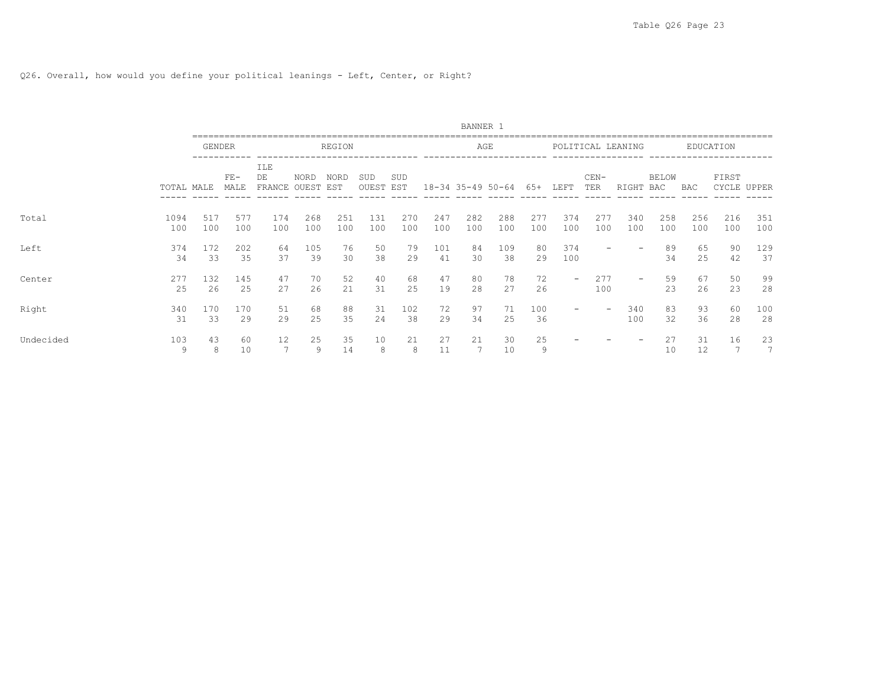# Q26. Overall, how would you define your political leanings - Left, Center, or Right?

|           |             |               |               |                               |            |            |                  |            |            | BANNER 1   |                   |             |                          |               |                   |                     |            |            |             |
|-----------|-------------|---------------|---------------|-------------------------------|------------|------------|------------------|------------|------------|------------|-------------------|-------------|--------------------------|---------------|-------------------|---------------------|------------|------------|-------------|
|           |             | <b>GENDER</b> |               |                               |            | REGION     |                  |            |            |            | AGE               |             |                          |               | POLITICAL LEANING |                     |            | EDUCATION  |             |
|           | TOTAL MALE  |               | $FE-$<br>MALE | ILE<br>DE<br>FRANCE OUEST EST | NORD       | NORD       | SUD<br>OUEST EST | SUD        |            |            | 18-34 35-49 50-64 | 65+         | LEFT                     | $CEN-$<br>TER | RIGHT             | <b>BELOW</b><br>BAC | BAC        | FIRST      | CYCLE UPPER |
| Total     | 1094<br>100 | 517<br>100    | 577<br>100    | 174<br>100                    | 268<br>100 | 251<br>100 | 131<br>100       | 270<br>100 | 247<br>100 | 282<br>100 | 288<br>100        | 2.77<br>100 | 374<br>100               | 277<br>100    | 340<br>100        | 258<br>100          | 256<br>100 | 216<br>100 | 351<br>100  |
| Left      | 374<br>34   | 172<br>33     | 202<br>35     | 64<br>37                      | 105<br>39  | 76<br>30   | 50<br>38         | 79<br>29   | 101<br>41  | 84<br>30   | 109<br>38         | 80<br>29    | 374<br>100               |               |                   | 89<br>34            | 65<br>25   | 90<br>42   | 129<br>37   |
| Center    | 277<br>25   | 132<br>26     | 145<br>25     | 47<br>27                      | 70<br>26   | 52<br>21   | 40<br>31         | 68<br>25   | 47<br>19   | 80<br>28   | 78<br>27          | 72<br>26    | $\overline{\phantom{0}}$ | 277<br>100    | $\qquad \qquad -$ | 59<br>23            | 67<br>26   | 50<br>23   | 99<br>28    |
| Right     | 340<br>31   | 170<br>33     | 170<br>29     | 51<br>29                      | 68<br>25   | 88<br>35   | 31<br>24         | 102<br>38  | 72<br>29   | 97<br>34   | 71<br>25          | 100<br>36   |                          | -             | 340<br>100        | 83<br>32            | 93<br>36   | 60<br>28   | 100<br>28   |
| Undecided | 103<br>9    | 43<br>8       | 60<br>10      | 12                            | 25<br>9    | 35<br>14   | 10<br>8          | 21<br>8    | 27<br>11   | 21         | 30<br>10          | 25<br>9     |                          |               |                   | 27<br>10            | 31<br>12   | 16         | 23<br>7     |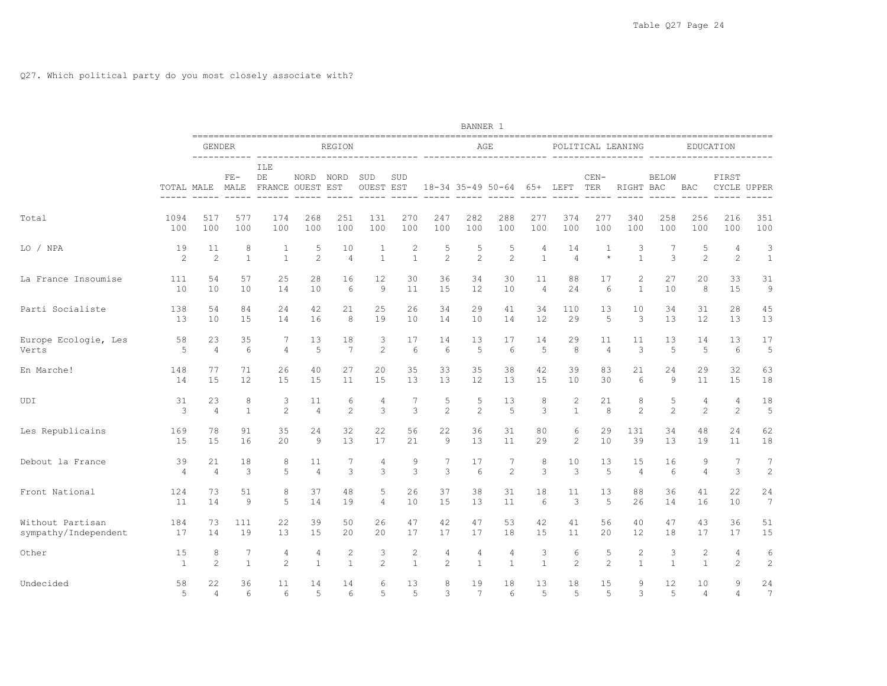|                      |                |                |                 |                               |                |                 |                  |                    |                | BANNER 1        |                   |                |                |                |                   |                |                             |                                       |                 |
|----------------------|----------------|----------------|-----------------|-------------------------------|----------------|-----------------|------------------|--------------------|----------------|-----------------|-------------------|----------------|----------------|----------------|-------------------|----------------|-----------------------------|---------------------------------------|-----------------|
|                      |                | <b>GENDER</b>  | -----------     |                               |                | <b>REGION</b>   |                  |                    |                |                 | AGE               |                |                |                | POLITICAL LEANING |                |                             | EDUCATION<br>------------------------ |                 |
|                      | TOTAL MALE     |                | $FE-$<br>MALE   | ILE<br>DE<br>FRANCE OUEST EST | NORD           | NORD            | SUD<br>OUEST EST | SUD<br>$- - - - -$ | $- - - - - -$  | $- - - - - -$   | 18-34 35-49 50-64 |                | 65+ LEFT       | $CEN-$<br>TER  | RIGHT BAC         | <b>BELOW</b>   | <b>BAC</b><br>$- - - - - -$ | FIRST<br>CYCLE UPPER                  |                 |
| Total                | 1094           | 517            | 577             | 174                           | 268            | 251             | 131              | 270                | 247            | 282             | 288               | 277            | 374            | 277            | 340               | 258            | 256                         | 216                                   | 351             |
|                      | 100            | 100            | 100             | 100                           | 100            | 100             | 100              | 100                | 100            | 100             | 100               | 100            | 100            | 100            | 100               | 100            | 100                         | 100                                   | 100             |
| LO / NPA             | 19             | 11             | 8               | $\mathbf{1}$                  | 5              | 10              | $\mathbf{1}$     | $\overline{c}$     | 5              | 5               | 5                 | 4              | 14             | $\mathbf{1}$   | 3                 | 7              | 5                           | $\overline{4}$                        | 3               |
|                      | 2              | 2              | $\mathbf{1}$    | $\mathbf{1}$                  | 2              | $\overline{4}$  | $\mathbf{1}$     | $\mathbf{1}$       | $\overline{c}$ | $\overline{2}$  | 2                 | $\mathbf{1}$   | $\overline{4}$ | $\star$        | $\mathbf{1}$      | 3              | 2                           | 2                                     | $\mathbf{1}$    |
| La France Insoumise  | 111            | 54             | 57              | 25                            | 28             | 16              | 12               | 30                 | 36             | 34              | 30                | 11             | 88             | 17             | 2                 | 27             | 20                          | 33                                    | 31              |
|                      | 10             | 10             | 10              | 14                            | 10             | 6               | 9                | 11                 | 15             | 12              | 10                | $\overline{4}$ | 24             | 6              | $\mathbf{1}$      | 10             | 8                           | 15                                    | 9               |
| Parti Socialiste     | 138            | 54             | 84              | 24                            | 42             | 21              | 25               | 26                 | 34             | 29              | 41                | 34             | 110            | 13             | 10                | 34             | 31                          | 28                                    | 45              |
|                      | 13             | 10             | 15              | 14                            | 16             | 8               | 19               | 10                 | 14             | 10              | 14                | 12             | 29             | 5              | 3                 | 13             | 12                          | 13                                    | 13              |
| Europe Ecologie, Les | 58             | 23             | 35              | 7                             | 13             | 18              | 3                | 17                 | 14             | 13              | 17                | 14             | 29             | 11             | 11                | 13             | 14                          | 13                                    | 17              |
| Verts                | 5              | $\overline{4}$ | 6               | $\overline{4}$                | 5              | $7\phantom{.0}$ | $\overline{2}$   | $6\overline{6}$    | 6              | 5               | 6                 | 5              | 8              | $\overline{4}$ | 3                 | 5              | 5                           | $6 \overline{6}$                      | 5               |
| En Marche!           | 148            | 77             | 71              | 26                            | 40             | 27              | 20               | 35                 | 33             | 35              | 38                | 42             | 39             | 83             | 21                | 24             | 29                          | 32                                    | 63              |
|                      | 14             | 1.5            | 12              | 1.5                           | 15             | 11              | 15               | 13                 | 13             | 12              | 13                | 15             | 10             | 30             | 6                 | 9              | 11                          | 15                                    | 18              |
| UDI                  | 31             | 23             | 8               | 3                             | 11             | 6               | 4                | $7\phantom{.0}$    | 5              | 5               | 13                | 8              | $\mathbf{2}$   | 21             | 8                 | 5              | 4                           | 4                                     | 18              |
|                      | 3              | $\overline{4}$ | $\overline{1}$  | 2                             | $\overline{4}$ | 2               | 3                | 3                  | 2              | $\overline{2}$  | $\overline{5}$    | 3              | $\mathbf{1}$   | 8              | 2                 | $\overline{c}$ | $\overline{2}$              | $\overline{2}$                        | 5               |
| Les Republicains     | 169            | 78             | 91              | 35                            | 24             | 32              | 22               | 56                 | 22             | 36              | 31                | 80             | 6              | 29             | 131               | 34             | 48                          | 24                                    | 62              |
|                      | 15             | 15             | 16              | 20                            | 9              | 13              | 17               | 21                 | 9              | 13              | 11                | 29             | $\mathbf{2}$   | 10             | 39                | 13             | 19                          | 11                                    | 18              |
| Debout la France     | 39             | 21             | 18              | 8                             | 11             | 7               | 4                | 9                  | 7              | 17              | 7                 | 8              | 10             | 13             | 15                | 16             | 9                           | 7                                     | $\overline{7}$  |
|                      | $\overline{4}$ | $\overline{4}$ | 3               | 5                             | $\overline{4}$ | 3               | 3                | $\mathbf{3}$       | 3              | 6               | 2                 | 3              | 3              | 5              | $\overline{4}$    | 6              | $\overline{4}$              | 3                                     | $\overline{c}$  |
| Front National       | 124            | 73             | 51              | 8                             | 37             | 48              | 5                | 26                 | 37             | 38              | 31                | 18             | 11             | 13             | 88                | 36             | 41                          | 22                                    | 24              |
|                      | 11             | 14             | 9               | 5                             | 14             | 19              | $\overline{4}$   | 10                 | 15             | 13              | 11                | 6              | 3              | 5              | 26                | 14             | 16                          | 10                                    | $7\phantom{.0}$ |
| Without Partisan     | 184            | 73             | 111             | 22                            | 39             | 50              | 26               | 47                 | 42             | 47              | 53                | 42             | 41             | 56             | 40                | 47             | 43                          | 36                                    | 51              |
| sympathy/Independent | 17             | 14             | 19              | 13                            | 15             | 20              | 20               | 17                 | 17             | 17              | 18                | 15             | 11             | 20             | 12                | 18             | 17                          | 17                                    | 15              |
| Other                | 15             | 8              | $7\phantom{.0}$ | $\overline{4}$                | 4              | 2               | 3                | 2                  | 4              | 4               | $\overline{4}$    | 3              | 6              | 5              | 2                 | 3              | 2                           | $\overline{4}$                        | 6               |
|                      | 1              | $\mathcal{L}$  | $\mathbf{1}$    | 2                             | $\mathbf{1}$   | $\mathbf{1}$    | $\overline{2}$   | $\mathbf{1}$       | $\overline{2}$ | $\mathbf{1}$    | $\mathbf{1}$      | $\mathbf{1}$   | $\overline{c}$ | 2              | $\mathbf{1}$      | $\mathbf{1}$   | $\mathbf{1}$                | $\overline{c}$                        | $\overline{c}$  |
| Undecided            | 58             | 22             | 36              | 11                            | 14             | 14              | 6                | 13                 | 8              | 19              | 18                | 13             | 18             | 15             | 9                 | 12             | 10                          | 9                                     | 24              |
|                      | 5              | 4              | 6               | 6                             | .5             | 6               | 5                | 5                  | 3              | $7\phantom{.0}$ | 6                 | 5              | 5              | 5              | 3                 | .5             | 4                           | 4                                     | $7\phantom{.0}$ |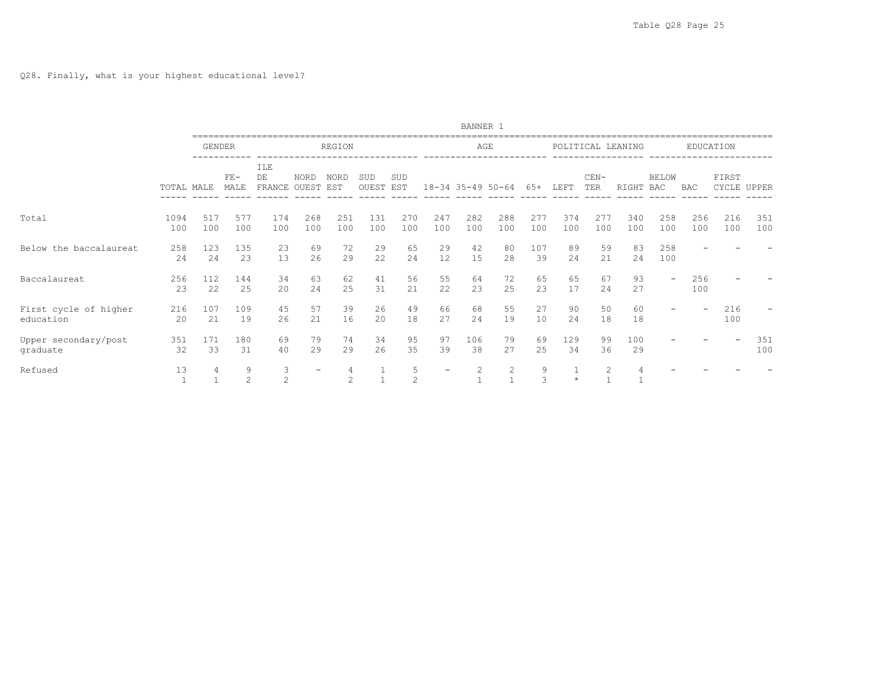|                                    |             |               |                      |                           |                          |                                  |              |                    |                          | BANNER 1          |                   |            |            |               |                   |                          |            |            |             |
|------------------------------------|-------------|---------------|----------------------|---------------------------|--------------------------|----------------------------------|--------------|--------------------|--------------------------|-------------------|-------------------|------------|------------|---------------|-------------------|--------------------------|------------|------------|-------------|
|                                    |             | <b>GENDER</b> |                      |                           |                          | REGION                           |              |                    |                          | AGE               |                   |            |            |               | POLITICAL LEANING |                          |            | EDUCATION  |             |
|                                    | TOTAL MALE  |               | $\rm{FE}\,-$<br>MALE | ILE<br>DE<br>FRANCE OUEST | <b>NORD</b>              | <b>NORD</b><br>EST               | SUD<br>OUEST | SUD<br>EST         |                          | 18-34 35-49 50-64 |                   | $65+$      | LEFT       | $CEN-$<br>TER | RIGHT             | <b>BELOW</b><br>BAC      | BAC        | FIRST      | CYCLE UPPER |
| Total                              | 1094<br>100 | 517<br>100    | 577<br>100           | 174<br>100                | 268<br>100               | 251<br>100                       | 131<br>100   | 270<br>100         | 247<br>100               | 282<br>100        | 288<br>100        | 277<br>100 | 374<br>100 | 277<br>100    | 340<br>100        | 258<br>100               | 256<br>100 | 216<br>100 | 351<br>100  |
| Below the baccalaureat             | 258<br>24   | 123<br>24     | 135<br>23            | 23<br>13                  | 69<br>2.6                | 72<br>29                         | 29<br>22     | 65<br>24           | 29<br>12                 | 42<br>15          | 80<br>28          | 107<br>39  | 89<br>2.4  | 59<br>21      | 83<br>2.4         | 258<br>100               |            |            |             |
| Baccalaureat                       | 256<br>23   | 112<br>22     | 144<br>25            | 34<br>20                  | 63<br>24                 | 62<br>25                         | 41<br>31     | 56<br>21           | 55<br>22                 | 64<br>23          | 72<br>25          | 65<br>23   | 65<br>17   | 67<br>24      | 93<br>27          | $\overline{\phantom{a}}$ | 256<br>100 |            |             |
| First cycle of higher<br>education | 216<br>20   | 107<br>21     | 109<br>19            | 45<br>26                  | 57<br>21                 | 39<br>16                         | 26<br>20     | 49<br>18           | 66<br>27                 | 68<br>24          | 55<br>19          | 27<br>10   | 90<br>24   | 50<br>18      | 60<br>18          |                          |            | 216<br>100 |             |
| Upper secondary/post<br>graduate   | 351<br>32   | 171<br>33     | 180<br>31            | 69<br>40                  | 79<br>2.9                | 74<br>29                         | 34<br>26     | 95<br>35           | 97<br>39                 | 106<br>38         | 79<br>2.7         | 69<br>2.5  | 129<br>34  | 99<br>36      | 100<br>29         |                          |            |            | 351<br>100  |
| Refused                            | 13          | 4             | 9<br>2               | 3<br>$\overline{c}$       | $\overline{\phantom{0}}$ | $\overline{4}$<br>$\overline{c}$ |              | 5<br>$\mathcal{L}$ | $\overline{\phantom{0}}$ | 2                 | 2<br>$\mathbf{1}$ | 9<br>3     | $\star$    | 2             |                   |                          |            |            |             |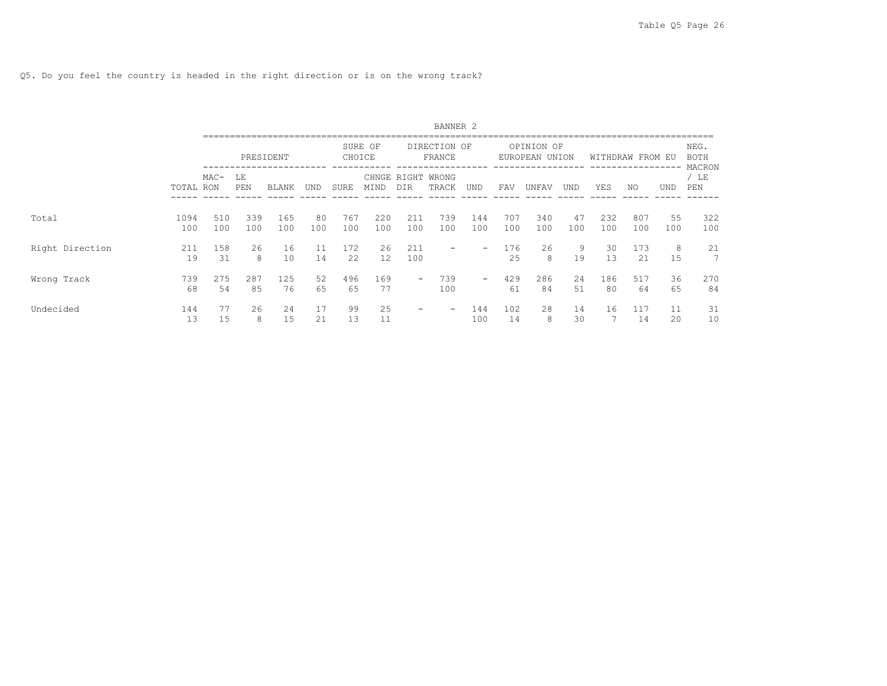Q5. Do you feel the country is headed in the right direction or is on the wrong track?

|                 |             |            |            |              |           |            |            |                          | BANNER <sub>2</sub>    |                          |            |                        |            |            |                  |            |                               |
|-----------------|-------------|------------|------------|--------------|-----------|------------|------------|--------------------------|------------------------|--------------------------|------------|------------------------|------------|------------|------------------|------------|-------------------------------|
|                 |             |            |            | PRESIDENT    |           | CHOICE     | SURE OF    |                          | DIRECTION OF<br>FRANCE |                          |            | OPINION OF<br>EUROPEAN | UNION      |            | WITHDRAW FROM EU |            | NEG.<br><b>BOTH</b><br>MACRON |
|                 | TOTAL RON   | $MAC-$     | LΕ<br>PEN  | <b>BLANK</b> | UND       | SURE       | MIND       | CHNGE RIGHT<br>DIR       | WRONG<br>TRACK         | UND                      | FAV        | UNFAV                  | <b>UND</b> | YES        | NO.              | <b>UND</b> | $/$ LE<br>PEN                 |
| Total           | 1094<br>100 | 510<br>100 | 339<br>100 | 165<br>100   | 80<br>100 | 767<br>100 | 220<br>100 | 211<br>100               | 739<br>100             | 144<br>100               | 707<br>100 | 340<br>100             | 47<br>100  | 232<br>100 | 807<br>100       | 55<br>100  | 322<br>100                    |
| Right Direction | 211<br>19   | 158<br>31  | 26<br>8    | 16<br>10     | 11<br>14  | 172<br>22  | 26<br>12   | 211<br>100               | -                      | $\overline{\phantom{0}}$ | 176<br>25  | 26<br>8                | 9<br>19    | 30<br>13   | 173<br>21        | 8<br>15    | 21<br>7                       |
| Wrong Track     | 739<br>68   | 275<br>54  | 287<br>85  | 125<br>76    | 52<br>65  | 496<br>65  | 169<br>77  | $\overline{\phantom{a}}$ | 739<br>100             | $\overline{\phantom{m}}$ | 429<br>61  | 286<br>84              | 24<br>51   | 186<br>80  | 517<br>64        | 36<br>65   | 270<br>84                     |
| Undecided       | 144<br>13   | 77<br>15   | 26<br>8    | 24<br>15     | 17<br>21  | 99<br>13   | 25<br>11   | -                        |                        | 144<br>100               | 102<br>14  | 28<br>8                | 14<br>30   | 16         | 117<br>14        | 11<br>20   | 31<br>10                      |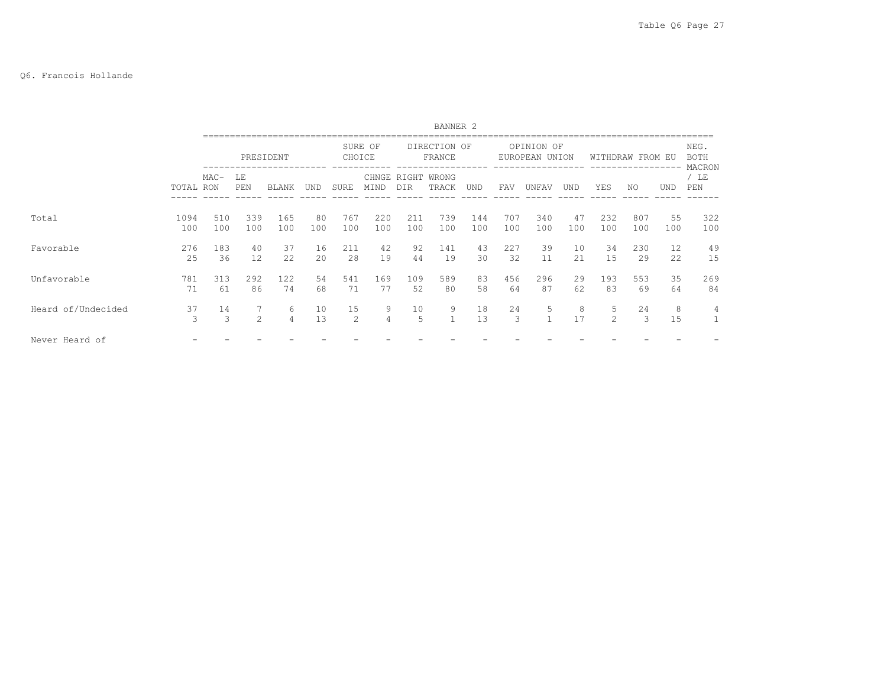### Q6. Francois Hollande

|                    |             |            |               |            |           |            |               |              | BANNER <sub>2</sub>    |            |            |            |           |                    |            |            |                               |
|--------------------|-------------|------------|---------------|------------|-----------|------------|---------------|--------------|------------------------|------------|------------|------------|-----------|--------------------|------------|------------|-------------------------------|
|                    |             |            |               | PRESIDENT  |           | CHOICE     | SURE OF       |              | DIRECTION OF<br>FRANCE |            | EUROPEAN   | OPINION OF | UNION     | WITHDRAW           |            | FROM EU    | NEG.<br><b>BOTH</b><br>MACRON |
|                    | TOTAL RON   | $MAC-$     | LE<br>PEN     | BLANK      | UND       | SURE       | CHNGE<br>MIND | RIGHT<br>DIR | WRONG<br>TRACK         | UND        | FAV        | UNFAV      | UND       | YES                | NO.        | <b>UND</b> | / LE<br>PEN                   |
| Total              | 1094<br>100 | 510<br>100 | 339<br>100    | 165<br>100 | 80<br>100 | 767<br>100 | 220<br>100    | 211<br>100   | 739<br>100             | 144<br>100 | 707<br>100 | 340<br>100 | 47<br>100 | 232<br>100         | 807<br>100 | 55<br>100  | 322<br>100                    |
| Favorable          | 276<br>25   | 183<br>36  | 40<br>12      | 37<br>22   | 16<br>20  | 211<br>28  | 42<br>19      | 92<br>44     | 141<br>19              | 43<br>30   | 227<br>32  | 39<br>11   | 10<br>2.1 | 34<br>15           | 230<br>29  | 12<br>22   | 49<br>15                      |
| Unfavorable        | 781<br>71   | 313<br>61  | 292<br>86     | 122<br>74  | 54<br>68  | 541<br>71  | 169<br>77     | 109<br>52    | 589<br>80              | 83<br>58   | 456<br>64  | 296<br>87  | 29<br>62  | 193<br>83          | 553<br>69  | 35<br>64   | 269<br>84                     |
| Heard of/Undecided | 37<br>3     | 14<br>3    | $\mathcal{L}$ | 6<br>4     | 10<br>13  | 15<br>2    | 9<br>4        | 10<br>5      | 9<br>$\mathbf{1}$      | 18<br>13   | 24<br>3    | 5          | 8<br>17   | 5<br>$\mathcal{L}$ | 24<br>3    | 8<br>15    | 4                             |
| Never Heard of     |             |            |               |            |           |            |               |              |                        |            |            |            |           |                    |            |            |                               |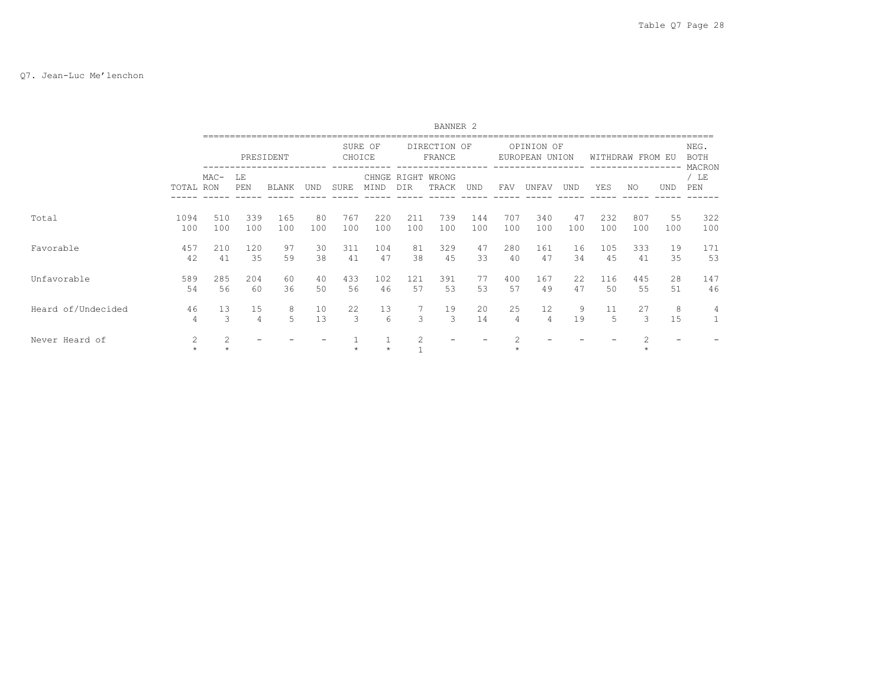#### Q7. Jean-Luc Me'lenchon

|                    |                      |                |                      |              |           |            |            |                | BANNER <sub>2</sub>        |            |                      |                              |            |            |                  |           |                               |
|--------------------|----------------------|----------------|----------------------|--------------|-----------|------------|------------|----------------|----------------------------|------------|----------------------|------------------------------|------------|------------|------------------|-----------|-------------------------------|
|                    |                      |                |                      | PRESIDENT    |           | CHOICE     | SURE OF    |                | DIRECTION OF<br>FRANCE     |            |                      | OPINION OF<br>EUROPEAN UNION |            |            | WITHDRAW FROM EU |           | NEG.<br><b>BOTH</b><br>MACRON |
|                    | TOTAL RON            | $MAC-$         | LΕ<br>PEN            | <b>BLANK</b> | und       | SURE       | MIND       | <b>DTR</b>     | CHNGE RIGHT WRONG<br>TRACK | UND        | FAV                  | <b>UNFAV</b>                 | <b>UND</b> | YES        | NO.              | UND       | / LE<br>PEN                   |
| Total              | 1094<br>100          | 510<br>100     | 339<br>100           | 165<br>100   | 80<br>100 | 767<br>100 | 220<br>100 | 211<br>100     | 739<br>100                 | 144<br>100 | 707<br>100           | 340<br>100                   | 47<br>100  | 232<br>100 | 807<br>100       | 55<br>100 | 322<br>100                    |
| Favorable          | 457<br>42            | 210<br>41      | 120<br>35            | 97<br>59     | 30<br>38  | 311<br>41  | 104<br>47  | 81<br>38       | 329<br>45                  | 47<br>33   | 280<br>40            | 161<br>47                    | 16<br>34   | 105<br>45  | 333<br>41        | 19<br>35  | 171<br>53                     |
| Unfavorable        | 589<br>54            | 285<br>56      | 204<br>60            | 60<br>36     | 40<br>50  | 433<br>56  | 102<br>46  | 121<br>57      | 391<br>53                  | 77<br>53   | 400<br>57            | 167<br>49                    | 2.2.<br>47 | 116<br>50  | 445<br>55        | 28<br>51  | 147<br>46                     |
| Heard of/Undecided | 46<br>$\overline{4}$ | 13<br>3        | 15<br>$\overline{4}$ | 8<br>5       | 10<br>13  | 22<br>3    | 13<br>6    | 3              | 19<br>3                    | 20<br>14   | 25<br>$\overline{4}$ | 12<br>4                      | 9<br>19    | 11<br>5    | 27<br>3          | 8<br>15   | 4                             |
| Never Heard of     | 2<br>$\star$         | $\mathfrak{D}$ |                      |              |           |            | $\star$    | $\mathfrak{D}$ |                            |            |                      |                              |            |            | $\star$          |           |                               |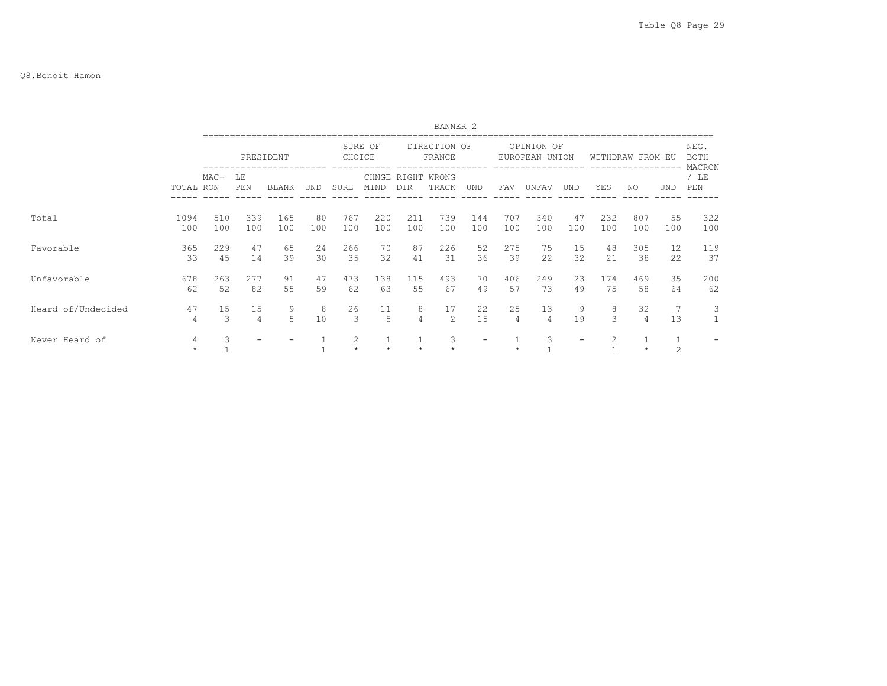#### Q8.Benoit Hamon

|                    |              |            |            |              |           |              |            |                          | BANNER <sub>2</sub>    |            |                      |                              |            |                  |                      |                     |                               |
|--------------------|--------------|------------|------------|--------------|-----------|--------------|------------|--------------------------|------------------------|------------|----------------------|------------------------------|------------|------------------|----------------------|---------------------|-------------------------------|
|                    |              |            |            | PRESIDENT    |           | CHOICE       | SURE OF    |                          | DIRECTION OF<br>FRANCE |            |                      | OPINION OF<br>EUROPEAN UNION |            | WITHDRAW FROM EU |                      |                     | NEG.<br><b>BOTH</b><br>MACRON |
|                    | TOTAL RON    | $MAC-$     | LΕ<br>PEN  | <b>BLANK</b> | UND       | <b>SURE</b>  | MIND       | CHNGE RIGHT WRONG<br>DIR | TRACK                  | UND        | FAV                  | UNFAV                        | <b>UND</b> | YES              | NO.                  | <b>UND</b>          | / LE<br>PEN                   |
| Total              | 1094<br>100  | 510<br>100 | 339<br>100 | 165<br>100   | 80<br>100 | 767<br>100   | 220<br>100 | 211<br>100               | 739<br>100             | 144<br>100 | 707<br>100           | 340<br>100                   | 47<br>100  | 232<br>100       | 807<br>100           | 55<br>100           | 322<br>100                    |
| Favorable          | 365<br>33    | 229<br>45  | 47<br>14   | 65<br>39     | 24<br>30  | 266<br>35    | 70<br>32   | 87<br>41                 | 226<br>31              | 52<br>36   | 275<br>39            | 75<br>22                     | 15<br>32   | 48<br>2.1        | 305<br>38            | 12<br>22            | 119<br>37                     |
| Unfavorable        | 678<br>62    | 263<br>52  | 277<br>82  | 91<br>55     | 47<br>59  | 473<br>62    | 138<br>63  | 115<br>55                | 493<br>67              | 70<br>49   | 406<br>57            | 249<br>73                    | 23<br>49   | 174<br>75        | 469<br>58            | 35<br>64            | 200<br>62                     |
| Heard of/Undecided | 47<br>4      | 15<br>3    | 15<br>4    | 9<br>5       | 8<br>10   | 26<br>3      | 11<br>5    | 8<br>$\overline{4}$      | 17<br>$\mathfrak{D}$   | 22<br>15   | 25<br>$\overline{4}$ | 13<br>4                      | 9<br>19    | 8<br>3           | 32<br>$\overline{4}$ | 7<br>13             | 3                             |
| Never Heard of     | 4<br>$\star$ |            |            |              |           | 2<br>$\star$ |            | $\star$                  | 3                      |            |                      | 3                            |            |                  | $\star$              | 1<br>$\overline{c}$ |                               |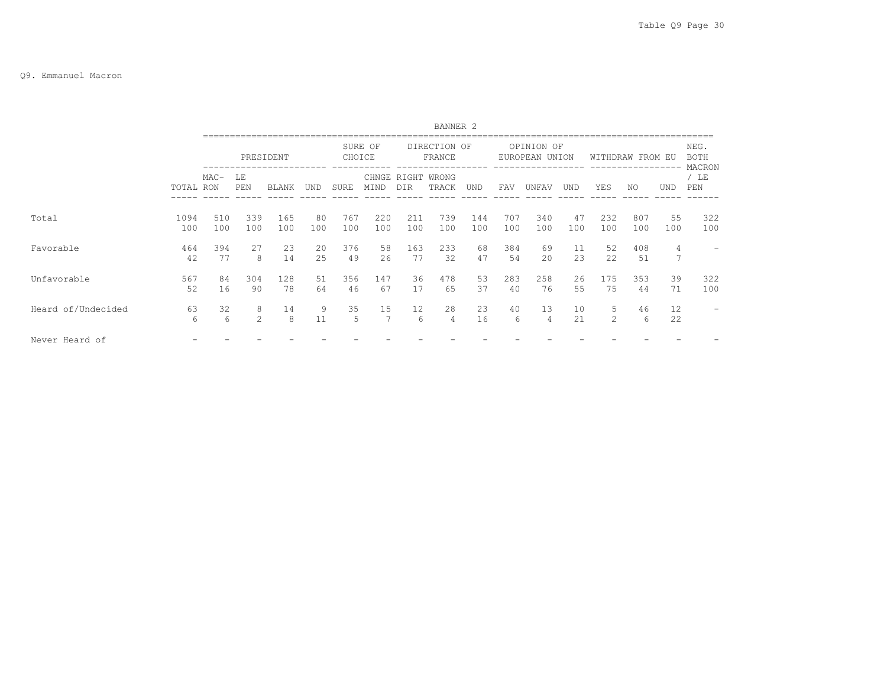### Q9. Emmanuel Macron

|                    |             |            |            |              |           |            |                      |              | BANNER <sub>2</sub>    |            |            |            |           |                     |            |           |                               |
|--------------------|-------------|------------|------------|--------------|-----------|------------|----------------------|--------------|------------------------|------------|------------|------------|-----------|---------------------|------------|-----------|-------------------------------|
|                    |             |            |            | PRESIDENT    |           | CHOICE     | SURE OF              |              | DIRECTION OF<br>FRANCE |            | EUROPEAN   | OPINION OF | UNION     | WITHDRAW FROM EU    |            |           | NEG.<br><b>BOTH</b><br>MACRON |
|                    | TOTAL RON   | $MAC-$     | LE<br>PEN  | <b>BLANK</b> | UND       | SURE       | CHNGE<br>MIND        | RIGHT<br>DIR | WRONG<br>TRACK         | UND        | FAV        | UNFAV      | UND       | YES                 | NO.        | UND       | / LE<br>PEN                   |
| Total              | 1094<br>100 | 510<br>100 | 339<br>100 | 165<br>100   | 80<br>100 | 767<br>100 | 220<br>100           | 211<br>100   | 739<br>100             | 144<br>100 | 707<br>100 | 340<br>100 | 47<br>100 | 232<br>100          | 807<br>100 | 55<br>100 | 322<br>100                    |
| Favorable          | 464<br>42   | 394<br>77  | 27<br>8    | 23<br>14     | 20<br>25  | 376<br>49  | 58<br>26             | 163<br>77    | 233<br>32              | 68<br>47   | 384<br>54  | 69<br>20   | 11<br>23  | 52<br>22            | 408<br>51  | 4<br>7    |                               |
| Unfavorable        | 567<br>52   | 84<br>16   | 304<br>90  | 128<br>78    | 51<br>64  | 356<br>46  | 147<br>67            | 36<br>17     | 478<br>65              | 53<br>37   | 283<br>40  | 258<br>76  | 26<br>55  | 175<br>75           | 353<br>44  | 39<br>71  | 322<br>100                    |
| Heard of/Undecided | 63<br>6     | 32<br>6    | 8<br>2     | 14<br>8      | 9<br>11   | 35<br>5    | 15<br>$\overline{7}$ | 12<br>6      | 28<br>4                | 23<br>16   | 40<br>6    | 13<br>4    | 10<br>21  | 5<br>$\overline{2}$ | 46<br>6    | 12<br>22  |                               |
| Never Heard of     |             |            |            |              |           |            |                      |              |                        |            |            |            |           |                     |            |           |                               |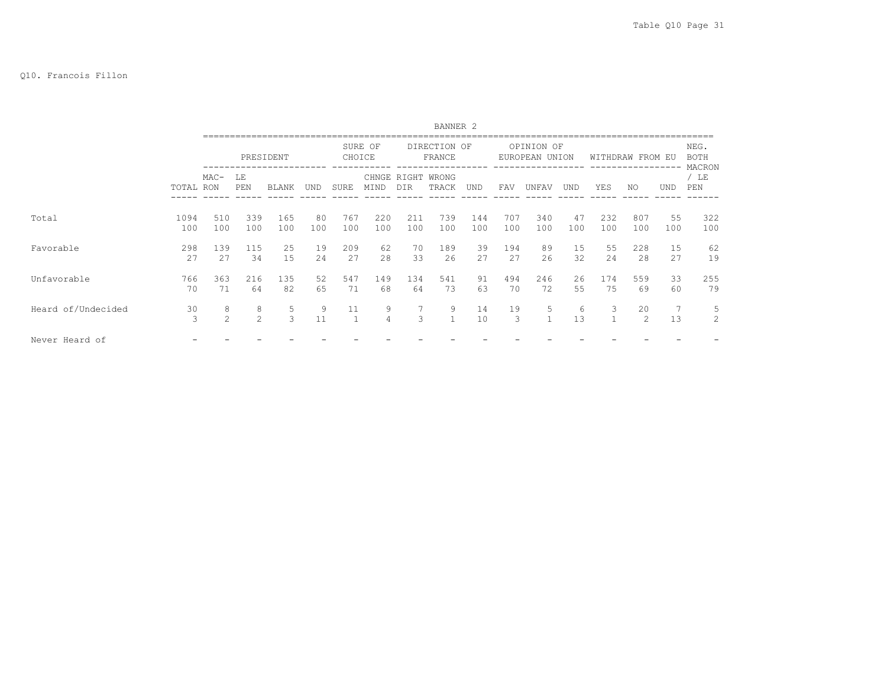#### Q10. Francois Fillon

|                    |             |                     |            |            |            |            |                     |              | BANNER <sub>2</sub>    |            |            |                              |           |            |                  |            |                               |
|--------------------|-------------|---------------------|------------|------------|------------|------------|---------------------|--------------|------------------------|------------|------------|------------------------------|-----------|------------|------------------|------------|-------------------------------|
|                    |             |                     |            | PRESIDENT  |            | CHOICE     | SURE OF             |              | DIRECTION OF<br>FRANCE |            |            | OPINION OF<br>EUROPEAN UNION |           |            | WITHDRAW FROM EU |            | NEG.<br><b>BOTH</b><br>MACRON |
|                    | TOTAL RON   | $MAC-$              | LE<br>PEN  | BLANK      | <b>UND</b> | SURE       | CHNGE<br>MIND       | RIGHT<br>DIR | WRONG<br>TRACK         | UND        | FAV        | UNFAV                        | UND       | YES        | NO               | <b>UND</b> | / LE<br>PEN                   |
| Total              | 1094<br>100 | 510<br>100          | 339<br>100 | 165<br>100 | 80<br>100  | 767<br>100 | 220<br>100          | 211<br>100   | 739<br>100             | 144<br>100 | 707<br>100 | 340<br>100                   | 47<br>100 | 232<br>100 | 807<br>100       | 55<br>100  | 322<br>100                    |
| Favorable          | 298<br>27   | 139<br>2.7          | 115<br>34  | 25<br>15   | 19<br>24   | 209<br>27  | 62<br>28            | 70<br>33     | 189<br>26              | 39<br>2.7  | 194<br>27  | 89<br>26                     | 15<br>32  | 55<br>2.4  | 228<br>28        | 15<br>27   | 62<br>19                      |
| Unfavorable        | 766<br>70   | 363<br>71           | 216<br>64  | 135<br>82  | 52<br>65   | 547<br>71  | 149<br>68           | 134<br>64    | 541<br>73              | 91<br>63   | 494<br>70  | 246<br>72                    | 26<br>55  | 174<br>75  | 559<br>69        | 33<br>60   | 255<br>79                     |
| Heard of/Undecided | 30<br>3     | 8<br>$\mathfrak{D}$ | 8<br>2     | 5<br>3     | 9<br>11    | 11         | 9<br>$\overline{4}$ | 3            | 9<br>$\mathbf{1}$      | 14<br>10   | 19<br>3    | 5<br>$\mathbf{1}$            | 6<br>13   | 3          | 20<br>2          | 13         | 5<br>2                        |
| Never Heard of     |             |                     |            |            |            |            |                     |              |                        |            |            |                              |           |            |                  |            |                               |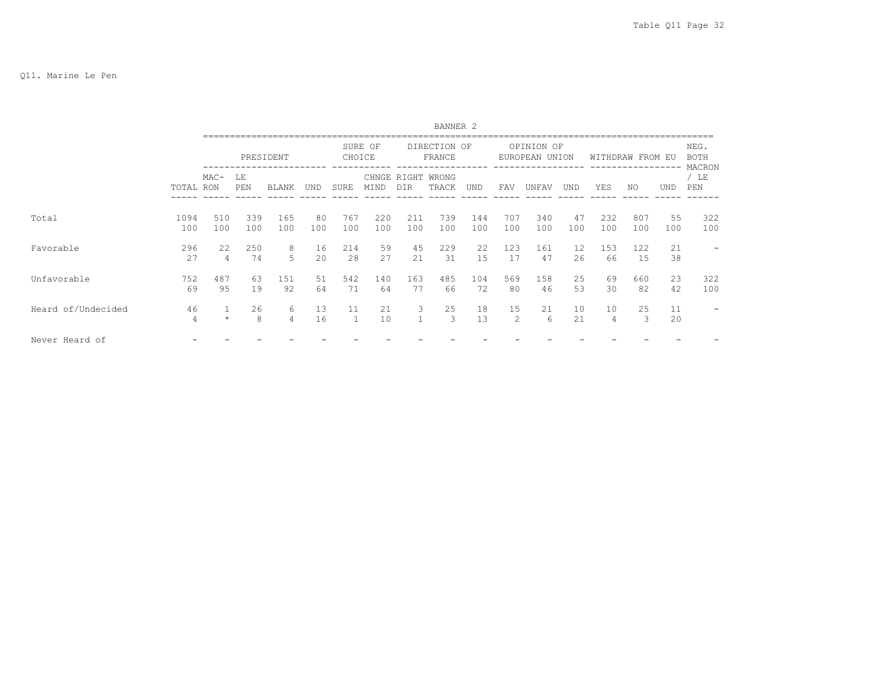|                    |                      |            |            |              |           |            |               |              | BANNER <sub>2</sub>    |            |            |            |            |                      |                  |            |                               |
|--------------------|----------------------|------------|------------|--------------|-----------|------------|---------------|--------------|------------------------|------------|------------|------------|------------|----------------------|------------------|------------|-------------------------------|
|                    |                      |            |            | PRESIDENT    |           | CHOICE     | SURE OF       |              | DIRECTION OF<br>FRANCE |            | EUROPEAN   | OPINION OF | UNION      |                      | WITHDRAW FROM EU |            | NEG.<br><b>BOTH</b><br>MACRON |
|                    | TOTAL RON            | $MAC-$     | LE<br>PEN  | <b>BLANK</b> | UND       | SURE       | CHNGE<br>MIND | RIGHT<br>DIR | WRONG<br>TRACK         | <b>UND</b> | FAV        | UNFAV      | <b>UND</b> | YES                  | NO.              | <b>UND</b> | / LE<br>PEN                   |
| Total              | 1094<br>100          | 510<br>100 | 339<br>100 | 165<br>100   | 80<br>100 | 767<br>100 | 220<br>100    | 211<br>100   | 739<br>100             | 144<br>100 | 707<br>100 | 340<br>100 | 47<br>100  | 232<br>100           | 807<br>100       | 55<br>100  | 322<br>100                    |
| Favorable          | 296<br>27            | 22         | 250<br>74  | 8<br>5       | 16<br>20  | 214<br>28  | 59<br>27      | 45<br>21     | 229<br>31              | 22.2<br>15 | 123<br>17  | 161<br>47  | 12.<br>26  | 153<br>66            | 122<br>15        | 21<br>38   |                               |
| Unfavorable        | 752<br>69            | 487<br>95  | 63<br>19   | 151<br>92    | 51<br>64  | 542<br>71  | 140<br>64     | 163<br>77    | 485<br>66              | 104<br>72  | 569<br>80  | 158<br>46  | 25<br>53   | 69<br>30             | 660<br>82        | 23<br>42   | 322<br>100                    |
| Heard of/Undecided | 46<br>$\overline{4}$ | $\star$    | 26<br>8    | 6<br>4       | 13<br>16  |            | 21<br>10      | 3<br>1       | 25<br>3                | 18<br>13   | 15<br>2    | 21<br>6    | 10<br>21   | 10<br>$\overline{4}$ | 25<br>3          | 11<br>20   |                               |
| Never Heard of     |                      |            |            |              |           |            |               |              |                        |            |            |            |            |                      |                  |            |                               |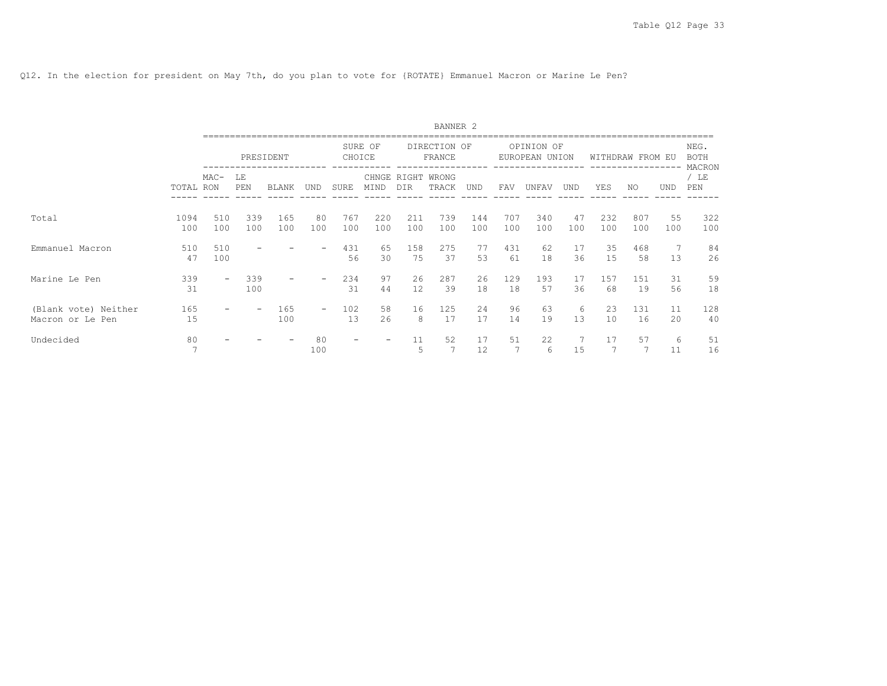Q12. In the election for president on May 7th, do you plan to vote for {ROTATE} Emmanuel Macron or Marine Le Pen?

|                                          |                      |            |                          |            |                          |            |            |            | BANNER <sub>2</sub>        |            |            |                              |           |            |                  |            |                               |
|------------------------------------------|----------------------|------------|--------------------------|------------|--------------------------|------------|------------|------------|----------------------------|------------|------------|------------------------------|-----------|------------|------------------|------------|-------------------------------|
|                                          |                      |            |                          | PRESIDENT  |                          | CHOICE     | SURE OF    |            | DIRECTION OF<br>FRANCE     |            |            | OPINION OF<br>EUROPEAN UNION |           |            | WITHDRAW FROM EU |            | NEG.<br><b>BOTH</b><br>MACRON |
|                                          | TOTAL RON            | $MAC-$     | LE<br>PEN                | BLANK      | UND                      | SURE       | MIND       | DIR        | CHNGE RIGHT WRONG<br>TRACK | UND        | FAV        | UNFAV                        | UND       | YES        | NO.              | <b>UND</b> | /LE<br>PEN                    |
| Total                                    | 1094<br>100          | 510<br>100 | 339<br>100               | 165<br>100 | 80<br>100                | 767<br>100 | 220<br>100 | 211<br>100 | 739<br>100                 | 144<br>100 | 707<br>100 | 340<br>100                   | 47<br>100 | 232<br>100 | 807<br>100       | 55<br>100  | 322<br>100                    |
| Emmanuel Macron                          | 510<br>47            | 510<br>100 |                          |            |                          | 431<br>56  | 65<br>30   | 158<br>75  | 275<br>37                  | 77<br>53   | 431<br>61  | 62<br>18                     | 17<br>36  | 35<br>15   | 468<br>58        | 7<br>13    | 84<br>26                      |
| Marine Le Pen                            | 339<br>31            |            | 339<br>100               |            |                          | 234<br>31  | 97<br>44   | 26<br>12   | 287<br>39                  | 26<br>18   | 129<br>18  | 193<br>57                    | 17<br>36  | 157<br>68  | 151<br>19        | 31<br>56   | 59<br>18                      |
| (Blank vote) Neither<br>Macron or Le Pen | 165<br>15            |            | $\overline{\phantom{m}}$ | 165<br>100 | $\overline{\phantom{0}}$ | 102<br>13  | 58<br>26   | 16<br>8    | 125<br>17                  | 2.4<br>17  | 96<br>14   | 63<br>19                     | 6<br>13   | 23<br>10   | 131<br>16        | 11<br>20   | 128<br>40                     |
| Undecided                                | 80<br>$\overline{7}$ |            |                          |            | 80<br>100                |            |            | 11<br>5    | 52                         | 17<br>12   | 51         | 22<br>6                      | 15        | 17         | 57               | 6<br>11    | 51<br>16                      |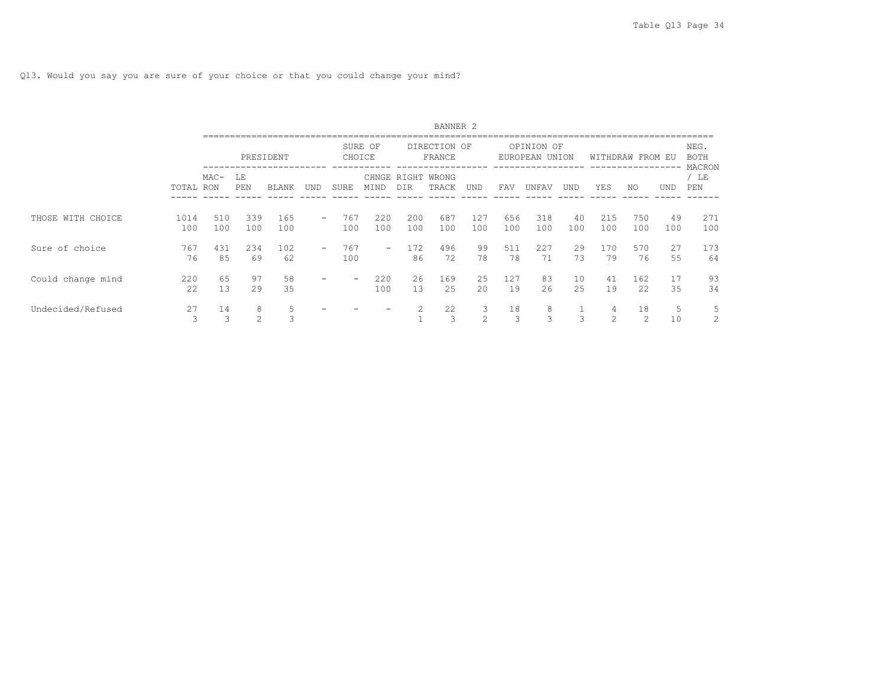|                   |             |            |                     |              |     |             |                          |                    | BANNER <sub>2</sub>    |                    |            |                              |            |                                  |                     |            |                        |
|-------------------|-------------|------------|---------------------|--------------|-----|-------------|--------------------------|--------------------|------------------------|--------------------|------------|------------------------------|------------|----------------------------------|---------------------|------------|------------------------|
|                   |             |            |                     | PRESIDENT    |     |             | SURE OF<br>CHOICE        |                    | DIRECTION OF<br>FRANCE |                    |            | OPINION OF<br>EUROPEAN UNION |            |                                  | WITHDRAW FROM EU    |            | NEG.<br>BOTH<br>MACRON |
|                   | TOTAL RON   | $MAC-$     | LE<br>PEN           | <b>BLANK</b> | UND | <b>SURE</b> | MIND                     | CHNGE RIGHT<br>DIR | WRONG<br>TRACK         | UND                | FAV        | UNFAV                        | <b>UND</b> | YES                              | NO.                 | <b>UND</b> | / LE<br>PEN            |
| THOSE WITH CHOICE | 1014<br>100 | 510<br>100 | 339<br>100          | 165<br>100   | $-$ | 767<br>100  | 220<br>100               | 200<br>100         | 687<br>100             | 127<br>100         | 656<br>100 | 318<br>100                   | 40<br>100  | 215<br>100                       | 750<br>100          | 49<br>100  | 271<br>100             |
| Sure of choice    | 767<br>76   | 431<br>85  | 234<br>69           | 102<br>62    | -   | 767<br>100  | $\overline{\phantom{a}}$ | 172<br>86          | 496<br>72              | 99<br>78           | 511<br>78  | 227<br>71                    | 29<br>73   | 170<br>79                        | 570<br>76           | 27<br>55   | 173<br>64              |
| Could change mind | 220<br>22   | 65<br>13   | 97<br>29            | 58<br>35     |     |             | 220<br>100               | 26<br>13           | 169<br>25              | 25<br>2.0          | 127<br>19  | 83<br>26                     | 10<br>25   | 41<br>19                         | 162<br>22.2         | 17<br>35   | 93<br>34               |
| Undecided/Refused | 27<br>3     | 14<br>3    | 8<br>$\mathfrak{D}$ | 5<br>3       |     |             |                          |                    | 22<br>3                | 3<br>$\mathcal{L}$ | 18<br>3    | 8<br>3                       | 3          | 4<br>$\mathcal{D}_{\mathcal{L}}$ | 18<br>$\mathcal{L}$ | 5<br>10    | 5<br>2                 |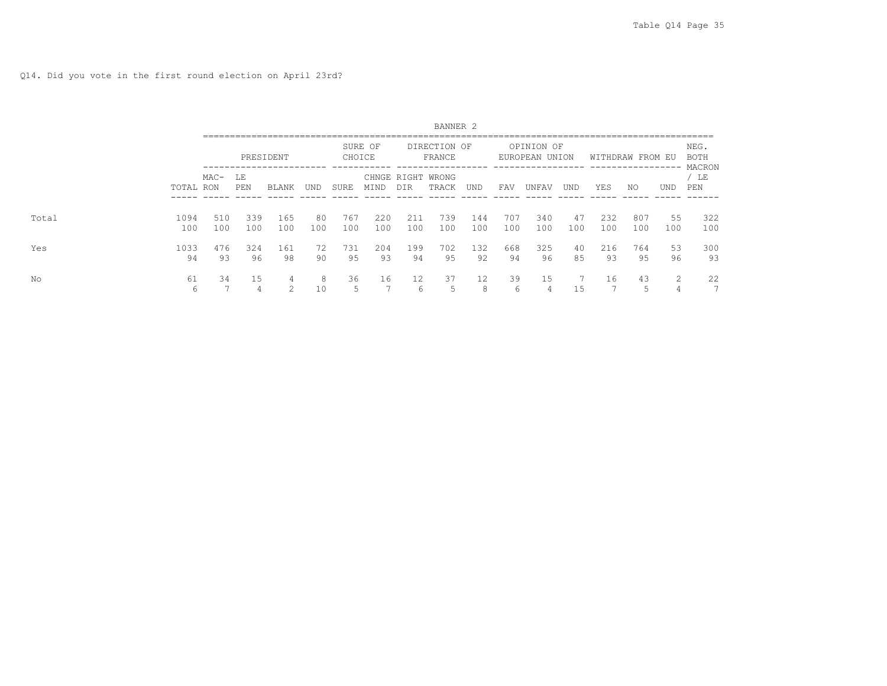Q14. Did you vote in the first round election on April 23rd?

|       |             |            |            |              |           |            |            |            | BANNER <sub>2</sub>        |            |            |                              |           |            |                                    |             |                                |
|-------|-------------|------------|------------|--------------|-----------|------------|------------|------------|----------------------------|------------|------------|------------------------------|-----------|------------|------------------------------------|-------------|--------------------------------|
|       |             |            |            | PRESIDENT    |           | CHOICE     | SURE OF    |            | DIRECTION OF<br>FRANCE     |            |            | OPINION OF<br>EUROPEAN UNION |           |            | WITHDRAW FROM EU<br>-------------- |             | NEG.<br>BOTH<br>MACRON         |
|       | TOTAL RON   | $MAC-$     | LE<br>PEN  | <b>BLANK</b> | UND       | SURE       | MIND       | DIR        | CHNGE RIGHT WRONG<br>TRACK | <b>UND</b> | FAV        | UNFAV                        | UND       | YES        | NO.                                | <b>UND</b>  | LE<br>PEN                      |
| Total | 1094<br>100 | 510<br>100 | 339<br>100 | 165<br>100   | 80<br>100 | 767<br>100 | 220<br>100 | 211<br>100 | 739<br>100                 | 144<br>100 | 707<br>100 | 340<br>100                   | 47<br>100 | 232<br>100 | 807<br>100                         | 55<br>100   | 322<br>100                     |
| Yes   | 1033<br>94  | 476<br>93  | 324<br>96  | 161<br>98    | 72<br>90  | 731<br>95  | 204<br>93  | 199<br>94  | 702<br>95                  | 132<br>92  | 668<br>94  | 325<br>96                    | 40<br>85  | 216<br>93  | 764<br>95                          | 53<br>96    | 300<br>93                      |
| Νo    | 61<br>6     | 34         | 15<br>4    | 4<br>$\sim$  | 8<br>10   | 36         | 16         | 12<br>6    | 37<br>ħ                    | 12<br>8    | 39<br>6    | 15<br>4                      | 15        | 16         | 43                                 | $\sim$<br>∠ | 22<br>$\overline{\phantom{0}}$ |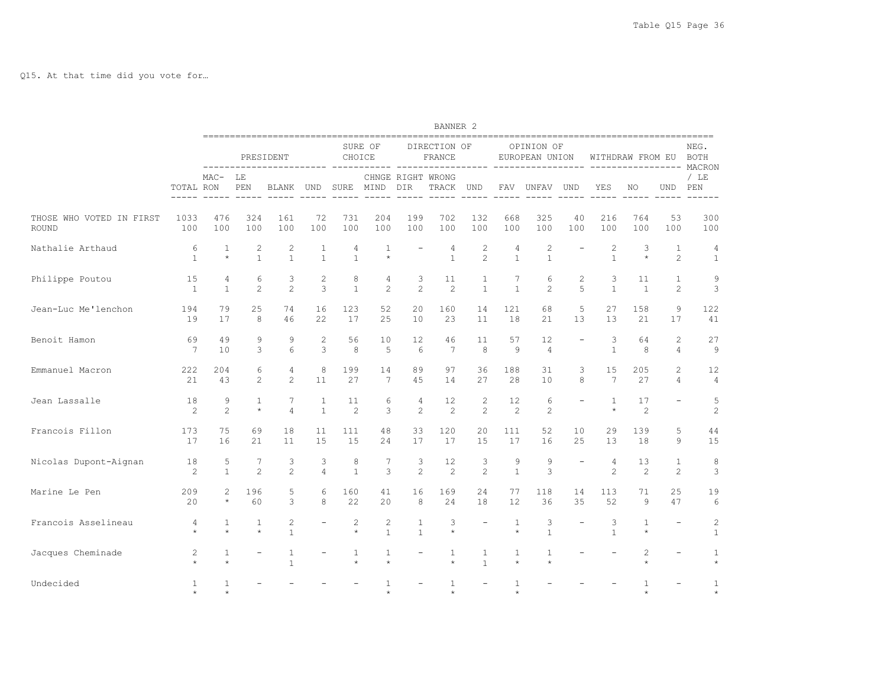Q15. At that time did you vote for…

|                                   |                       |                           |                                |                                |                              |                         |                              |                              | BANNER <sub>2</sub>        |                                  |                                |                              |                          |                                |                         |                                  |                                |
|-----------------------------------|-----------------------|---------------------------|--------------------------------|--------------------------------|------------------------------|-------------------------|------------------------------|------------------------------|----------------------------|----------------------------------|--------------------------------|------------------------------|--------------------------|--------------------------------|-------------------------|----------------------------------|--------------------------------|
|                                   |                       |                           |                                | PRESIDENT                      |                              | CHOICE                  | SURE OF                      |                              | DIRECTION OF<br>FRANCE     |                                  |                                | OPINION OF<br>EUROPEAN UNION |                          |                                | WITHDRAW FROM EU        |                                  | NEG.<br><b>BOTH</b><br>MACRON  |
|                                   | TOTAL RON             | $MAC-$                    | LE<br>PEN                      | BLANK                          | UND                          | SURE                    | MIND                         | DIR                          | CHNGE RIGHT WRONG<br>TRACK | <b>UND</b>                       | <b>FAV</b>                     | UNFAV                        | <b>UND</b>               | YES                            | NO.                     | <b>UND</b>                       | $/$ LE<br>PEN                  |
| THOSE WHO VOTED IN FIRST<br>ROUND | 1033<br>100           | 476<br>100                | 324<br>100                     | 161<br>100                     | 72<br>100                    | 731<br>100              | 204<br>100                   | 199<br>100                   | 702<br>100                 | 132<br>100                       | 668<br>100                     | 325<br>100                   | 40<br>100                | 216<br>100                     | 764<br>100              | 53<br>100                        | 300<br>100                     |
| Nathalie Arthaud                  | 6<br>$\mathbf{1}$     | $\mathbf{1}$<br>$\star$   | $\overline{c}$<br>$\mathbf{1}$ | $\overline{c}$<br>$\mathbf{1}$ | $\mathbf{1}$<br>$\mathbf{1}$ | 4<br>$\mathbf{1}$       | $\mathbf{1}$<br>$\star$      |                              | 4<br>$\mathbf{1}$          | $\overline{c}$<br>$\mathfrak{D}$ | $\overline{4}$<br>$\mathbf{1}$ | $\mathbf{2}$<br>$\mathbf{1}$ |                          | $\overline{c}$<br>$\mathbf{1}$ | 3<br>$\star$            | $\mathbf{1}$<br>$\overline{c}$   | 4<br>$\mathbf{1}$              |
| Philippe Poutou                   | 15<br>$\mathbf{1}$    | 4<br>$\mathbf{1}$         | 6<br>2                         | 3<br>$\overline{2}$            | $\overline{c}$<br>3          | 8<br>$\mathbf{1}$       | 4<br>$\overline{2}$          | 3<br>$\overline{2}$          | 11<br>2                    | $\mathbf{1}$<br>$\mathbf{1}$     | 7<br>$\mathbf{1}$              | 6<br>$\overline{c}$          | $\overline{c}$<br>5      | 3<br>$\mathbf{1}$              | 11<br>$\mathbf{1}$      | $\mathbf{1}$<br>2                | 9<br>3                         |
| Jean-Luc Me'lenchon               | 194<br>19             | 79<br>17                  | 25<br>8                        | 74<br>46                       | 16<br>22                     | 123<br>17               | 52<br>25                     | 20<br>10                     | 160<br>23                  | 14<br>11                         | 121<br>18                      | 68<br>21                     | 5<br>13                  | 27<br>13                       | 158<br>21               | $\overline{9}$<br>17             | 122<br>41                      |
| Benoit Hamon                      | 69<br>$7\phantom{.0}$ | 49<br>10                  | 9<br>3                         | 9<br>6                         | $\overline{2}$<br>3          | 56<br>8                 | 10<br>5                      | 12<br>6                      | 46<br>7                    | 11<br>8                          | 57<br>9                        | 12<br>$\overline{4}$         | $\overline{\phantom{0}}$ | 3<br>$\mathbf{1}$              | 64<br>8                 | $\overline{c}$<br>$\overline{4}$ | 27<br>9                        |
| Emmanuel Macron                   | 222<br>21             | 204<br>43                 | 6<br>$\mathcal{L}$             | 4<br>2                         | 8<br>11                      | 199<br>27               | 14<br>7                      | 89<br>45                     | 97<br>14                   | 36<br>27                         | 188<br>28                      | 31<br>10                     | 3<br>8                   | 15<br>7                        | 205<br>27               | $\overline{c}$<br>$\overline{4}$ | 12<br>4                        |
| Jean Lassalle                     | 18<br>$\mathbf{2}$    | 9<br>$\overline{c}$       | $\mathbf{1}$<br>$\star$        | 7<br>$\overline{4}$            | $\mathbf{1}$<br>$\mathbf{1}$ | 11<br>2                 | 6<br>3                       | $\overline{4}$<br>2          | 12<br>$\overline{c}$       | $\overline{c}$<br>$\overline{2}$ | 12<br>2                        | 6<br>$\overline{c}$          |                          | 1<br>$\star$                   | 17<br>$\overline{c}$    |                                  | 5<br>$\mathbf{2}$              |
| Francois Fillon                   | 173<br>17             | 75<br>16                  | 69<br>21                       | 18<br>11                       | 11<br>15                     | 111<br>15               | 48<br>24                     | 33<br>17                     | 120<br>17                  | 20<br>15                         | 111<br>17                      | 52<br>16                     | 10<br>25                 | 29<br>13                       | 139<br>18               | 5<br>9                           | 44<br>15                       |
| Nicolas Dupont-Aignan             | 18<br>2               | 5<br>$\mathbf{1}$         | 7<br>$\mathfrak{D}$            | 3<br>$\mathfrak{D}$            | 3<br>$\overline{4}$          | 8<br>$\mathbf{1}$       | 7<br>3                       | 3<br>$\mathfrak{D}$          | 12<br>$\overline{c}$       | 3<br>$\overline{2}$              | 9<br>$\mathbf{1}$              | 9<br>3                       | $\overline{\phantom{0}}$ | 4<br>$\mathfrak{D}$            | 13<br>2                 | $\mathbf{1}$<br>$\overline{c}$   | 8<br>3                         |
| Marine Le Pen                     | 209<br>20             | $\overline{c}$<br>$\star$ | 196<br>60                      | 5<br>3                         | 6<br>8                       | 160<br>22               | 41<br>20                     | 16<br>8                      | 169<br>24                  | 24<br>18                         | 77<br>$12 \overline{ }$        | 118<br>36                    | 14<br>35                 | 113<br>52                      | 71<br>9                 | 25<br>47                         | 19<br>$6\,$                    |
| Francois Asselineau               | 4<br>$\star$          | 1<br>$\star$              | 1<br>$\star$                   | $\sqrt{2}$<br>$\mathbf{1}$     |                              | 2<br>$\star$            | $\mathbf{2}$<br>$\mathbf{1}$ | $\mathbf{1}$<br>$\mathbf{1}$ | 3<br>$\star$               |                                  | 1<br>$\star$                   | 3<br>$\mathbf{1}$            |                          | 3<br>$\mathbf{1}$              | $\mathbf{1}$<br>$\star$ |                                  | $\overline{c}$<br>$\mathbf{1}$ |
| Jacques Cheminade                 | 2<br>$\star$          | $\mathbf{1}$<br>$\star$   |                                | $\mathbf{1}$<br>$\mathbf{1}$   |                              | $\mathbf{1}$<br>$\star$ | $\mathbf{1}$<br>$\star$      |                              | $\mathbf{1}$<br>$\star$    | $\mathbf{1}$<br>$\mathbf{1}$     | $\mathbf{1}$<br>$\star$        | 1<br>$\ddot{\phantom{1}}$    |                          |                                | 2<br>÷                  |                                  | $\mathbf{1}$                   |
| Undecided                         | 1<br>$\ddot{}$        | $\mathbf{1}$<br>$\div$    |                                |                                |                              |                         | 1<br>$\div$                  |                              | $\mathbf{1}$<br>$\star$    |                                  | $\mathbf{1}$<br>$\ddot{}$      |                              |                          |                                | 1<br>÷                  |                                  | 1<br>$\star$                   |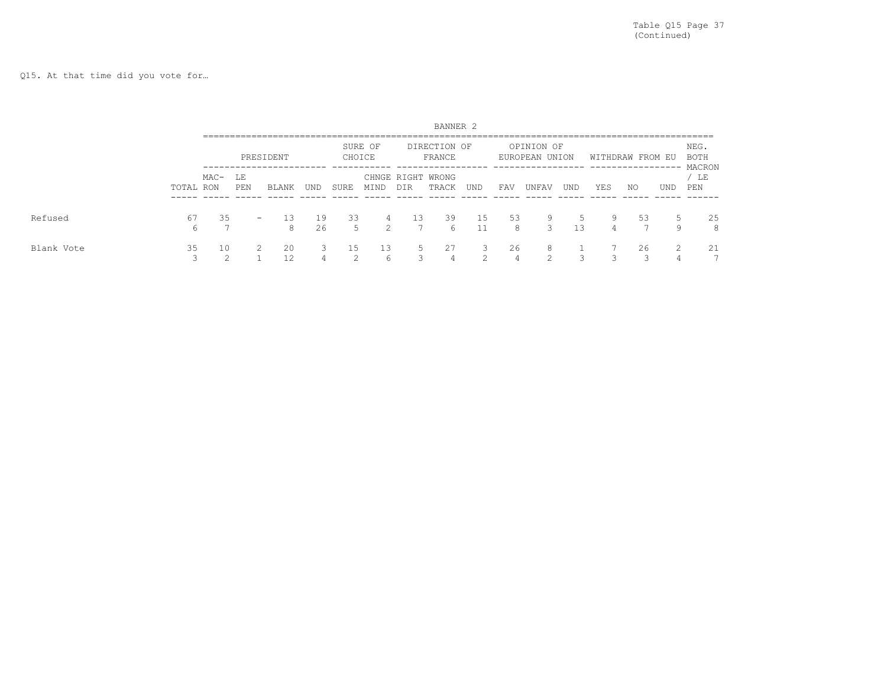Q15. At that time did you vote for…

|            |                 |              |                          |           |          |              |                     |            | BANNER <sub>2</sub>        |             |         |                              |                          |        |                                   |        |                               |
|------------|-----------------|--------------|--------------------------|-----------|----------|--------------|---------------------|------------|----------------------------|-------------|---------|------------------------------|--------------------------|--------|-----------------------------------|--------|-------------------------------|
|            |                 |              |                          | PRESIDENT |          | CHOICE       | SURE OF             |            | DIRECTION OF<br>FRANCE     |             |         | OPINION OF<br>EUROPEAN UNION |                          |        | WITHDRAW FROM EU<br>------------- |        | NEG.<br><b>BOTH</b><br>MACRON |
|            | TOTAL RON       | MAC- LE      | PEN                      | BLANK     | UND      | <b>SURE</b>  | MIND                | <b>DIR</b> | CHNGE RIGHT WRONG<br>TRACK | UND         | FAV     | UNFAV                        | UND                      | YES    | ΝO                                | UND    | LE<br>PEN                     |
| Refused    | 67<br>6         | 35           | $\overline{\phantom{0}}$ | 13<br>8   | 19<br>26 | 33<br>5      | 4<br>$\mathfrak{D}$ | 13         | 39<br>6                    | 15          | 53<br>8 | 9<br>3                       | 5.<br>13                 | 9<br>4 | 53                                | 5<br>9 | 25<br>8                       |
| Blank Vote | 35<br>$\bigcap$ | 10<br>$\sim$ | 2                        | 20<br>12  | 3<br>4   | 15<br>$\sim$ | 13<br>6             | -5<br>3    | 27<br>4                    | 3<br>$\sim$ | 26      | 8<br>$\sim$                  | $\overline{\phantom{1}}$ |        | 26                                | 2<br>4 | 21                            |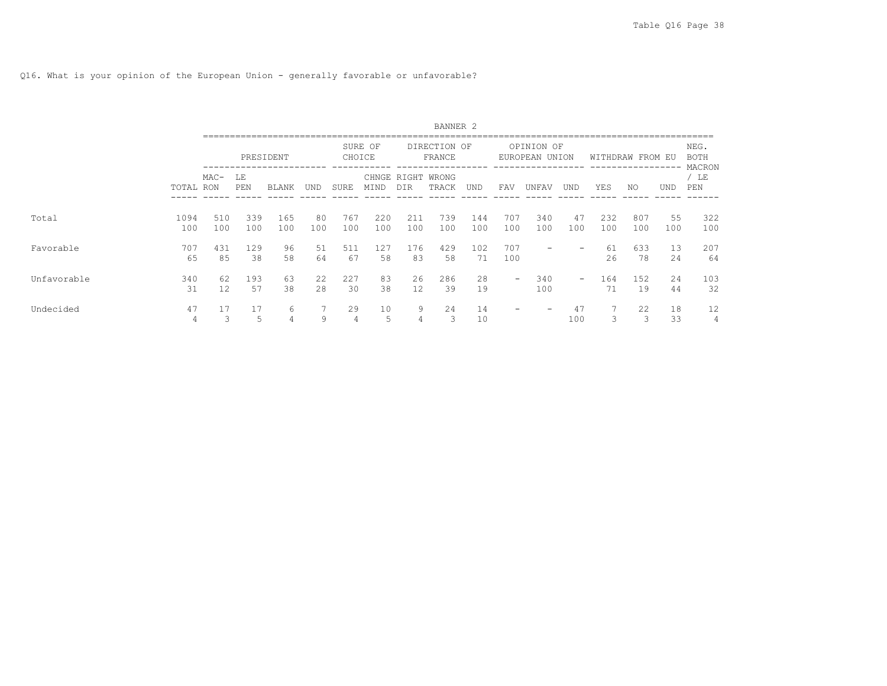Q16. What is your opinion of the European Union - generally favorable or unfavorable?

|             |             |            |            |              |           |                      |                   |                    | BANNER <sub>2</sub>    |            |            |                              |            |            |               |           |                        |
|-------------|-------------|------------|------------|--------------|-----------|----------------------|-------------------|--------------------|------------------------|------------|------------|------------------------------|------------|------------|---------------|-----------|------------------------|
|             |             |            |            | PRESIDENT    |           |                      | SURE OF<br>CHOICE |                    | DIRECTION OF<br>FRANCE |            |            | OPINION OF<br>EUROPEAN UNION |            |            | WITHDRAW FROM | EU        | NEG.<br>BOTH<br>MACRON |
|             | TOTAL RON   | $MAC-$     | LΕ<br>PEN  | <b>BLANK</b> | UND       | SURE                 | MIND              | CHNGE RIGHT<br>DIR | WRONG<br>TRACK         | <b>UND</b> | FAV        | UNFAV                        | <b>UND</b> | YES        | NO.           | UND       | $/$ LE<br>PEN          |
| Total       | 1094<br>100 | 510<br>100 | 339<br>100 | 165<br>100   | 80<br>100 | 767<br>100           | 220<br>100        | 211<br>100         | 739<br>100             | 144<br>100 | 707<br>100 | 340<br>100                   | 47<br>100  | 232<br>100 | 807<br>100    | 55<br>100 | 322<br>100             |
| Favorable   | 707<br>65   | 431<br>85  | 129<br>38  | 96<br>58     | 51<br>64  | 511<br>67            | 127<br>58         | 176<br>83          | 429<br>58              | 102.<br>71 | 707<br>100 |                              |            | -61<br>26  | 633<br>78     | 13<br>24  | 207<br>64              |
| Unfavorable | 340<br>31   | 62<br>12   | 193<br>57  | 63<br>38     | 22<br>28  | 227<br>30            | 83<br>38          | 26<br>12           | 286<br>39              | 28<br>19   |            | 340<br>100                   | -          | 164<br>71  | 152<br>19     | 24<br>44  | 103<br>32              |
| Undecided   | 47<br>4     | 3          | 17<br>5    | 6<br>4       | 9         | 29<br>$\overline{4}$ | 10<br>5           | 9<br>4             | 24<br>3                | 14<br>10   |            |                              | 47<br>100  | 3          | 22<br>3       | 18<br>33  | 12<br>4                |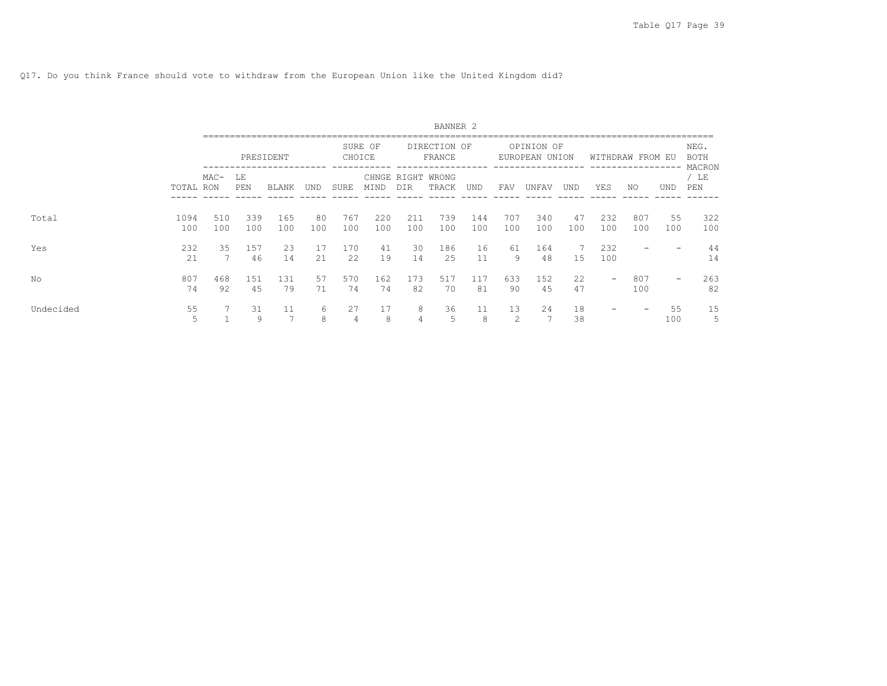Q17. Do you think France should vote to withdraw from the European Union like the United Kingdom did?

|           |             |                                   |           |              |            |            |            |                    | BANNER <sub>2</sub>    |            |            |                              |            |            |                  |            |                        |
|-----------|-------------|-----------------------------------|-----------|--------------|------------|------------|------------|--------------------|------------------------|------------|------------|------------------------------|------------|------------|------------------|------------|------------------------|
|           |             |                                   |           | PRESIDENT    |            | CHOICE     | SURE OF    |                    | DIRECTION OF<br>FRANCE |            |            | OPINION OF<br>EUROPEAN UNION |            |            | WITHDRAW FROM EU |            | NEG.<br>BOTH<br>MACRON |
|           | TOTAL RON   | $MAC-$<br>LΕ<br>PEN<br>339<br>510 |           | <b>BLANK</b> | <b>UND</b> | SURE       | MIND       | CHNGE RIGHT<br>DIR | WRONG<br>TRACK         | <b>UND</b> | FAV        | UNFAV                        | <b>UND</b> | YES        | NO.              | <b>UND</b> | / LE<br>PEN            |
| Total     | 1094<br>100 | 100                               | 100       | 165<br>100   | 80<br>100  | 767<br>100 | 220<br>100 | 211<br>100         | 739<br>100             | 144<br>100 | 707<br>100 | 340<br>100                   | 47<br>100  | 232<br>100 | 807<br>100       | 55<br>100  | 322<br>100             |
| Yes       | 232<br>21   | 35                                | 157<br>46 | 23<br>14     | 17<br>21   | 170<br>22  | 41<br>19   | 30<br>14           | 186<br>2.5             | 16<br>11   | 61<br>9    | 164<br>48                    | 15         | 232<br>100 |                  |            | 44<br>14               |
| No        | 807<br>74   | 468<br>92                         | 151<br>45 | 131<br>79    | 57<br>71   | 570<br>74  | 162<br>74  | 173<br>82          | 517<br>70              | 117<br>81  | 633<br>90  | 152<br>45                    | 22<br>47   | -          | 807<br>100       | -          | 263<br>82              |
| Undecided | 55<br>5     |                                   | 31<br>9   | 11<br>-      | 6<br>8     | 27         | 17<br>8    | 8<br>4             | 36<br>5                | 11<br>8    | 13<br>2    | 24<br>7                      | 18<br>38   |            | -                | 55<br>100  | 15<br>5                |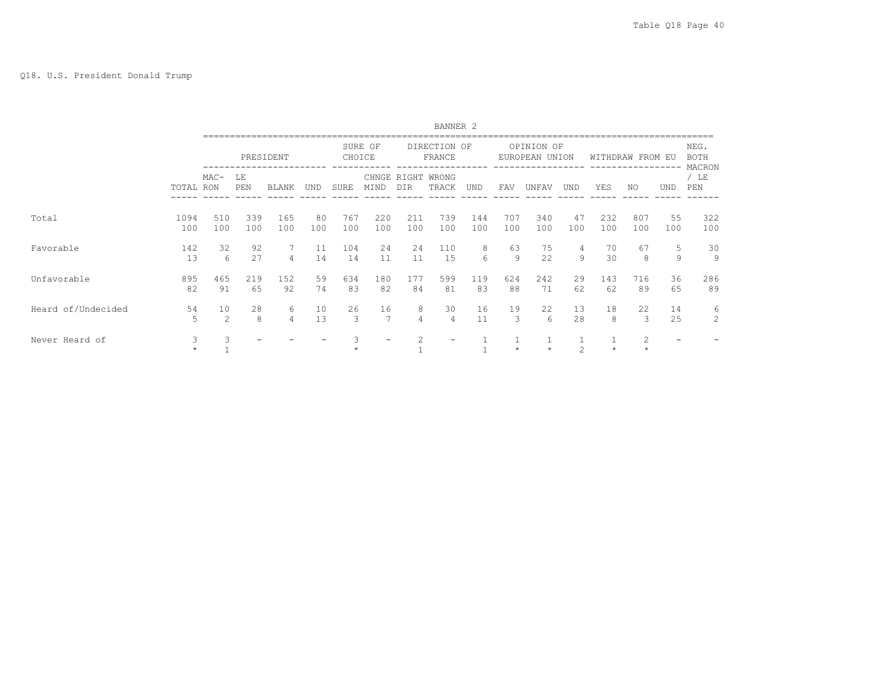## Q18. U.S. President Donald Trump

|                    |              |                      |                                                |                     |           |            |            |                     | BANNER <sub>2</sub>        |            |                     |                              |                |            |                  |           |                               |
|--------------------|--------------|----------------------|------------------------------------------------|---------------------|-----------|------------|------------|---------------------|----------------------------|------------|---------------------|------------------------------|----------------|------------|------------------|-----------|-------------------------------|
|                    |              |                      |                                                | PRESIDENT           |           | CHOICE     | SURE OF    |                     | DIRECTION OF<br>FRANCE     |            |                     | OPINION OF<br>EUROPEAN UNION |                |            | WITHDRAW FROM EU |           | NEG.<br><b>BOTH</b><br>MACRON |
|                    | TOTAL RON    | $MAC-$               | LE<br>PEN<br>BLANK<br>UND<br>339<br>165<br>510 |                     |           | SURE       | MIND       | DIR                 | CHNGE RIGHT WRONG<br>TRACK | UND        | FAV                 | UNFAV                        | UND            | YES        | NO.              | UND       | / LE<br>PEN                   |
| Total              | 1094<br>100  | 100                  | 100                                            | 100                 | 80<br>100 | 767<br>100 | 220<br>100 | 211<br>100          | 739<br>100                 | 144<br>100 | 707<br>100          | 340<br>100                   | 47<br>100      | 232<br>100 | 807<br>100       | 55<br>100 | 322<br>100                    |
| Favorable          | 142<br>13    | 32<br>6              | 92<br>27                                       | 7<br>$\overline{4}$ | 11<br>14  | 104<br>14  | 24<br>11   | 24<br>11            | 110<br>15                  | 8<br>6     | 63<br>9             | 75<br>22                     | 4<br>9         | 70<br>30   | 67<br>8          | 5<br>9    | 30<br>9                       |
| Unfavorable        | 895<br>82    | 465<br>91            | 219<br>65                                      | 152<br>92           | 59<br>74  | 634<br>83  | 180<br>82  | 177<br>84           | 599<br>81                  | 119<br>83  | 624<br>88           | 242<br>71                    | 29<br>62       | 143<br>62  | 716<br>89        | 36<br>65  | 286<br>89                     |
| Heard of/Undecided | 54<br>5      | 10<br>$\mathfrak{D}$ | 28<br>8                                        | 6<br>4              | 10<br>13  | 26<br>3    | 16<br>7    | 8<br>$\overline{4}$ | 30<br>4                    | 16<br>11   | 19<br>$\mathcal{L}$ | 22<br>6                      | 13<br>28       | 18<br>8    | 22<br>3          | 14<br>25  | 6<br>$\overline{2}$           |
| Never Heard of     | 3<br>$\star$ |                      |                                                |                     |           |            |            | 2                   |                            |            | $\star$             | $\star$                      | $\mathfrak{D}$ | $\star$    | 2<br>$\star$     |           |                               |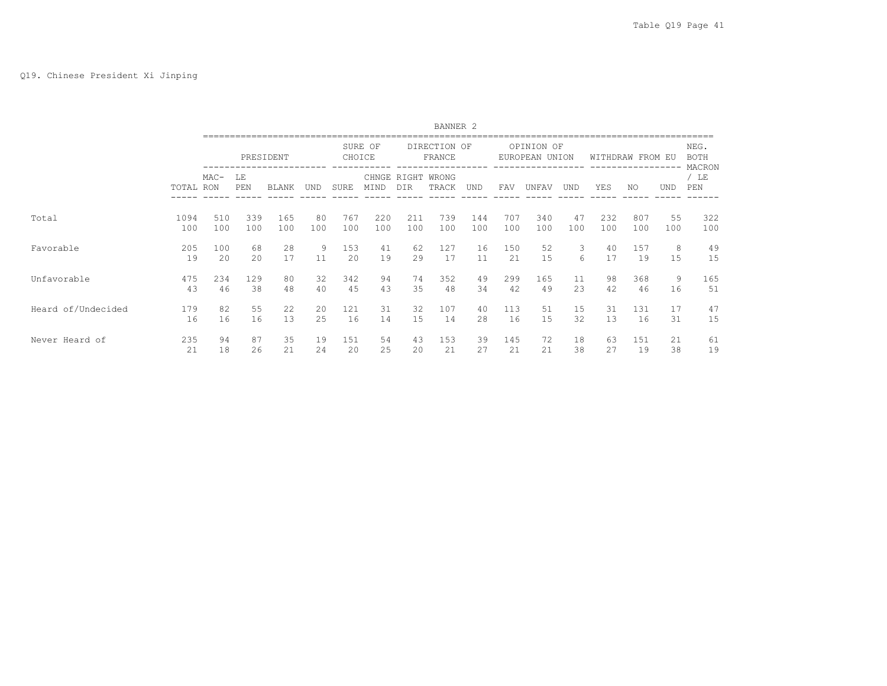|                    |           |        |           |              |     |             |               |     | BANNER <sub>2</sub>    |            |     |                              |            |     |                  |            |                               |
|--------------------|-----------|--------|-----------|--------------|-----|-------------|---------------|-----|------------------------|------------|-----|------------------------------|------------|-----|------------------|------------|-------------------------------|
|                    |           |        |           | PRESIDENT    |     | CHOICE      | SURE OF       |     | DIRECTION OF<br>FRANCE | -----      |     | OPINION OF<br>EUROPEAN UNION |            |     | WITHDRAW FROM EU |            | NEG.<br><b>BOTH</b><br>MACRON |
|                    | TOTAL RON | $MAC-$ | LΕ<br>PEN | <b>BLANK</b> | UND | <b>SURE</b> | CHNGE<br>MIND | DIR | RIGHT WRONG<br>TRACK   | <b>UND</b> | FAV | UNFAV                        | <b>UND</b> | YES | NO.              | <b>UND</b> | / LE<br>PEN                   |
| Total              | 1094      | 510    | 339       | 165          | 80  | 767         | 220           | 211 | 739                    | 144        | 707 | 340                          | 47         | 232 | 807              | 55         | 322                           |
|                    | 100       | 100    | 100       | 100          | 100 | 100         | 100           | 100 | 100                    | 100        | 100 | 100                          | 100        | 100 | 100              | 100        | 100                           |
| Favorable          | 205       | 100    | 68        | 28           | 9   | 153         | 41            | 62  | 127                    | 16         | 150 | 52                           | 3          | 40  | 157              | 8          | 49                            |
|                    | 19        | 20     | 20        | 17           | 11  | 20          | 19            | 29  | 17                     | 11         | 21  | 15                           | 6          | 17  | 19               | 15         | 15                            |
| Unfavorable        | 475       | 234    | 129       | 80           | 32  | 342         | 94            | 74  | 352                    | 49         | 299 | 165                          | 11         | 98  | 368              | 9          | 165                           |
|                    | 43        | 46     | 38        | 48           | 40  | 45          | 43            | 35  | 48                     | 34         | 42  | 49                           | 23         | 42  | 46               | 16         | 51                            |
| Heard of/Undecided | 179       | 82     | 55        | 22           | 20  | 121         | 31            | 32  | 107                    | 40         | 113 | 51                           | 15         | 31  | 131              | 17         | 47                            |
|                    | 16        | 16     | 16        | 13           | 25  | 16          | 14            | 15  | 14                     | 28         | 16  | 15                           | 32         | 13  | 16               | 31         | 15                            |
| Never Heard of     | 235       | 94     | 87        | 35           | 19  | 151         | 54            | 43  | 153                    | 39         | 145 | 72                           | 18         | 63  | 151              | 21         | 61                            |
|                    | 21        | 18     | 26        | 21           | 24  | 20          | 25            | 20  | 21                     | 27         | 21  | 21                           | 38         | 27  | 19               | 38         | 19                            |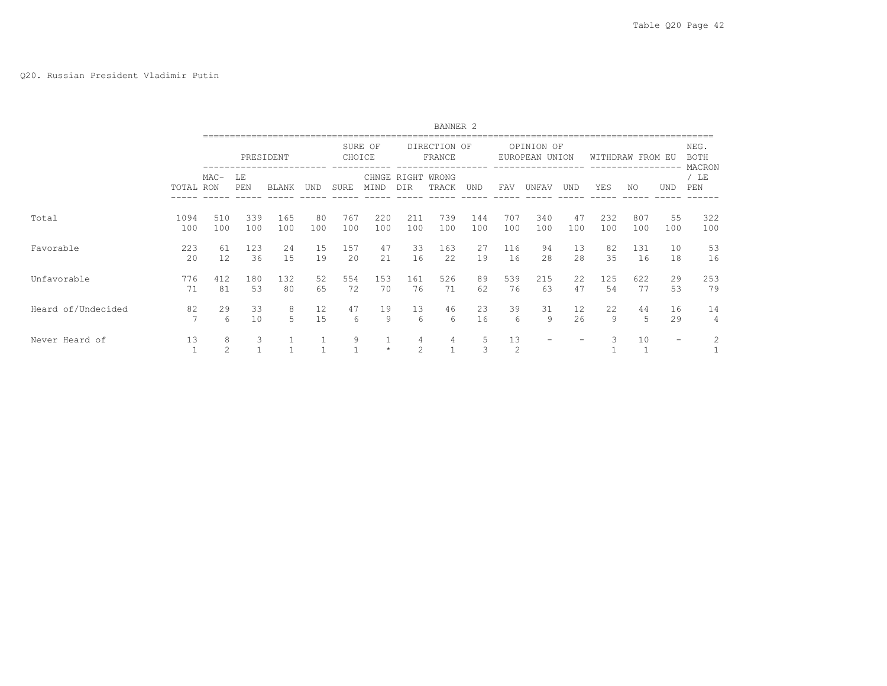## Q20. Russian President Vladimir Putin

|                    |           |                     |           |           |     |        |         |        | BANNER <sub>2</sub>        |        |         |                              |     |                  |     |     |                               |
|--------------------|-----------|---------------------|-----------|-----------|-----|--------|---------|--------|----------------------------|--------|---------|------------------------------|-----|------------------|-----|-----|-------------------------------|
|                    |           |                     |           | PRESIDENT |     | CHOICE | SURE OF |        | DIRECTION OF<br>FRANCE     |        |         | OPINION OF<br>EUROPEAN UNION |     | WITHDRAW FROM EU |     |     | NEG.<br><b>BOTH</b><br>MACRON |
|                    | TOTAL RON | $MAC-$              | LE<br>PEN | BLANK     | UND | SURE   | MIND    | DIR    | CHNGE RIGHT WRONG<br>TRACK | UND    | FAV     | UNFAV                        | UND | YES              | NO. | UND | / LE<br>PEN                   |
| Total              | 1094      | 510                 | 339       | 165       | 80  | 767    | 220     | 211    | 739                        | 144    | 707     | 340                          | 47  | 232              | 807 | 55  | 322                           |
|                    | 100       | 100                 | 100       | 100       | 100 | 100    | 100     | 100    | 100                        | 100    | 100     | 100                          | 100 | 100              | 100 | 100 | 100                           |
| Favorable          | 223       | 61                  | 123       | 24        | 15  | 157    | 47      | 33     | 163                        | 27     | 116     | 94                           | 13  | 82               | 131 | 10  | 53                            |
|                    | 20        | 12                  | 36        | 15        | 19  | 20     | 21      | 16     | 22                         | 19     | 16      | 28                           | 28  | 35               | 16  | 18  | 16                            |
| Unfavorable        | 776       | 412                 | 180       | 132       | 52  | 554    | 153     | 161    | 526                        | 89     | 539     | 215                          | 22  | 125              | 622 | 29  | 253                           |
|                    | 71        | 81                  | 53        | 80        | 65  | 72     | 70      | 76     | 71                         | 62     | 76      | 63                           | 47  | 54               | 77  | 53  | 79                            |
| Heard of/Undecided | 82        | 29                  | 33        | 8         | 12  | 47     | 19      | 13     | 46                         | 23     | 39      | 31                           | 12  | 22               | 44  | 16  | 14                            |
|                    | 7         | 6                   | 10        | 5         | 15  | 6      | 9       | 6      | 6                          | 16     | 6       | 9                            | 26  | 9                | 5   | 29  | 4                             |
| Never Heard of     | 13        | 8<br>$\overline{2}$ | 3         |           |     | 9      | $\star$ | 4<br>2 | 4                          | 5<br>3 | 13<br>2 |                              |     | 3                | 10  | $-$ | 2                             |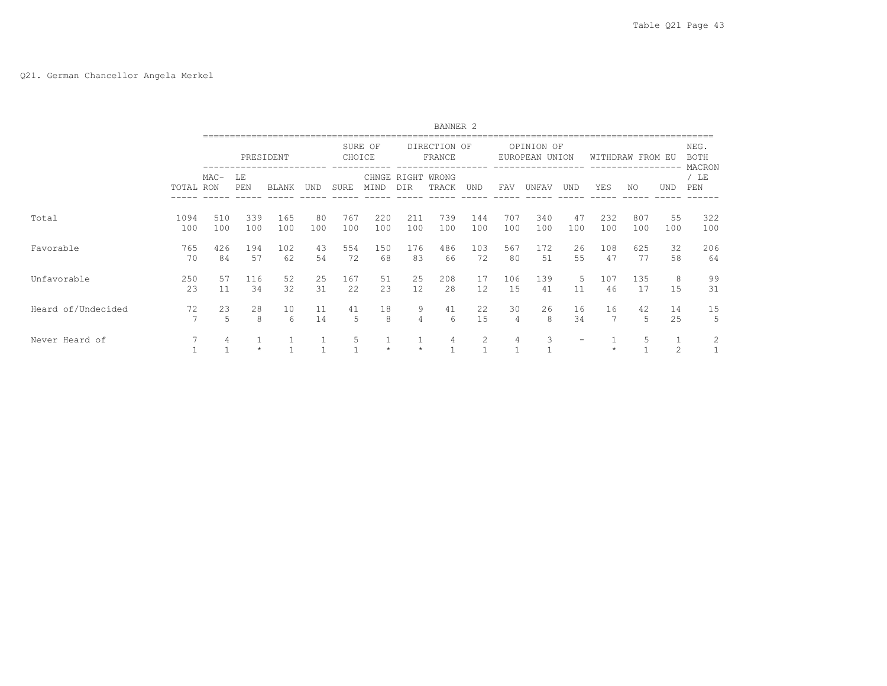# Q21. German Chancellor Angela Merkel

|                    |             |            |            |            |           |            |            |                         | BANNER <sub>2</sub>        |            |                      |                              |           |                  |            |           |                               |
|--------------------|-------------|------------|------------|------------|-----------|------------|------------|-------------------------|----------------------------|------------|----------------------|------------------------------|-----------|------------------|------------|-----------|-------------------------------|
|                    |             |            |            | PRESIDENT  |           | CHOICE     | SURE OF    |                         | DIRECTION OF<br>FRANCE     |            |                      | OPINION OF<br>EUROPEAN UNION |           | WITHDRAW FROM EU |            |           | NEG.<br><b>BOTH</b><br>MACRON |
|                    | TOTAL RON   | $MAC-$     | LE<br>PEN  | BLANK      | UND       | SURE       | MIND       | DIR                     | CHNGE RIGHT WRONG<br>TRACK | UND        | FAV                  | UNFAV                        | UND       | YES              | NO.        | UND       | / LE<br>PEN                   |
| Total              | 1094<br>100 | 510<br>100 | 339<br>100 | 165<br>100 | 80<br>100 | 767<br>100 | 220<br>100 | 211<br>100              | 739<br>100                 | 144<br>100 | 707<br>100           | 340<br>100                   | 47<br>100 | 232<br>100       | 807<br>100 | 55<br>100 | 322<br>100                    |
| Favorable          | 765<br>70   | 426<br>84  | 194<br>57  | 102<br>62  | 43<br>54  | 554<br>72  | 150<br>68  | 176<br>83               | 486<br>66                  | 103<br>72  | 567<br>80            | 172<br>51                    | 26<br>55  | 108<br>47        | 625<br>77  | 32<br>58  | 206<br>64                     |
| Unfavorable        | 250<br>23   | 57<br>11   | 116<br>34  | 52<br>32   | 25<br>31  | 167<br>22  | 51<br>23   | 25<br>12                | 208<br>28                  | 17<br>12   | 106<br>15            | 139<br>41                    | .5<br>11  | 107<br>46        | 135<br>17  | 8<br>15   | 99<br>31                      |
| Heard of/Undecided | 72<br>7     | 23<br>5    | 28<br>8    | 10<br>6    | 11<br>14  | 41<br>5    | 18<br>8    | 9<br>4                  | 41<br>6                    | 22<br>15   | 30<br>$\overline{4}$ | 26<br>8                      | 16<br>34  | 16               | 42<br>5    | 14<br>25  | 15<br>5                       |
| Never Heard of     | 7           | 4          | $\star$    |            |           | 5          | $\star$    | $\mathbf{1}$<br>$\star$ | 4                          | 2          | $\overline{4}$       | 3                            |           | $\star$          | 5          | 2         | 2<br>⊥                        |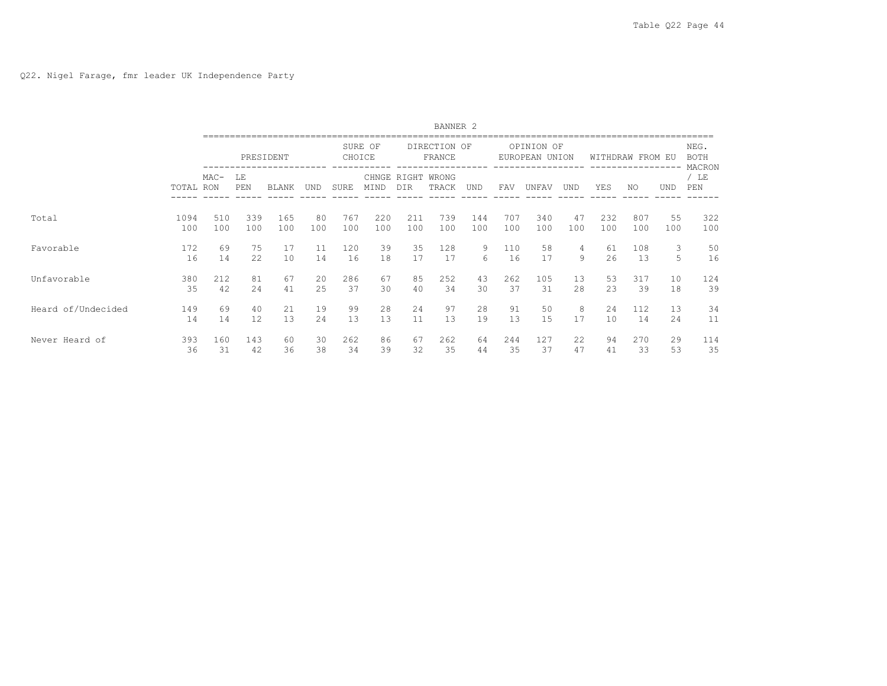|                    |           |        |           |              |     |        |         |                    | BANNER <sub>2</sub>    |        |     |                              |     |     |                  |            |                               |
|--------------------|-----------|--------|-----------|--------------|-----|--------|---------|--------------------|------------------------|--------|-----|------------------------------|-----|-----|------------------|------------|-------------------------------|
|                    |           |        |           | PRESIDENT    |     | CHOICE | SURE OF |                    | DIRECTION OF<br>FRANCE | ------ |     | OPINION OF<br>EUROPEAN UNION |     |     | WITHDRAW FROM EU |            | NEG.<br><b>BOTH</b><br>MACRON |
|                    | TOTAL RON | $MAC-$ | LE<br>PEN | <b>BLANK</b> | und | SURE   | MIND    | CHNGE RIGHT<br>DIR | WRONG<br>TRACK         | UND    | FAV | UNFAV                        | UND | YES | NO.              | <b>UND</b> | / LE<br>PEN                   |
| Total              | 1094      | 510    | 339       | 165          | 80  | 767    | 220     | 211                | 739                    | 144    | 707 | 340                          | 47  | 232 | 807              | 55         | 322                           |
|                    | 100       | 100    | 100       | 100          | 100 | 100    | 100     | 100                | 100                    | 100    | 100 | 100                          | 100 | 100 | 100              | 100        | 100                           |
| Favorable          | 172       | 69     | 75        | 17           | 11  | 120    | 39      | 35                 | 128                    | 9      | 110 | 58                           | 4   | 61  | 108              | 3          | 50                            |
|                    | 16        | 14     | 22        | 10           | 14  | 16     | 18      | 17                 | 17                     | 6      | 16  | 17                           | 9   | 26  | 13               | 5.         | 16                            |
| Unfavorable        | 380       | 212    | 81        | 67           | 20  | 286    | 67      | 85                 | 252                    | 43     | 262 | 105                          | 13  | 53  | 317              | 10         | 124                           |
|                    | 35        | 42     | 2.4       | 41           | 25  | 37     | 30      | 40                 | 34                     | 30     | 37  | 31                           | 2.8 | 2.3 | 39               | 18         | 39                            |
| Heard of/Undecided | 149       | 69     | 40        | 21           | 19  | 99     | 28      | 24                 | 97                     | 28     | 91  | 50                           | 8   | 24  | 112              | 13         | 34                            |
|                    | 14        | 14     | 12        | 13           | 24  | 13     | 13      | 11                 | 13                     | 19     | 13  | 15                           | 17  | 10  | 14               | 24         | 11                            |
| Never Heard of     | 393       | 160    | 143       | 60           | 30  | 262    | 86      | 67                 | 262                    | 64     | 244 | 127                          | 22  | 94  | 270              | 29         | 114                           |
|                    | 36        | 31     | 42        | 36           | 38  | 34     | 39      | 32                 | 35                     | 44     | 35  | 37                           | 47  | 41  | 33               | 53         | 35                            |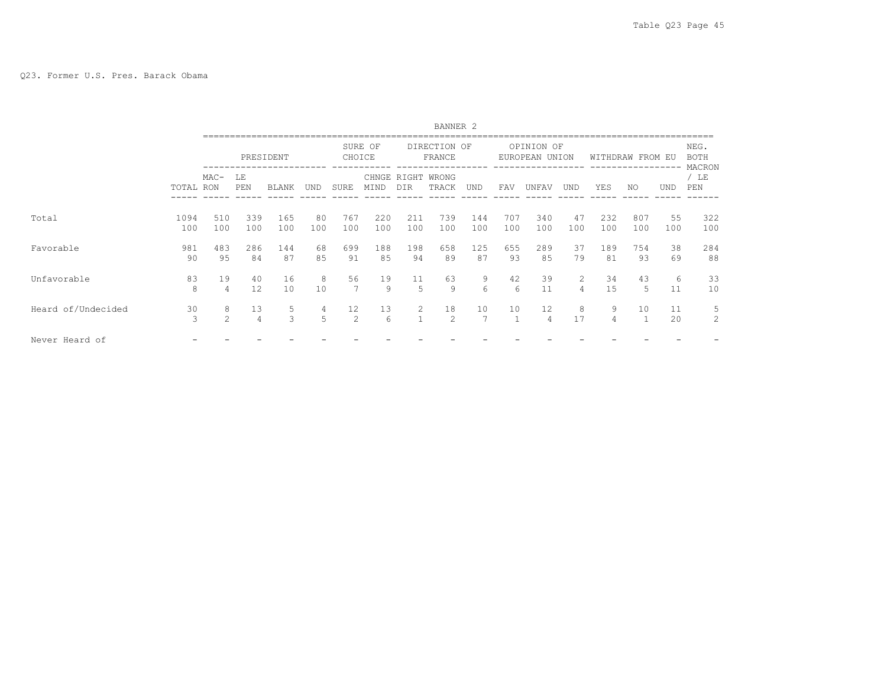|                    |             |            |            |              |           |             |               |                   | BANNER <sub>2</sub>    |            |            |                              |                     |            |                    |           |                         |
|--------------------|-------------|------------|------------|--------------|-----------|-------------|---------------|-------------------|------------------------|------------|------------|------------------------------|---------------------|------------|--------------------|-----------|-------------------------|
|                    |             |            |            | PRESIDENT    |           | CHOICE      | SURE OF       |                   | DIRECTION OF<br>FRANCE |            |            | OPINION OF<br>EUROPEAN UNION |                     |            | WITHDRAW FROM EU   |           | NEG.<br><b>BOTH</b>     |
|                    | TOTAL RON   | $MAC-$     | LΕ<br>PEN  | <b>BLANK</b> | UND       | <b>SURE</b> | CHNGE<br>MIND | RIGHT<br>DIR      | WRONG<br>TRACK         | UND        | FAV        | UNFAV                        | UND                 | YES        | NO.                | UND       | MACRON<br>/ $LE$<br>PEN |
| Total              | 1094<br>100 | 510<br>100 | 339<br>100 | 165<br>100   | 80<br>100 | 767<br>100  | 220<br>100    | 211<br>100        | 739<br>100             | 144<br>100 | 707<br>100 | 340<br>100                   | 47<br>100           | 232<br>100 | 807<br>100         | 55<br>100 | 322<br>100              |
| Favorable          | 981<br>90   | 483<br>95  | 286<br>84  | 144<br>87    | 68<br>85  | 699<br>91   | 188<br>85     | 198<br>94         | 658<br>89              | 125<br>87  | 655<br>93  | 289<br>85                    | 37<br>79            | 189<br>81  | 754<br>93          | 38<br>69  | 284<br>88               |
| Unfavorable        | 83<br>8     | 19<br>4    | 40<br>12   | 16<br>10     | 8<br>10   | 56          | 19<br>9       | 11<br>5           | 63<br>9                | 9<br>6     | 42<br>6    | 39<br>11                     | $\overline{2}$<br>4 | 34<br>15   | 43<br>5            | 6<br>11   | 33<br>10                |
| Heard of/Undecided | 30<br>3     | 8<br>2     | 13<br>4    | 5<br>3       | 4<br>5    | 12<br>2     | 13<br>6       | 2<br>$\mathbf{1}$ | 18<br>2                | 10         | 10         | 12<br>4                      | 8<br>17             | 9<br>4     | 10<br>$\mathbf{1}$ | 11<br>20  | 5<br>$\overline{c}$     |
| Never Heard of     |             |            |            |              |           |             |               |                   |                        |            |            |                              |                     |            |                    |           |                         |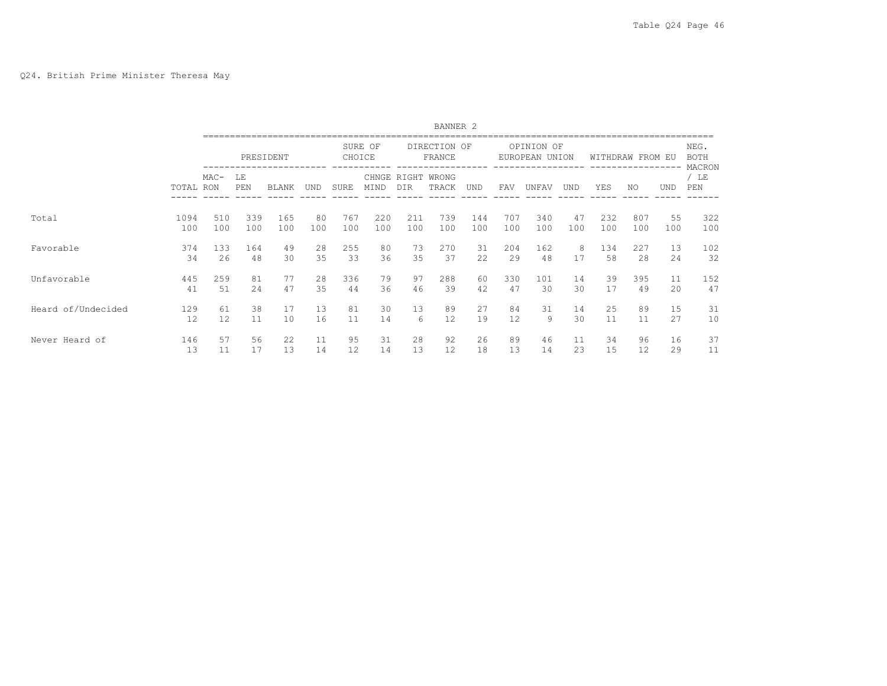## Q24. British Prime Minister Theresa May

|                    |           |        |           |              |     |        |         |                           | BANNER <sub>2</sub>    |           |     |                              |            |     |                  |            |                               |
|--------------------|-----------|--------|-----------|--------------|-----|--------|---------|---------------------------|------------------------|-----------|-----|------------------------------|------------|-----|------------------|------------|-------------------------------|
|                    |           |        |           | PRESIDENT    |     | CHOICE | SURE OF |                           | DIRECTION OF<br>FRANCE | --------- |     | OPINION OF<br>EUROPEAN UNION |            |     | WITHDRAW FROM EU |            | NEG.<br><b>BOTH</b><br>MACRON |
|                    | TOTAL RON | $MAC-$ | LE<br>PEN | <b>BLANK</b> | und | SURE   | MIND    | CHNGE RIGHT<br><b>DIR</b> | WRONG<br>TRACK         | UND       | FAV | UNFAV                        | <b>UND</b> | YES | NO.              | <b>UND</b> | / LE<br>PEN                   |
| Total              | 1094      | 510    | 339       | 165          | 80  | 767    | 220     | 211                       | 739                    | 144       | 707 | 340                          | 47         | 232 | 807              | 55         | 322                           |
|                    | 100       | 100    | 100       | 100          | 100 | 100    | 100     | 100                       | 100                    | 100       | 100 | 100                          | 100        | 100 | 100              | 100        | 100                           |
| Favorable          | 374       | 133    | 164       | 49           | 28  | 255    | 80      | 73                        | 270                    | 31        | 204 | 162                          | 8          | 134 | 227              | 13         | 102                           |
|                    | 34        | 26     | 48        | 30           | 35  | 33     | 36      | 35                        | 37                     | 22        | 29  | 48                           | 17         | 58  | 28               | 24         | 32                            |
| Unfavorable        | 445       | 259    | 81        | 77           | 28  | 336    | 79      | 97                        | 288                    | 60        | 330 | 101                          | 14         | 39  | 395              | 11         | 152                           |
|                    | 41        | 51     | 2.4       | 47           | 35  | 44     | 36      | 46                        | 39                     | 42        | 47  | 30                           | 30         | 17  | 49               | 20         | 47                            |
| Heard of/Undecided | 129       | 61     | 38        | 17           | 13  | 81     | 30      | 13                        | 89                     | 27        | 84  | 31                           | 14         | 25  | 89               | 15         | 31                            |
|                    | 12        | 12     | 11        | 10           | 16  | 11     | 14      | 6                         | 12                     | 19        | 12  | 9                            | 30         | 11  | 11               | 27         | 10                            |
| Never Heard of     | 146       | 57     | 56        | 22           | 11  | 95     | 31      | 28                        | 92                     | 26        | 89  | 46                           | 11         | 34  | 96               | 16         | 37                            |
|                    | 13        | 11     | 17        | 13           | 14  | 12     | 14      | 13                        | 12                     | 18        | 13  | 14                           | 23         | 15  | 12               | 29         | 11                            |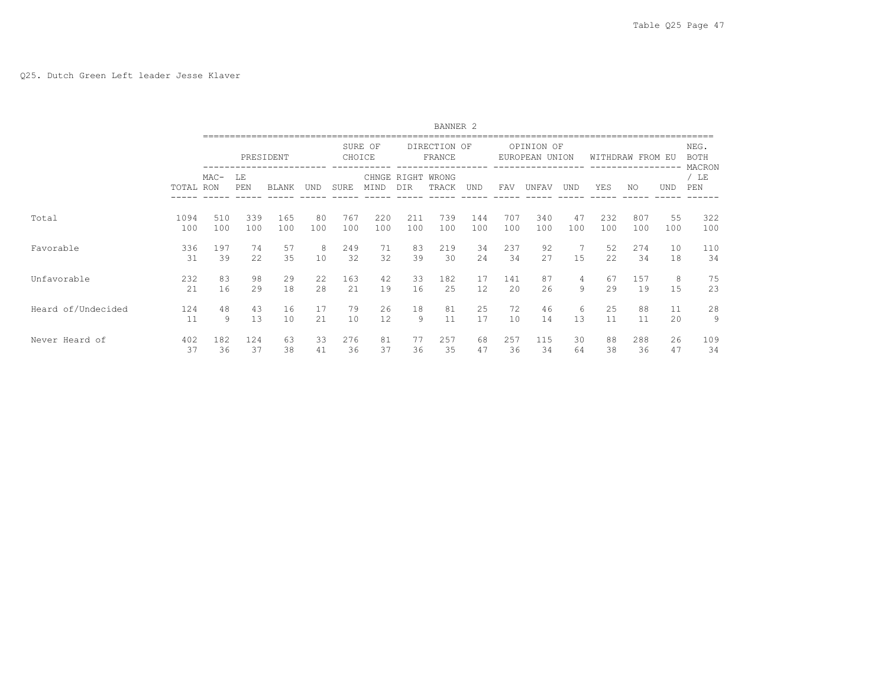|                    |           |           |           |              |         |             |               |          | BANNER <sub>2</sub>    |                   |           |                              |            |          |                  |            |                               |
|--------------------|-----------|-----------|-----------|--------------|---------|-------------|---------------|----------|------------------------|-------------------|-----------|------------------------------|------------|----------|------------------|------------|-------------------------------|
|                    |           |           |           | PRESIDENT    |         | CHOICE      | SURE OF       |          | DIRECTION OF<br>FRANCE |                   |           | OPINION OF<br>EUROPEAN UNION |            |          | WITHDRAW FROM EU |            | NEG.<br><b>BOTH</b><br>MACRON |
|                    | TOTAL RON | $MAC-$    | LΕ<br>PEN | <b>BLANK</b> | UND     | <b>SURE</b> | CHNGE<br>MIND | DIR      | RIGHT WRONG<br>TRACK   | UND               | FAV       | UNFAV                        | <b>UND</b> | YES      | NO.              | <b>UND</b> | / LE<br>PEN                   |
| Total              | 1094      | 510       | 339       | 165          | 80      | 767         | 220           | 211      | 739                    | 144               | 707       | 340                          | 47         | 232      | 807              | 55         | 322                           |
|                    | 100       | 100       | 100       | 100          | 100     | 100         | 100           | 100      | 100                    | 100               | 100       | 100                          | 100        | 100      | 100              | 100        | 100                           |
| Favorable          | 336<br>31 | 197<br>39 | 74<br>22  | 57<br>35     | 8<br>10 | 249<br>32   | 71<br>32      | 83<br>39 | 219<br>30              | 34<br>24          | 237<br>34 | 92<br>27                     | 15         | 52<br>22 | 274<br>34        | 10<br>18   | 110<br>34                     |
| Unfavorable        | 232       | 83        | 98        | 29           | 22      | 163         | 42            | 33       | 182                    | 17                | 141       | 87                           | 4          | 67       | 157              | 8          | 75                            |
|                    | 21        | 16        | 29        | 18           | 28      | 21          | 19            | 16       | 25                     | $12 \overline{ }$ | 20        | 26                           | 9          | 29       | 19               | 15         | 23                            |
| Heard of/Undecided | 124       | 48        | 43        | 16           | 17      | 79          | 26            | 18       | 81                     | 25                | 72        | 46                           | 6          | 25       | 88               | 11         | 28                            |
|                    | 11        | 9         | 13        | 10           | 21      | 10          | 12            | 9        | 11                     | 17                | 10        | 14                           | 13         | 11       | 11               | 20         | 9                             |
| Never Heard of     | 402       | 182       | 124       | 63           | 33      | 276         | 81            | 77       | 257                    | 68                | 257       | 115                          | 30         | 88       | 288              | 26         | 109                           |
|                    | 37        | 36        | 37        | 38           | 41      | 36          | 37            | 36       | 35                     | 47                | 36        | 34                           | 64         | 38       | 36               | 47         | 34                            |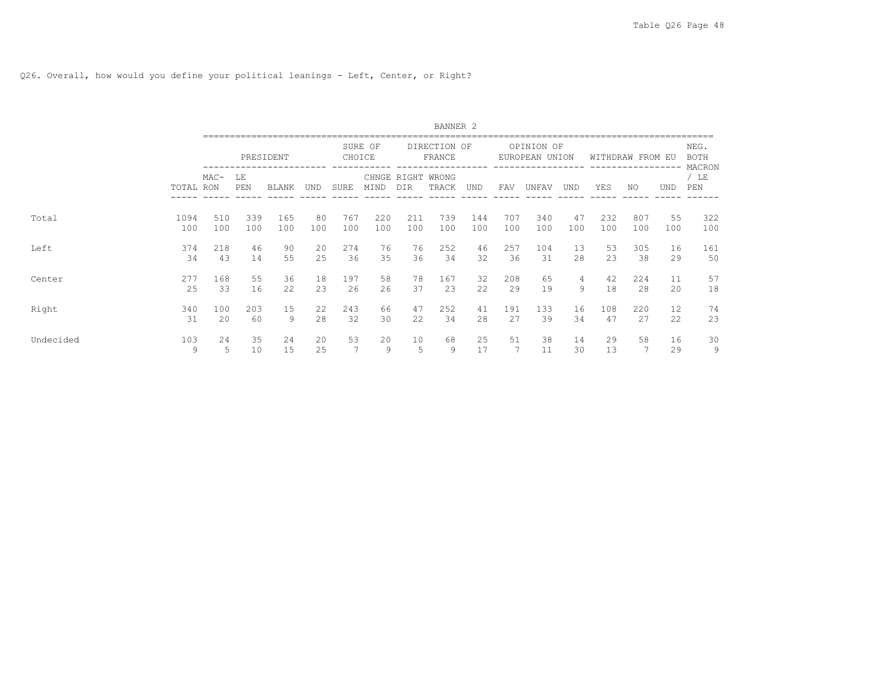Q26. Overall, how would you define your political leanings - Left, Center, or Right?

|           |             |        |                         |              |           |             |            |                                 | BANNER <sub>2</sub>    |            |            |                              |           |            |                  |            |                               |
|-----------|-------------|--------|-------------------------|--------------|-----------|-------------|------------|---------------------------------|------------------------|------------|------------|------------------------------|-----------|------------|------------------|------------|-------------------------------|
|           |             |        |                         | PRESIDENT    |           | CHOICE      | SURE OF    |                                 | DIRECTION OF<br>FRANCE | ------     |            | OPINION OF<br>EUROPEAN UNION |           |            | WITHDRAW FROM EU | ------     | NEG.<br><b>BOTH</b><br>MACRON |
|           | TOTAL RON   | $MAC-$ | LE<br>PEN<br>339<br>510 | <b>BLANK</b> | UND       | <b>SURE</b> | MIND       | CHNGE RIGHT WRONG<br><b>DIR</b> | TRACK                  | UND        | FAV        | UNFAV                        | UND       | YES        | NO.              | <b>UND</b> | / LE<br>PEN                   |
| Total     | 1094<br>100 | 100    | 100                     | 165<br>100   | 80<br>100 | 767<br>100  | 220<br>100 | 211<br>100                      | 739<br>100             | 144<br>100 | 707<br>100 | 340<br>100                   | 47<br>100 | 232<br>100 | 807<br>100       | 55<br>100  | 322<br>100                    |
| Left      | 374         | 218    | 46                      | 90           | 20        | 274         | 76         | 76                              | 252                    | 46         | 257        | 104                          | 13        | 53         | 305              | 16         | 161                           |
|           | 34          | 43     | 14                      | 55           | 25        | 36          | 35         | 36                              | 34                     | 32         | 36         | 31                           | 28        | 23         | 38               | 29         | 50                            |
| Center    | 277         | 168    | 55                      | 36           | 18        | 197         | 58         | 78                              | 167                    | 32         | 208        | 65                           | 4         | 42         | 224              | 11         | 57                            |
|           | 25          | 33     | 16                      | 22           | 23        | 26          | 26         | 37                              | 23                     | 22         | 29         | 19                           | 9         | 18         | 28               | 20         | 18                            |
| Right     | 340         | 100    | 203                     | 15           | 22        | 243         | 66         | 47                              | 252                    | 41         | 191        | 133                          | 16        | 108        | 220              | 12         | 74                            |
|           | 31          | 20     | 60                      | 9            | 28        | 32          | 30         | 22                              | 34                     | 28         | 27         | 39                           | 34        | 47         | 27               | 22         | 23                            |
| Undecided | 103         | 2.4    | 35                      | 24           | 20        | 53          | 20         | 10                              | 68                     | 25         | 51         | 38                           | 14        | 29         | 58               | 16         | 30                            |
|           | 9           | 5      | 10                      | 15           | 25        | 7           | 9          | 5                               | 9                      | 17         | 7          | 11                           | 30        | 13         | 7                | 29         | 9                             |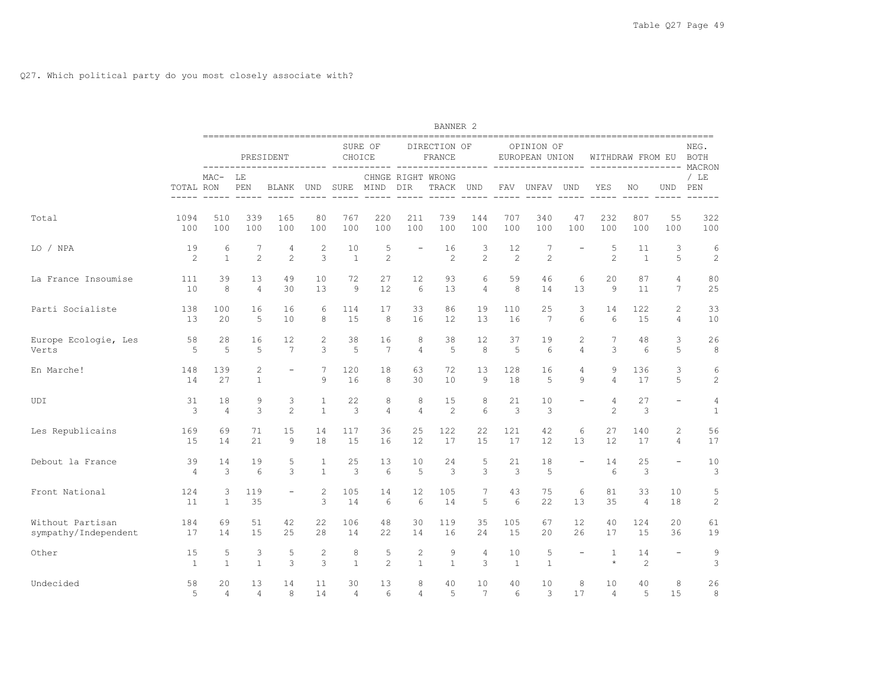|                                          |                      |                      |                                | ========================== |                              |                      |                       |                          | <b>BANNER 2</b>            |                     |                      |                                                   |                          |                         |                      |                                         |                                |
|------------------------------------------|----------------------|----------------------|--------------------------------|----------------------------|------------------------------|----------------------|-----------------------|--------------------------|----------------------------|---------------------|----------------------|---------------------------------------------------|--------------------------|-------------------------|----------------------|-----------------------------------------|--------------------------------|
|                                          |                      |                      |                                | PRESIDENT<br>------------  |                              | CHOICE               | SURE OF               |                          | DIRECTION OF<br>FRANCE     | ---------           |                      | OPINION OF<br>EUROPEAN UNION<br>----------------- |                          | $\frac{1}{2}$           | WITHDRAW FROM EU     |                                         | NEG.<br><b>BOTH</b><br>MACRON  |
|                                          | TOTAL RON            | $MAC-$               | LE<br>PEN                      | BLANK                      | UND                          | SURE                 | MIND                  | DIR                      | CHNGE RIGHT WRONG<br>TRACK | UND                 | FAV                  | UNFAV                                             | UND                      | YES                     | NO                   | UND                                     | $/$ LE<br>PEN                  |
| Total                                    | 1094<br>100          | 510<br>100           | 339<br>100                     | 165<br>100                 | 80<br>100                    | 767<br>100           | 220<br>100            | 211<br>100               | 739<br>100                 | 144<br>100          | 707<br>100           | 340<br>100                                        | 47<br>100                | 232<br>100              | 807<br>100           | 55<br>100                               | 322<br>100                     |
| LO / NPA                                 | 19<br>2              | 6<br>$\mathbf{1}$    | 7<br>$\mathfrak{D}$            | 4<br>$\mathfrak{D}$        | 2<br>3                       | 10<br>$\mathbf{1}$   | 5<br>$\overline{c}$   | $\overline{\phantom{a}}$ | 16<br>2                    | 3<br>$\overline{c}$ | 12<br>$\overline{2}$ | $7\phantom{.0}$<br>$\overline{c}$                 |                          | 5<br>$\mathfrak{D}$     | 11<br>$\mathbf{1}$   | 3<br>5                                  | 6<br>$\mathbf{2}$              |
| La France Insoumise                      | 111<br>10            | 39<br>8              | 13<br>$\overline{4}$           | 49<br>30                   | 10<br>13                     | 72<br>9              | 27<br>12              | 12<br>6                  | 93<br>13                   | 6<br>$\overline{4}$ | 59<br>8              | 46<br>14                                          | 6<br>13                  | 20<br>9                 | 87<br>11             | $\overline{4}$<br>$7\overline{ }$       | 80<br>25                       |
| Parti Socialiste                         | 138<br>13            | 100<br>20            | 16<br>5                        | 16<br>10                   | 6<br>8                       | 114<br>15            | 17<br>8               | 33<br>16                 | 86<br>12                   | 19<br>13            | 110<br>16            | 25<br>$7\phantom{.0}$                             | 3<br>$6\overline{6}$     | 14<br>$6\overline{6}$   | 122<br>15            | $\mathbf{2}$<br>$\overline{4}$          | 33<br>10                       |
| Europe Ecologie, Les<br>Verts            | 58<br>5              | 28<br>5              | 16<br>5                        | 12<br>$7\phantom{.0}$      | 2<br>3                       | 38<br>5              | 16<br>7               | 8<br>$\overline{4}$      | 38<br>5                    | 12<br>8             | 37<br>5              | 19<br>6                                           | 2<br>$\overline{4}$      | 7<br>3                  | 48<br>6              | 3<br>5                                  | 26<br>8                        |
| En Marche!                               | 148<br>14            | 139<br>27            | $\overline{c}$<br>$\mathbf{1}$ | $\overline{\phantom{a}}$   | 7<br>9                       | 120<br>16            | 18<br>8               | 63<br>30                 | 72<br>10                   | 13<br>9             | 128<br>18            | 16<br>5                                           | $\overline{4}$<br>9      | 9<br>4                  | 136<br>17            | 3<br>5                                  | 6<br>2                         |
| UDI                                      | 31<br>3              | 18<br>$\overline{4}$ | 9<br>3                         | 3<br>2                     | $\mathbf{1}$<br>$\mathbf{1}$ | 22<br>$\mathbf{3}$   | 8<br>$\overline{4}$   | 8<br>$\overline{4}$      | 15<br>2                    | 8<br>6              | 21<br>$\mathbf{3}$   | 10<br>3                                           |                          | 4<br>$\overline{c}$     | 27<br>3              | $\equiv$                                | $\overline{4}$<br>$\mathbf{1}$ |
| Les Republicains                         | 169<br>15            | 69<br>14             | 71<br>21                       | 15<br>9                    | 14<br>18                     | 117<br>15            | 36<br>16              | 25<br>12                 | 122<br>17                  | 22<br>15            | 121<br>17            | 42<br>12                                          | 6<br>13                  | 27<br>12                | 140<br>17            | $\mathbf{2}^{\prime}$<br>$\overline{4}$ | 56<br>17                       |
| Debout la France                         | 39<br>$\overline{4}$ | 14<br>3              | 19<br>6                        | 5<br>3                     | $\mathbf{1}$<br>$\mathbf{1}$ | 25<br>3              | 13<br>$6\overline{6}$ | 10<br>5                  | 24<br>3                    | 5<br>3              | 21<br>3              | 18<br>5                                           | $\overline{\phantom{a}}$ | 14<br>$6\overline{6}$   | 25<br>3              | $\overline{\phantom{a}}$                | 10<br>3                        |
| Front National                           | 124<br>11            | 3<br>$\mathbf{1}$    | 119<br>35                      | $\qquad \qquad -$          | $\mathbf{2}$<br>3            | 105<br>14            | 14<br>6               | 12<br>6                  | 105<br>14                  | 7<br>5              | 43<br>6              | 75<br>22                                          | 6<br>13                  | 81<br>35                | 33<br>$\overline{4}$ | 10<br>18                                | 5<br>$\overline{c}$            |
| Without Partisan<br>sympathy/Independent | 184<br>17            | 69<br>14             | 51<br>15                       | 42<br>25                   | 22<br>28                     | 106<br>14            | 48<br>22              | 30<br>14                 | 119<br>16                  | 35<br>24            | 105<br>15            | 67<br>20                                          | 12<br>26                 | 40<br>17                | 124<br>15            | 20<br>36                                | 61<br>19                       |
| Other                                    | 15<br>$\mathbf{1}$   | 5<br>$\mathbf{1}$    | 3<br>$\overline{1}$            | 5<br>3                     | 2<br>3                       | 8<br>$\mathbf{1}$    | 5<br>$\overline{c}$   | 2<br>$\mathbf{1}$        | 9<br>$\mathbf{1}$          | $\overline{4}$<br>3 | 10<br>1              | 5<br>$\mathbf{1}$                                 |                          | $\mathbf{1}$<br>$\star$ | 14<br>2              | $\overline{\phantom{a}}$                | $\,9$<br>3                     |
| Undecided                                | 58<br>5              | 20<br>$\overline{4}$ | 13<br>4                        | 14<br>8                    | 11<br>14                     | 30<br>$\overline{4}$ | 13<br>6               | 8<br>4                   | 40<br>5                    | 10<br>7             | 40<br>6              | 10<br>3                                           | 8<br>17                  | 10<br>4                 | 40<br>5              | 8<br>15                                 | 26<br>8                        |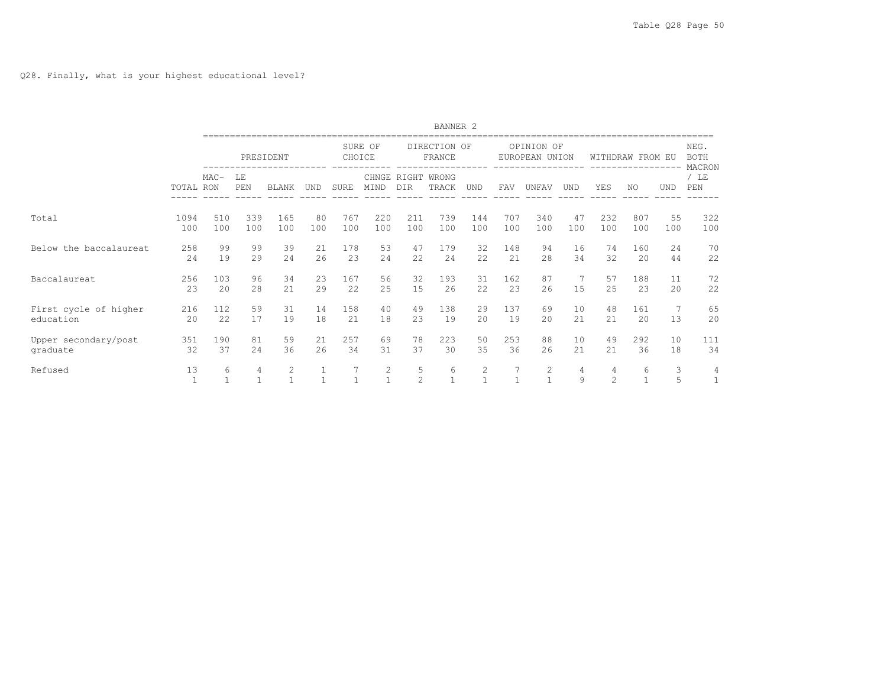|                                    |                    |            |                     |                   |                              |                   |                              |                           | BANNER <sub>2</sub>    |            |              |                              |                   |                    |                   |            |                                         |
|------------------------------------|--------------------|------------|---------------------|-------------------|------------------------------|-------------------|------------------------------|---------------------------|------------------------|------------|--------------|------------------------------|-------------------|--------------------|-------------------|------------|-----------------------------------------|
|                                    |                    |            |                     | PRESIDENT         |                              | CHOICE            | SURE OF                      |                           | DIRECTION OF<br>FRANCE |            |              | OPINION OF<br>EUROPEAN UNION |                   |                    | WITHDRAW FROM EU  |            | NEG.<br><b>BOTH</b><br>MACRON           |
|                                    | TOTAL RON          | $MAC-$     | LE<br>PEN           | <b>BLANK</b>      | UND                          | <b>SURE</b>       | MIND                         | CHNGE RIGHT<br><b>DTR</b> | WRONG<br>TRACK         | <b>UND</b> | <b>FAV</b>   | UNFAV                        | <b>UND</b>        | YES                | NO.               | <b>UND</b> | / LE<br>$\ensuremath{\mathop{\rm PEN}}$ |
| Total                              | 1094<br>100        | 510<br>100 | 339<br>100          | 165<br>100        | 80<br>100                    | 767<br>100        | 220<br>100                   | 211<br>100                | 739<br>100             | 144<br>100 | 707<br>100   | 340<br>100                   | 47<br>100         | 232<br>100         | 807<br>100        | 55<br>100  | 322<br>100                              |
| Below the baccalaureat             | 258<br>24          | 99<br>19   | 99<br>29            | 39<br>24          | 21<br>26                     | 178<br>2.3        | 53<br>24                     | 47<br>22                  | 179<br>24              | 32<br>22.2 | 148<br>21    | 94<br>28                     | 16<br>34          | 74<br>32           | 160<br>20         | 24<br>44   | 70<br>22                                |
| <b>Baccalaureat</b>                | 256<br>23          | 103<br>2.0 | 96<br>2.8           | 34<br>21          | 23<br>29                     | 167<br>22         | 56<br>25                     | 32<br>15                  | 193<br>2.6             | 31<br>22.2 | 162<br>23    | 87<br>26                     | 1.5               | 57<br>2.5          | 188<br>23         | 11<br>20   | 72<br>22                                |
| First cycle of higher<br>education | 216<br>20          | 112<br>22  | 59<br>17            | 31<br>19          | 14<br>18                     | 158<br>21         | 40<br>18                     | 49<br>23                  | 138<br>19              | 29<br>20   | 137<br>19    | 69<br>20                     | 10<br>21          | 48<br>21           | 161<br>20         | 7<br>13    | 65<br>20                                |
| Upper secondary/post<br>graduate   | 351<br>32          | 190<br>37  | 81<br>2.4           | 59<br>36          | 21<br>2.6                    | 257<br>34         | 69<br>31                     | 78<br>37                  | 223<br>30              | 50<br>35   | 253<br>36    | 88<br>2.6                    | 10<br>2.1         | 49<br>2.1          | 292<br>36         | 10<br>18   | 111<br>34                               |
| Refused                            | 13<br>$\mathbf{1}$ | 6          | 4<br>$\overline{1}$ | 2<br>$\mathbf{1}$ | $\mathbf{1}$<br>$\mathbf{1}$ | 7<br>$\mathbf{1}$ | $\mathbf{2}$<br>$\mathbf{1}$ | 5<br>$\overline{c}$       | 6<br>$\mathbf{1}$      | 2<br>1.    | $\mathbf{1}$ | 2<br>$\mathbf{1}$            | 4<br>$\mathsf{Q}$ | 4<br>$\mathcal{P}$ | 6<br>$\mathbf{1}$ | 3<br>5     | 4<br>1                                  |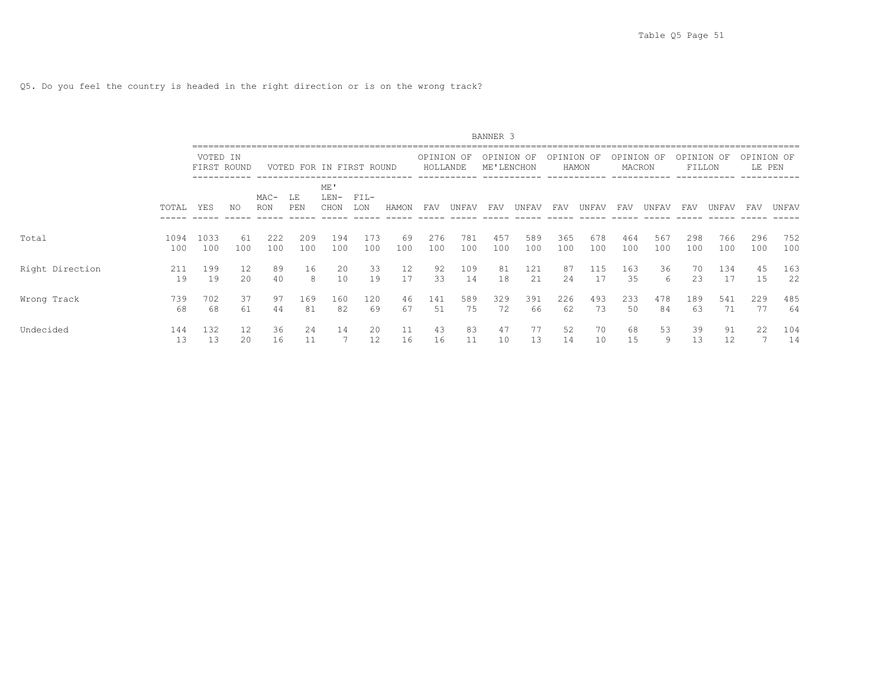Q5. Do you feel the country is headed in the right direction or is on the wrong track?

|                 |             |                         |           |                      |            |                          |               |           |                        |            | BANNER <sub>3</sub>   |            |            |            |                      |            |                   |            |                      |            |
|-----------------|-------------|-------------------------|-----------|----------------------|------------|--------------------------|---------------|-----------|------------------------|------------|-----------------------|------------|------------|------------|----------------------|------------|-------------------|------------|----------------------|------------|
|                 |             | VOTED IN<br>FIRST ROUND |           |                      |            | VOTED FOR IN FIRST ROUND |               |           | OPINION OF<br>HOLLANDE |            | OPINION<br>ME'LENCHON | OF         | OPINION OF | HAMON      | OPINION OF<br>MACRON |            | OPINION<br>FILLON | OF         | OPINION OF<br>LE PEN |            |
|                 | TOTAL       | YES                     | NO.       | $MAC-$<br><b>RON</b> | LΕ<br>PEN  | ME'<br>$LEN-$<br>CHON    | $FIL-$<br>LON | HAMON     | FAV                    | UNFAV      | FAV                   | UNFAV      | FAV        | UNFAV      | FAV                  | UNFAV      | FAV               | UNFAV      | FAV                  | UNFAV      |
| Total           | 1094<br>100 | 1033<br>100             | 61<br>100 | 222<br>100           | 209<br>100 | 194<br>100               | 173<br>100    | 69<br>100 | 276<br>100             | 781<br>100 | 457<br>100            | 589<br>100 | 365<br>100 | 678<br>100 | 464<br>100           | 567<br>100 | 298<br>100        | 766<br>100 | 296<br>100           | 752<br>100 |
| Right Direction | 211<br>19   | 199<br>19               | 12<br>20  | 89<br>40             | 16<br>8    | 20<br>10                 | 33<br>19      | 12<br>17  | 92<br>33               | 109<br>14  | 81<br>18              | 121<br>21  | 87<br>24   | 115<br>17  | 163<br>35            | 36<br>6    | 70<br>23          | 134<br>17  | 45<br>15             | 163<br>22  |
| Wrong Track     | 739<br>68   | 702<br>68               | 37<br>61  | 97<br>44             | 169<br>81  | 160<br>82                | 120<br>69     | 46<br>67  | 141<br>51              | 589<br>75  | 329<br>72             | 391<br>66  | 226<br>62  | 493<br>73  | 233<br>50            | 478<br>84  | 189<br>63         | 541<br>71  | 229                  | 485<br>64  |
| Undecided       | 144<br>13   | 132<br>13               | 12<br>20  | 36<br>16             | 24<br>11   | 14                       | 20<br>12      | 11<br>16  | 43<br>16               | 83<br>11   | 47<br>10              | 77<br>13   | 52<br>14   | 70<br>10   | 68<br>15             | 53<br>9    | 39<br>13          | 91<br>12   | 22                   | 104<br>14  |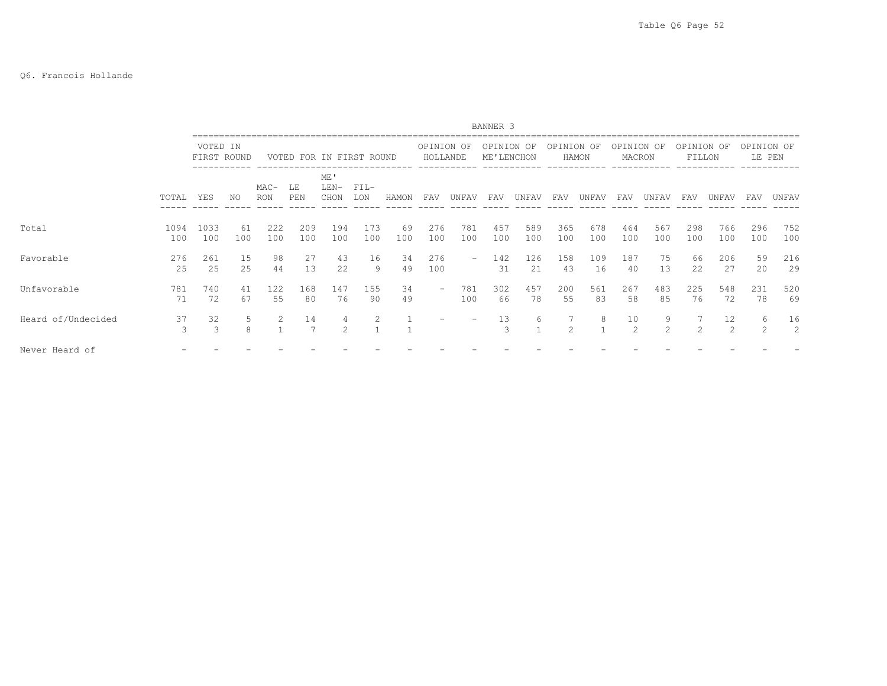#### Q6. Francois Hollande

|                    |             |                         |           |               |                          |                       |               |           |                          |                          | BANNER <sub>3</sub>      |            |                |            |                      |            |                      |            |                      |            |
|--------------------|-------------|-------------------------|-----------|---------------|--------------------------|-----------------------|---------------|-----------|--------------------------|--------------------------|--------------------------|------------|----------------|------------|----------------------|------------|----------------------|------------|----------------------|------------|
|                    |             | VOTED IN<br>FIRST ROUND |           |               | VOTED FOR IN FIRST ROUND |                       |               |           | OPINION OF<br>HOLLANDE   |                          | OPINION OF<br>ME'LENCHON |            | OPINION OF     | HAMON      | OPINION OF<br>MACRON |            | OPINION OF<br>FILLON |            | OPINION OF<br>LE PEN |            |
|                    | TOTAL       | YES                     | NO        | $MAC-$<br>RON | LE<br>PEN                | ME'<br>$LEN-$<br>CHON | $FIL-$<br>LON | HAMON     | FAV                      | UNFAV                    | FAV                      | UNFAV      | FAV            | UNFAV      | FAV                  | UNFAV      | FAV                  | UNFAV      | FAV                  | UNFAV      |
| Total              | 1094<br>100 | 1033<br>100             | 61<br>100 | 222<br>100    | 209<br>100               | 194<br>100            | 173<br>100    | 69<br>100 | 276<br>100               | 781<br>100               | 457<br>100               | 589<br>100 | 365<br>100     | 678<br>100 | 464<br>100           | 567<br>100 | 298<br>100           | 766<br>100 | 296<br>100           | 752<br>100 |
| Favorable          | 276<br>25   | 261<br>25               | 15<br>25  | 98<br>44      | 27<br>13                 | 43<br>22              | 16<br>9       | 34<br>49  | 276<br>100               | $\overline{\phantom{0}}$ | 142<br>31                | 126<br>21  | 158<br>43      | 109<br>16  | 187<br>40            | 75<br>13   | 66<br>22             | 206<br>27  | 59<br>20             | 216<br>29  |
| Unfavorable        | 781<br>71   | 740<br>72               | 41<br>67  | 122<br>55     | 168<br>80                | 147<br>76             | 155<br>90     | 34<br>49  | $\overline{\phantom{a}}$ | 781<br>100               | 302<br>66                | 457<br>78  | 200<br>55      | 561<br>83  | 267<br>58            | 483<br>85  | 225<br>76            | 548<br>72  | 231<br>78            | 520<br>69  |
| Heard of/Undecided | 37<br>3     | 32<br>3                 | 8         |               | 14<br>$\overline{7}$     | $\mathcal{L}$         |               |           |                          |                          | 13<br>3                  | 6          | $\mathfrak{D}$ |            | 10<br>$\mathfrak{D}$ | 9<br>2     |                      | 12<br>2    | 6<br>$\mathfrak{D}$  | 16<br>2    |
| Never Heard of     |             |                         |           |               |                          |                       |               |           |                          |                          |                          |            |                |            |                      |            |                      |            |                      |            |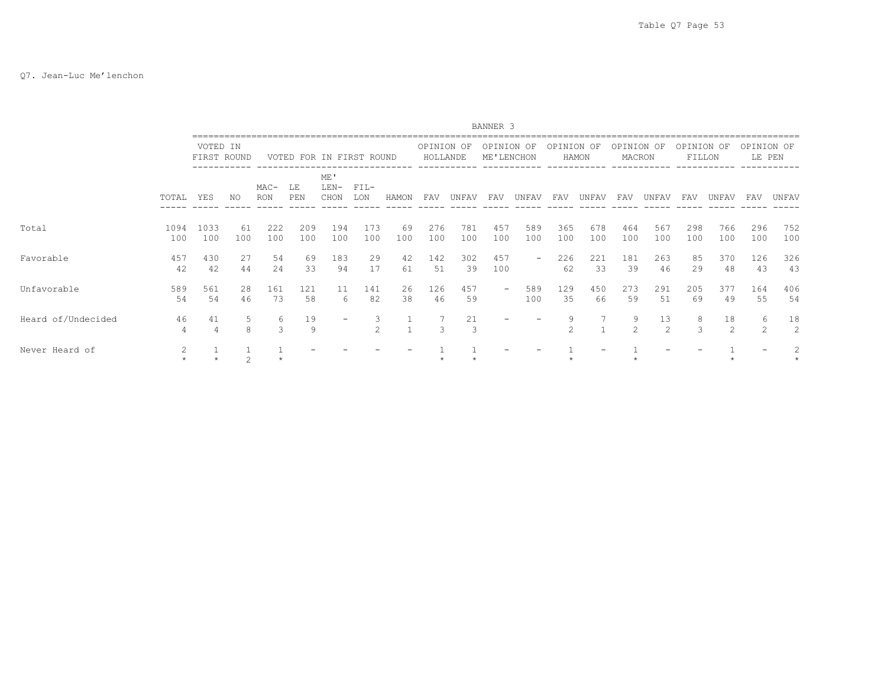#### Q7. Jean-Luc Me'lenchon

|                    |                      |                         |           |                    |            |                      |                    |           |                        |            | BANNER <sub>3</sub>      |                          |                     |            |                      |            |                      |            |                      |            |
|--------------------|----------------------|-------------------------|-----------|--------------------|------------|----------------------|--------------------|-----------|------------------------|------------|--------------------------|--------------------------|---------------------|------------|----------------------|------------|----------------------|------------|----------------------|------------|
|                    |                      | VOTED IN<br>FIRST ROUND |           | VOTED              |            | FOR IN FIRST ROUND   |                    |           | OPINION OF<br>HOLLANDE |            | OPINION<br>ME'LENCHON    | OF                       | OPINION OF          | HAMON      | OPINION OF<br>MACRON |            | OPINION OF<br>FILLON |            | OPINION OF<br>LE PEN |            |
|                    | TOTAL                | YES                     | NO.       | MAC-<br><b>RON</b> | LE<br>PEN  | ME<br>$LEN-$<br>CHON | $FIL-$<br>LON      | HAMON     | FAV                    | UNFAV      | FAV                      | UNFAV                    | FAV                 | UNFAV      | FAV                  | UNFAV      | FAV                  | UNFAV      | FAV                  | UNFAV      |
| Total              | 1094<br>100          | 1033<br>100             | 61<br>100 | 222<br>100         | 209<br>100 | 194<br>100           | 173<br>100         | 69<br>100 | 276<br>100             | 781<br>100 | 457<br>100               | 589<br>100               | 365<br>100          | 678<br>100 | 464<br>100           | 567<br>100 | 298<br>100           | 766<br>100 | 296<br>100           | 752<br>100 |
| Favorable          | 457<br>42            | 430<br>42               | 27<br>44  | 54<br>24           | 69<br>33   | 183<br>94            | 29<br>17           | 42<br>61  | 142<br>51              | 302<br>39  | 457<br>100               | $\overline{\phantom{a}}$ | 226<br>62           | 221<br>33  | 181<br>39            | 263<br>46  | 85<br>29             | 370<br>48  | 126<br>43            | 326<br>43  |
| Unfavorable        | 589<br>54            | 561<br>54               | 28<br>46  | 161<br>73          | 121<br>58  | 11<br>6              | 141<br>82          | 26<br>38  | 126<br>46              | 457<br>59  | $\overline{\phantom{m}}$ | 589<br>100               | 129<br>35           | 450<br>66  | 273<br>59            | 291<br>51  | 205<br>69            | 377<br>49  | 164<br>55            | 406<br>54  |
| Heard of/Undecided | 46<br>$\overline{4}$ | 41                      | 5.<br>8   | 6<br>3             | 19<br>9    |                      | 3<br>$\mathcal{L}$ |           | 3                      | 21<br>3    |                          |                          | 9<br>$\mathfrak{D}$ |            | 9<br>$\mathcal{L}$   | 13<br>2    | 8<br>$\mathcal{R}$   | 18<br>2    | 6<br>$\mathcal{L}$   | 18<br>2    |
| Never Heard of     |                      |                         | 2         |                    |            |                      |                    |           |                        |            |                          |                          |                     |            |                      |            |                      |            |                      |            |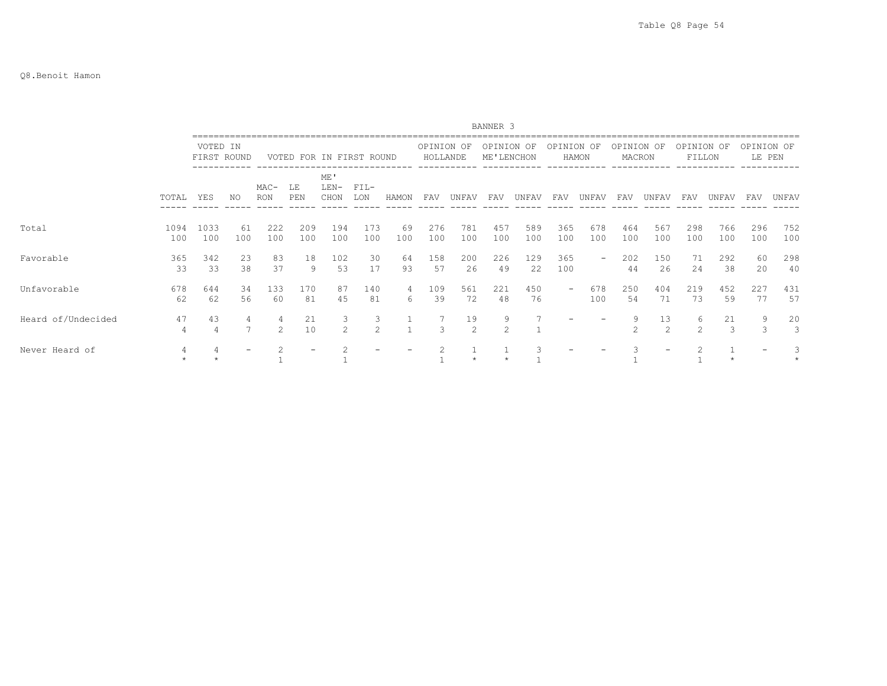#### Q8.Benoit Hamon

|                    |                      |                         |           |                    |            |                          |                     |           |                        |            | BANNER 3                 |            |            |            |                      |                      |                      |            |                      |            |
|--------------------|----------------------|-------------------------|-----------|--------------------|------------|--------------------------|---------------------|-----------|------------------------|------------|--------------------------|------------|------------|------------|----------------------|----------------------|----------------------|------------|----------------------|------------|
|                    |                      | VOTED IN<br>FIRST ROUND |           |                    |            | VOTED FOR IN FIRST ROUND |                     |           | OPINION OF<br>HOLLANDE |            | OPINION OF<br>ME'LENCHON |            | OPINION OF | HAMON      | OPINION OF<br>MACRON |                      | OPINION OF<br>FILLON |            | OPINION OF<br>LE PEN |            |
|                    | TOTAL                | YES                     | NO        | MAC-<br><b>RON</b> | LE<br>PEN  | ME'<br>$LEN-$<br>CHON    | $FIL-$<br>LON       | HAMON     | FAV                    | UNFAV      | FAV                      | UNFAV      | FAV        | UNFAV      | FAV                  | UNFAV                | FAV                  | UNFAV      | FAV                  | UNFAV      |
| Total              | 1094<br>100          | 1033<br>100             | 61<br>100 | 222<br>100         | 209<br>100 | 194<br>100               | 173<br>100          | 69<br>100 | 276<br>100             | 781<br>100 | 457<br>100               | 589<br>100 | 365<br>100 | 678<br>100 | 464<br>100           | 567<br>100           | 298<br>100           | 766<br>100 | 296<br>100           | 752<br>100 |
| Favorable          | 365<br>33            | 342<br>33               | 23<br>38  | 83<br>37           | 18<br>9    | 102<br>53                | 30<br>17            | 64<br>93  | 158<br>57              | 200<br>26  | 226<br>49                | 129<br>22  | 365<br>100 |            | 202<br>44            | 150<br>26            | 71<br>24             | 292<br>38  | 60<br>20             | 298<br>40  |
| Unfavorable        | 678<br>62            | 644<br>62               | 34<br>56  | 133<br>60          | 170<br>81  | 87<br>45                 | 140<br>81           | 4<br>6    | 109<br>39              | 561<br>72  | 221<br>48                | 450<br>76  |            | 678<br>100 | 250<br>54            | 404<br>71            | 219<br>73            | 452<br>59  | 227<br>77            | 431<br>57  |
| Heard of/Undecided | 47<br>$\overline{4}$ | 43<br>4                 | 7         | 4<br>$2^{1}$       | 21<br>10   | 3<br>$\mathfrak{D}$      | 3<br>$\mathfrak{D}$ |           | $\mathbf{3}$           | 19<br>2    | 9<br>$\mathfrak{D}$      |            |            |            | 9<br>$\mathfrak{D}$  | 13<br>$\mathfrak{D}$ | 6<br>$\mathfrak{D}$  | 21<br>3    | 9<br>$\mathcal{S}$   | 20<br>3    |
| Never Heard of     |                      |                         |           |                    |            |                          |                     |           |                        | $\star$    |                          |            |            |            |                      |                      |                      |            |                      |            |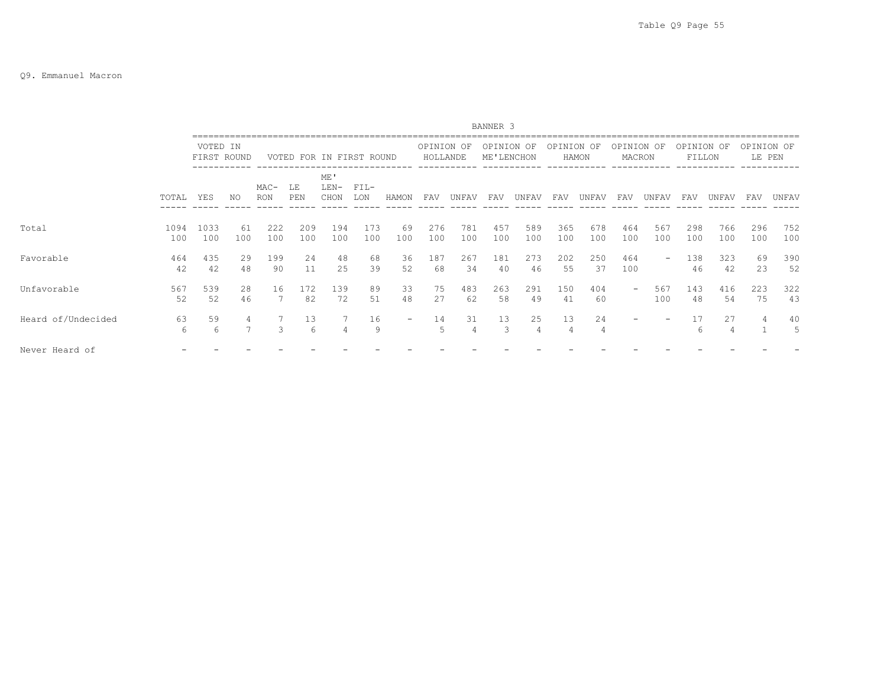### Q9. Emmanuel Macron

|                    |             |             |             |               |                          |                     |               |           |                        |            | BANNER 3                 |                      |            |            |                      |            |                      |            |                      |            |
|--------------------|-------------|-------------|-------------|---------------|--------------------------|---------------------|---------------|-----------|------------------------|------------|--------------------------|----------------------|------------|------------|----------------------|------------|----------------------|------------|----------------------|------------|
|                    |             | VOTED IN    | FIRST ROUND |               | VOTED FOR IN FIRST ROUND |                     |               |           | OPINION OF<br>HOLLANDE |            | OPINION OF<br>ME'LENCHON |                      | OPINION OF | HAMON      | OPINION OF<br>MACRON |            | OPINION OF<br>FILLON |            | OPINION OF<br>LE PEN |            |
|                    | TOTAL       | <b>YES</b>  | NO.         | $MAC-$<br>RON | T.F.<br>PEN              | ME'<br>LEN-<br>CHON | $FIL-$<br>LON | HAMON     | FAV                    | UNFAV      | FAV                      | UNFAV                | FAV        | UNFAV      | FAV                  | UNFAV      | FAV                  | UNFAV      | FAV                  | UNFAV      |
| Total              | 1094<br>100 | 1033<br>100 | 61<br>100   | 222<br>100    | 209<br>100               | 194<br>100          | 173<br>100    | 69<br>100 | 276<br>100             | 781<br>100 | 457<br>100               | 589<br>100           | 365<br>100 | 678<br>100 | 464<br>100           | 567<br>100 | 298<br>100           | 766<br>100 | 296<br>100           | 752<br>100 |
| Favorable          | 464<br>42   | 435<br>42   | 29<br>48    | 199<br>90     | 2.4<br>11                | 48<br>25            | 68<br>39      | 36<br>52  | 187<br>68              | 267<br>34  | 181<br>40                | 273<br>46            | 202<br>55  | 250<br>37  | 464<br>100           |            | 138<br>46            | 323<br>42  | 69<br>23             | 390<br>52  |
| Unfavorable        | 567<br>52   | 539<br>52   | 28<br>46    | 16            | 172<br>82                | 139<br>72           | 89<br>51      | 33<br>48  | 75<br>27               | 483<br>62  | 263<br>58                | 291<br>49            | 150<br>41  | 404<br>60  | -                    | 567<br>100 | 143<br>48            | 416<br>54  | 223<br>75            | 322<br>43  |
| Heard of/Undecided | 63<br>6     | 59<br>6     | 4           | 3             | 13<br>6                  | 4                   | 16<br>9       | $-$       | 14<br>5                | 31<br>4    | 13<br>3                  | 25<br>$\overline{4}$ | 13<br>4    | 24<br>4    |                      |            | 17<br>6              | 27<br>4    |                      | 40<br>5    |
| Never Heard of     |             |             |             |               |                          |                     |               |           |                        |            |                          |                      |            |            |                      |            |                      |            |                      |            |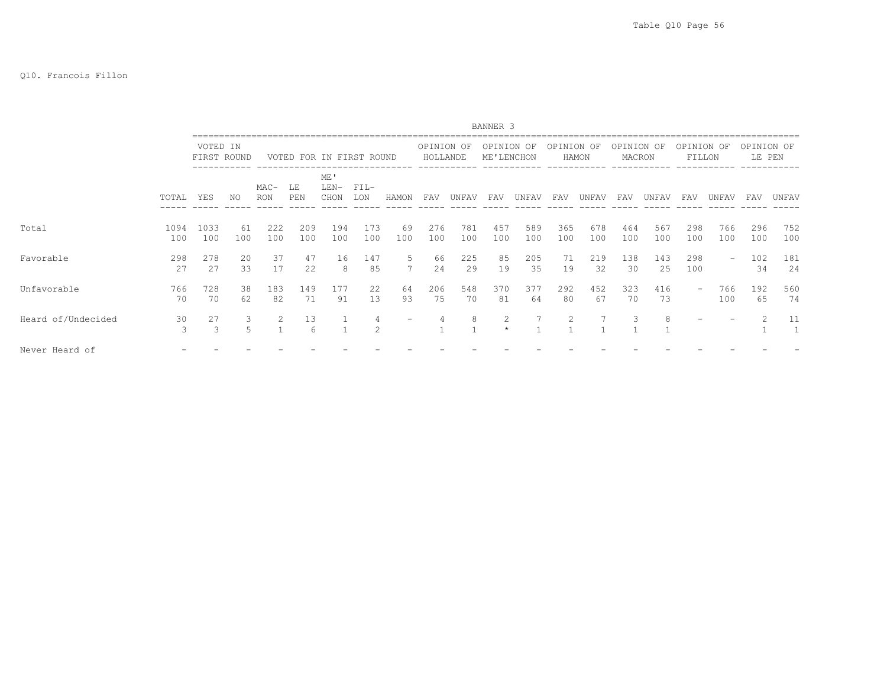### Q10. Francois Fillon

|                    |             |                         |           |               |                          |                       |                    |           |                        |            | BANNER 3                 |            |            |            |                      |            |                      |            |                      |            |
|--------------------|-------------|-------------------------|-----------|---------------|--------------------------|-----------------------|--------------------|-----------|------------------------|------------|--------------------------|------------|------------|------------|----------------------|------------|----------------------|------------|----------------------|------------|
|                    |             | VOTED IN<br>FIRST ROUND |           |               | VOTED FOR IN FIRST ROUND |                       |                    |           | OPINION OF<br>HOLLANDE |            | OPINION OF<br>ME'LENCHON |            | OPINION OF | HAMON      | OPINION OF<br>MACRON |            | OPINION OF<br>FILLON |            | OPINION OF<br>LE PEN |            |
|                    | TOTAL       | YES                     | NO        | $MAC-$<br>RON | LE<br>PEN                | ME'<br>$LEN-$<br>CHON | $FIL-$<br>LON      | HAMON     | FAV                    | UNFAV      | FAV                      | UNFAV      | FAV        | UNFAV      | FAV                  | UNFAV      | FAV                  | UNFAV      | FAV                  | UNFAV      |
| Total              | 1094<br>100 | 1033<br>100             | 61<br>100 | 222<br>100    | 209<br>100               | 194<br>100            | 173<br>100         | 69<br>100 | 276<br>100             | 781<br>100 | 457<br>100               | 589<br>100 | 365<br>100 | 678<br>100 | 464<br>100           | 567<br>100 | 298<br>100           | 766<br>100 | 296<br>100           | 752<br>100 |
| Favorable          | 298<br>27   | 278<br>27               | 20<br>33  | 37<br>17      | 47<br>22                 | 16<br>8               | 147<br>85          | 5         | 66<br>24               | 225<br>29  | 85<br>19                 | 205<br>35  | 71<br>19   | 219<br>32  | 138<br>30            | 143<br>25  | 298<br>100           | -          | 102<br>34            | 181<br>24  |
| Unfavorable        | 766<br>70   | 728<br>70               | 38<br>62  | 183<br>82     | 149<br>71                | 177<br>91             | 22<br>13           | 64<br>93  | 206<br>75              | 548<br>70  | 370<br>81                | 377<br>64  | 292<br>80  | 452<br>67  | 323<br>70            | 416<br>73  |                      | 766<br>100 | 192<br>65            | 560<br>74  |
| Heard of/Undecided | 30<br>3     | 27<br>3                 |           |               | 13<br>6                  |                       | 4<br>$\mathcal{D}$ |           | 4                      | 8          | 2<br>$\star$             |            |            |            |                      | 8          |                      |            |                      | 11<br>1    |
| Never Heard of     |             |                         |           |               |                          |                       |                    |           |                        |            |                          |            |            |            |                      |            |                      |            |                      |            |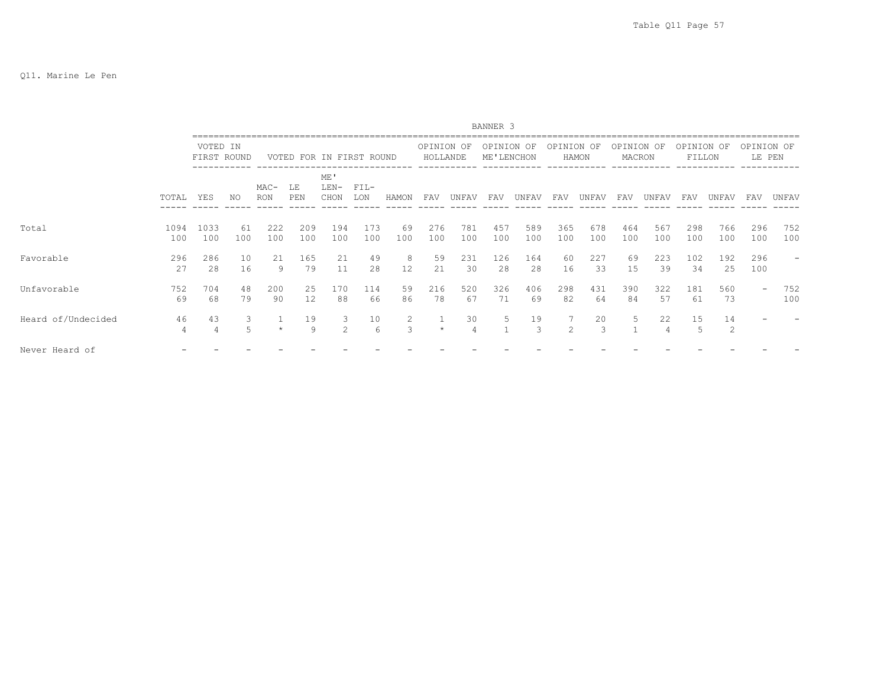|                    |                      |                         |           |               |                          |                       |                        |                                 |                         |                      | BANNER <sub>3</sub>      |            |                |                     |                      |            |                      |            |                      |                   |
|--------------------|----------------------|-------------------------|-----------|---------------|--------------------------|-----------------------|------------------------|---------------------------------|-------------------------|----------------------|--------------------------|------------|----------------|---------------------|----------------------|------------|----------------------|------------|----------------------|-------------------|
|                    |                      | VOTED IN<br>FIRST ROUND |           |               | VOTED FOR IN FIRST ROUND |                       |                        |                                 | OPINION OF<br>HOLLANDE  |                      | OPINION OF<br>ME'LENCHON |            | OPINION OF     | HAMON               | OPINION OF<br>MACRON |            | OPINION OF<br>FILLON |            | OPINION OF<br>LE PEN |                   |
|                    | TOTAL                | YES                     | NO        | $MAC-$<br>RON | LE<br>PEN                | ME'<br>$LEN-$<br>CHON | $FIL-$<br>LON          | HAMON                           | FAV                     | UNFAV                | FAV                      | UNFAV      | FAV            | UNFAV               | FAV                  | UNFAV      | FAV                  | UNFAV      | FAV                  | UNFAV             |
| Total              | 1094<br>100          | 1033<br>100             | 61<br>100 | 222<br>100    | 209<br>100               | 194<br>100            | 173<br>100             | 69<br>100                       | 276<br>100              | 781<br>100           | 457<br>100               | 589<br>100 | 365<br>100     | 678<br>100          | 464<br>100           | 567<br>100 | 298<br>100           | 766<br>100 | 296<br>100           | 752<br>100        |
| Favorable          | 296<br>27            | 286<br>28               | 10<br>16  | 21<br>9       | 165<br>79                | 21<br>11              | 49<br>28               | 8<br>12                         | 59<br>21                | 231<br>30            | 126<br>28                | 164<br>28  | 60<br>16       | 227<br>33           | 69<br>1.5            | 223<br>39  | 102<br>34            | 192<br>25  | 296<br>100           | $\qquad \qquad -$ |
| Unfavorable        | 752<br>69            | 704<br>68               | 48<br>79  | 200<br>90     | 25<br>12                 | 170<br>88             | 114<br>66              | 59<br>86                        | 216<br>78               | 520<br>67            | 326<br>71                | 406<br>69  | 298<br>82      | 431<br>64           | 390<br>84            | 322<br>57  | 181<br>61            | 560<br>73  | -                    | 752<br>100        |
| Heard of/Undecided | 46<br>$\overline{4}$ | 43<br>4                 | 3<br>5    | $\star$       | 19<br>$\circ$            | 3<br>$\mathfrak{D}$   | 10<br>$6 \overline{6}$ | $\overline{2}$<br>$\mathcal{L}$ | $\mathbf{1}$<br>$\star$ | 30<br>$\overline{4}$ | 5                        | 19<br>3    | $\mathfrak{D}$ | 20<br>$\mathcal{L}$ | 5                    | 22<br>4    | 15<br>.5             | 14<br>2    |                      |                   |
| Never Heard of     |                      |                         |           |               |                          |                       |                        |                                 |                         |                      |                          |            |                |                     |                      |            |                      |            |                      |                   |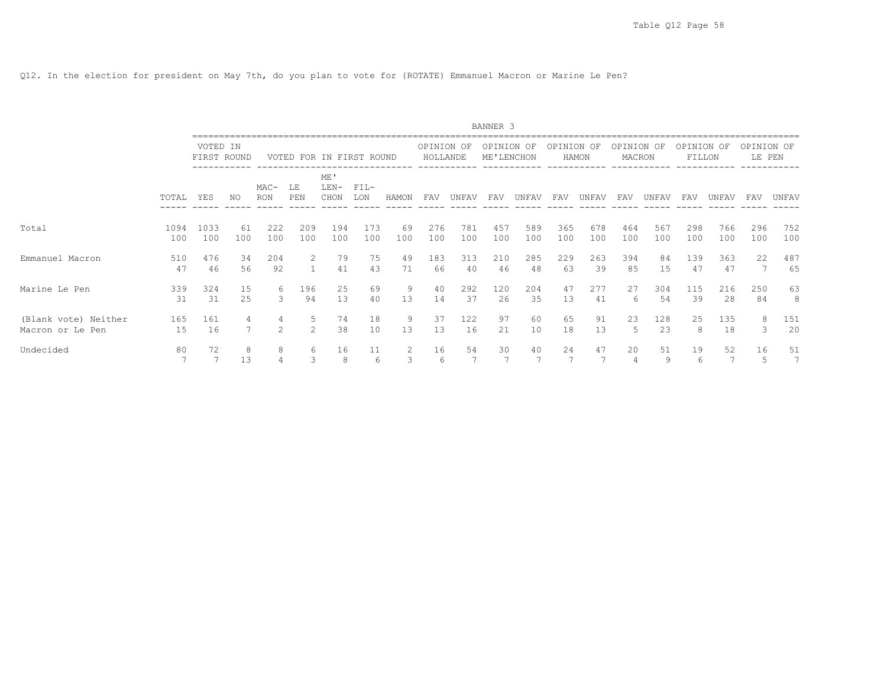Q12. In the election for president on May 7th, do you plan to vote for {ROTATE} Emmanuel Macron or Marine Le Pen?

|                                          |             |                         |           |                |                    |                          |               |           |                        |            | BANNER 3                 |            |            |            |                      |            |                      |            |                      |            |
|------------------------------------------|-------------|-------------------------|-----------|----------------|--------------------|--------------------------|---------------|-----------|------------------------|------------|--------------------------|------------|------------|------------|----------------------|------------|----------------------|------------|----------------------|------------|
|                                          |             | VOTED IN<br>FIRST ROUND |           |                |                    | VOTED FOR IN FIRST ROUND |               |           | OPINION OF<br>HOLLANDE |            | OPINION OF<br>ME'LENCHON |            | OPINION OF | HAMON      | OPINION OF<br>MACRON |            | OPINION OF<br>FILLON |            | OPINION OF<br>LE PEN |            |
|                                          | TOTAL       | YES                     | NO        | MAC-<br>RON    | LE<br>PEN          | ME'<br>$LEN-$<br>CHON    | $FIL-$<br>LON | HAMON     | FAV                    | UNFAV      | FAV                      | UNFAV      | FAV        | UNFAV      | FAV                  | UNFAV      | FAV                  | UNFAV      | FAV                  | UNFAV      |
| Total                                    | 1094<br>100 | 1033<br>100             | 61<br>100 | 222<br>100     | 209<br>100         | 194<br>100               | 173<br>100    | 69<br>100 | 276<br>100             | 781<br>100 | 457<br>100               | 589<br>100 | 365<br>100 | 678<br>100 | 464<br>100           | 567<br>100 | 298<br>100           | 766<br>100 | 296<br>100           | 752<br>100 |
| Emmanuel Macron                          | 510<br>47   | 476<br>46               | 34<br>56  | 204<br>92      | $\overline{2}$     | 79<br>41                 | 75<br>43      | 49<br>71  | 183<br>66              | 313<br>40  | 210<br>46                | 285<br>48  | 229<br>63  | 263<br>39  | 394<br>85            | 84<br>15   | 139<br>47            | 363<br>47  | 22                   | 487<br>65  |
| Marine Le Pen                            | 339<br>31   | 324<br>31               | 15<br>25  | 6<br>3         | 196<br>94          | 25<br>13                 | 69<br>40      | 9<br>13   | 40<br>14               | 292<br>37  | 120<br>26                | 204<br>35  | 47<br>13   | 277<br>41  | 27<br>6              | 304<br>54  | 115<br>39            | 216<br>28  | 250<br>84            | 63<br>8    |
| (Blank vote) Neither<br>Macron or Le Pen | 165<br>15   | 161<br>16               | 4         | $\mathfrak{D}$ | 5<br>$\mathcal{L}$ | 74<br>38                 | 18<br>10      | 9<br>13   | 37<br>13               | 122<br>16  | 97<br>21                 | 60<br>10   | 65<br>18   | 91<br>13   | 23<br>5              | 128<br>23  | 25<br>8              | 135<br>18  | 8<br>3               | 151<br>20  |
| Undecided                                | 80          | 72<br>7                 | 8<br>13   | 8              | 6<br>3             | 16<br>8                  | 11<br>6       | 2<br>3    | 16<br>6                | 54<br>7    | 30<br>7                  | 40         | 24<br>7    | 47         | 20<br>4              | 51<br>9    | 19<br>6              | 52<br>7    | 16<br>5.             | 51<br>7    |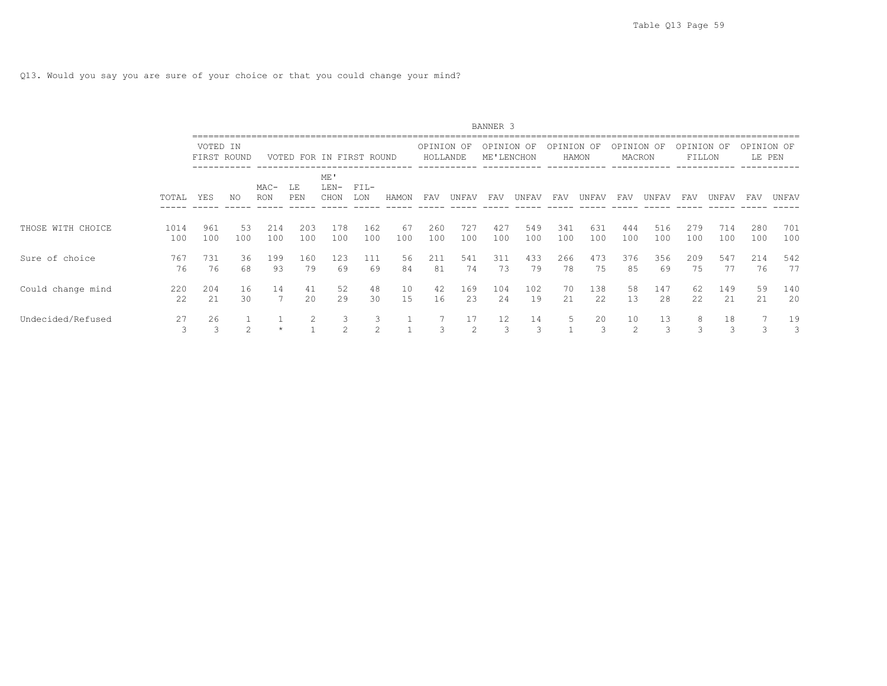Q13. Would you say you are sure of your choice or that you could change your mind?

|                   |             |                         |                |               |            |                          |                     |           |                        |            | BANNER 3                 |            |            |            |                      |            |                      |            |                      |            |
|-------------------|-------------|-------------------------|----------------|---------------|------------|--------------------------|---------------------|-----------|------------------------|------------|--------------------------|------------|------------|------------|----------------------|------------|----------------------|------------|----------------------|------------|
|                   |             | VOTED IN<br>FIRST ROUND |                |               |            | VOTED FOR IN FIRST ROUND |                     |           | OPINION OF<br>HOLLANDE |            | OPINION OF<br>ME'LENCHON |            | OPINION OF | HAMON      | OPINION OF<br>MACRON |            | OPINION OF<br>FILLON |            | OPINION OF<br>LE PEN |            |
|                   | TOTAL       | YES                     | NO.            | $MAC-$<br>RON | LE<br>PEN  | ME'<br>$LEN-$<br>CHON    | $FIL-$<br>LON       | HAMON     | <b>FAV</b>             | UNFAV      | FAV                      | UNFAV      | FAV        | UNFAV      | FAV                  | UNFAV      | FAV                  | UNFAV      | FAV                  | UNFAV      |
| THOSE WITH CHOICE | 1014<br>100 | 961<br>100              | 53<br>100      | 214<br>100    | 203<br>100 | 178<br>100               | 162<br>100          | 67<br>100 | 260<br>100             | 727<br>100 | 427<br>100               | 549<br>100 | 341<br>100 | 631<br>100 | 444<br>100           | 516<br>100 | 279<br>100           | 714<br>100 | 280<br>100           | 701<br>100 |
| Sure of choice    | 767<br>76   | 731<br>76               | 36<br>68       | 199<br>93     | 160<br>79  | 123<br>69                | 111<br>69           | 56<br>84  | 211<br>81              | 541<br>74  | 311<br>73                | 433<br>79  | 266<br>78  | 473<br>75  | 376<br>85            | 356<br>69  | 209<br>75            | 547<br>77  | 214<br>76            | 542<br>77  |
| Could change mind | 220<br>2.2  | 204<br>2.1              | 16<br>30       | 14            | 41<br>2.0  | 52<br>29                 | 48<br>30            | 10<br>15  | 42<br>16               | 169<br>2.3 | 104<br>2.4               | 102<br>19  | 70<br>21   | 138<br>22  | 58<br>13             | 147<br>28  | 62<br>2.2.           | 149<br>21  | 59<br>21             | 140<br>20  |
| Undecided/Refused | 27          | 26                      | $\mathfrak{D}$ |               | 2          | 3<br>$\mathcal{L}$       | 3<br>$\overline{2}$ |           | 3                      | 17<br>2    | $12 \,$<br>3             | 14<br>3    | 5          | 20         | 10<br>$\mathfrak{D}$ | 13<br>3    | 8<br>3               | 18<br>3    | Β                    | 19<br>3    |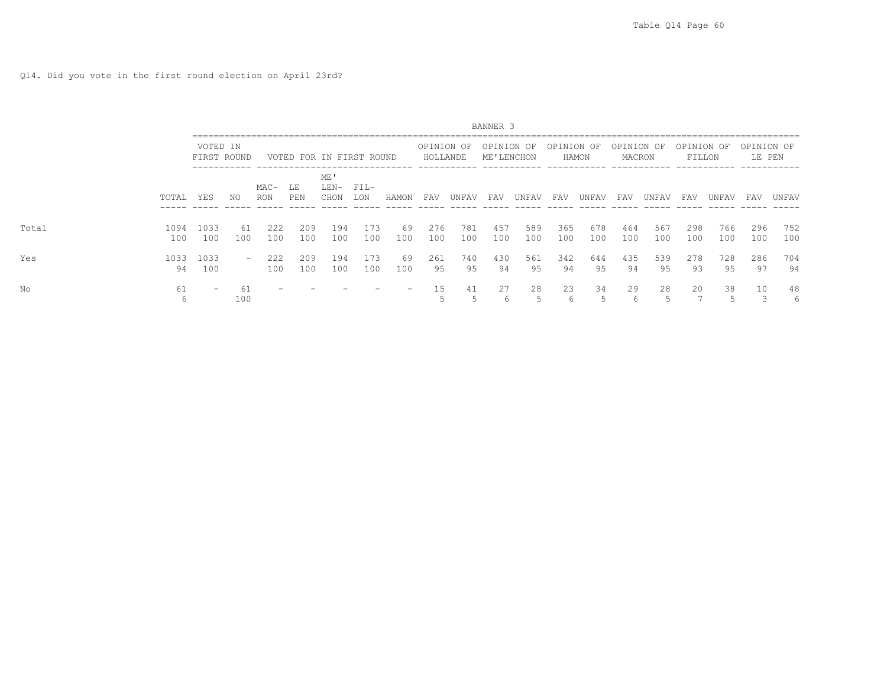Q14. Did you vote in the first round election on April 23rd?

|       |             |                          |           |                    |            |                          |               |           |                        |            | BANNER 3                 |            |            |            |                      |            |                      |            |                      |            |
|-------|-------------|--------------------------|-----------|--------------------|------------|--------------------------|---------------|-----------|------------------------|------------|--------------------------|------------|------------|------------|----------------------|------------|----------------------|------------|----------------------|------------|
|       |             | VOTED IN<br>FIRST ROUND  |           |                    |            | VOTED FOR IN FIRST ROUND |               |           | OPINION OF<br>HOLLANDE |            | OPINION OF<br>ME'LENCHON |            | OPINION OF | HAMON      | OPINION OF<br>MACRON |            | OPINION OF<br>FILLON |            | OPINION OF<br>LE PEN |            |
|       | TOTAL       | YES                      | NO        | MAC-<br><b>RON</b> | LE<br>PEN  | ME'<br>LEN-<br>CHON      | $FIL-$<br>LON | HAMON     | FAV                    | UNFAV      | FAV                      | UNFAV      | FAV        | UNFAV      | FAV                  | UNFAV      | FAV                  | UNFAV      | FAV                  | UNFAV      |
| Total | 1094<br>100 | 1033<br>100              | 61<br>100 | 222<br>100         | 209<br>100 | 194<br>100               | 173<br>100    | 69<br>100 | 276<br>100             | 781<br>100 | 457<br>100               | 589<br>100 | 365<br>100 | 678<br>100 | 464<br>100           | 567<br>100 | 298<br>100           | 766<br>100 | 296<br>100           | 752<br>100 |
| Yes   | 1033<br>94  | 1033<br>100              | $\sim$    | 222<br>100         | 209<br>100 | 194<br>100               | 173<br>100    | 69<br>100 | 261<br>95              | 740<br>95  | 430<br>94                | 561<br>95  | 342<br>94  | 644<br>95  | 435<br>94            | 539<br>95  | 278<br>93            | 728<br>95  | 286<br>97            | 704<br>94  |
| No    | 61<br>6     | $\overline{\phantom{0}}$ | 61<br>100 |                    |            |                          |               | -         | 15                     | 41         | 27<br>6                  | 28         | 23<br>6    | 34         | 29<br>b              | 28         | 20                   | 38         | 10                   | 48<br>6    |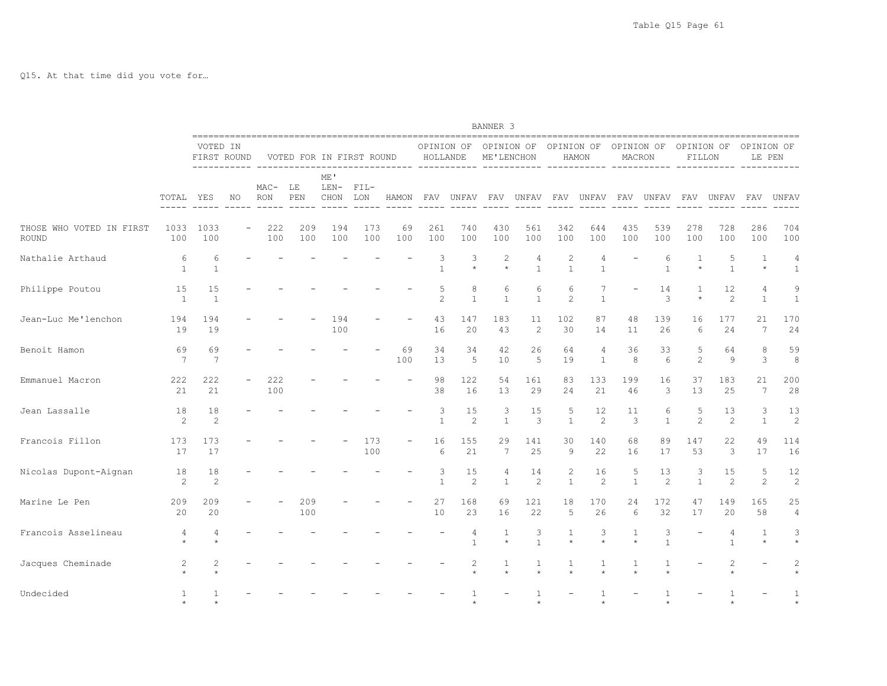Q15. At that time did you vote for…

|                                   |                      |                         |    |               |            |                        |                          |           |                        |                      | BANNER 3                  |                                |                              |                   |                      |                      |                      |                      |                         |                                |
|-----------------------------------|----------------------|-------------------------|----|---------------|------------|------------------------|--------------------------|-----------|------------------------|----------------------|---------------------------|--------------------------------|------------------------------|-------------------|----------------------|----------------------|----------------------|----------------------|-------------------------|--------------------------------|
|                                   |                      | VOTED IN<br>FIRST ROUND |    |               |            |                        | VOTED FOR IN FIRST ROUND |           | OPINION OF<br>HOLLANDE |                      | OPINION OF<br>ME'LENCHON  |                                | OPINION OF                   | HAMON             | OPINION OF<br>MACRON |                      | OPINION OF<br>FILLON |                      | OPINION OF<br>LE PEN    |                                |
|                                   | TOTAL                | YES                     | NO | $MAC-$<br>RON | LE<br>PEN  | ME '<br>$LEN-$<br>CHON | $FIL-$<br>LON            | HAMON     | FAV                    | UNFAV                | FAV                       | UNFAV                          | FAV                          | UNFAV             | FAV                  | UNFAV                | FAV                  | UNFAV                | FAV                     | UNFAV                          |
| THOSE WHO VOTED IN FIRST<br>ROUND | 1033<br>100          | 1033<br>100             |    | 222<br>100    | 209<br>100 | 194<br>100             | 173<br>100               | 69<br>100 | 261<br>100             | 740<br>100           | 430<br>100                | 561<br>100                     | 342<br>100                   | 644<br>100        | 435<br>100           | 539<br>100           | 278<br>100           | 728<br>100           | 286<br>100              | 704<br>100                     |
| Nathalie Arthaud                  | 6<br>$\mathbf{1}$    | 6<br>1                  |    |               |            |                        |                          |           | 3<br>$\mathbf{1}$      | 3<br>$\star$         | $\overline{c}$<br>$\star$ | $\overline{4}$<br>$\mathbf{1}$ | 2<br>$\mathbf{1}$            | 4<br>$\mathbf{1}$ |                      | 6<br>$\mathbf{1}$    | $\star$              | 5<br>$\mathbf{1}$    | $\mathbf{1}$<br>$\star$ | $\overline{4}$<br>$\mathbf{1}$ |
| Philippe Poutou                   | 15<br>$\overline{1}$ | 15<br>$\mathbf{1}$      |    |               |            |                        |                          |           | 5<br>$\overline{c}$    | 8<br>$\mathbf{1}$    | 6<br>$\mathbf{1}$         | 6<br>$\mathbf{1}$              | 6<br>$\mathbf{2}$            | 7<br>$\mathbf{1}$ |                      | 14<br>3              |                      | 12<br>2              | 4<br>$\mathbf{1}$       | 9<br>$\mathbf{1}$              |
| Jean-Luc Me'lenchon               | 194<br>19            | 194<br>19               |    |               |            | 194<br>100             |                          |           | 43<br>16               | 147<br>20            | 183<br>43                 | 11<br>$\overline{c}$           | 102<br>30                    | 87<br>14          | 48<br>11             | 139<br>26            | 16<br>6              | 177<br>24            | 2.1<br>7                | 170<br>24                      |
| Benoit Hamon                      | 69<br>7              | 69<br>7                 |    |               |            |                        |                          | 69<br>100 | 34<br>13               | 34<br>5              | 42<br>10                  | 26<br>5                        | 64<br>19                     | 4<br>$\mathbf{1}$ | 36<br>8              | 33<br>6              | 5<br>$\overline{c}$  | 64<br>9              | 8<br>3                  | 59<br>8                        |
| Emmanuel Macron                   | 222<br>21            | 222<br>21               |    | 222<br>100    |            |                        |                          |           | 98<br>38               | 122<br>16            | 54<br>13                  | 161<br>29                      | 83<br>24                     | 133<br>21         | 199<br>46            | 16<br>3              | 37<br>13             | 183<br>25            | 21<br>7                 | 200<br>28                      |
| Jean Lassalle                     | 18<br>2              | 18<br>$\overline{c}$    |    |               |            |                        |                          |           | 3<br>$\mathbf{1}$      | 15<br>$\overline{c}$ | 3<br>$\mathbf{1}$         | 15<br>3                        | 5<br>$\overline{1}$          | 12<br>2           | 11<br>3              | 6<br>$\mathbf{1}$    | 5<br>$\overline{c}$  | 13<br>2              | 3<br>1                  | 13<br>$\overline{c}$           |
| Francois Fillon                   | 173<br>17            | 173<br>17               |    |               |            |                        | 173<br>100               |           | 16<br>6                | 155<br>21            | 29<br>7                   | 141<br>25                      | 30<br>9                      | 140<br>22         | 68<br>16             | 89<br>17             | 147<br>53            | 22<br>3              | 49<br>17                | 114<br>16                      |
| Nicolas Dupont-Aignan             | 18<br>2              | 18<br>$\overline{c}$    |    |               |            |                        |                          |           | 3<br>$\mathbf{1}$      | 15<br>2              | 4<br>$\mathbf{1}$         | 14<br>2                        | $\mathbf{2}$<br>$\mathbf{1}$ | 16<br>2           | 5<br>$\mathbf{1}$    | 13<br>$\overline{c}$ | 3<br>$\mathbf{1}$    | 15<br>$\overline{c}$ | 5<br>$\overline{c}$     | 12<br>2                        |
| Marine Le Pen                     | 209<br>20            | 209<br>20               |    |               | 209<br>100 |                        |                          |           | 27<br>10               | 168<br>23            | 69<br>16                  | 121<br>22                      | 18<br>5                      | 170<br>26         | 24<br>6              | 172<br>32            | 47<br>17             | 149<br>20            | 165<br>58               | 25<br>$\overline{4}$           |
| Francois Asselineau               | 4                    | 4                       |    |               |            |                        |                          |           |                        | 4<br>$\mathbf{1}$    | 1<br>$\star$              | 3<br>$\overline{1}$            | 1<br>$\star$                 | 3<br>$\star$      | 1<br>$\star$         | 3<br>$\mathbf{1}$    |                      | 4<br>$\mathbf{1}$    | 1                       | 3<br>$\star$                   |
| Jacques Cheminade                 | 2                    | $\overline{c}$          |    |               |            |                        |                          |           |                        | 2                    | 1                         | 1                              | 1                            | 1                 | 1                    | 1                    |                      | $\overline{2}$       |                         |                                |
| Undecided                         |                      | n.                      |    |               |            |                        |                          |           |                        |                      |                           |                                |                              |                   |                      | $\ddot{}$            |                      |                      |                         |                                |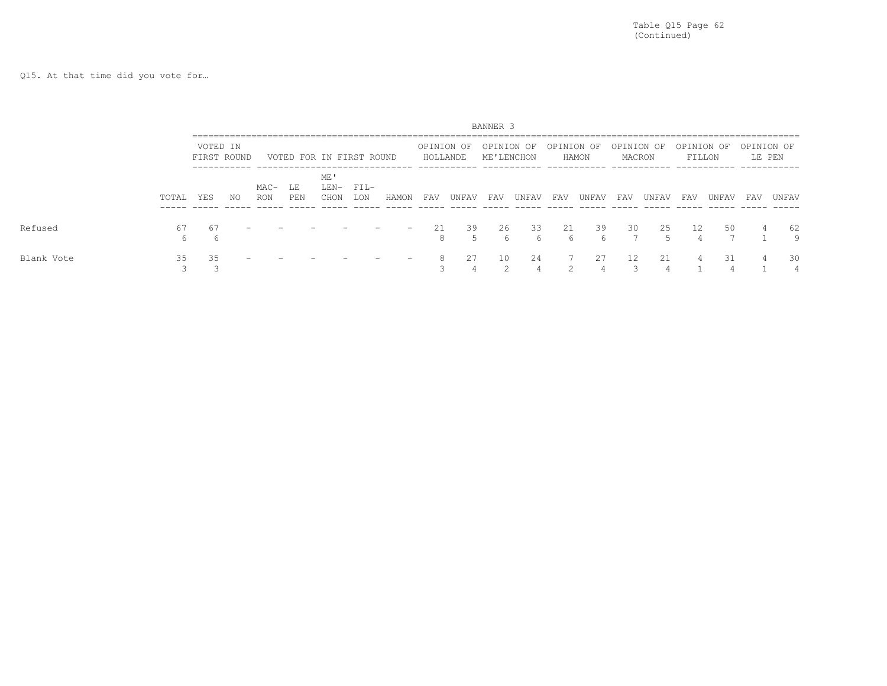Q15. At that time did you vote for…

|            |          |                         |    |             |           |                          |               |                          |                        |            | BANNER <sub>3</sub>      |                |            |                |     |                      |                      |       |                      |                |
|------------|----------|-------------------------|----|-------------|-----------|--------------------------|---------------|--------------------------|------------------------|------------|--------------------------|----------------|------------|----------------|-----|----------------------|----------------------|-------|----------------------|----------------|
|            |          | VOTED IN<br>FIRST ROUND |    |             |           | VOTED FOR IN FIRST ROUND |               |                          | OPINION OF<br>HOLLANDE |            | OPINION OF<br>ME'LENCHON |                | OPINION OF | HAMON          |     | OPINION OF<br>MACRON | OPINION OF<br>FILLON |       | OPINION OF<br>LE PEN |                |
|            | TOTAL    | YES                     | NO | MAC-<br>RON | LE<br>PEN | ME'<br>LEN-<br>CHON      | $FIL-$<br>LON | HAMON                    | FAV                    | UNFAV      | FAV                      | UNFAV          | FAV        | UNFAV          | FAV | UNFAV                | FAV                  | UNFAV | FAV                  | UNFAV          |
| Refused    | 67<br>6. | 67<br>h                 |    |             |           |                          |               | $\overline{\phantom{0}}$ | 2.1<br>8               | 39<br>٠'n, | 26<br>h                  | 33<br>6        | 2.1<br>6   | 39<br>h        | 30  | 2.5<br>'n.           | 12.                  | 50    | $\overline{4}$       | 62<br>9        |
| Blank Vote | 35       | 35                      |    |             |           |                          |               |                          | 8                      | 27         | 10<br>$\mathcal{D}$      | 24<br>$\Delta$ |            | 27<br>$\Delta$ | 12  | 21                   |                      | 31    | 4                    | 30<br>$\Delta$ |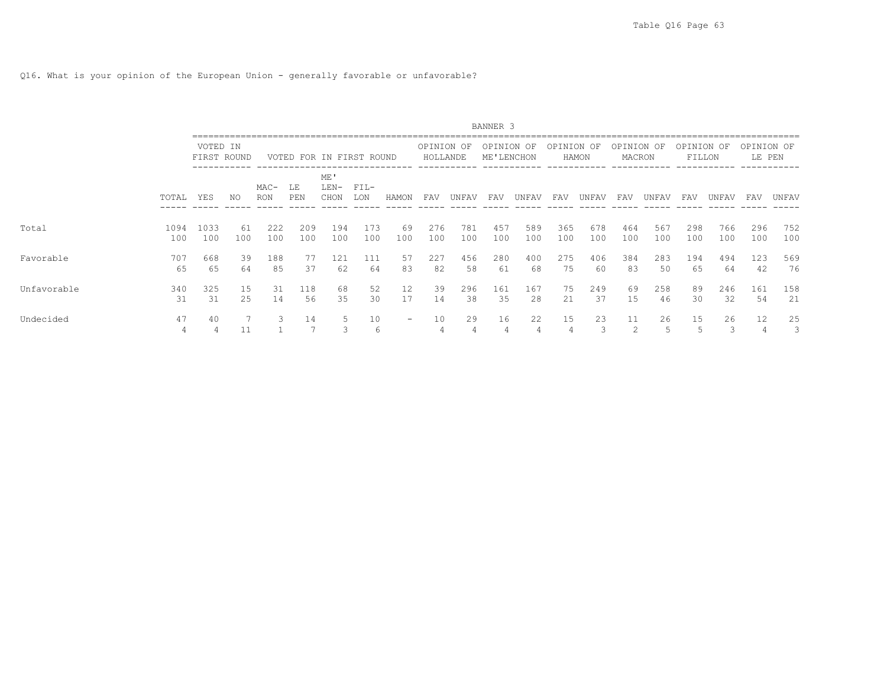Q16. What is your opinion of the European Union - generally favorable or unfavorable?

|             |             |                         |           |                      |            |                          |               |                          |                        |            | BANNER 3                 |                      |            |            |                      |            |                      |            |                      |            |
|-------------|-------------|-------------------------|-----------|----------------------|------------|--------------------------|---------------|--------------------------|------------------------|------------|--------------------------|----------------------|------------|------------|----------------------|------------|----------------------|------------|----------------------|------------|
|             |             | VOTED IN<br>FIRST ROUND |           |                      |            | VOTED FOR IN FIRST ROUND |               |                          | OPINION OF<br>HOLLANDE |            | OPINION OF<br>ME'LENCHON |                      | OPINION OF | HAMON      | OPINION OF<br>MACRON |            | OPINION OF<br>FILLON |            | OPINION OF<br>LE PEN |            |
|             | TOTAL       | <b>YES</b>              | NO.       | $MAC-$<br><b>RON</b> | LE<br>PEN  | ME'<br>$LEN-$<br>CHON    | $FIL-$<br>LON | HAMON                    | FAV                    | UNFAV      | FAV                      | UNFAV                | FAV        | UNFAV      | FAV                  | UNFAV      | FAV                  | UNFAV      | FAV                  | UNFAV      |
| Total       | 1094<br>100 | 1033<br>100             | 61<br>100 | 222<br>100           | 209<br>100 | 194<br>100               | 173<br>100    | 69<br>100                | 276<br>100             | 781<br>100 | 457<br>100               | 589<br>100           | 365<br>100 | 678<br>100 | 464<br>100           | 567<br>100 | 298<br>100           | 766<br>100 | 296<br>100           | 752<br>100 |
| Favorable   | 707<br>65   | 668<br>65               | 39<br>64  | 188<br>85            | 77<br>37   | 121<br>62                | 111<br>64     | 57<br>83                 | 227<br>82              | 456<br>58  | 280<br>61                | 400<br>68            | 275<br>75  | 406<br>60  | 384<br>83            | 283<br>50  | 194<br>65            | 494<br>64  | 123<br>42            | 569<br>76  |
| Unfavorable | 340<br>31   | 325<br>31               | 15<br>25  | 31<br>14             | 118<br>56  | 68<br>35                 | 52<br>30      | 12<br>17                 | 39<br>14               | 296<br>38  | 161<br>35                | 167<br>28            | 75<br>21   | 249<br>37  | 69<br>15             | 258<br>46  | 89<br>30             | 246<br>32  | 161<br>54            | 158<br>21  |
| Undecided   | 47<br>4     | 40                      | 11        |                      | 14         | 5                        | 10<br>6       | $\overline{\phantom{m}}$ | 10 <sup>°</sup><br>4   | 29<br>4    | 16<br>4                  | 22<br>$\overline{4}$ | 15         | 23         | 11<br>2              | 26<br>5    | 15                   | 26<br>3    | 12                   | 25<br>3    |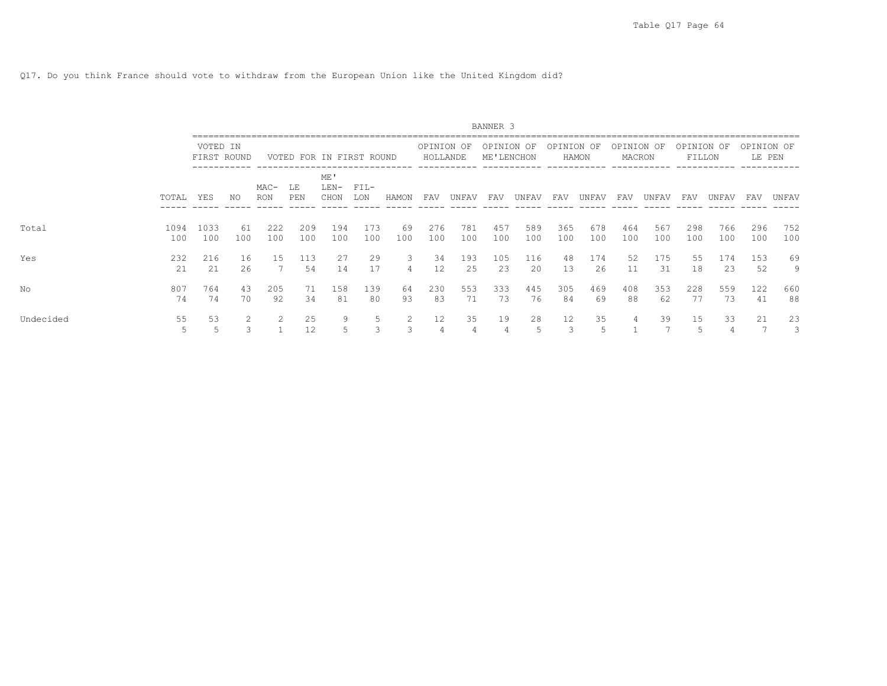Q17. Do you think France should vote to withdraw from the European Union like the United Kingdom did?

|           |             |                         |           |                |            |                          |               |           |                        |            | BANNER 3                 |            |                      |            |                      |            |                      |                      |                      |            |
|-----------|-------------|-------------------------|-----------|----------------|------------|--------------------------|---------------|-----------|------------------------|------------|--------------------------|------------|----------------------|------------|----------------------|------------|----------------------|----------------------|----------------------|------------|
|           |             | VOTED IN<br>FIRST ROUND |           |                |            | VOTED FOR IN FIRST ROUND |               |           | OPINION OF<br>HOLLANDE |            | OPINION OF<br>ME'LENCHON |            | OPINION OF           | HAMON      | OPINION OF<br>MACRON |            | OPINION OF<br>FILLON |                      | OPINION OF<br>LE PEN |            |
|           | TOTAL       | YES                     | NO.       | $MAC-$<br>RON  | LE<br>PEN  | ME'<br>$LEN-$<br>CHON    | $FIL-$<br>LON | HAMON     | <b>FAV</b>             | UNFAV      | FAV                      | UNFAV      | FAV                  | UNFAV      | FAV                  | UNFAV      | FAV                  | UNFAV                | FAV                  | UNFAV      |
| Total     | 1094<br>100 | 1033<br>100             | 61<br>100 | 222<br>100     | 209<br>100 | 194<br>100               | 173<br>100    | 69<br>100 | 276<br>100             | 781<br>100 | 457<br>100               | 589<br>100 | 365<br>100           | 678<br>100 | 464<br>100           | 567<br>100 | 298<br>100           | 766<br>100           | 296<br>100           | 752<br>100 |
| Yes       | 232<br>21   | 216<br>21               | 16<br>26  | 15             | 113<br>54  | 27<br>14                 | 29<br>17      | 3<br>4    | 34<br>12               | 193<br>25  | 105<br>23                | 116<br>20  | 48<br>13             | 174<br>26  | 52<br>11             | 175<br>31  | 55<br>18             | 174<br>23            | 153<br>52            | 69<br>9    |
| No        | 807<br>74   | 764<br>74               | 43<br>70  | 205<br>92      | 71<br>34   | 158<br>81                | 139<br>80     | 64<br>93  | 230<br>83              | 553<br>71  | 333<br>73                | 445<br>76  | 305<br>84            | 469<br>69  | 408<br>88            | 353<br>62  | 228<br>77            | 559<br>73            | 122<br>41            | 660<br>88  |
| Undecided | 55<br>5     | 53                      | 3         | $\overline{2}$ | 25<br>12   | 9                        | 5<br>3        | 2<br>3    | 12 <sup>°</sup><br>4   | 35<br>4    | 19<br>4                  | 28<br>.5   | 12 <sup>°</sup><br>3 | 35         | 4                    | 39         | 15<br>.5             | 33<br>$\overline{4}$ | 21                   | 23<br>3    |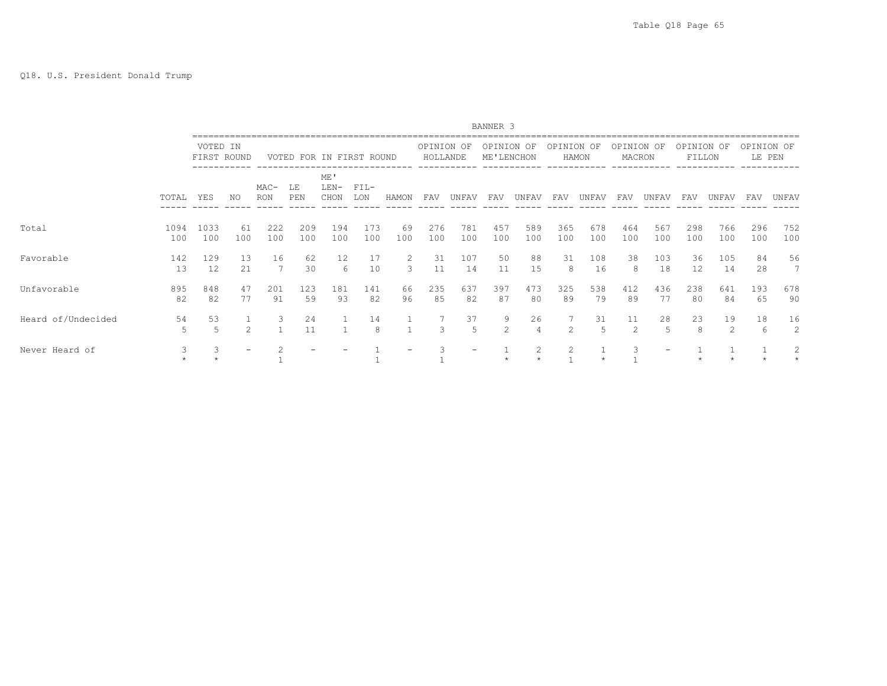|                    |             |                         |                |                      |                          |                       |               |           |                        |                          | BANNER 3                 |                      |                |            |                      |            |                      |            |                      |            |
|--------------------|-------------|-------------------------|----------------|----------------------|--------------------------|-----------------------|---------------|-----------|------------------------|--------------------------|--------------------------|----------------------|----------------|------------|----------------------|------------|----------------------|------------|----------------------|------------|
|                    |             | VOTED IN<br>FIRST ROUND |                |                      | VOTED FOR IN FIRST ROUND |                       |               |           | OPINION OF<br>HOLLANDE |                          | OPINION OF<br>ME'LENCHON |                      | OPINION OF     | HAMON      | OPINION OF<br>MACRON |            | OPINION OF<br>FILLON |            | OPINION OF<br>LE PEN |            |
|                    | TOTAL       | YES                     | NO.            | $MAC-$<br><b>RON</b> | LE<br>PEN                | ME'<br>$LEN-$<br>CHON | $FIL-$<br>LON | HAMON     | FAV                    | UNFAV                    | FAV                      | UNFAV                | FAV            | UNFAV      | FAV                  | UNFAV      | FAV                  | UNFAV      | FAV                  | UNFAV      |
| Total              | 1094<br>100 | 1033<br>100             | 61<br>100      | 222<br>100           | 209<br>100               | 194<br>100            | 173<br>100    | 69<br>100 | 276<br>100             | 781<br>100               | 457<br>100               | 589<br>100           | 365<br>100     | 678<br>100 | 464<br>100           | 567<br>100 | 298<br>100           | 766<br>100 | 296<br>100           | 752<br>100 |
| Favorable          | 142<br>13   | 129<br>12               | 13<br>21       | 16                   | 62<br>30                 | 12<br>6               | 17<br>10      | 2<br>3    | 31<br>11               | 107<br>14                | 50<br>11                 | 88<br>15             | 31<br>8        | 108<br>16  | 38<br>8              | 103<br>18  | 36<br>12             | 105<br>14  | 84<br>28             | 56<br>7    |
| Unfavorable        | 895<br>82   | 848<br>82               | 47<br>77       | 201<br>91            | 123<br>59                | 181<br>93             | 141<br>82     | 66<br>96  | 235<br>85              | 637<br>82                | 397<br>87                | 473<br>80            | 325<br>89      | 538<br>79  | 412<br>89            | 436<br>77  | 238<br>80            | 641<br>84  | 193<br>65            | 678<br>90  |
| Heard of/Undecided | 54<br>5     | 53<br>.5                | $\mathfrak{D}$ | 3                    | 24<br>11                 |                       | 14<br>8       |           | $\mathbf{3}$           | 37<br>5                  | 9<br>2                   | 26<br>$\overline{4}$ | $\mathfrak{D}$ | 31<br>-5   | 11<br>$\mathfrak{D}$ | 28<br>5    | 23<br>8              | 19<br>2    | 18<br>6              | 16<br>2    |
| Never Heard of     | 3           |                         |                |                      |                          |                       |               |           |                        | $\overline{\phantom{0}}$ |                          |                      |                |            |                      |            |                      |            |                      | 2          |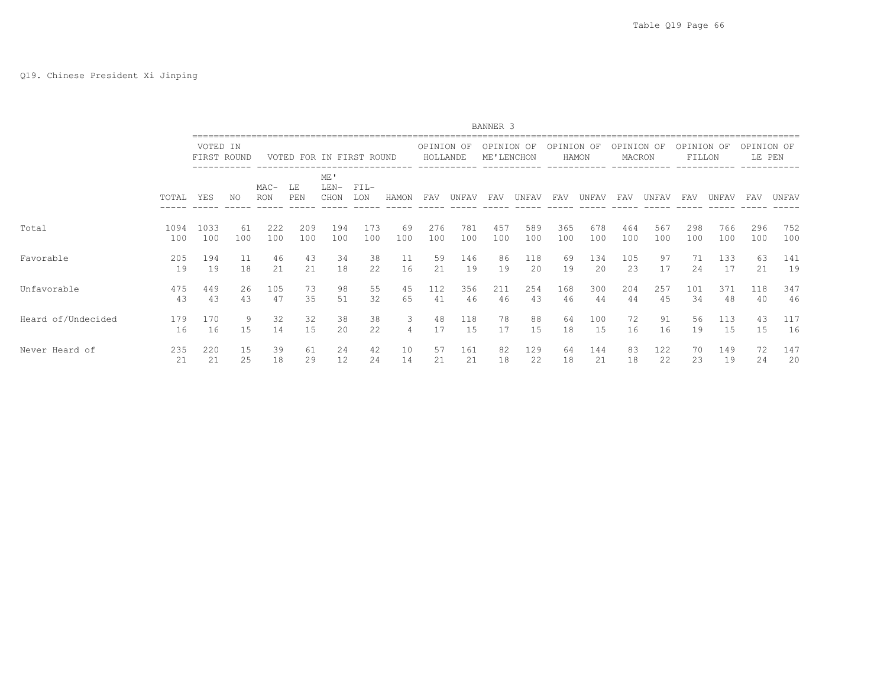|                    |           |           |             |                      |                          |                       |               |       |                        |           | BANNER 3                 |          |            |           |                      |          |                      |           |                      |           |
|--------------------|-----------|-----------|-------------|----------------------|--------------------------|-----------------------|---------------|-------|------------------------|-----------|--------------------------|----------|------------|-----------|----------------------|----------|----------------------|-----------|----------------------|-----------|
|                    |           | VOTED IN  | FIRST ROUND |                      | VOTED FOR IN FIRST ROUND |                       |               |       | OPINION OF<br>HOLLANDE |           | OPINION OF<br>ME'LENCHON |          | OPINION OF | HAMON     | OPINION OF<br>MACRON |          | OPINION OF<br>FILLON |           | OPINION OF<br>LE PEN |           |
|                    | TOTAL     | YES       | NO          | $MAC-$<br><b>RON</b> | LE<br>PEN                | ME'<br>$LEN-$<br>CHON | $FIL-$<br>LON | HAMON | FAV                    | UNFAV     | FAV                      | UNFAV    | FAV        | UNFAV     | FAV                  | UNFAV    | FAV                  | UNFAV     | FAV                  | UNFAV     |
| Total              | 1094      | 1033      | 61          | 222                  | 209                      | 194                   | 173           | 69    | 276                    | 781       | 457                      | 589      | 365        | 678       | 464                  | 567      | 298                  | 766       | 296                  | 752       |
|                    | 100       | 100       | 100         | 100                  | 100                      | 100                   | 100           | 100   | 100                    | 100       | 100                      | 100      | 100        | 100       | 100                  | 100      | 100                  | 100       | 100                  | 100       |
| Favorable          | 205       | 194       | 11          | 46                   | 43                       | 34                    | 38            | 11    | 59                     | 146       | 86                       | 118      | 69         | 134       | 105                  | 97       | 71                   | 133       | 63                   | 141       |
|                    | 19        | 19        | 18          | 21                   | 21                       | 18                    | 22            | 16    | 21                     | 19        | 19                       | 20       | 19         | 20        | 23                   | 17       | 24                   | 17        | 21                   | 19        |
| Unfavorable        | 475       | 449       | 26          | 105                  | 73                       | 98                    | 55            | 45    | 112                    | 356       | 211                      | 254      | 168        | 300       | 204                  | 257      | 101                  | 371       | 118                  | 347       |
|                    | 43        | 43        | 43          | 47                   | 35                       | 51                    | 32            | 65    | 41                     | 46        | 46                       | 43       | 46         | 44        | 44                   | 45       | 34                   | 48        | 40                   | 46        |
| Heard of/Undecided | 179<br>16 | 170<br>16 | 9<br>15     | 32<br>14             | 32<br>15                 | 38<br>20              | 38<br>22      | 3     | 48<br>17               | 118<br>15 | 78<br>17                 | 88<br>15 | 64<br>18   | 100<br>15 | 72<br>16             | 91<br>16 | 56<br>19             | 113<br>15 | 43<br>15             | 117<br>16 |
| Never Heard of     | 235       | 220       | 15          | 39                   | 61                       | 24                    | 42            | 10    | 57                     | 161       | 82                       | 129      | 64         | 144       | 83                   | 122      | 70                   | 149       | 72                   | 147       |
|                    | 21        | 21        | 25          | 18                   | 29                       | 12                    | 24            | 14    | 21                     | 21        | 18                       | 22       | 18         | 21        | 18                   | 22       | 23                   | 19        | 24                   | 20        |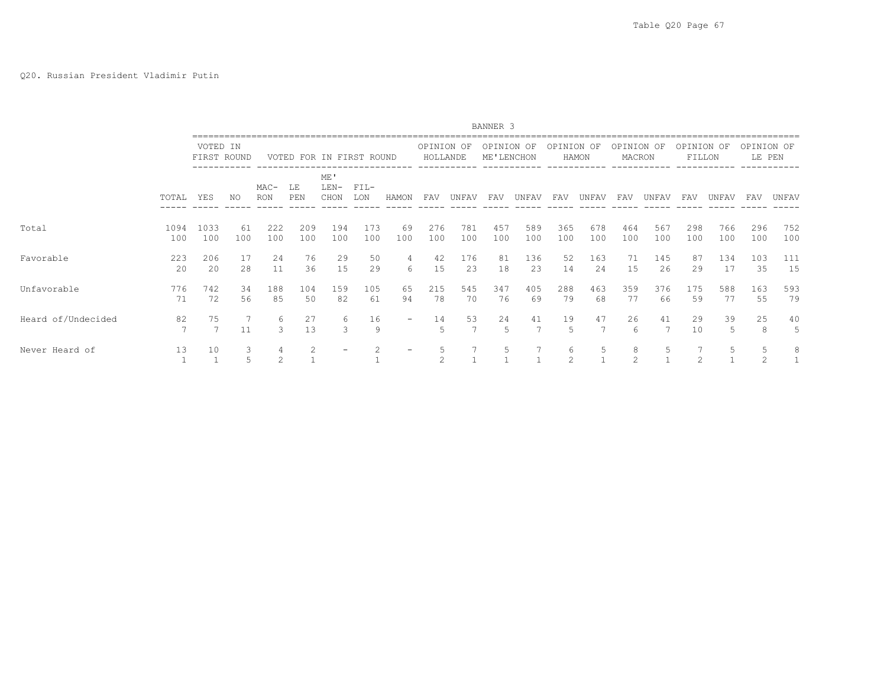|                    |             |                         |           |             |                          |                       |               |           |                        |            | BANNER 3   |            |            |            |                      |            |                      |            |                      |            |
|--------------------|-------------|-------------------------|-----------|-------------|--------------------------|-----------------------|---------------|-----------|------------------------|------------|------------|------------|------------|------------|----------------------|------------|----------------------|------------|----------------------|------------|
|                    |             | VOTED IN<br>FIRST ROUND |           |             | VOTED FOR IN FIRST ROUND |                       |               |           | OPINION OF<br>HOLLANDE |            | OPINION OF | ME'LENCHON | OPINION OF | HAMON      | OPINION OF<br>MACRON |            | OPINION OF<br>FILLON |            | OPINION OF<br>LE PEN |            |
|                    | TOTAL       | YES                     | ΝO        | MAC-<br>RON | LE<br>PEN                | ME'<br>$LEN-$<br>CHON | $FIL-$<br>LON | HAMON     | FAV                    | UNFAV      | FAV        | UNFAV      | FAV        | UNFAV      | FAV                  | UNFAV      | FAV                  | UNFAV      | FAV                  | UNFAV      |
| Total              | 1094<br>100 | 1033<br>100             | 61<br>100 | 222<br>100  | 209<br>100               | 194<br>100            | 173<br>100    | 69<br>100 | 276<br>100             | 781<br>100 | 457<br>100 | 589<br>100 | 365<br>100 | 678<br>100 | 464<br>100           | 567<br>100 | 298<br>100           | 766<br>100 | 296<br>100           | 752<br>100 |
| Favorable          | 223<br>20   | 206<br>20               | 17<br>28  | 24<br>11    | 76<br>36                 | 29<br>15              | 50<br>29      | 4<br>6    | 42<br>15               | 176<br>23  | 81<br>18   | 136<br>23  | 52<br>14   | 163<br>24  | 71<br>15             | 145<br>26  | 87<br>29             | 134<br>17  | 103<br>35            | 111<br>15  |
| Unfavorable        | 776<br>71   | 742<br>72               | 34<br>56  | 188<br>85   | 104<br>50                | 159<br>82             | 105<br>61     | 65<br>94  | 215<br>78              | 545<br>70  | 347<br>76  | 405<br>69  | 288<br>79  | 463<br>68  | 359<br>77            | 376<br>66  | 175<br>59            | 588<br>77  | 163<br>55            | 593<br>79  |
| Heard of/Undecided | 82<br>7     | 75<br>7                 | 11        | 6<br>3      | 27<br>13                 | 6<br>3                | 16<br>9       |           | 14<br>5                | 53         | 24<br>5    | 41         | 19<br>5    | 47         | 26<br>6              | 41<br>7    | 29<br>10             | 39<br>5    | 25<br>8              | 40<br>5    |
| Never Heard of     | 13          | 10                      | 3         | 2           |                          |                       |               |           | 5<br>$\mathfrak{D}$    |            | 5          |            | 6<br>2     | 5          | 8<br>2               | 5          |                      | 5          | 5                    | 8          |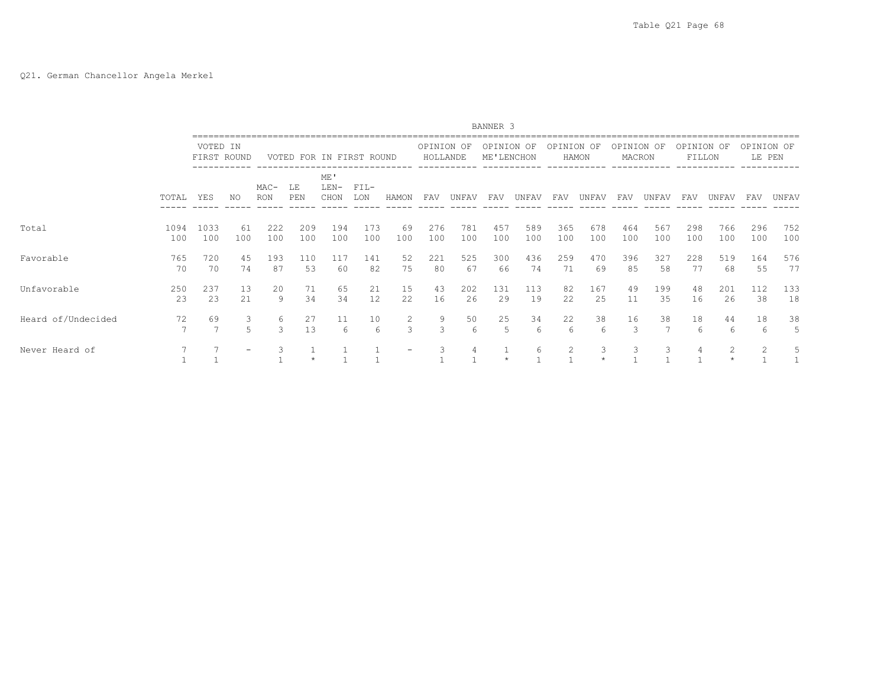# Q21. German Chancellor Angela Merkel

|                    |             |                         |           |             |                          |                     |               |           |                        |            | BANNER 3                 |            |            |            |                      |            |                      |            |                      |            |
|--------------------|-------------|-------------------------|-----------|-------------|--------------------------|---------------------|---------------|-----------|------------------------|------------|--------------------------|------------|------------|------------|----------------------|------------|----------------------|------------|----------------------|------------|
|                    |             | VOTED IN<br>FIRST ROUND |           |             | VOTED FOR IN FIRST ROUND |                     |               |           | OPINION OF<br>HOLLANDE |            | OPINION OF<br>ME'LENCHON |            | OPINION OF | HAMON      | OPINION OF<br>MACRON |            | OPINION OF<br>FILLON |            | OPINION OF<br>LE PEN |            |
|                    | TOTAL       | YES                     | NO        | MAC-<br>RON | LE<br>PEN                | ME'<br>LEN-<br>CHON | $FIL-$<br>LON | HAMON     | FAV                    | UNFAV      | FAV                      | UNFAV      | FAV        | UNFAV      | FAV                  | UNFAV      | FAV                  | UNFAV      | FAV                  | UNFAV      |
| Total              | 1094<br>100 | 1033<br>100             | 61<br>100 | 222<br>100  | 209<br>100               | 194<br>100          | 173<br>100    | 69<br>100 | 276<br>100             | 781<br>100 | 457<br>100               | 589<br>100 | 365<br>100 | 678<br>100 | 464<br>100           | 567<br>100 | 298<br>100           | 766<br>100 | 296<br>100           | 752<br>100 |
| Favorable          | 765<br>70   | 720<br>70               | 45<br>74  | 193<br>87   | 110<br>53                | 117<br>60           | 141<br>82     | 52<br>75  | 221<br>80              | 525<br>67  | 300<br>66                | 436<br>74  | 259<br>71  | 470<br>69  | 396<br>85            | 327<br>58  | 228<br>77            | 519<br>68  | 164<br>55            | 576<br>77  |
| Unfavorable        | 250<br>23   | 237<br>23               | 13<br>2.1 | 20<br>9     | 71<br>34                 | 65<br>34            | 21<br>12      | 15<br>22. | 43<br>16               | 202<br>26  | 131<br>29                | 113<br>19  | 82<br>22   | 167<br>25  | 49<br>11             | 199<br>35  | 48<br>16             | 201<br>26  | 112<br>38            | 133<br>18  |
| Heard of/Undecided | 72          | 69                      | 3         | 6<br>3      | 27<br>13                 | 11<br>6             | 10<br>6       | 2<br>3    | 9<br>3                 | 50<br>6    | 25<br>5                  | 34<br>6    | 22<br>6    | 38<br>6    | 16<br>3              | 38<br>7    | 18<br>6              | 44<br>6    | 18<br>6              | 38<br>5    |
| Never Heard of     |             |                         |           | 3           |                          |                     |               |           | 3                      | 4          |                          | 6          | 2          | 3          | 3                    | 3          |                      | 2          | $\mathfrak{D}$       | 5          |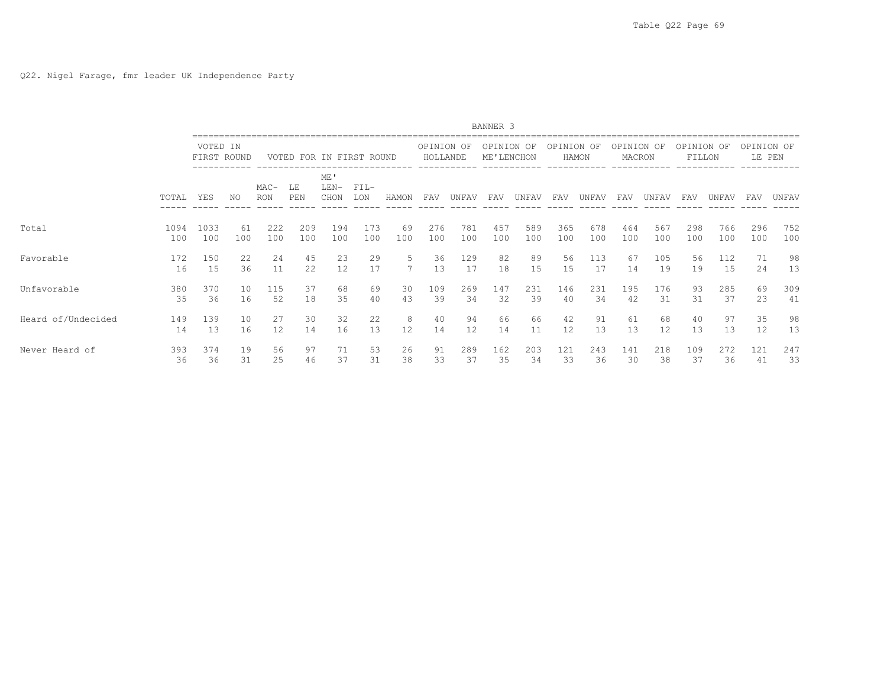|                    |           |           |             |                      |                          |                       |               |       |                        |                   | BANNER <sub>3</sub>      |          |            |           |                      |           |                      |           |                      |          |
|--------------------|-----------|-----------|-------------|----------------------|--------------------------|-----------------------|---------------|-------|------------------------|-------------------|--------------------------|----------|------------|-----------|----------------------|-----------|----------------------|-----------|----------------------|----------|
|                    |           | VOTED IN  | FIRST ROUND |                      | VOTED FOR IN FIRST ROUND |                       |               |       | OPINION OF<br>HOLLANDE |                   | OPINION OF<br>ME'LENCHON |          | OPINION OF | HAMON     | OPINION OF<br>MACRON |           | OPINION OF<br>FILLON |           | OPINION OF<br>LE PEN |          |
|                    | TOTAL     | YES       | NO.         | $MAC-$<br><b>RON</b> | LE<br>PEN                | ME'<br>$LEN-$<br>CHON | $FIL-$<br>LON | HAMON | FAV                    | UNFAV             | FAV                      | UNFAV    | FAV        | UNFAV     | FAV                  | UNFAV     | FAV                  | UNFAV     | <b>FAV</b>           | UNFAV    |
| Total              | 1094      | 1033      | 61          | 222                  | 209                      | 194                   | 173           | 69    | 276                    | 781               | 457                      | 589      | 365        | 678       | 464                  | 567       | 298                  | 766       | 296                  | 752      |
|                    | 100       | 100       | 100         | 100                  | 100                      | 100                   | 100           | 100   | 100                    | 100               | 100                      | 100      | 100        | 100       | 100                  | 100       | 100                  | 100       | 100                  | 100      |
| Favorable          | 172<br>16 | 150<br>15 | 22<br>36    | 24<br>11             | 45<br>22                 | 23<br>12              | 29<br>17      | 5     | 36<br>13               | 129<br>17         | 82<br>18                 | 89<br>15 | 56<br>15   | 113<br>17 | 67<br>14             | 105<br>19 | 56<br>19             | 112<br>15 | 71<br>24             | 98<br>13 |
| Unfavorable        | 380       | 370       | 10          | 115                  | 37                       | 68                    | 69            | 30    | 109                    | 269               | 147                      | 231      | 146        | 231       | 195                  | 176       | 93                   | 285       | 69                   | 309      |
|                    | 35        | 36        | 16          | 52                   | 18                       | 35                    | 40            | 43    | 39                     | 34                | 32                       | 39       | 40         | 34        | 42                   | 31        | 31                   | 37        | 23                   | 41       |
| Heard of/Undecided | 149       | 139       | 10          | 27                   | 30                       | 32                    | 22            | 8     | 40                     | 94                | 66                       | 66       | 42         | 91        | 61                   | 68        | 40                   | 97        | 35                   | 98       |
|                    | 14        | 13        | 16          | 12                   | 14                       | 16                    | 13            | 12    | 14                     | $12 \overline{ }$ | 14                       | 11       | 12         | 13        | 13                   | 12        | 13                   | 13        | 12                   | 13       |
| Never Heard of     | 393       | 374       | 19          | 56                   | 97                       | 71                    | 53            | 26    | 91                     | 289               | 162                      | 203      | 121        | 243       | 141                  | 218       | 109                  | 272       | 121                  | 247      |
|                    | 36        | 36        | 31          | 25                   | 46                       | 37                    | 31            | 38    | 33                     | 37                | 35                       | 34       | 33         | 36        | 30                   | 38        | 37                   | 36        | 41                   | 33       |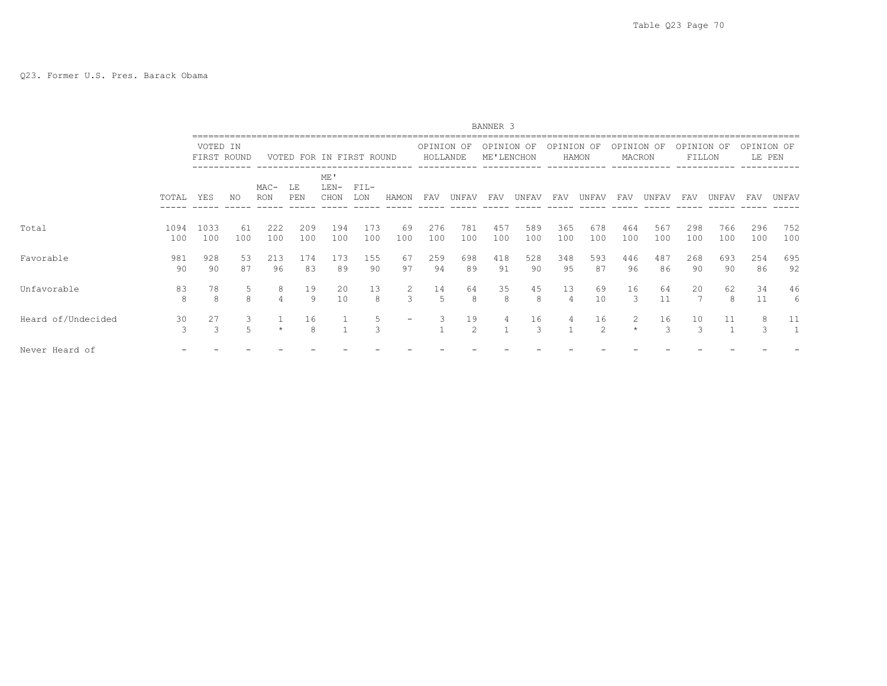|                    |             |                         |           |               |                          |                       |               |                 |                        |            | BANNER 3                 |            |            |                      |                      |            |                      |            |                      |                    |
|--------------------|-------------|-------------------------|-----------|---------------|--------------------------|-----------------------|---------------|-----------------|------------------------|------------|--------------------------|------------|------------|----------------------|----------------------|------------|----------------------|------------|----------------------|--------------------|
|                    |             | VOTED IN<br>FIRST ROUND |           |               | VOTED FOR IN FIRST ROUND |                       |               |                 | OPINION OF<br>HOLLANDE |            | OPINION OF<br>ME'LENCHON |            | OPINION OF | HAMON                | OPINION OF<br>MACRON |            | OPINION OF<br>FILLON |            | OPINION OF<br>LE PEN |                    |
|                    | TOTAL       | YES                     | NO.       | $MAC-$<br>RON | LE<br>PEN                | ME'<br>$LEN-$<br>CHON | $FIL-$<br>LON | HAMON           | FAV                    | UNFAV      | FAV                      | UNFAV      | FAV        | UNFAV                | FAV                  | UNFAV      | FAV                  | UNFAV      | FAV                  | UNFAV              |
| Total              | 1094<br>100 | 1033<br>100             | 61<br>100 | 222<br>100    | 209<br>100               | 194<br>100            | 173<br>100    | 69<br>100       | 276<br>100             | 781<br>100 | 457<br>100               | 589<br>100 | 365<br>100 | 678<br>100           | 464<br>100           | 567<br>100 | 298<br>100           | 766<br>100 | 296<br>100           | 752<br>100         |
| Favorable          | 981<br>90   | 928<br>90               | 53<br>87  | 213<br>96     | 174<br>83                | 173<br>89             | 155<br>90     | 67<br>97        | 259<br>94              | 698<br>89  | 418<br>91                | 528<br>90  | 348<br>95  | 593<br>87            | 446<br>96            | 487<br>86  | 268<br>90            | 693<br>90  | 254<br>86            | 695<br>92          |
| Unfavorable        | 83<br>8     | 78<br>8                 | 5.<br>8   | 8             | 19<br>9                  | 20<br>10              | 13<br>8       | 2<br>3          | 14<br>5                | 64<br>8    | 35<br>8                  | 45<br>8    | 13<br>4    | 69<br>10             | 16<br>3              | 64<br>11   | 20                   | 62<br>8    | 34<br>11             | 46<br>6            |
| Heard of/Undecided | 30<br>3     | 27<br>3                 |           |               | 16<br>8                  |                       | 5<br>3        | $\qquad \qquad$ | 3                      | 19<br>2    | 4                        | 16<br>3    | 4          | 16<br>$\mathfrak{D}$ | 2                    | 16         | 10<br>3              | 11         | 8                    | 11<br>$\mathbf{1}$ |
| Never Heard of     |             |                         |           |               |                          |                       |               |                 |                        |            |                          |            |            |                      |                      |            |                      |            |                      |                    |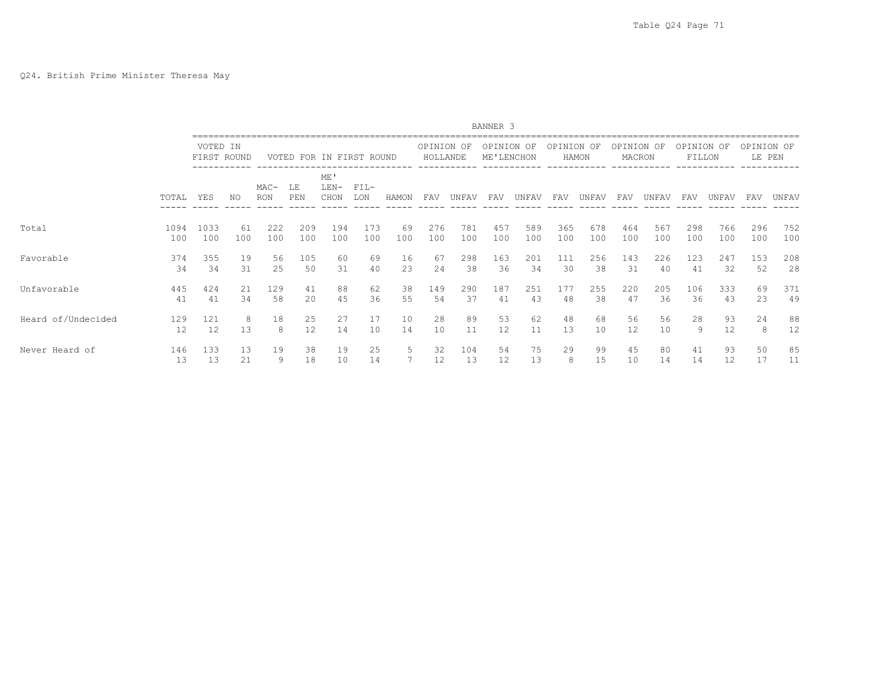|                    |           |           |             |                      |                          |                       |                 |       |                        |           | BANNER <sub>3</sub>      |          |            |          |                      |          |                      |          |                      |          |
|--------------------|-----------|-----------|-------------|----------------------|--------------------------|-----------------------|-----------------|-------|------------------------|-----------|--------------------------|----------|------------|----------|----------------------|----------|----------------------|----------|----------------------|----------|
|                    |           | VOTED IN  | FIRST ROUND |                      | VOTED FOR IN FIRST ROUND |                       |                 |       | OPINION OF<br>HOLLANDE |           | OPINION OF<br>ME'LENCHON |          | OPINION OF | HAMON    | OPINION OF<br>MACRON |          | OPINION OF<br>FILLON |          | OPINION OF<br>LE PEN |          |
|                    | TOTAL     | YES       | NO          | $MAC-$<br><b>RON</b> | LE<br>PEN                | ME'<br>$LEN-$<br>CHON | $FIL-$<br>LON   | HAMON | FAV                    | UNFAV     | FAV                      | UNFAV    | FAV        | UNFAV    | FAV                  | UNFAV    | FAV                  | UNFAV    | FAV                  | UNFAV    |
| Total              | 1094      | 1033      | 61          | 222                  | 209                      | 194                   | 173             | 69    | 276                    | 781       | 457                      | 589      | 365        | 678      | 464                  | 567      | 298                  | 766      | 296                  | 752      |
|                    | 100       | 100       | 100         | 100                  | 100                      | 100                   | 100             | 100   | 100                    | 100       | 100                      | 100      | 100        | 100      | 100                  | 100      | 100                  | 100      | 100                  | 100      |
| Favorable          | 374       | 355       | 19          | 56                   | 105                      | 60                    | 69              | 16    | 67                     | 298       | 163                      | 201      | 111        | 256      | 143                  | 226      | 123                  | 247      | 153                  | 208      |
|                    | 34        | 34        | 31          | 25                   | 50                       | 31                    | 40              | 23    | 24                     | 38        | 36                       | 34       | 30         | 38       | 31                   | 40       | 41                   | 32       | 52                   | 28       |
| Unfavorable        | 445       | 424       | 21          | 129                  | 41                       | 88                    | 62              | 38    | 149                    | 290       | 187                      | 251      | 177        | 255      | 220                  | 205      | 106                  | 333      | 69                   | 371      |
|                    | 41        | 41        | 34          | 58                   | 2.0                      | 45                    | 36              | 55    | 54                     | 37        | 41                       | 43       | 48         | 38       | 47                   | 36       | 36                   | 43       | 23                   | 49       |
| Heard of/Undecided | 129       | 121       | 8           | 18                   | 25                       | 27                    | 17              | 10    | 28                     | 89        | 53                       | 62       | 48         | 68       | 56                   | 56       | 28                   | 93       | 24                   | 88       |
|                    | 12        | 12        | 13          | 8                    | 12                       | 14                    | 10 <sup>°</sup> | 14    | 10                     | 11        | 12                       | 11       | 13         | 10       | 12                   | 10       | 9                    | 12       | 8                    | 12       |
| Never Heard of     | 146<br>13 | 133<br>13 | 13<br>21    | 19<br>9              | 38<br>18                 | 19<br>10              | 25<br>14        | 5     | 32<br>12               | 104<br>13 | 54<br>12                 | 75<br>13 | 29<br>8    | 99<br>15 | 45<br>10             | 80<br>14 | 41<br>14             | 93<br>12 | 50<br>17             | 85<br>11 |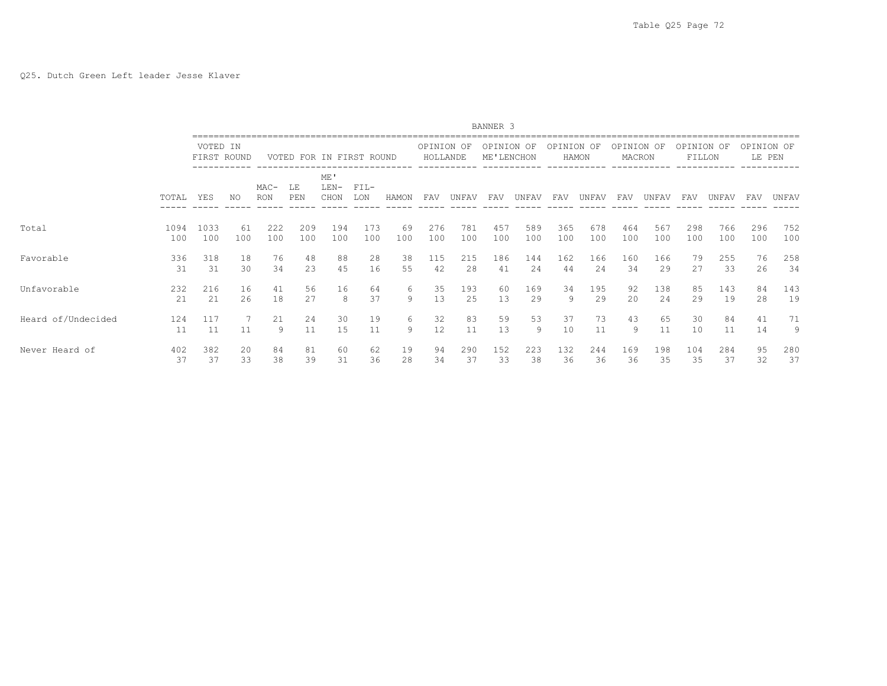|                    |           |           |             |                      |                          |                       |               |        |                        |          | BANNER <sub>3</sub>      |         |            |          |                      |          |                      |          |                      |         |
|--------------------|-----------|-----------|-------------|----------------------|--------------------------|-----------------------|---------------|--------|------------------------|----------|--------------------------|---------|------------|----------|----------------------|----------|----------------------|----------|----------------------|---------|
|                    |           | VOTED IN  | FIRST ROUND |                      | VOTED FOR IN FIRST ROUND |                       |               |        | OPINION OF<br>HOLLANDE |          | OPINION OF<br>ME'LENCHON |         | OPINION OF | HAMON    | OPINION OF<br>MACRON |          | OPINION OF<br>FILLON |          | OPINION OF<br>LE PEN |         |
|                    | TOTAL     | YES       | NO.         | $MAC-$<br><b>RON</b> | LE<br>PEN                | ME'<br>$LEN-$<br>CHON | $FIL-$<br>LON | HAMON  | FAV                    | UNFAV    | FAV                      | UNFAV   | FAV        | UNFAV    | FAV                  | UNFAV    | FAV                  | UNFAV    | <b>FAV</b>           | UNFAV   |
| Total              | 1094      | 1033      | 61          | 222                  | 209                      | 194                   | 173           | 69     | 276                    | 781      | 457                      | 589     | 365        | 678      | 464                  | 567      | 298                  | 766      | 296                  | 752     |
|                    | 100       | 100       | 100         | 100                  | 100                      | 100                   | 100           | 100    | 100                    | 100      | 100                      | 100     | 100        | 100      | 100                  | 100      | 100                  | 100      | 100                  | 100     |
| Favorable          | 336       | 318       | 18          | 76                   | 48                       | 88                    | 28            | 38     | 115                    | 215      | 186                      | 144     | 162        | 166      | 160                  | 166      | 79                   | 255      | 76                   | 258     |
|                    | 31        | 31        | 30          | 34                   | 23                       | 45                    | 16            | 55     | 42                     | 28       | 41                       | 24      | 44         | 24       | 34                   | 29       | 27                   | 33       | 26                   | 34      |
| Unfavorable        | 232       | 216       | 16          | 41                   | 56                       | 16                    | 64            | 6      | 35                     | 193      | 60                       | 169     | 34         | 195      | 92                   | 138      | 85                   | 143      | 84                   | 143     |
|                    | 2.1       | 21        | 26          | 18                   | 2.7                      | 8                     | 37            | 9      | 13                     | 25       | 13                       | 29      | 9          | 29       | 20                   | 24       | 29                   | 19       | 28                   | 19      |
| Heard of/Undecided | 124<br>11 | 117<br>11 | 11          | 21<br>9              | 24<br>11                 | 30<br>15              | 19<br>11      | 6<br>9 | 32<br>12               | 83<br>11 | 59<br>13                 | 53<br>9 | 37<br>10   | 73<br>11 | 43<br>9              | 65<br>11 | 30<br>10             | 84<br>11 | 41<br>14             | 71<br>9 |
| Never Heard of     | 402       | 382       | 20          | 84                   | 81                       | 60                    | 62            | 19     | 94                     | 290      | 152                      | 223     | 132        | 244      | 169                  | 198      | 104                  | 284      | 95                   | 280     |
|                    | 37        | 37        | 33          | 38                   | 39                       | 31                    | 36            | 28     | 34                     | 37       | 33                       | 38      | 36         | 36       | 36                   | 35       | 35                   | 37       | 32                   | 37      |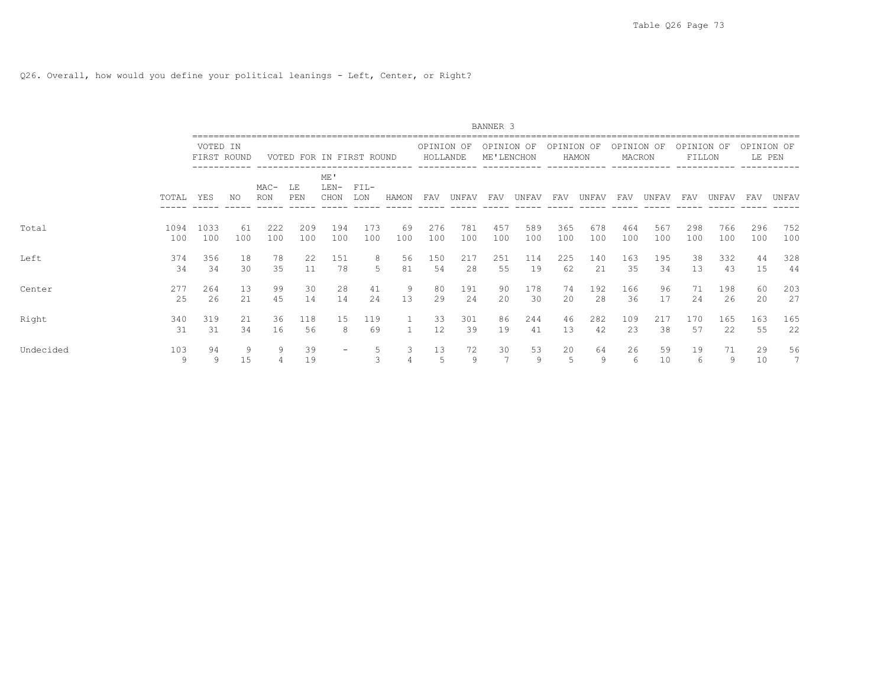Q26. Overall, how would you define your political leanings - Left, Center, or Right?

|           |             |                         |           |                      |                          |                       |               |           |                        |            | BANNER 3                 |            |            |            |                      |            |                      |            |                      |                       |
|-----------|-------------|-------------------------|-----------|----------------------|--------------------------|-----------------------|---------------|-----------|------------------------|------------|--------------------------|------------|------------|------------|----------------------|------------|----------------------|------------|----------------------|-----------------------|
|           |             | VOTED IN<br>FIRST ROUND |           |                      | VOTED FOR IN FIRST ROUND |                       |               |           | OPINION OF<br>HOLLANDE |            | OPINION OF<br>ME'LENCHON |            | OPINION OF | HAMON      | OPINION OF<br>MACRON |            | OPINION OF<br>FILLON |            | OPINION OF<br>LE PEN |                       |
|           | TOTAL       | YES                     | ΝO        | $MAC-$<br><b>RON</b> | LE<br>PEN                | ME'<br>$LEN-$<br>CHON | $FIL-$<br>LON | HAMON     | FAV                    | UNFAV      | FAV                      | UNFAV      | FAV        | UNFAV      | FAV                  | UNFAV      | FAV                  | UNFAV      | FAV                  | UNFAV                 |
| Total     | 1094<br>100 | 1033<br>100             | 61<br>100 | 222<br>100           | 209<br>100               | 194<br>100            | 173<br>100    | 69<br>100 | 276<br>100             | 781<br>100 | 457<br>100               | 589<br>100 | 365<br>100 | 678<br>100 | 464<br>100           | 567<br>100 | 298<br>100           | 766<br>100 | 296<br>100           | 752<br>100            |
| Left      | 374<br>34   | 356<br>34               | 18<br>30  | 78<br>35             | 22<br>11                 | 151<br>78             | 8<br>5        | 56<br>81  | 150<br>54              | 217<br>28  | 251<br>55                | 114<br>19  | 225<br>62  | 140<br>21  | 163<br>35            | 195<br>34  | 38<br>13             | 332<br>43  | 44<br>15             | 328<br>44             |
| Center    | 277<br>25   | 264<br>26               | 13<br>21  | 99<br>4.5            | 30<br>14                 | 28<br>14              | 41<br>24      | 9<br>13   | 80<br>29               | 191<br>2.4 | 90<br>2.0                | 178<br>30  | 74<br>20   | 192<br>2.8 | 166<br>36            | 96<br>17   | 71<br>2.4            | 198<br>26  | 60<br>20             | 203<br>27             |
| Right     | 340<br>31   | 319<br>31               | 21<br>34  | 36<br>16             | 118<br>56                | 15<br>8               | 119<br>69     |           | 33<br>12               | 301<br>39  | 86<br>19                 | 244<br>41  | 46<br>13   | 282<br>42  | 109<br>23            | 217<br>38  | 170<br>57            | 165<br>22  | 163<br>55            | 165<br>22             |
| Undecided | 103<br>9    | 94<br>9                 | 9<br>15   | 9<br>4               | 39<br>19                 |                       | 5<br>3        | 3<br>4    | 13<br>5                | 72<br>9    | 30                       | 53<br>9    | 20<br>5    | 64<br>9    | 26<br>6              | 59<br>10   | 19<br>6              | 71<br>9    | 29<br>10             | 56<br>$7\phantom{.0}$ |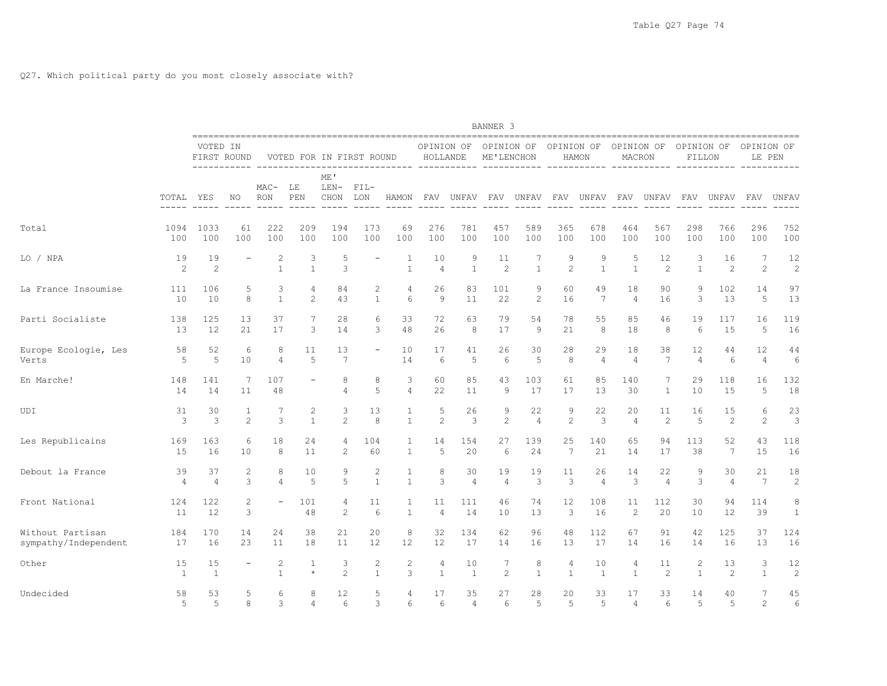|                      |                      |                         |         |                              |                   |                       |                              |                   |                        |                    | BANNER 3                 |                       |                     |                       |                      |                      |                      |                       |                      |                       |
|----------------------|----------------------|-------------------------|---------|------------------------------|-------------------|-----------------------|------------------------------|-------------------|------------------------|--------------------|--------------------------|-----------------------|---------------------|-----------------------|----------------------|----------------------|----------------------|-----------------------|----------------------|-----------------------|
|                      |                      | VOTED IN<br>FIRST ROUND |         |                              |                   |                       | VOTED FOR IN FIRST ROUND     |                   | OPINION OF<br>HOLLANDE |                    | OPINION OF<br>ME'LENCHON |                       | OPINION OF          | HAMON                 | OPINION OF<br>MACRON |                      | OPINION OF<br>FILLON |                       | OPINION OF<br>LE PEN |                       |
|                      | TOTAL                | -----------<br>YES      | NO      | $MAC-$<br><b>RON</b>         | LE<br>PEN         | ME'<br>$LEN-$<br>CHON | $FTL-$<br>LON                | HAMON             | FAV                    | --------<br>UNFAV  | FAV                      | ------------<br>UNFAV | FAV                 | ------------<br>UNFAV | ------------<br>FAV  | UNFAV                | FAV                  | ------------<br>UNFAV | FAV                  | ------------<br>UNFAV |
| Total                | 1094                 | 1033                    | 61      | 222                          | 209               | 194                   | 173                          | 69                | 276                    | 781                | 457                      | 589                   | 365                 | 678                   | 464                  | 567                  | 298                  | 766                   | 296                  | 752                   |
|                      | 100                  | 100                     | 100     | 100                          | 100               | 100                   | 100                          | 100               | 100                    | 100                | 100                      | 100                   | 100                 | 100                   | 100                  | 100                  | 100                  | 100                   | 100                  | 100                   |
| LO / NPA             | 19<br>$\overline{c}$ | 19<br>$\overline{c}$    |         | 2<br>$\mathbf{1}$            | 3<br>$\mathbf{1}$ | 5<br>3                |                              | 1<br>$\mathbf{1}$ | 10<br>$\overline{4}$   | 9<br>$\mathbf{1}$  | 11<br>$\overline{c}$     | 7<br>$\mathbf{1}$     | 9<br>$\overline{c}$ | 9<br>$\mathbf{1}$     | .5<br>$\mathbf{1}$   | 12<br>$\overline{c}$ | 3<br>$\mathbf{1}$    | 16<br>$\overline{c}$  | 7<br>2               | 12<br>$\overline{c}$  |
| La France Insoumise  | 111                  | 106                     | 5       | 3                            | 4                 | 84                    | 2                            | 4                 | 26                     | 83                 | 101                      | 9                     | 60                  | 49                    | 18                   | 90                   | 9                    | 102                   | 14                   | 97                    |
|                      | 10                   | 10                      | 8       | $\mathbf{1}$                 | 2                 | 43                    | $\mathbf{1}$                 | 6                 | 9                      | 11                 | 22                       | $\overline{c}$        | 16                  | $7\phantom{.0}$       | $\overline{4}$       | 16                   | 3                    | 13                    | 5                    | 13                    |
| Parti Socialiste     | 138                  | 125                     | 13      | 37                           | 7                 | 28                    | 6                            | 33                | 72                     | 63                 | 79                       | 54                    | 78                  | 55                    | 85                   | 46                   | 19                   | 117                   | 16                   | 119                   |
|                      | 13                   | 12                      | 21      | 17                           | 3                 | 14                    | 3                            | 48                | 26                     | 8                  | 17                       | 9                     | 21                  | 8                     | 18                   | 8                    | 6                    | 15                    | 5                    | 16                    |
| Europe Ecologie, Les | 58                   | 52                      | 6       | 8                            | 11                | 13                    | $\overline{\phantom{0}}$     | 10                | 17                     | 41                 | 26                       | 30                    | 28                  | 29                    | 18                   | 38                   | 12                   | 44                    | 12                   | 44                    |
| Verts                | 5                    | 5                       | 10      | 4                            | 5                 | $7\phantom{.0}$       |                              | 14                | 6                      | 5                  | 6                        | 5                     | 8                   | 4                     | $\overline{4}$       | $7\phantom{.0}$      | $\overline{4}$       | $6\,$                 | $\overline{4}$       | 6                     |
| En Marche!           | 148<br>14            | 141<br>14               | 7<br>11 | 107<br>48                    |                   | 8<br>$\overline{4}$   | 8<br>5                       | 3<br>4            | 60<br>22               | 85<br>11           | 43<br>9                  | 103<br>17             | 61<br>17            | 85<br>13              | 140<br>30            | 7<br>1               | 29<br>10             | 118<br>15             | 16<br>5              | 132<br>18             |
| UDI                  | 31                   | 30                      | 1       | 7                            | 2                 | 3                     | 13                           | $\mathbf{1}$      | 5                      | 26                 | 9                        | 22                    | 9                   | 22                    | 20                   | 11                   | 16                   | 15                    | 6                    | 23                    |
|                      | 3                    | 3                       | 2       | 3                            | $\mathbf{1}$      | $\overline{c}$        | 8                            | $\mathbf{1}$      | 2                      | 3                  | $\mathbf{2}$             | $\overline{4}$        | $\overline{c}$      | 3                     | $\overline{4}$       | $\overline{c}$       | 5                    | 2                     | 2                    | 3                     |
| Les Republicains     | 169                  | 163                     | 6       | 18                           | 24                | 4                     | 104                          | 1                 | 14                     | 154                | 27                       | 139                   | 25                  | 140                   | 65                   | 94                   | 113                  | 52                    | 43                   | 118                   |
|                      | 15                   | 16                      | 10      | 8                            | 11                | 2                     | 60                           | $\mathbf{1}$      | 5                      | 20                 | 6                        | 24                    | $7\phantom{.0}$     | 21                    | 14                   | 17                   | 38                   | $7\phantom{.0}$       | 15                   | 16                    |
| Debout la France     | 39                   | 37                      | 2       | 8                            | 10                | 9                     | $\mathbf{2}$                 | $\mathbf{1}$      | 8                      | 30                 | 19                       | 19                    | 11                  | 26                    | 14                   | 22                   | 9                    | 30                    | 21                   | 18                    |
|                      | $\overline{4}$       | 4                       | 3       | $\overline{4}$               | 5                 | 5                     | $\mathbf{1}$                 | $\mathbf{1}$      | 3                      | $\overline{4}$     | $\overline{4}$           | 3                     | 3                   | 4                     | $\mathbf{3}$         | $\overline{4}$       | 3                    | $\overline{4}$        | 7                    | $\mathbf{2}$          |
| Front National       | 124<br>11            | 122<br>12               | 2<br>3  | $\overline{\phantom{a}}$     | 101<br>48         | $\overline{4}$<br>2   | 11<br>6                      | 1<br>$\mathbf{1}$ | 11<br>4                | 111<br>14          | 46<br>10                 | 74<br>13              | 12<br>3             | 108<br>16             | 11<br>2              | 112<br>20            | 30<br>10             | 94<br>12              | 114<br>39            | 8<br>$\mathbf{1}$     |
| Without Partisan     | 184                  | 170                     | 14      | 24                           | 38                | 21                    | 20                           | 8                 | 32                     | 134                | 62                       | 96                    | 48                  | 112                   | 67                   | 91                   | 42                   | 125                   | 37                   | 124                   |
| sympathy/Independent | 17                   | 16                      | 23      | 11                           | 18                | 11                    | 12                           | 12                | 12                     | 17                 | 14                       | 16                    | 13                  | 17                    | 14                   | 16                   | 14                   | 16                    | 13                   | 16                    |
| Other                | 15<br>$\overline{1}$ | 15<br>$\mathbf{1}$      |         | $\mathbf{2}$<br>$\mathbf{1}$ | 1<br>$\star$      | 3<br>$\overline{c}$   | $\mathbf{2}$<br>$\mathbf{1}$ | $\mathbf{2}$<br>3 | 4<br>$\mathbf{1}$      | 10<br>$\mathbf{1}$ | 7<br>$\overline{c}$      | 8<br>$\mathbf{1}$     | 4<br>$\mathbf{1}$   | 10<br>1               | 4<br>$\mathbf{1}$    | 11<br>2              | 2<br>$\mathbf{1}$    | 13<br>2               | 3<br>$\mathbf{1}$    | 12<br>$\overline{c}$  |
| Undecided            | 58                   | 53                      | 5       | 6                            | 8                 | 12                    | 5                            | 4                 | 17                     | 35                 | 27                       | 28                    | 20                  | 33                    | 17                   | 33                   | 14                   | 40                    | 7                    | 45                    |
|                      | 5                    | 5                       | 8       | 3                            | 4                 | 6                     | 3                            | 6                 | 6                      | 4                  | 6                        | 5                     | 5                   | 5                     | $\overline{4}$       | 6                    | .5                   | 5                     | 2                    | 6                     |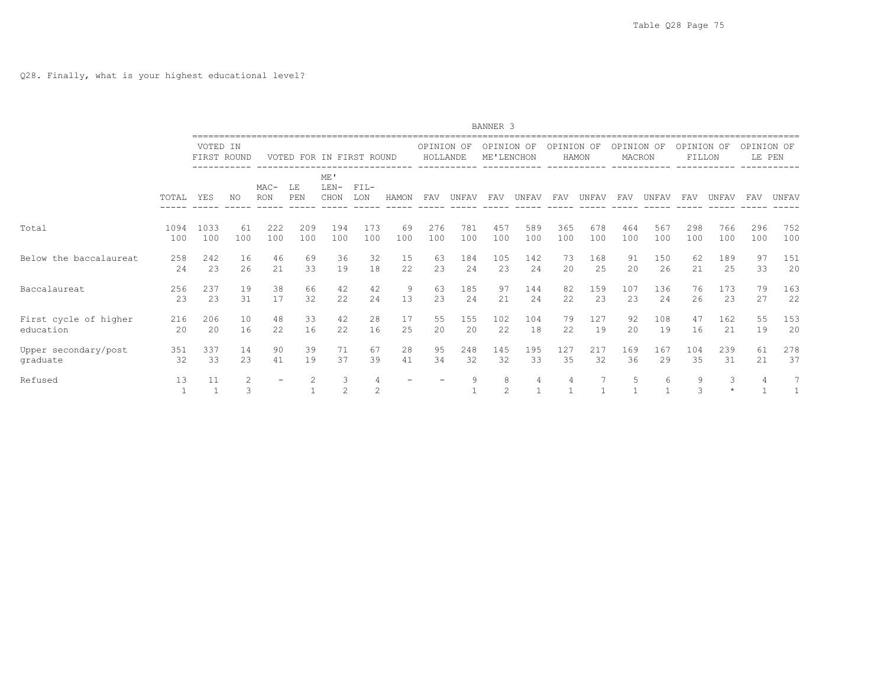|                        |       |                         |                            |                      |                          |                       |               |       |                        |       | BANNER 3                 |                |            |       |                      |       |                      |              |                      |       |
|------------------------|-------|-------------------------|----------------------------|----------------------|--------------------------|-----------------------|---------------|-------|------------------------|-------|--------------------------|----------------|------------|-------|----------------------|-------|----------------------|--------------|----------------------|-------|
|                        |       | VOTED IN<br>FIRST ROUND |                            |                      | VOTED FOR IN FIRST ROUND |                       |               |       | OPINION OF<br>HOLLANDE |       | OPINION OF<br>ME'LENCHON |                | OPINION OF | HAMON | OPINION OF<br>MACRON |       | OPINION OF<br>FILLON |              | OPINION OF<br>LE PEN |       |
|                        | TOTAL | YES                     | NO.                        | $MAC-$<br><b>RON</b> | LE<br>PEN                | ME'<br>$LEN-$<br>CHON | $FIL-$<br>LON | HAMON | <b>FAV</b>             | UNFAV | FAV                      | UNFAV          | FAV        | UNFAV | FAV                  | UNFAV | <b>FAV</b>           | UNFAV        | FAV                  | UNFAV |
| Total                  | 1094  | 1033                    | 61                         | 222                  | 209                      | 194                   | 173           | 69    | 276                    | 781   | 457                      | 589            | 365        | 678   | 464                  | 567   | 298                  | 766          | 296                  | 752   |
|                        | 100   | 100                     | 100                        | 100                  | 100                      | 100                   | 100           | 100   | 100                    | 100   | 100                      | 100            | 100        | 100   | 100                  | 100   | 100                  | 100          | 100                  | 100   |
| Below the baccalaureat | 258   | 242                     | 16                         | 46                   | 69                       | 36                    | 32            | 15    | 63                     | 184   | 105                      | 142            | 73         | 168   | 91                   | 150   | 62                   | 189          | 97                   | 151   |
|                        | 24    | 23                      | 26                         | 21                   | 33                       | 19                    | 18            | 22    | 23                     | 24    | 23                       | 24             | 20         | 25    | 20                   | 26    | 21                   | 25           | 33                   | 20    |
| Baccalaureat           | 256   | 237                     | 19                         | 38                   | 66                       | 42                    | 42            | 9     | 63                     | 185   | 97                       | 144            | 82         | 159   | 107                  | 136   | 76                   | 173          | 79                   | 163   |
|                        | 23    | 23                      | 31                         | 17                   | 32                       | 22                    | 24            | 13    | 23                     | 24    | 21                       | 24             | 22         | 23    | 23                   | 24    | 26                   | 23           | 27                   | 22    |
| First cycle of higher  | 216   | 206                     | 10                         | 48                   | 33                       | 42                    | 28            | 17    | 55                     | 155   | 102                      | 104            | 79         | 127   | 92                   | 108   | 47                   | 162          | 55                   | 153   |
| education              | 20    | 20                      | 16                         | 22                   | 16                       | 22                    | 16            | 25    | 20                     | 20    | 22                       | 18             | 22         | 19    | 20                   | 19    | 16                   | 21           | 19                   | 20    |
| Upper secondary/post   | 351   | 337                     | 14                         | 90                   | 39                       | 71                    | 67            | 28    | 95                     | 248   | 145                      | 195            | 127        | 217   | 169                  | 167   | 104                  | 239          | 61                   | 278   |
| graduate               | 32    | 33                      | 23                         | 41                   | 19                       | 37                    | 39            | 41    | 34                     | 32    | 32                       | 33             | 35         | 32    | 36                   | 29    | 35                   | 31           | 21                   | 37    |
| Refused                | 13    | 11                      | $\mathbf{2}^{\prime}$<br>3 |                      | 2                        | 3<br>2                | 4<br>2        |       |                        | 9     | 8<br>$\overline{c}$      | $\overline{4}$ | 4          |       | 5                    | 6     | 9<br>3               | 3<br>$\star$ | 4                    | 7     |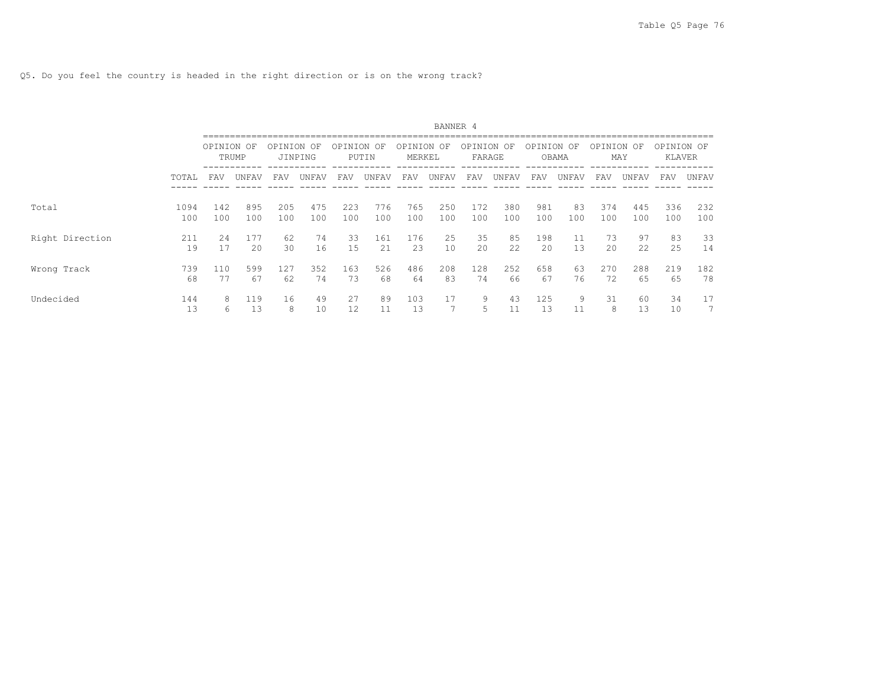Q5. Do you feel the country is headed in the right direction or is on the wrong track?

|                 |             |            |            |            |               |            |             |                   | BANNER 4   |                   |            |            |             |            |                   |                      |            |
|-----------------|-------------|------------|------------|------------|---------------|------------|-------------|-------------------|------------|-------------------|------------|------------|-------------|------------|-------------------|----------------------|------------|
|                 |             | OPINION OF | TRUMP      | OPINION    | OF<br>JINPING | OPINION    | OF<br>PUTIN | OPINION<br>MERKEL | OF         | OPINION<br>FARAGE | OF         | OPINION    | OF<br>OBAMA |            | OPINION OF<br>MAY | OPINION OF<br>KLAVER |            |
|                 | TOTAL       | FAV        | UNFAV      | FAV        | UNFAV         | FAV        | UNFAV       | FAV               | UNFAV      | FAV               | UNFAV      | FAV        | UNFAV       | FAV        | UNFAV             | FAV                  | UNFAV      |
| Total           | 1094<br>100 | 142<br>100 | 895<br>100 | 205<br>100 | 475<br>100    | 223<br>100 | 776<br>100  | 765<br>100        | 250<br>100 | 172<br>100        | 380<br>100 | 981<br>100 | 83<br>100   | 374<br>100 | 445<br>100        | 336<br>100           | 232<br>100 |
| Right Direction | 211<br>19   | 2.4<br>17  | 177<br>20  | 62<br>30   | 74<br>16      | 33<br>15   | 161<br>21   | 176<br>23         | 25<br>10   | 35<br>20          | 85<br>22   | 198<br>20  | 11<br>13    | 73<br>20   | 97<br>22          | 83<br>25             | 33<br>14   |
| Wrong Track     | 739<br>68   | 110<br>77  | 599<br>67  | 127<br>62  | 352<br>74     | 163<br>73  | 526<br>68   | 486<br>64         | 208<br>83  | 128<br>74         | 252<br>66  | 658<br>67  | 63<br>76    | 270<br>72  | 288<br>65         | 219<br>65            | 182<br>78  |
| Undecided       | 144<br>13   | 8<br>6     | 119<br>13  | 16<br>8    | 49<br>10      | 27<br>12   | 89<br>11    | 103<br>13         | 17<br>7    | 9                 | 43         | 125<br>13  | 9<br>11     | 31<br>8    | 60<br>13          | 34<br>10             | 17         |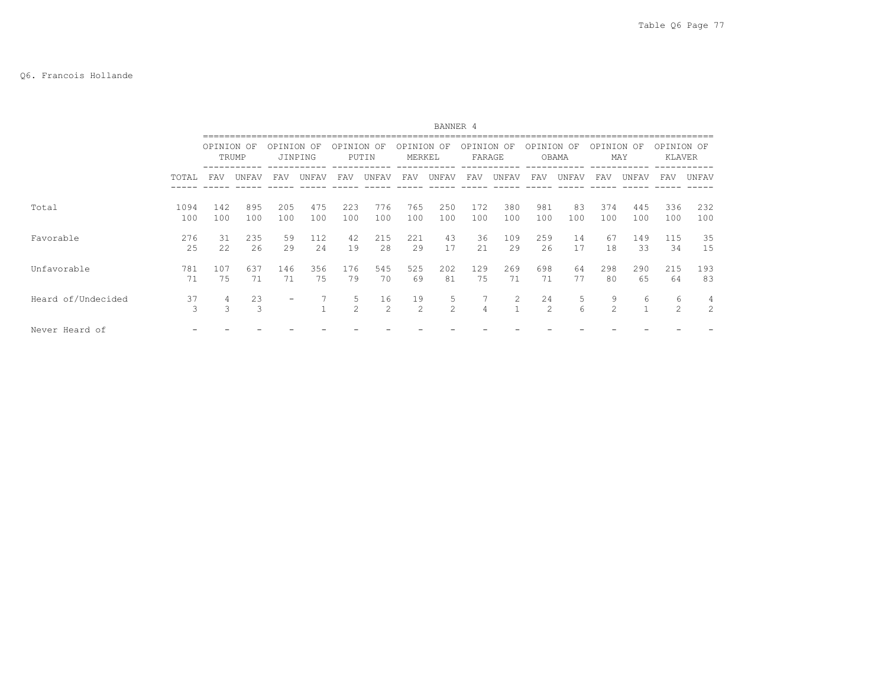# Q6. Francois Hollande

|                    |             |                    |            |            |                 |              |                      |                      | BANNER 4            |                      |            |                     |           |                     |                   |                             |            |
|--------------------|-------------|--------------------|------------|------------|-----------------|--------------|----------------------|----------------------|---------------------|----------------------|------------|---------------------|-----------|---------------------|-------------------|-----------------------------|------------|
|                    |             | OPINION OF         | TRUMP      | OPINION    | – OF<br>JINPING | OPINION OF   | PUTIN                | OPINION OF<br>MERKEL |                     | OPINION OF<br>FARAGE |            | OPINION OF          | OBAMA     | OPINION OF          | MAY               | OPINION OF<br><b>KLAVER</b> |            |
|                    | TOTAL       | FAV                | UNFAV      | FAV        | UNFAV           | FAV          | UNFAV                | FAV                  | UNFAV               | FAV                  | UNFAV      | FAV                 | UNFAV     | FAV                 | UNFAV             | FAV                         | UNFAV      |
| Total              | 1094<br>100 | 142<br>100         | 895<br>100 | 205<br>100 | 475<br>100      | 223<br>100   | 776<br>100           | 765<br>100           | 250<br>100          | 172<br>100           | 380<br>100 | 981<br>100          | 83<br>100 | 374<br>100          | 445<br>100        | 336<br>100                  | 232<br>100 |
| Favorable          | 276<br>25   | 31<br>22           | 235<br>2.6 | 59<br>29   | 112<br>24       | 42<br>19     | 215<br>2.8           | 221<br>29            | 43<br>17            | 36<br>2.1            | 109<br>29  | 259<br>26           | 14<br>17  | 67<br>18            | 149<br>33         | 115<br>34                   | 35<br>15   |
| Unfavorable        | 781<br>71   | 107<br>75          | 637<br>71  | 146<br>71  | 356<br>75       | 176<br>79    | 545<br>70            | 525<br>69            | 202<br>81           | 129<br>75            | 269<br>71  | 698<br>71           | 64<br>77  | 298<br>80           | 290<br>65         | 215<br>64                   | 193<br>83  |
| Heard of/Undecided | 37<br>3     | 4<br>$\mathcal{L}$ | 23<br>3    |            |                 | 5<br>$2^{1}$ | 16<br>$\mathfrak{D}$ | 19<br>$\mathcal{L}$  | 5<br>$\mathfrak{D}$ | $\overline{4}$       | 2          | 24<br>$\mathcal{L}$ | 5<br>6    | 9<br>$\mathfrak{D}$ | 6<br>$\mathbf{a}$ | 6<br>$\mathfrak{D}$         | 4<br>2     |
| Never Heard of     |             |                    |            |            |                 |              |                      |                      |                     |                      |            |                     |           |                     |                   |                             |            |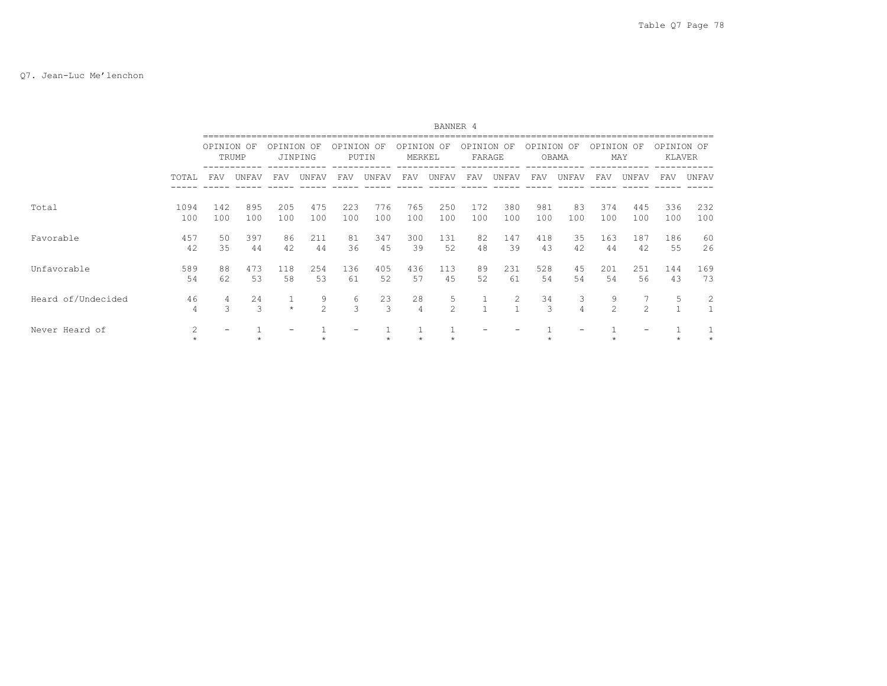## Q7. Jean-Luc Me'lenchon

|                    |              |            |            |            |                    |                    |                     |                      | BANNER 4            |                   |            |            |                     |                     |               |                      |            |
|--------------------|--------------|------------|------------|------------|--------------------|--------------------|---------------------|----------------------|---------------------|-------------------|------------|------------|---------------------|---------------------|---------------|----------------------|------------|
|                    |              | OPINION OF | TRUMP      | OPTNTON    | OF<br>JINPING      | OPTNTON            | OF<br>PUTIN         | OPINION<br>MERKEL    | OF                  | OPTNTON<br>FARAGE | OF         | OPTNTON    | OF<br>OBAMA         | OPINION OF          | MAY           | OPINION OF<br>KLAVER |            |
|                    | TOTAL        | FAV        | UNFAV      | FAV        | UNFAV              | FAV                | UNFAV               | FAV                  | UNFAV               | FAV               | UNFAV      | FAV        | UNFAV               | FAV                 | UNFAV         | FAV                  | UNFAV      |
| Total              | 1094<br>100  | 142<br>100 | 895<br>100 | 205<br>100 | 475<br>100         | 223<br>100         | 776<br>100          | 765<br>100           | 250<br>100          | 172<br>100        | 380<br>100 | 981<br>100 | 83<br>100           | 374<br>100          | 445<br>100    | 336<br>100           | 232<br>100 |
| Favorable          | 457<br>42    | 50<br>35   | 397<br>44  | 86<br>42   | 211<br>44          | 81<br>36           | 347<br>45           | 300<br>39            | 131<br>52           | 82<br>48          | 147<br>39  | 418<br>43  | 35<br>42            | 163<br>44           | 187<br>42     | 186<br>55            | 60<br>26   |
| Unfavorable        | 589<br>54    | 88<br>62   | 473<br>53  | 118<br>58  | 254<br>53          | 136<br>61          | 405<br>52           | 436<br>57            | 113<br>45           | 89<br>52          | 231<br>61  | 528<br>54  | 45<br>54            | 201<br>54           | 251<br>56     | 144<br>43            | 169<br>73  |
| Heard of/Undecided | 46<br>4      | 4<br>3     | 2.4<br>3   | $\star$    | 9<br>$\mathcal{L}$ | 6<br>$\mathcal{S}$ | 23<br>$\mathcal{L}$ | 28<br>$\overline{4}$ | 5<br>$\mathfrak{D}$ | $\mathbf{1}$      | 2          | 34<br>3    | 3<br>$\overline{4}$ | 9<br>$\mathfrak{D}$ | $\mathcal{P}$ | 5<br>$\mathbf{A}$    | 2          |
| Never Heard of     | 2<br>$\star$ |            |            |            |                    |                    |                     |                      |                     |                   |            |            |                     |                     |               |                      |            |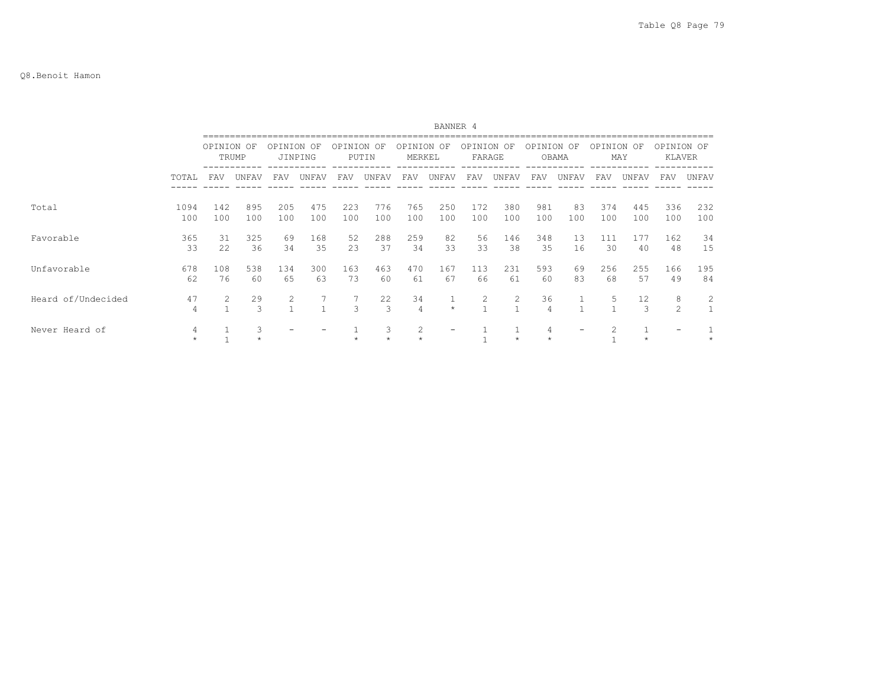|                    |              |            |              |            |              |               |                     |                      | BANNER 4     |                      |            |                      |           |            |                     |                      |            |
|--------------------|--------------|------------|--------------|------------|--------------|---------------|---------------------|----------------------|--------------|----------------------|------------|----------------------|-----------|------------|---------------------|----------------------|------------|
|                    |              | OPINION OF | TRUMP        | OPINION OF | JINPING      | OPINION OF    | PUTIN               | OPINION OF<br>MERKEL |              | OPINION OF<br>FARAGE |            | OPINION OF           | OBAMA     | OPINION OF | MAY                 | OPINION OF<br>KLAVER |            |
|                    | TOTAL        | FAV        | UNFAV        | FAV        | UNFAV        | FAV           | UNFAV               | FAV                  | UNFAV        | FAV                  | UNFAV      | FAV                  | UNFAV     | FAV        | UNFAV               | FAV                  | UNFAV      |
| Total              | 1094<br>100  | 142<br>100 | 895<br>100   | 205<br>100 | 475<br>100   | 223<br>100    | 776<br>100          | 765<br>100           | 250<br>100   | 172<br>100           | 380<br>100 | 981<br>100           | 83<br>100 | 374<br>100 | 445<br>100          | 336<br>100           | 232<br>100 |
| Favorable          | 365<br>33    | 31<br>22   | 325<br>36    | 69<br>34   | 168<br>35    | 52<br>23      | 288<br>37           | 259<br>34            | 82<br>33     | 56<br>33             | 146<br>38  | 348<br>35            | 13<br>16  | 111<br>30  | 177<br>40           | 162<br>48            | 34<br>15   |
| Unfavorable        | 678<br>62    | 108<br>76  | 538<br>60    | 134<br>65  | 300<br>63    | 163<br>73     | 463<br>60           | 470<br>61            | 167<br>67    | 113<br>66            | 231<br>61  | 593<br>60            | 69<br>83  | 256<br>68  | 255<br>57           | 166<br>49            | 195<br>84  |
| Heard of/Undecided | 47<br>4      | 2          | 29<br>3      | 2          | $\mathbf{1}$ | $\mathcal{L}$ | 22<br>$\mathcal{R}$ | 34<br>4              | 1<br>$\star$ | 2                    | 2          | 36<br>$\overline{4}$ |           | 5          | 12<br>$\mathcal{L}$ | 8<br>$\mathfrak{D}$  | 2          |
| Never Heard of     | 4<br>$\star$ |            | 3<br>$\star$ |            |              |               | 3                   | 2                    |              |                      |            | 4                    |           |            |                     |                      |            |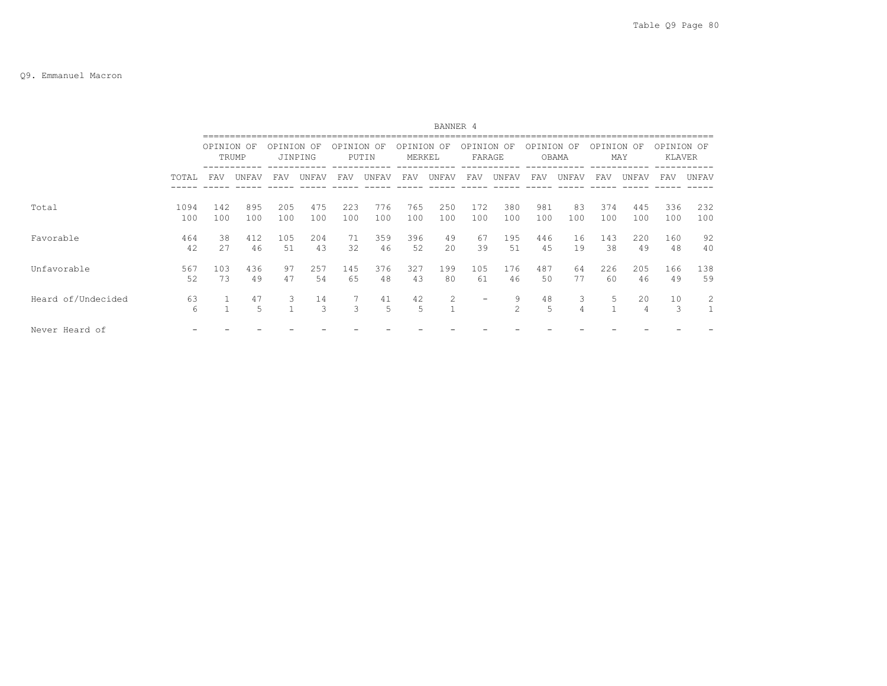|                    |             | BANNER 4   |            |            |               |            |             |                   |                     |                          |                     |            |                     |            |            |                      |            |
|--------------------|-------------|------------|------------|------------|---------------|------------|-------------|-------------------|---------------------|--------------------------|---------------------|------------|---------------------|------------|------------|----------------------|------------|
|                    |             | OPINION OF | TRUMP      | OPINION    | OF<br>JINPING | OPINION    | OF<br>PUTIN | OPINION<br>MERKEL | OF                  | OPINION OF<br>FARAGE     |                     | OPINION    | OF<br>OBAMA         | OPINION OF | MAY        | OPINION OF<br>KLAVER |            |
|                    | TOTAL       | FAV        | UNFAV      | FAV        | UNFAV         | FAV        | UNFAV       | FAV               | UNFAV               | FAV                      | UNFAV               | FAV        | UNFAV               | FAV        | UNFAV      | FAV                  | UNFAV      |
| Total              | 1094<br>100 | 142<br>100 | 895<br>100 | 205<br>100 | 475<br>100    | 223<br>100 | 776<br>100  | 765<br>100        | 250<br>100          | 172<br>100               | 380<br>100          | 981<br>100 | 83<br>100           | 374<br>100 | 445<br>100 | 336<br>100           | 232<br>100 |
| Favorable          | 464<br>42   | 38<br>2.7  | 412<br>46  | 105<br>51  | 204<br>43     | 71<br>32   | 359<br>46   | 396<br>52         | 49<br>20            | 67<br>39                 | 195<br>51           | 446<br>45  | 16<br>19            | 143<br>38  | 220<br>49  | 160<br>48            | 92<br>40   |
| Unfavorable        | 567<br>52   | 103<br>73  | 436<br>49  | 97<br>47   | 257<br>54     | 145<br>65  | 376<br>48   | 327<br>43         | 199<br>80           | 105<br>61                | 176<br>46           | 487<br>50  | 64<br>77            | 226<br>60  | 205<br>46  | 166<br>49            | 138<br>59  |
| Heard of/Undecided | 63<br>6     |            | 47<br>5    | 3          | 14<br>3       | 3          | 41<br>5     | 42<br>5           | 2<br>$\overline{1}$ | $\overline{\phantom{0}}$ | 9<br>$\mathfrak{D}$ | 48<br>5    | 3<br>$\overline{4}$ | 5          | 20<br>4    | 10<br>3              | 2          |
| Never Heard of     |             |            |            |            |               |            |             |                   |                     |                          |                     |            |                     |            |            |                      |            |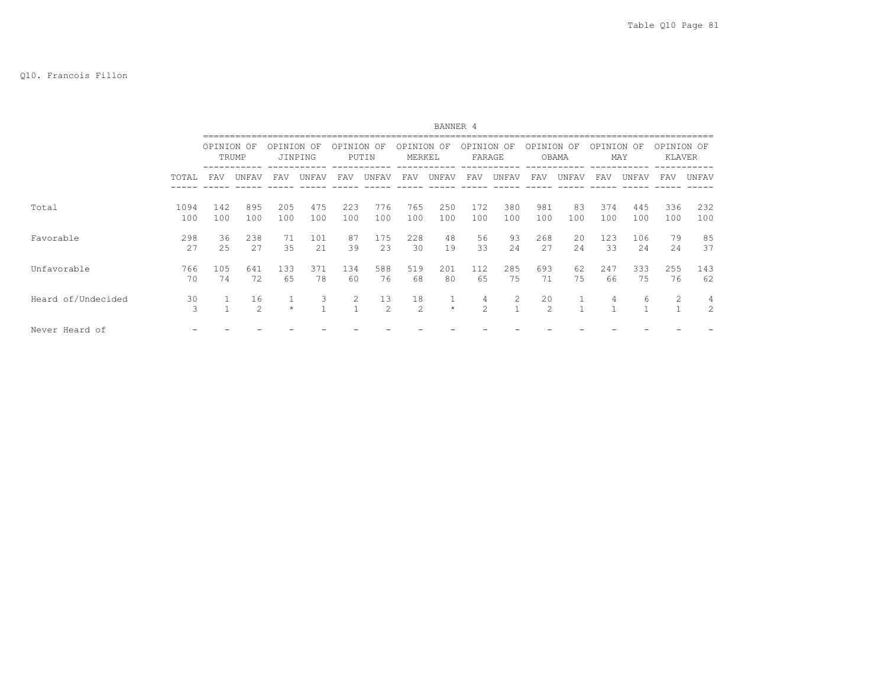|                    |             |            |                      |            |                   |            |                      |                   | BANNER 4                |                    |                |                      |             |            |            |                      |                     |
|--------------------|-------------|------------|----------------------|------------|-------------------|------------|----------------------|-------------------|-------------------------|--------------------|----------------|----------------------|-------------|------------|------------|----------------------|---------------------|
|                    |             | OPINION OF | TRUMP                | OPTNTON    | OF<br>JINPING     | OPINION OF | PUTIN                | OPTNTON<br>MERKEL | OF                      | OPINION<br>FARAGE  | OF             | OPTNTON              | OF<br>OBAMA | OPINION    | OF<br>MAY  | OPINION OF<br>KLAVER |                     |
|                    | TOTAL       | FAV        | UNFAV                | FAV        | UNFAV             | FAV        | UNFAV                | FAV               | UNFAV                   | FAV                | UNFAV          | FAV                  | UNFAV       | FAV        | UNFAV      | FAV                  | UNFAV               |
| Total              | 1094<br>100 | 142<br>100 | 895<br>100           | 205<br>100 | 475<br>100        | 223<br>100 | 776<br>100           | 765<br>100        | 250<br>100              | 172<br>100         | 380<br>100     | 981<br>100           | 83<br>100   | 374<br>100 | 445<br>100 | 336<br>100           | 232<br>100          |
| Favorable          | 298<br>2.7  | 36<br>25   | 238<br>2.7           | 71<br>35   | 101<br>21         | 87<br>39   | 175<br>2.3           | 228<br>30         | 48<br>19                | 56<br>33           | 93<br>2.4      | 268<br>2.7           | 20<br>2.4   | 123<br>33  | 106<br>2.4 | 79<br>24             | 85<br>37            |
| Unfavorable        | 766<br>70   | 105<br>74  | 641<br>72            | 133<br>65  | 371<br>78         | 134<br>60  | 588<br>76            | 519<br>68         | 201<br>80               | 112<br>65          | 285<br>75      | 693<br>71            | 62<br>75    | 247<br>66  | 333<br>75  | 255<br>76            | 143<br>62           |
| Heard of/Undecided | 30<br>3     |            | 16<br>$\mathfrak{D}$ | $\star$    | 3<br>$\mathbf{1}$ | 2          | 13<br>$\mathfrak{D}$ | 18<br>2           | $\mathbf{1}$<br>$\star$ | 4<br>$\mathcal{L}$ | $\overline{2}$ | 20<br>$\mathfrak{D}$ |             | 4          | 6          | 2<br>$\mathbf{1}$    | 4<br>$\overline{2}$ |
| Never Heard of     |             |            |                      |            |                   |            |                      |                   |                         |                    |                |                      |             |            |            |                      |                     |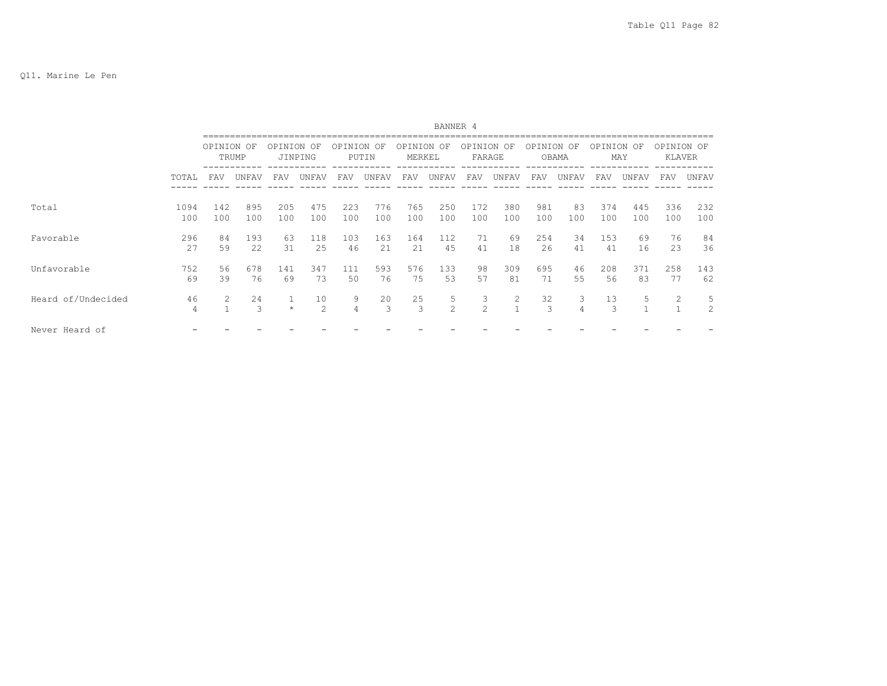|                    |             |            | BANNER 4   |            |               |            |             |                   |                     |                      |            |            |                     |            |            |                      |                     |
|--------------------|-------------|------------|------------|------------|---------------|------------|-------------|-------------------|---------------------|----------------------|------------|------------|---------------------|------------|------------|----------------------|---------------------|
|                    |             | OPINION OF | TRUMP      | OPINION    | OF<br>JINPING | OPINION    | OF<br>PUTIN | OPINION<br>MERKEL | OF                  | OPINION OF<br>FARAGE |            | OPINION    | OF<br>OBAMA         | OPINION OF | MAY        | OPINION OF<br>KLAVER |                     |
|                    | TOTAL       | FAV        | UNFAV      | FAV        | UNFAV         | FAV        | UNFAV       | FAV               | UNFAV               | FAV                  | UNFAV      | FAV        | UNFAV               | FAV        | UNFAV      | FAV                  | UNFAV               |
| Total              | 1094<br>100 | 142<br>100 | 895<br>100 | 205<br>100 | 475<br>100    | 223<br>100 | 776<br>100  | 765<br>100        | 250<br>100          | 172<br>100           | 380<br>100 | 981<br>100 | 83<br>100           | 374<br>100 | 445<br>100 | 336<br>100           | 232<br>100          |
| Favorable          | 296<br>27   | 84<br>59   | 193<br>22  | 63<br>31   | 118<br>25     | 103<br>46  | 163<br>21   | 164<br>21         | 112<br>45           | 71<br>41             | 69<br>18   | 254<br>26  | 34<br>41            | 153<br>41  | 69<br>16   | 76<br>23             | 84<br>36            |
| Unfavorable        | 752<br>69   | 56<br>39   | 678<br>76  | 141<br>69  | 347<br>73     | 111<br>50  | 593<br>76   | 576<br>75         | 133<br>53           | 98<br>57             | 309<br>81  | 695<br>71  | 46<br>55            | 208<br>56  | 371<br>83  | 258<br>77            | 143<br>62           |
| Heard of/Undecided | 46<br>4     | 2          | 24<br>3    | $\star$    | 10<br>2       | 9<br>4     | 20<br>3     | 25<br>3           | 5<br>$\overline{2}$ | 3<br>$\mathcal{L}$   | 2          | 32<br>3    | 3<br>$\overline{4}$ | 13<br>3    | 5          | 2<br>$\mathbf{1}$    | 5<br>$\overline{2}$ |
| Never Heard of     |             |            |            |            |               |            |             |                   |                     |                      |            |            |                     |            |            |                      |                     |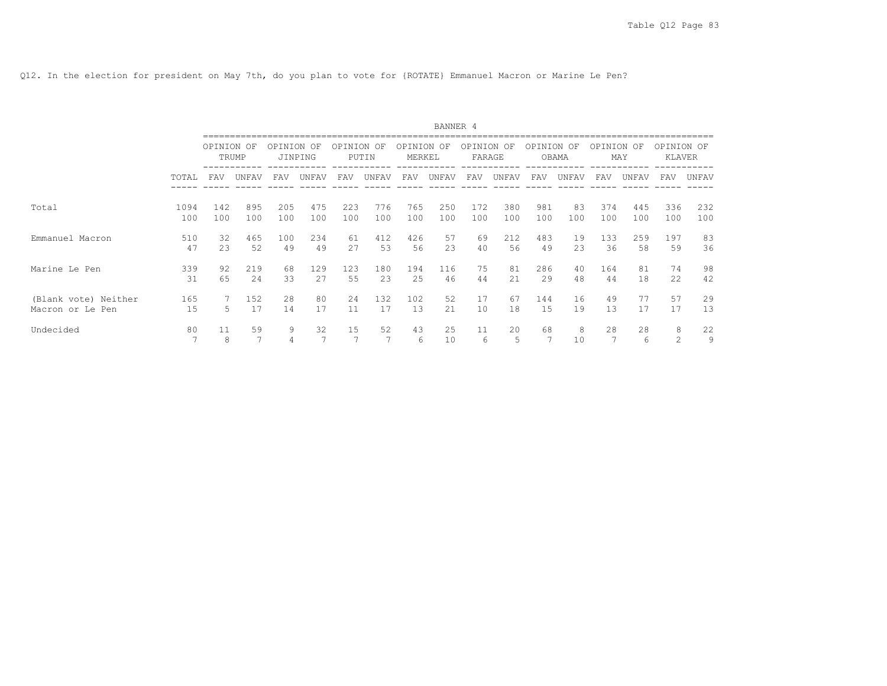Q12. In the election for president on May 7th, do you plan to vote for {ROTATE} Emmanuel Macron or Marine Le Pen?

|                      |                      |            |                      |         |                      |                      |             |                   | BANNER 4 |                   |         |         |             |            |         |                             |         |
|----------------------|----------------------|------------|----------------------|---------|----------------------|----------------------|-------------|-------------------|----------|-------------------|---------|---------|-------------|------------|---------|-----------------------------|---------|
|                      |                      | OPINION OF | TRUMP                | OPINION | OF<br>JINPING        | OPINION              | OF<br>PUTIN | OPINION<br>MERKEL | OF       | OPINION<br>FARAGE | OF      | OPINION | OF<br>OBAMA | OPINION OF | MAY     | OPINION OF<br><b>KLAVER</b> |         |
|                      | TOTAL                | FAV        | UNFAV                | FAV     | UNFAV                | FAV                  | UNFAV       | FAV               | UNFAV    | FAV               | UNFAV   | FAV     | UNFAV       | <b>FAV</b> | UNFAV   | <b>FAV</b>                  | UNFAV   |
| Total                | 1094                 | 142        | 895                  | 205     | 475                  | 223                  | 776         | 765               | 250      | 172               | 380     | 981     | 83          | 374        | 445     | 336                         | 232     |
|                      | 100                  | 100        | 100                  | 100     | 100                  | 100                  | 100         | 100               | 100      | 100               | 100     | 100     | 100         | 100        | 100     | 100                         | 100     |
| Emmanuel Macron      | 510                  | 32         | 465                  | 100     | 234                  | 61                   | 412         | 426               | 57       | 69                | 212     | 483     | 19          | 133        | 259     | 197                         | 83      |
|                      | 47                   | 23         | 52                   | 49      | 49                   | 27                   | 53          | 56                | 23       | 40                | 56      | 49      | 23          | 36         | 58      | 59                          | 36      |
| Marine Le Pen        | 339                  | 92         | 219                  | 68      | 129                  | 123                  | 180         | 194               | 116      | 75                | 81      | 286     | 40          | 164        | 81      | 74                          | 98      |
|                      | 31                   | 65         | 24                   | 33      | 27                   | 55                   | 23          | 25                | 46       | 44                | 2.1     | 29      | 48          | 44         | 18      | 22                          | 42      |
| (Blank vote) Neither | 165                  | 5          | 152                  | 28      | 80                   | 24                   | 132         | 102               | 52       | 17                | 67      | 144     | 16          | 49         | 77      | 57                          | 29      |
| Macron or Le Pen     | 15                   |            | 17                   | 14      | 17                   | 11                   | 17          | 13                | 21       | 10                | 18      | 15      | 19          | 13         | 17      | 17                          | 13      |
| Undecided            | 80<br>$\overline{7}$ | 11<br>8    | 59<br>$\overline{7}$ | 9       | 32<br>$\overline{ }$ | 15<br>$\overline{ }$ | 52          | 43<br>6           | 25<br>10 | 11<br>6           | 20<br>5 | 68<br>7 | 8<br>10     | 28<br>7    | 28<br>6 | 8<br>2                      | 22<br>9 |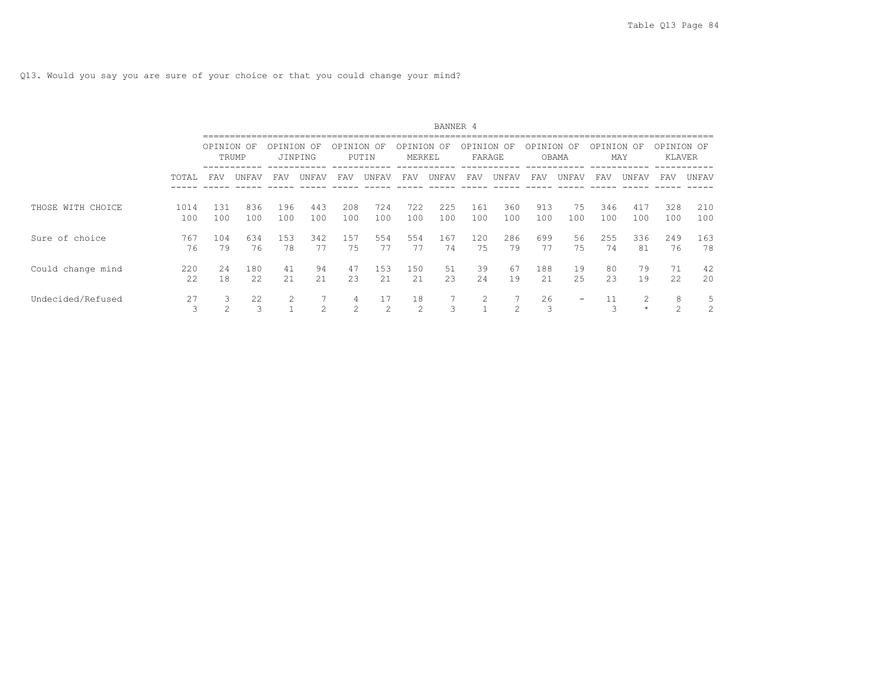|                   |             | BANNER 4    |               |            |                |                |                |                      |            |                   |               |            |           |            |            |                      |            |
|-------------------|-------------|-------------|---------------|------------|----------------|----------------|----------------|----------------------|------------|-------------------|---------------|------------|-----------|------------|------------|----------------------|------------|
|                   |             | OPINION     | - OF<br>TRUMP | OPINION    | OF<br>JINPING  | OPINION        | OF<br>PUTIN    | OPINION<br>MERKEL    | OF         | OPINION<br>FARAGE | OF            | OPINION OF | OBAMA     | OPINION OF | MAY        | OPINION OF<br>KLAVER |            |
|                   | TOTAL       | FAV         | UNFAV         | FAV        | UNFAV          | FAV            | UNFAV          | FAV                  | UNFAV      | FAV               | UNFAV         | FAV        | UNFAV     | FAV        | UNFAV      | FAV                  | UNFAV      |
| THOSE WITH CHOICE | 1014<br>100 | 131<br>100  | 836<br>100    | 196<br>100 | 443<br>100     | 208<br>100     | 724<br>100     | 722<br>100           | 225<br>100 | 161<br>100        | 360<br>100    | 913<br>100 | 75<br>100 | 346<br>100 | 417<br>100 | 328<br>100           | 210<br>100 |
| Sure of choice    | 767<br>76   | 104<br>79   | 634<br>76     | 153<br>78  | 342<br>77      | 157<br>75      | 554<br>77      | 554<br>77            | 167<br>74  | 120<br>75         | 286<br>79     | 699<br>77  | 56<br>75  | 255<br>74  | 336<br>81  | 249<br>76            | 163<br>78  |
| Could change mind | 220<br>22   | 2.4<br>18   | 180<br>22     | 41<br>21   | 94<br>21       | 47<br>23       | 153<br>21      | 150<br>21            | 51<br>23   | 39<br>24          | 67<br>19      | 188<br>21  | 19<br>25  | 80<br>23   | 79<br>19   | 71<br>22             | 42<br>20   |
| Undecided/Refused | 27<br>3     | 3<br>$\sim$ | 22<br>3       | 2          | $\mathfrak{D}$ | $\mathfrak{D}$ | $\perp$ /<br>2 | 18<br>$\overline{c}$ | 3          | 2                 | $\mathcal{L}$ | 26<br>3    | -         | ₹          | $\star$    | 8<br>$\mathfrak{D}$  | 5<br>2     |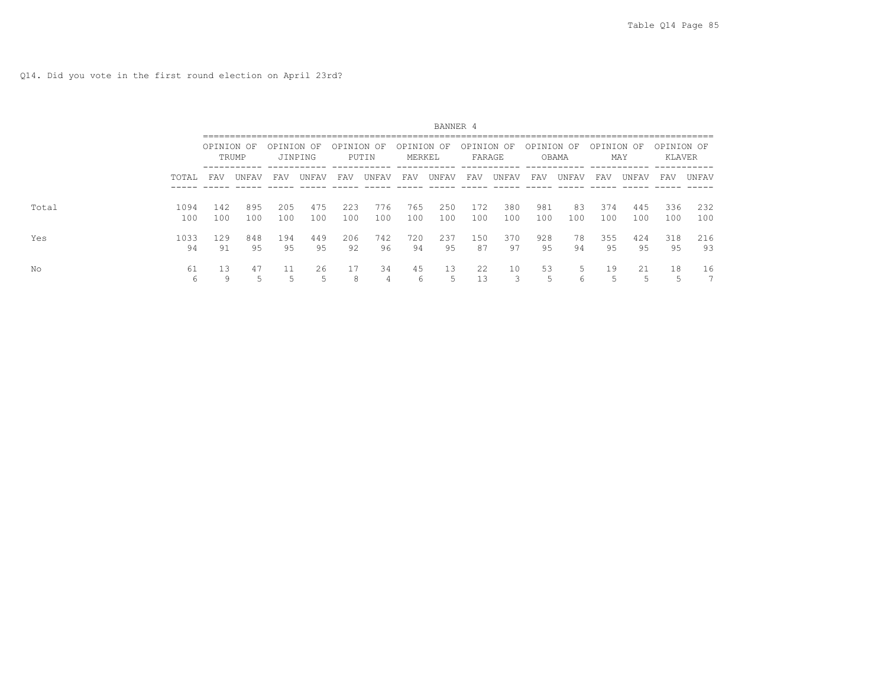Q14. Did you vote in the first round election on April 23rd?

|       |             |            |            |            |            |            |            |                      | BANNER 4   |                      |            |            |           |            |            |                      |            |
|-------|-------------|------------|------------|------------|------------|------------|------------|----------------------|------------|----------------------|------------|------------|-----------|------------|------------|----------------------|------------|
|       |             | OPINION OF | TRUMP      | OPINION OF | JINPING    | OPINION OF | PUTIN      | OPINION OF<br>MERKEL |            | OPINION OF<br>FARAGE |            | OPINION OF | OBAMA     | OPINION OF | MAY        | OPINION OF<br>KLAVER |            |
|       | TOTAL       | FAV        | UNFAV      | FAV        | UNFAV      | FAV        | UNFAV      | FAV                  | UNFAV      | FAV                  | UNFAV      | FAV        | UNFAV     | FAV        | UNFAV      | FAV                  | UNFAV      |
| Total | 1094<br>100 | 142<br>100 | 895<br>100 | 205<br>100 | 475<br>100 | 223<br>100 | 776<br>100 | 765<br>100           | 250<br>100 | 172<br>100           | 380<br>100 | 981<br>100 | 83<br>100 | 374<br>100 | 445<br>100 | 336<br>100           | 232<br>100 |
| Yes   | 1033<br>94  | 129<br>91  | 848<br>95  | 194<br>95  | 449<br>95  | 206<br>92  | 742<br>96  | 720<br>94            | 237<br>95  | 150<br>87            | 370<br>97  | 928<br>95  | 78<br>94  | 355<br>95  | 424<br>95  | 318<br>95            | 216<br>93  |
| Νo    | 61<br>6     | 13<br>9    | 47<br>5    |            | 26<br>ς    | 17<br>8    | 34         | 45<br>6              | 13         | 22<br>13             | 10         | 53<br>5    | 5<br>6    | 19<br>5    | 21         | 18<br>5              | 16<br>⇁    |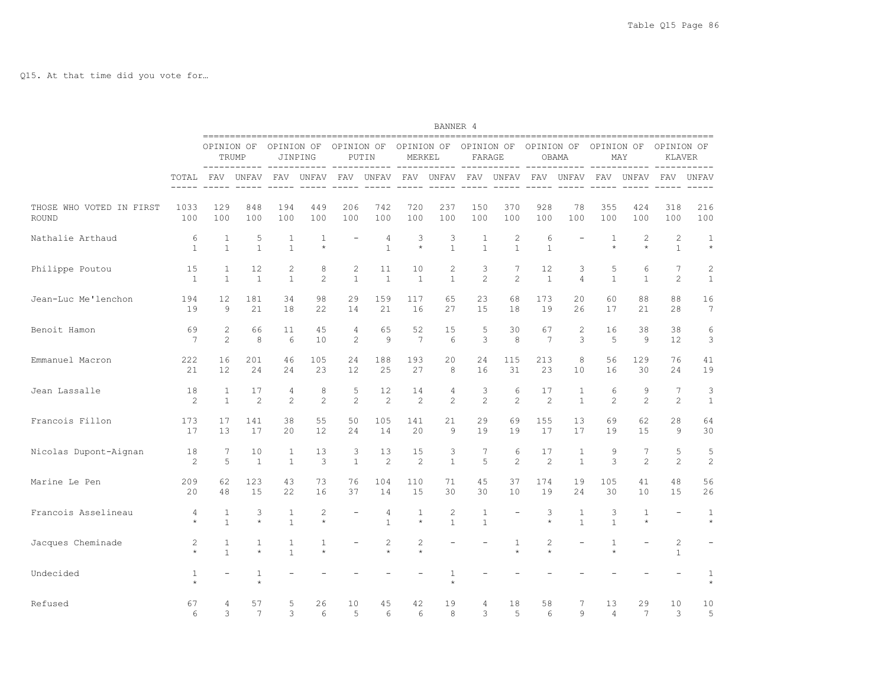Q15. At that time did you vote for…

|                          |                   |                              | BANNER 4                |                              |                         |                   |                     |                         |                         |                      |                              |                    |                              |                         |                         |                                |                         |
|--------------------------|-------------------|------------------------------|-------------------------|------------------------------|-------------------------|-------------------|---------------------|-------------------------|-------------------------|----------------------|------------------------------|--------------------|------------------------------|-------------------------|-------------------------|--------------------------------|-------------------------|
|                          |                   | OPINION OF                   | TRUMP                   | OPINION OF                   | JINPING                 | OPINION OF        | PUTIN               | OPINION OF<br>MERKEL    | -----                   | OPINION OF<br>FARAGE |                              | OPINION OF         | OBAMA                        | OPINION OF              | MAY                     | OPINION OF<br>KLAVER           |                         |
|                          | TOTAL             | FAV                          | ------<br>UNFAV         | $- - - -$<br>FAV             | UNFAV                   | ---- -----<br>FAV | UNFAV               | FAV                     | UNFAV                   | FAV                  | UNFAV                        | ----- -----<br>FAV | -----<br>UNFAV               | $- - - -$<br>FAV        | -----<br>UNFAV          | FAV                            | UNFAV                   |
| THOSE WHO VOTED IN FIRST | 1033              | 129                          | 848                     | 194                          | 449                     | 206               | 742                 | 720                     | 237                     | 150                  | 370                          | 928                | 78                           | 355                     | 424                     | 318                            | 216                     |
| ROUND                    | 100               | 100                          | 100                     | 100                          | 100                     | 100               | 100                 | 100                     | 100                     | 100                  | 100                          | 100                | 100                          | 100                     | 100                     | 100                            | 100                     |
| Nathalie Arthaud         | 6<br>$\mathbf{1}$ | $\mathbf{1}$<br>$\mathbf{1}$ | 5<br>$\mathbf{1}$       | 1<br>$\mathbf{1}$            | $\mathbf{1}$<br>$\star$ |                   | 4<br>$\overline{1}$ | 3<br>$\star$            | 3<br>$\mathbf{1}$       | 1<br>$\mathbf{1}$    | $\mathbf{2}$<br>$\mathbf{1}$ | 6<br>$\mathbf{1}$  | $\overline{\phantom{0}}$     | $\mathbf{1}$<br>$\star$ | $\mathbf{2}$<br>$\star$ | $\overline{c}$<br>$\mathbf{1}$ | $\mathbf{1}$<br>$\star$ |
| Philippe Poutou          | 15                | $\mathbf{1}$                 | 12                      | $\mathbf{2}$                 | 8                       | $\overline{c}$    | 11                  | 10                      | $\overline{c}$          | 3                    | 7                            | 12                 | 3                            | 5                       | 6                       | 7                              | 2                       |
|                          | $\mathbf{1}$      | $\mathbf{1}$                 | $\mathbf{1}$            | $\mathbf{1}$                 | $\overline{2}$          | $\mathbf{1}$      | $\overline{1}$      | $\mathbf{1}$            | $\mathbf{1}$            | $\mathfrak{D}$       | $\mathfrak{D}$               | $\mathbf{1}$       | $\overline{4}$               | $\mathbf{1}$            | $\mathbf{1}$            | $\overline{2}$                 | $\mathbf{1}$            |
| Jean-Luc Me'lenchon      | 194               | 12                           | 181                     | 34                           | 98                      | 29                | 159                 | 117                     | 65                      | 23                   | 68                           | 173                | 20                           | 60                      | 88                      | 88                             | 16                      |
|                          | 19                | $\circ$                      | 21                      | 18                           | 22                      | 14                | 21                  | 16                      | 27                      | 15                   | 18                           | 19                 | 26                           | 17                      | 21                      | 28                             | 7                       |
| Benoit Hamon             | 69                | $\mathbf{2}$                 | 66                      | 11                           | 45                      | 4                 | 65                  | 52                      | 15                      | 5                    | 30                           | 67                 | 2                            | 16                      | 38                      | 38                             | 6                       |
|                          | 7                 | $\overline{c}$               | 8                       | 6                            | 10                      | $\overline{c}$    | 9                   | $7\overline{ }$         | 6                       | 3                    | 8                            | 7                  | 3                            | 5                       | 9                       | 12                             | 3                       |
| Emmanuel Macron          | 222               | 16                           | 201                     | 46                           | 105                     | 24                | 188                 | 193                     | 20                      | 24                   | 115                          | 213                | 8                            | 56                      | 129                     | 76                             | 41                      |
|                          | 21                | 12.                          | 2.4                     | 24                           | 23                      | 12.               | 25                  | 27                      | 8                       | 16                   | 31                           | 23                 | 10                           | 16                      | 30                      | 24                             | 19                      |
| Jean Lassalle            | 18                | 1                            | 17                      | 4                            | 8                       | 5                 | 12                  | 14                      | 4                       | 3                    | 6                            | 17                 | 1                            | 6                       | 9                       | $7\phantom{.0}$                | 3                       |
|                          | $\mathbf{2}$      | $\mathbf{1}$                 | 2                       | $\overline{2}$               | 2                       | $\overline{c}$    | $\overline{c}$      | $\overline{c}$          | $\overline{c}$          | $\overline{c}$       | 2                            | $\overline{c}$     | $\mathbf{1}$                 | $\overline{c}$          | $\overline{c}$          | $\mathbf{2}$                   | $\mathbf{1}$            |
| Francois Fillon          | 173               | 17                           | 141                     | 38                           | 55                      | 50                | 105                 | 141                     | 21                      | 29                   | 69                           | 155                | 13                           | 69                      | 62                      | 28                             | 64                      |
|                          | 17                | 13                           | 17                      | 20                           | 12                      | 24                | 14                  | 20                      | $\mathcal{G}$           | 19                   | 19                           | 17                 | 17                           | 19                      | 15                      | 9                              | 30                      |
| Nicolas Dupont-Aignan    | 18                | 7                            | 10                      | $\mathbf{1}$                 | 13                      | 3                 | 13                  | 15                      | 3                       | 7                    | 6                            | 17                 | $\mathbf{1}$                 | 9                       | 7                       | 5                              | 5                       |
|                          | 2                 | 5                            | $\mathbf{1}$            | $\mathbf{1}$                 | 3                       | $\mathbf{1}$      | 2                   | 2                       | $\mathbf{1}$            | 5                    | 2                            | $\overline{c}$     | $\mathbf{1}$                 | 3                       | 2                       | 2                              | 2                       |
| Marine Le Pen            | 209               | 62                           | 123                     | 43                           | 73                      | 76                | 104                 | 110                     | 71                      | 45                   | 37                           | 174                | 19                           | 105                     | 41                      | 48                             | 56                      |
|                          | 20                | 48                           | 15                      | 22                           | 16                      | 37                | 14                  | 15                      | 30                      | 30                   | 10                           | 19                 | 24                           | 30                      | 10                      | 15                             | 26                      |
| Francois Asselineau      | 4<br>$\star$      | 1<br>$\mathbf{1}$            | 3<br>$\star$            | $\mathbf{1}$<br>$\mathbf{1}$ | 2<br>$\star$            |                   | 4<br>$\mathbf{1}$   | $\mathbf{1}$<br>$\star$ | 2<br>$\mathbf{1}$       | 1<br>$\mathbf{1}$    | $\overline{\phantom{a}}$     | 3<br>$\star$       | $\mathbf{1}$<br>$\mathbf{1}$ | 3<br>$\mathbf{1}$       | $\mathbf{1}$<br>$\star$ | $\overline{\phantom{a}}$       | $\mathbf{1}$<br>$\star$ |
| Jacques Cheminade        | 2<br>$\star$      | $\mathbf{1}$<br>$\mathbf{1}$ | $\mathbf{1}$<br>$\star$ | 1<br>$\mathbf{1}$            | 1<br>$\star$            |                   | 2                   | 2<br>$\star$            |                         |                      | $\mathbf{1}$<br>$\star$      | 2<br>$\star$       | $\overline{\phantom{0}}$     | $\mathbf{1}$<br>$\star$ |                         | $\overline{c}$<br>$\mathbf{1}$ |                         |
| Undecided                | 1<br>$\star$      |                              | $\mathbf{1}$<br>$\star$ |                              |                         |                   |                     |                         | $\mathbf{1}$<br>$\star$ |                      |                              |                    |                              |                         |                         |                                | $\mathbf{1}$<br>$\star$ |
| Refused                  | 67                | 4                            | 57                      | 5                            | 26                      | 10                | 45                  | 42                      | 19                      | $\overline{4}$       | 18                           | 58                 | 7                            | 13                      | 29                      | 10                             | 10                      |
|                          | 6                 | 3                            | 7                       | 3                            | 6                       | 5                 | 6                   | 6                       | 8                       | 3                    | 5                            | 6                  | 9                            | $\overline{4}$          | 7                       | 3                              | 5                       |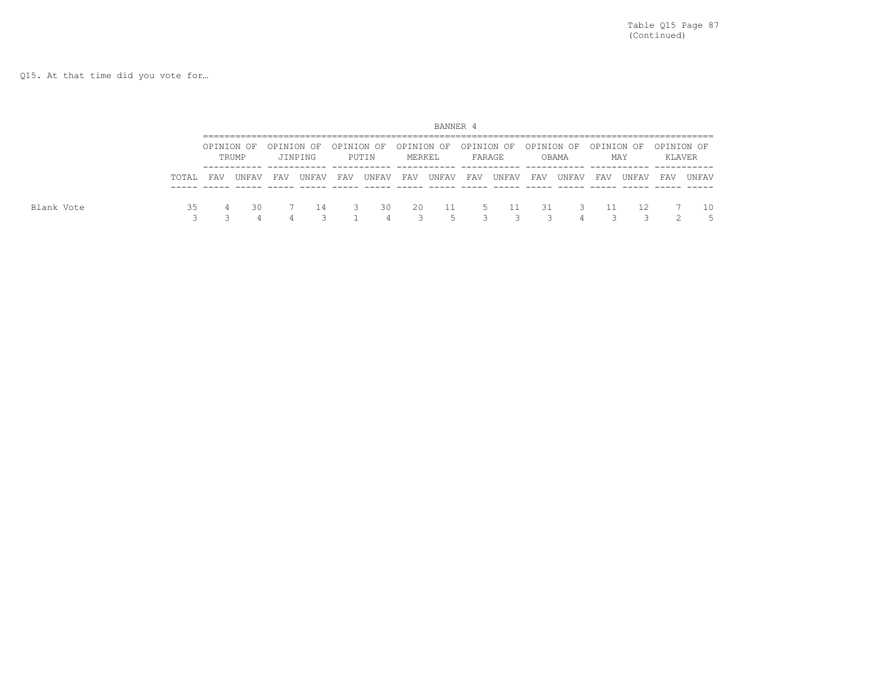Q15. At that time did you vote for…

|            |       |            |       |     |                       |            |       |        | BANNER 4 |        |       |     |                                                      |     |       |            |         |
|------------|-------|------------|-------|-----|-----------------------|------------|-------|--------|----------|--------|-------|-----|------------------------------------------------------|-----|-------|------------|---------|
|            |       | OPINION OF | TRUMP |     | OPINION OF<br>JINPING | OPINION OF | PUTIN | MERKEL |          | FARAGE |       |     | OPINION OF OPINION OF OPINION OF OPINION OF<br>OBAMA |     | MAY   | OPINION OF | KLAVER  |
|            | TOTAL | FAV        | UNFAV | FAV | UNFAV                 | FAV        | UNFAV | FAV    | UNFAV    | FAV    | UNFAV | FAV | UNFAV                                                | FAV | UNFAV | FAV        | UNFAV   |
| Blank Vote | 35    | 4          | 30    |     | -14                   |            | 30    | 20     | 11<br>ц  | 5.     | - 11  | 31  | - 3                                                  |     | 12    |            | 10<br>5 |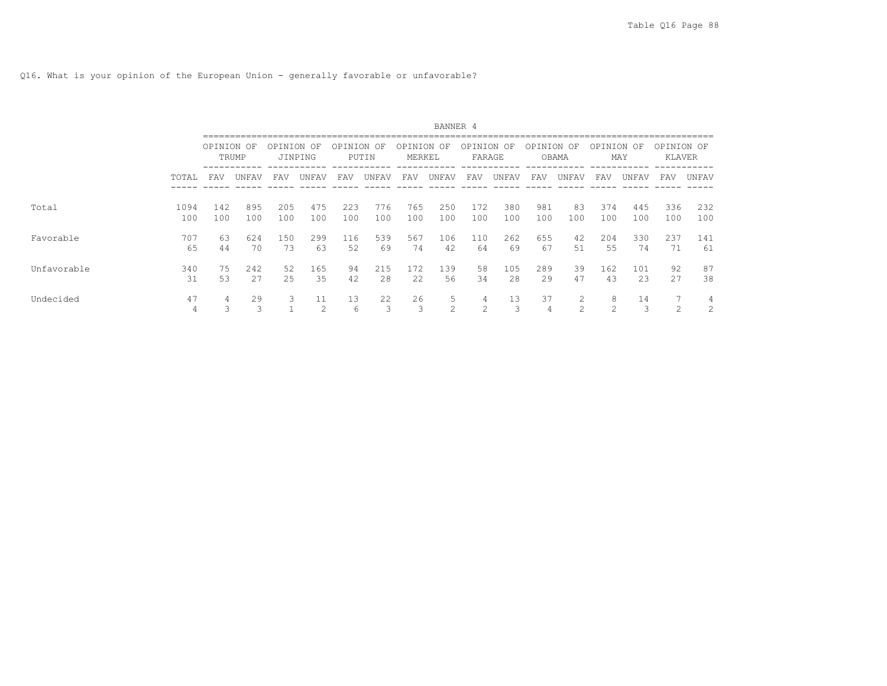Q16. What is your opinion of the European Union - generally favorable or unfavorable?

|             |             |            |            |            |               |            |             |                   | BANNER 4   |                      |            |                      |                     |                    |            |                      |                     |
|-------------|-------------|------------|------------|------------|---------------|------------|-------------|-------------------|------------|----------------------|------------|----------------------|---------------------|--------------------|------------|----------------------|---------------------|
|             |             | OPINION OF | TRUMP      | OPINION    | OF<br>JINPING | OPINION    | OF<br>PUTIN | OPINION<br>MERKEL | OF         | OPINION OF<br>FARAGE |            | OPINION              | OF<br>OBAMA         | OPINION OF         | MAY        | OPINION OF<br>KLAVER |                     |
|             | TOTAL       | FAV        | UNFAV      | FAV        | UNFAV         | FAV        | UNFAV       | FAV               | UNFAV      | FAV                  | UNFAV      | FAV                  | UNFAV               | FAV                | UNFAV      | FAV                  | UNFAV               |
| Total       | 1094<br>100 | 142<br>100 | 895<br>100 | 205<br>100 | 475<br>100    | 223<br>100 | 776<br>100  | 765<br>100        | 250<br>100 | 172<br>100           | 380<br>100 | 981<br>100           | 83<br>100           | 374<br>100         | 445<br>100 | 336<br>100           | 232<br>100          |
| Favorable   | 707<br>65   | 63<br>44   | 624<br>70  | 150<br>73  | 299<br>63     | 116<br>52  | 539<br>69   | 567<br>74         | 106<br>42  | 110<br>64            | 262<br>69  | 655<br>67            | 42<br>51            | 204<br>55          | 330<br>74  | 237<br>71            | 141<br>61           |
| Unfavorable | 340<br>31   | 75<br>53   | 242<br>27  | 52<br>25   | 165<br>35     | 94<br>42   | 215<br>28   | 172<br>22         | 139<br>56  | 58<br>34             | 105<br>28  | 289<br>29            | 39<br>47            | 162<br>43          | 101<br>23  | 92<br>27             | 87<br>38            |
| Undecided   | 47<br>4     | 4<br>3     | 29<br>3    | 3          | 11<br>2       | 13<br>6    | 22          | 26<br>3           | 5<br>2     | 4<br>$\mathcal{L}$   | 13<br>3    | 37<br>$\overline{4}$ | 2<br>$\mathfrak{D}$ | 8<br>$\mathcal{L}$ | 14<br>3    | 7<br>$\sim$          | 4<br>$\overline{c}$ |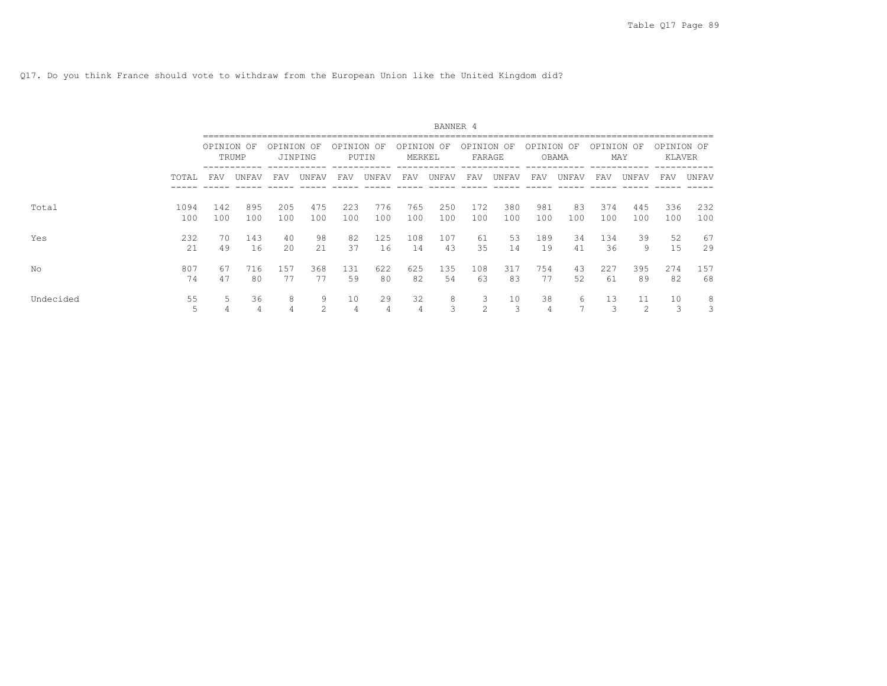Q17. Do you think France should vote to withdraw from the European Union like the United Kingdom did?

|           |             |            | BANNER 4   |            |            |            |            |                      |            |                      |            |            |             |            |              |                      |            |
|-----------|-------------|------------|------------|------------|------------|------------|------------|----------------------|------------|----------------------|------------|------------|-------------|------------|--------------|----------------------|------------|
|           |             | OPINION OF | TRUMP      | OPINION OF | JINPING    | OPINION OF | PUTIN      | OPINION OF<br>MERKEL |            | OPINION OF<br>FARAGE |            | OPINION    | OF<br>OBAMA | OPINION OF | MAY          | OPINION OF<br>KLAVER |            |
|           | TOTAL       | FAV        | UNFAV      | FAV        | UNFAV      | FAV        | UNFAV      | FAV                  | UNFAV      | FAV                  | UNFAV      | FAV        | UNFAV       | FAV        | UNFAV        | FAV                  | UNFAV      |
| Total     | 1094<br>100 | 142<br>100 | 895<br>100 | 205<br>100 | 475<br>100 | 223<br>100 | 776<br>100 | 765<br>100           | 250<br>100 | 172<br>100           | 380<br>100 | 981<br>100 | 83<br>100   | 374<br>100 | 445<br>100   | 336<br>100           | 232<br>100 |
| Yes       | 232<br>21   | 70<br>49   | 143<br>16  | 40<br>20   | 98<br>21   | 82<br>37   | 125<br>16  | 108<br>14            | 107<br>43  | 61<br>35             | 53<br>14   | 189<br>19  | 34<br>41    | 134<br>36  | 39<br>9      | 52<br>15             | 67<br>29   |
| Νo        | 807<br>74   | 67<br>47   | 716<br>80  | 157<br>77  | 368<br>77  | 131<br>59  | 622<br>80  | 625<br>82            | 135<br>54  | 108<br>63            | 317<br>83  | 754<br>77  | 43<br>52    | 227<br>61  | 395<br>89    | 274<br>82            | 157<br>68  |
| Undecided | 55<br>5     | 4          | 36<br>4    | 8          | 9<br>2     | 10<br>4    | 29<br>4    | 32<br>4              | 8<br>3     | $\bigcirc$           | 10         | 38<br>4    | 6           | 13<br>3    | 11<br>$\sim$ | 10<br>3              | 8<br>3     |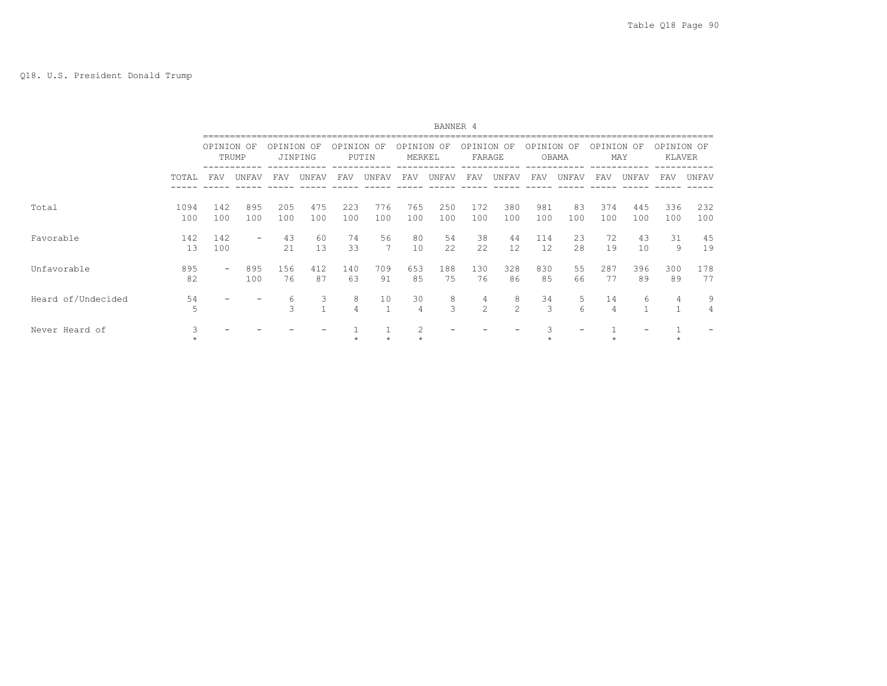|                    |              |                          |                          |            |                   |            |            |                      | BANNER 4   |                      |            |            |           |                      |            |                      |            |
|--------------------|--------------|--------------------------|--------------------------|------------|-------------------|------------|------------|----------------------|------------|----------------------|------------|------------|-----------|----------------------|------------|----------------------|------------|
|                    |              | OPINION OF               | TRUMP                    | OPINION    | OF<br>JINPING     | OPINION OF | PUTIN      | OPINION OF<br>MERKEL |            | OPINION OF<br>FARAGE |            | OPINION OF | OBAMA     | OPINION OF           | MAY        | OPINION OF<br>KLAVER |            |
|                    | TOTAL        | FAV                      | UNFAV                    | FAV        | UNFAV             | FAV        | UNFAV      | FAV                  | UNFAV      | FAV                  | UNFAV      | FAV        | UNFAV     | <b>FAV</b>           | UNFAV      | FAV                  | UNFAV      |
| Total              | 1094<br>100  | 142<br>100               | 895<br>100               | 205<br>100 | 475<br>100        | 223<br>100 | 776<br>100 | 765<br>100           | 250<br>100 | 172<br>100           | 380<br>100 | 981<br>100 | 83<br>100 | 374<br>100           | 445<br>100 | 336<br>100           | 232<br>100 |
| Favorable          | 142<br>13    | 142<br>100               | $\overline{\phantom{a}}$ | 43<br>21   | 60<br>13          | 74<br>33   | 56         | 80<br>10             | 54<br>22   | 38<br>22             | 44<br>12   | 114<br>12  | 23<br>28  | 72<br>19             | 43<br>10   | 31<br>9              | 45<br>19   |
| Unfavorable        | 895<br>82    | $\overline{\phantom{0}}$ | 895<br>100               | 156<br>76  | 412<br>87         | 140<br>63  | 709<br>91  | 653<br>85            | 188<br>75  | 130<br>76            | 328<br>86  | 830<br>85  | 55<br>66  | 287<br>77            | 396<br>89  | 300<br>89            | 178<br>77  |
| Heard of/Undecided | 54<br>5      |                          |                          | 6<br>ς     | 3<br>$\mathbf{A}$ | 8          | 10         | 30<br>4              | 8<br>3     | 4<br>2               | 8<br>2     | 34<br>3    | 5<br>ĥ    | 14<br>$\overline{4}$ | 6          | 4                    | 9<br>4     |
| Never Heard of     | 3<br>$\star$ |                          |                          |            |                   |            |            | 2                    |            |                      |            |            |           |                      |            | $\star$              |            |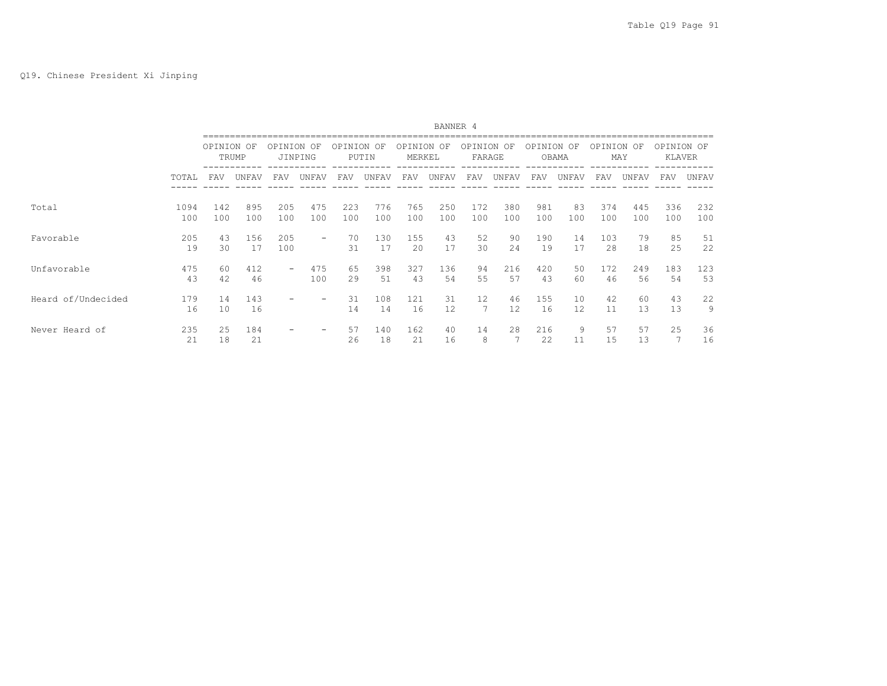|                    |             |            |            |            |                          |            |            |                      | BANNER 4   |                      |            |            |           |            |            |                      |            |
|--------------------|-------------|------------|------------|------------|--------------------------|------------|------------|----------------------|------------|----------------------|------------|------------|-----------|------------|------------|----------------------|------------|
|                    |             | OPINION OF | TRUMP      | OPINION OF | JINPING                  | OPINION OF | PUTIN      | OPINION OF<br>MERKEL |            | OPINION OF<br>FARAGE |            | OPINION OF | OBAMA     | OPINION OF | MAY        | OPINION OF<br>KLAVER |            |
|                    | TOTAL       | <b>FAV</b> | UNFAV      | FAV        | UNFAV                    | FAV        | UNFAV      | FAV                  | UNFAV      | FAV                  | UNFAV      | FAV        | UNFAV     | FAV        | UNFAV      | FAV                  | UNFAV      |
| Total              | 1094<br>100 | 142<br>100 | 895<br>100 | 205<br>100 | 475<br>100               | 223<br>100 | 776<br>100 | 765<br>100           | 250<br>100 | 172<br>100           | 380<br>100 | 981<br>100 | 83<br>100 | 374<br>100 | 445<br>100 | 336<br>100           | 232<br>100 |
| Favorable          | 205<br>19   | 43<br>30   | 156<br>17  | 205<br>100 | $\overline{\phantom{m}}$ | 70<br>31   | 130<br>17  | 155<br>20            | 43<br>17   | 52<br>30             | 90<br>2.4  | 190<br>19  | 14<br>17  | 103<br>2.8 | 79<br>18   | 85<br>25             | 51<br>22   |
| Unfavorable        | 475<br>43   | 60<br>42   | 412<br>46  | -          | 475<br>100               | 65<br>29   | 398<br>51  | 327<br>43            | 136<br>54  | 94<br>55             | 216<br>57  | 420<br>43  | 50<br>60  | 172<br>46  | 249<br>56  | 183<br>54            | 123<br>53  |
| Heard of/Undecided | 179<br>16   | 14<br>10   | 143<br>16  |            | -                        | 31<br>14   | 108<br>14  | 121<br>16            | 31<br>12   | 12<br>7              | 46<br>12   | 155<br>16  | 10<br>12  | 42<br>11   | 60<br>13   | 43<br>13             | 22<br>9    |
| Never Heard of     | 235<br>21   | 25<br>18   | 184<br>21  |            | $\overline{\phantom{0}}$ | 57<br>26   | 140<br>18  | 162<br>21            | 40<br>16   | 14<br>8              | 28         | 216<br>22  | 9<br>11   | 57<br>15   | 57<br>13   | 25<br>7              | 36<br>16   |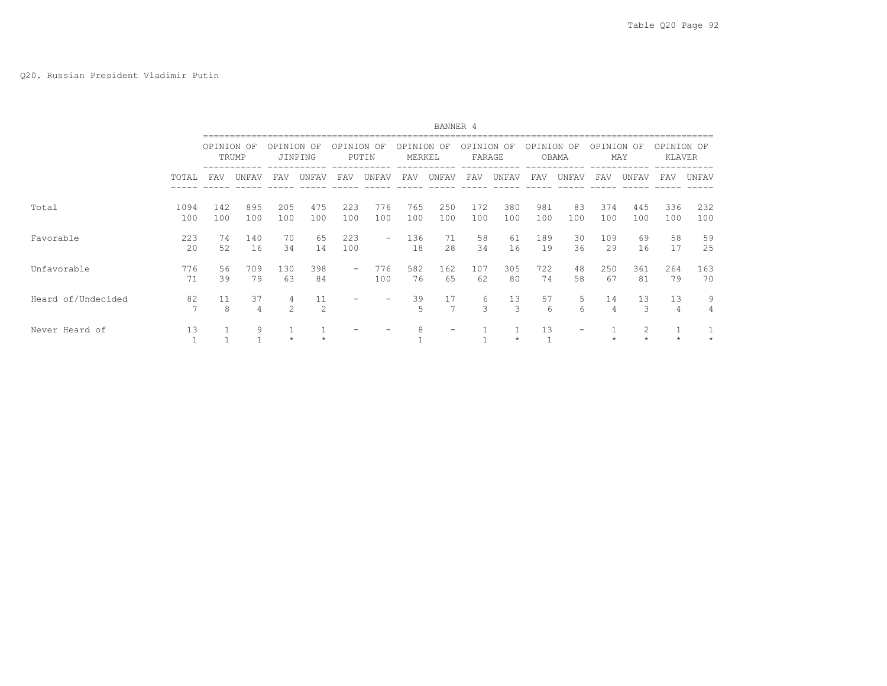|                    |                      |            |            |                     |               |            |                          |                   | BANNER 4   |                   |            |                   |                          |                      |            |                      |            |
|--------------------|----------------------|------------|------------|---------------------|---------------|------------|--------------------------|-------------------|------------|-------------------|------------|-------------------|--------------------------|----------------------|------------|----------------------|------------|
|                    |                      | OPINION OF | TRUMP      | OPTNTON             | OF<br>JINPING | OPTNTON    | OF<br>PUTIN              | OPINION<br>MERKEL | OF         | OPTNTON<br>FARAGE | OF         | OPTNTON           | OF<br>OBAMA              | OPTNION OF           | MAY        | OPINION OF<br>KLAVER |            |
|                    | TOTAL                | FAV        | UNFAV      | FAV                 | UNFAV         | FAV        | UNFAV                    | FAV               | UNFAV      | FAV               | UNFAV      | FAV               | UNFAV                    | FAV                  | UNFAV      | FAV                  | UNFAV      |
| Total              | 1094<br>100          | 142<br>100 | 895<br>100 | 205<br>100          | 475<br>100    | 223<br>100 | 776<br>100               | 765<br>100        | 250<br>100 | 172<br>100        | 380<br>100 | 981<br>100        | 83<br>100                | 374<br>100           | 445<br>100 | 336<br>100           | 232<br>100 |
| Favorable          | 223<br>20            | 74<br>52   | 140<br>16  | 70<br>34            | 65<br>14      | 223<br>100 | $\overline{\phantom{0}}$ | 136<br>18         | 71<br>28   | 58<br>34          | 61<br>16   | 189<br>19         | 30<br>36                 | 109<br>29            | 69<br>16   | 58<br>17             | 59<br>25   |
| Unfavorable        | 776<br>71            | 56<br>39   | 709<br>79  | 130<br>63           | 398<br>84     |            | 776<br>100               | 582<br>76         | 162<br>65  | 107<br>62         | 305<br>80  | 722<br>74         | 48<br>58                 | 250<br>67            | 361<br>81  | 264<br>79            | 163<br>70  |
| Heard of/Undecided | 82<br>$\overline{7}$ | 11<br>8    | 37<br>4    | 4<br>$\mathfrak{D}$ | 11<br>2       |            |                          | 39<br>5           | 17<br>7    | 6<br>3            | 13<br>3    | 57<br>$6^{\circ}$ | 5<br>6                   | 14<br>$\overline{4}$ | 13<br>3    | 13<br>4              | 9<br>4     |
| Never Heard of     | 13<br>$\mathbf{1}$   |            | 9          |                     |               |            |                          | 8                 | -          |                   | $\star$    | 13                | $\overline{\phantom{m}}$ |                      | 2          |                      |            |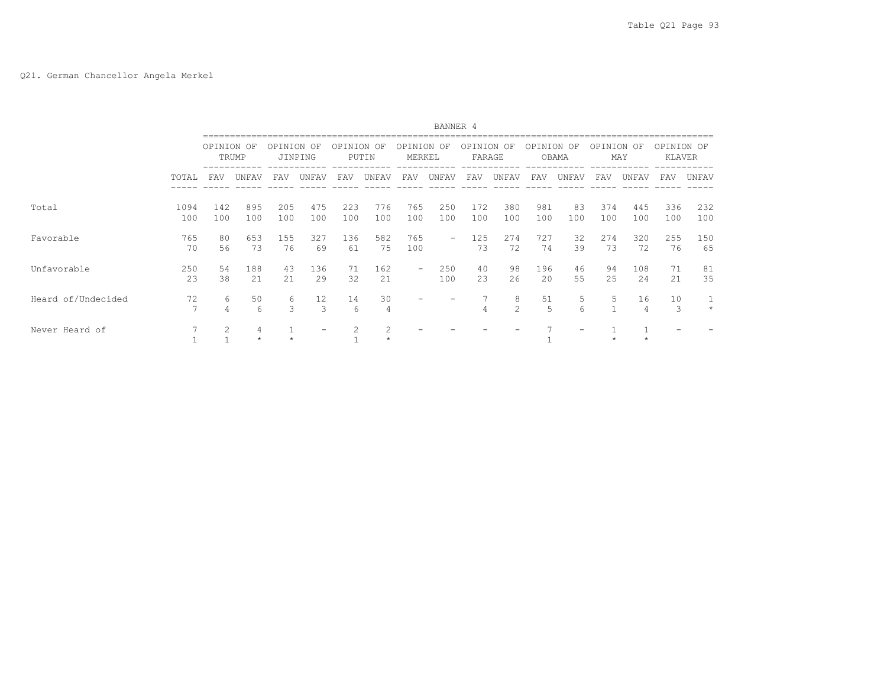|                    |                      |                |              |                    |               |            |             |                          | BANNER 4   |                   |                    |            |                 |            |            |                      |            |
|--------------------|----------------------|----------------|--------------|--------------------|---------------|------------|-------------|--------------------------|------------|-------------------|--------------------|------------|-----------------|------------|------------|----------------------|------------|
|                    |                      | OPINION OF     | TRUMP        | OPINION            | OF<br>JINPING | OPINION    | OF<br>PUTIN | OPINION<br>MERKEL        | OF         | OPINION<br>FARAGE | OF                 | OPINION    | OF<br>OBAMA     | OPINION OF | MAY        | OPINION OF<br>KLAVER |            |
|                    | TOTAL                | FAV            | UNFAV        | FAV                | UNFAV         | FAV        | UNFAV       | FAV                      | UNFAV      | FAV               | UNFAV              | FAV        | UNFAV           | FAV        | UNFAV      | FAV                  | UNFAV      |
| Total              | 1094<br>100          | 142<br>100     | 895<br>100   | 205<br>100         | 475<br>100    | 223<br>100 | 776<br>100  | 765<br>100               | 250<br>100 | 172<br>100        | 380<br>100         | 981<br>100 | 83<br>100       | 374<br>100 | 445<br>100 | 336<br>100           | 232<br>100 |
| Favorable          | 765<br>70            | 80<br>56       | 653<br>73    | 155<br>76          | 327<br>69     | 136<br>61  | 582<br>75   | 765<br>100               | -          | 125<br>73         | 274<br>72          | 727<br>74  | 32<br>39        | 274<br>73  | 320<br>72  | 255<br>76            | 150<br>65  |
| Unfavorable        | 250<br>23            | 54<br>38       | 188<br>21    | 43<br>21           | 136<br>29     | 71<br>32   | 162<br>21   | $\overline{\phantom{0}}$ | 250<br>100 | 40<br>23          | 98<br>26           | 196<br>20  | 46<br>55        | 94<br>25   | 108<br>24  | 71<br>21             | 81<br>35   |
| Heard of/Undecided | 72<br>$\overline{7}$ | 6<br>4         | 50<br>6      | 6<br>$\mathcal{L}$ | 12<br>3       | 14<br>6    | 30<br>4     |                          |            | 4                 | 8<br>$\mathcal{L}$ | 51<br>.5   | 5<br>$\epsilon$ | 5          | 16         | 10<br>3              | $\star$    |
| Never Heard of     | 7                    | $\overline{c}$ | 4<br>$\star$ |                    |               |            | 2           |                          |            |                   |                    |            |                 |            |            |                      |            |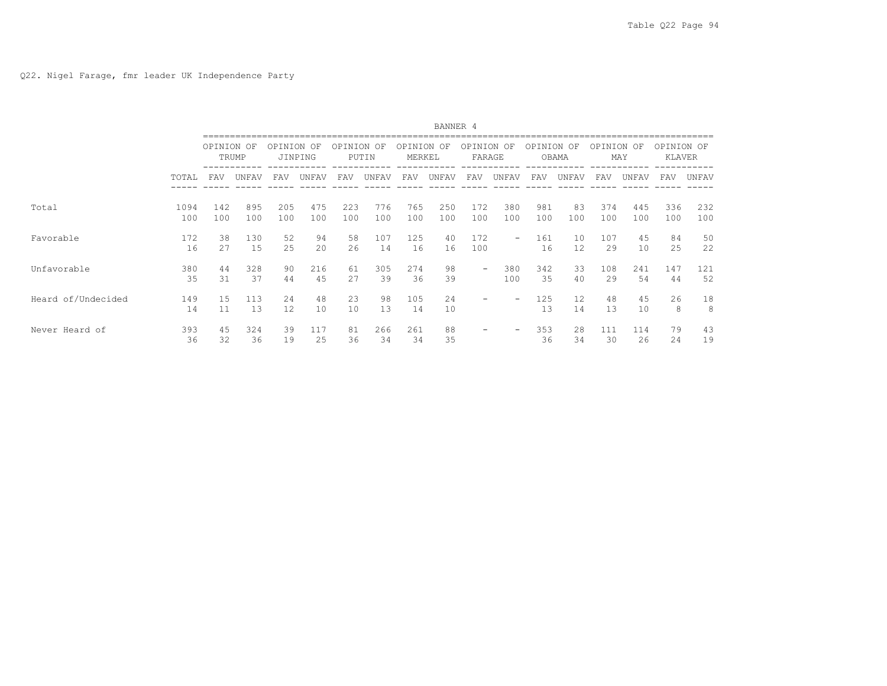|                    |             |            |            |            |            |            |            |                      | BANNER 4   |                          |                          |            |           |            |            |                      |            |
|--------------------|-------------|------------|------------|------------|------------|------------|------------|----------------------|------------|--------------------------|--------------------------|------------|-----------|------------|------------|----------------------|------------|
|                    |             | OPINION OF | TRUMP      | OPINION OF | JINPING    | OPINION OF | PUTIN      | OPINION OF<br>MERKEL |            | OPINION OF<br>FARAGE     |                          | OPINION OF | OBAMA     | OPINION OF | MAY        | OPINION OF<br>KLAVER |            |
|                    | TOTAL       | <b>FAV</b> | UNFAV      | FAV        | UNFAV      | <b>FAV</b> | UNFAV      | FAV                  | UNFAV      | <b>FAV</b>               | UNFAV                    | FAV        | UNFAV     | <b>FAV</b> | UNFAV      | FAV                  | UNFAV      |
| Total              | 1094<br>100 | 142<br>100 | 895<br>100 | 205<br>100 | 475<br>100 | 223<br>100 | 776<br>100 | 765<br>100           | 250<br>100 | 172<br>100               | 380<br>100               | 981<br>100 | 83<br>100 | 374<br>100 | 445<br>100 | 336<br>100           | 232<br>100 |
| Favorable          | 172<br>16   | 38<br>27   | 130<br>15  | 52<br>25   | 94<br>20   | 58<br>26   | 107<br>14  | 125<br>16            | 40<br>16   | 172<br>100               | $\overline{\phantom{0}}$ | 161<br>16  | 10<br>12  | 107<br>29  | 45<br>10   | 84<br>25             | 50<br>22   |
| Unfavorable        | 380<br>35   | 44<br>31   | 328<br>37  | 90<br>44   | 216<br>45  | 61<br>27   | 305<br>39  | 274<br>36            | 98<br>39   | $\overline{\phantom{0}}$ | 380<br>100               | 342<br>35  | 33<br>40  | 108<br>29  | 241<br>54  | 147<br>44            | 121<br>52  |
| Heard of/Undecided | 149<br>14   | 1.5<br>11  | 113<br>13  | 24<br>12.  | 48<br>10   | 23<br>10   | 98<br>13   | 105<br>14            | 24<br>10   |                          | -                        | 125<br>13  | 12<br>14  | 48<br>13   | 45<br>10   | 26<br>8              | 18<br>8    |
| Never Heard of     | 393<br>36   | 45<br>32   | 324<br>36  | 39<br>19   | 117<br>25  | 81<br>36   | 266<br>34  | 261<br>34            | 88<br>35   |                          | -                        | 353<br>36  | 28<br>34  | 111<br>30  | 114<br>26  | 79<br>24             | 43<br>19   |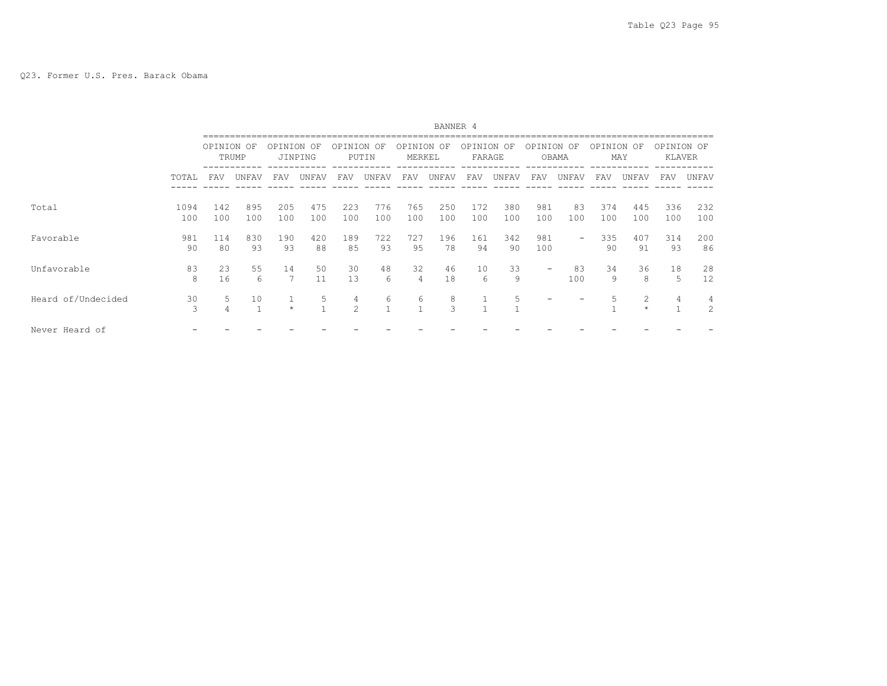|                    |             |            |                    |            |                   |                     |            |                   | BANNER 4   |                   |            |            |                          |            |              |                      |                     |
|--------------------|-------------|------------|--------------------|------------|-------------------|---------------------|------------|-------------------|------------|-------------------|------------|------------|--------------------------|------------|--------------|----------------------|---------------------|
|                    |             | OPINION OF | TRUMP              | OPTNTON    | OF<br>JINPING     | OPINION OF          | PUTIN      | OPTNTON<br>MERKEL | OF         | OPTNTON<br>FARAGE | OF         | OPINION    | OF<br>OBAMA              | OPTNTON    | OF<br>MAY    | OPINION OF<br>KLAVER |                     |
|                    | TOTAL       | <b>FAV</b> | UNFAV              | FAV        | UNFAV             | FAV                 | UNFAV      | FAV               | UNFAV      | FAV               | UNFAV      | FAV        | UNFAV                    | FAV        | UNFAV        | FAV                  | UNFAV               |
| Total              | 1094<br>100 | 142<br>100 | 895<br>100         | 205<br>100 | 475<br>100        | 223<br>100          | 776<br>100 | 765<br>100        | 250<br>100 | 172<br>100        | 380<br>100 | 981<br>100 | 83<br>100                | 374<br>100 | 445<br>100   | 336<br>100           | 232<br>100          |
| Favorable          | 981<br>90   | 114<br>80  | 830<br>93          | 190<br>93  | 420<br>88         | 189<br>85           | 722<br>93  | 727<br>95         | 196<br>78  | 161<br>94         | 342<br>90  | 981<br>100 | $\overline{\phantom{0}}$ | 335<br>90  | 407<br>91    | 314<br>93            | 200<br>86           |
| Unfavorable        | 83<br>8     | 23<br>16   | 55<br>6            | 14<br>7    | 50<br>11          | 30<br>13            | 48<br>6    | 32<br>4           | 46<br>18   | 10<br>6           | 33<br>9    |            | 83<br>100                | 34<br>9    | 36<br>8      | 18<br>5              | 28<br>12            |
| Heard of/Undecided | 30<br>3     | 5.<br>4    | 10<br>$\mathbf{1}$ | $\star$    | 5<br>$\mathbf{1}$ | 4<br>$\mathfrak{D}$ | 6          | 6                 | 8<br>3     | $\mathbf{1}$      | 5          |            |                          |            | 2<br>$\star$ | 4<br>$\mathbf{1}$    | 4<br>$\overline{c}$ |
| Never Heard of     |             |            |                    |            |                   |                     |            |                   |            |                   |            |            |                          |            |              |                      |                     |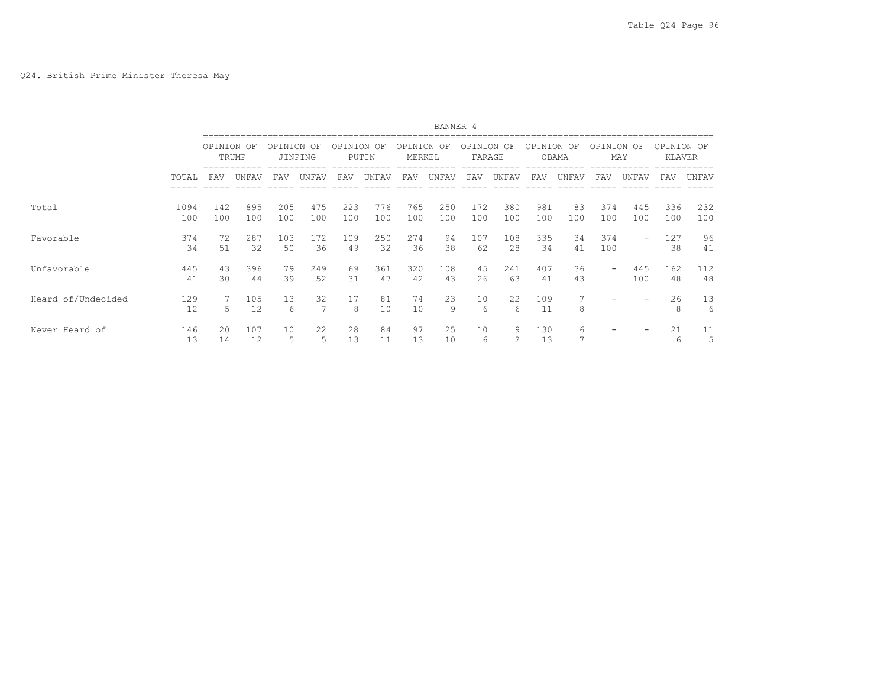|                    |             |            |            |            |            |            |            |                      | BANNER 4   |                      |            |            |                     |                          |            |                      |            |
|--------------------|-------------|------------|------------|------------|------------|------------|------------|----------------------|------------|----------------------|------------|------------|---------------------|--------------------------|------------|----------------------|------------|
|                    |             | OPINION OF | TRUMP      | OPINION OF | JINPING    | OPINION OF | PUTIN      | OPINION OF<br>MERKEL |            | OPINION OF<br>FARAGE |            | OPINION OF | OBAMA               | OPINION OF               | MAY        | OPINION OF<br>KLAVER |            |
|                    | TOTAL       | FAV        | UNFAV      | FAV        | UNFAV      | <b>FAV</b> | UNFAV      | <b>FAV</b>           | UNFAV      | <b>FAV</b>           | UNFAV      | FAV        | UNFAV               | <b>FAV</b>               | UNFAV      | <b>FAV</b>           | UNFAV      |
| Total              | 1094<br>100 | 142<br>100 | 895<br>100 | 205<br>100 | 475<br>100 | 223<br>100 | 776<br>100 | 765<br>100           | 250<br>100 | 172<br>100           | 380<br>100 | 981<br>100 | 83<br>100           | 374<br>100               | 445<br>100 | 336<br>100           | 232<br>100 |
| Favorable          | 374<br>34   | 72<br>51   | 287<br>32  | 103<br>50  | 172<br>36  | 109<br>49  | 250<br>32  | 274<br>36            | 94<br>38   | 107<br>62            | 108<br>2.8 | 335<br>34  | 34<br>41            | 374<br>100               | -          | 127<br>38            | 96<br>41   |
| Unfavorable        | 445<br>41   | 43<br>30   | 396<br>44  | 79<br>39   | 249<br>52  | 69<br>31   | 361<br>47  | 320<br>42            | 108<br>43  | 45<br>2.6            | 241<br>63  | 407<br>41  | 36<br>43            | $\overline{\phantom{0}}$ | 445<br>100 | 162<br>48            | 112<br>48  |
| Heard of/Undecided | 129<br>12   | 5.         | 105<br>12  | 13<br>6    | 32<br>7    | 17<br>8    | 81<br>10   | 74<br>10             | 23<br>9    | 10<br>6              | 22<br>6    | 109<br>11  | 8                   |                          |            | 26<br>8              | 13<br>6    |
| Never Heard of     | 146<br>13   | 2.0<br>14  | 107<br>12  | 10<br>5    | 22<br>5    | 28<br>13   | 84         | 97<br>13             | 25<br>10   | 10<br>6              | 9<br>2     | 130<br>13  | 6<br>$\overline{ }$ |                          |            | 21<br>6              | 11<br>5    |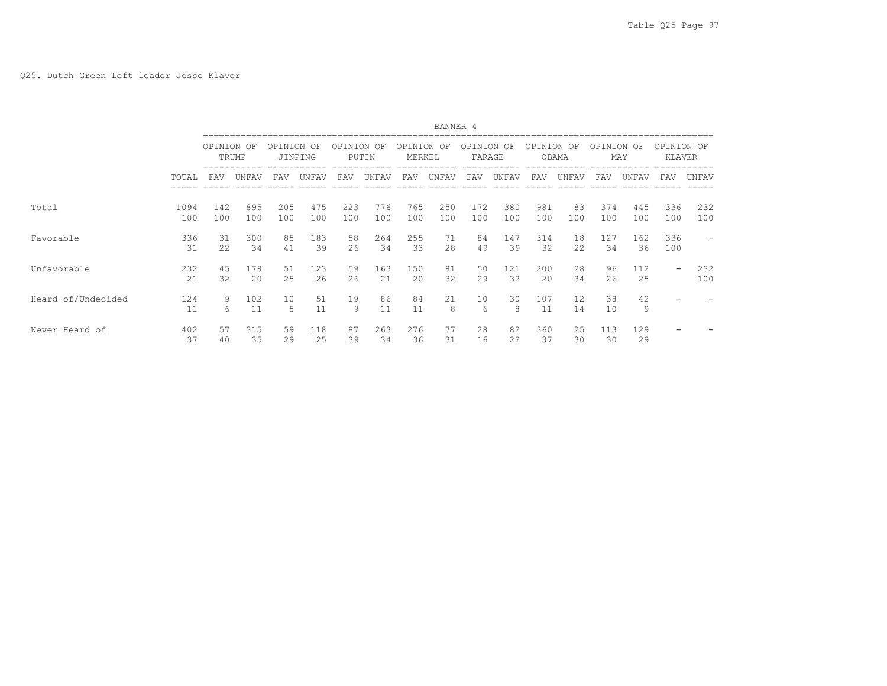|                    |             |            |            |            |            |            |            |                      | BANNER 4   |                      |            |            |           |            |            |                          |            |
|--------------------|-------------|------------|------------|------------|------------|------------|------------|----------------------|------------|----------------------|------------|------------|-----------|------------|------------|--------------------------|------------|
|                    |             | OPINION OF | TRUMP      | OPINION OF | JINPING    | OPINION OF | PUTIN      | OPINION OF<br>MERKEL |            | OPINION OF<br>FARAGE |            | OPINION OF | OBAMA     | OPINION OF | MAY        | OPINION OF<br>KLAVER     |            |
|                    | TOTAL       | FAV        | UNFAV      | FAV        | UNFAV      | FAV        | UNFAV      | FAV                  | UNFAV      | FAV                  | UNFAV      | FAV        | UNFAV     | <b>FAV</b> | UNFAV      | FAV                      | UNFAV      |
| Total              | 1094<br>100 | 142<br>100 | 895<br>100 | 205<br>100 | 475<br>100 | 223<br>100 | 776<br>100 | 765<br>100           | 250<br>100 | 172<br>100           | 380<br>100 | 981<br>100 | 83<br>100 | 374<br>100 | 445<br>100 | 336<br>100               | 232<br>100 |
| Favorable          | 336<br>31   | 31<br>22   | 300<br>34  | 85<br>41   | 183<br>39  | 58<br>26   | 264<br>34  | 255<br>33            | 71<br>28   | 84<br>49             | 147<br>39  | 314<br>32  | 18<br>22  | 127<br>34  | 162<br>36  | 336<br>100               |            |
| Unfavorable        | 232<br>21   | 45<br>32   | 178<br>2.0 | 51<br>25   | 123<br>26  | 59<br>26   | 163<br>21  | 150<br>20            | 81<br>32   | 50<br>29             | 121<br>32  | 200<br>20  | 28<br>34  | 96<br>2.6  | 112<br>25  | $\overline{\phantom{0}}$ | 232<br>100 |
| Heard of/Undecided | 124<br>11   | 9<br>6     | 102<br>11  | 10<br>5    | 51<br>11   | 19<br>9    | 86<br>11   | 84<br>11             | 21<br>8    | 10<br>6              | 30<br>8    | 107<br>11  | 12<br>14  | 38<br>10   | 42<br>9    |                          |            |
| Never Heard of     | 402<br>37   | 57<br>40   | 315<br>35  | 59<br>29   | 118<br>25  | 87<br>39   | 263<br>34  | 276<br>36            | 77<br>31   | 28<br>16             | 82<br>22   | 360<br>37  | 25<br>30  | 113<br>30  | 129<br>29  |                          |            |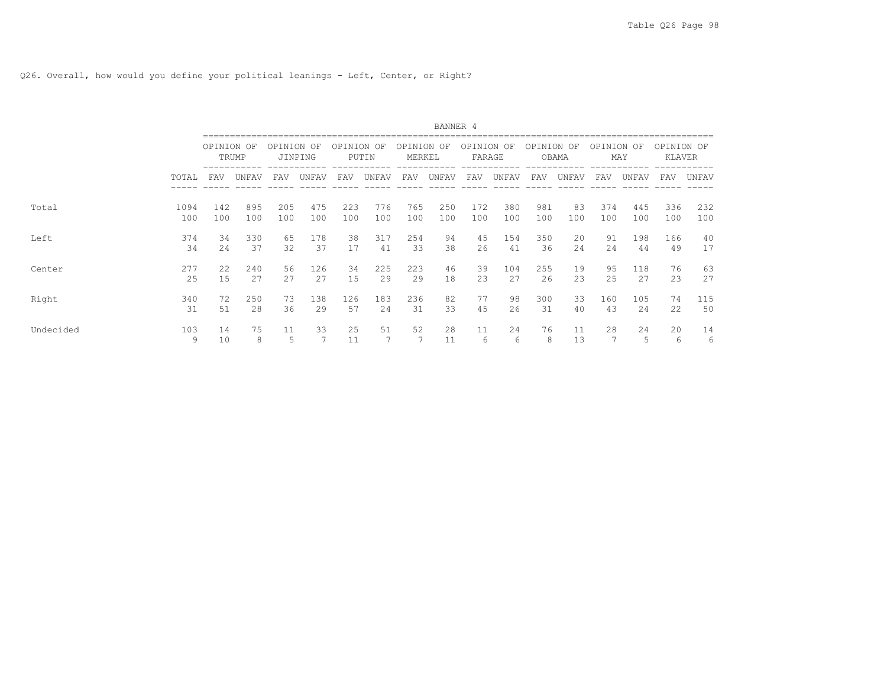Q26. Overall, how would you define your political leanings - Left, Center, or Right?

|           |          |            |         |            |         |            |       |                      | BANNER 4 |                      |         |            |          |            |         |                      |         |
|-----------|----------|------------|---------|------------|---------|------------|-------|----------------------|----------|----------------------|---------|------------|----------|------------|---------|----------------------|---------|
|           |          | OPINION OF | TRUMP   | OPINION OF | JINPING | OPINION OF | PUTIN | OPINION OF<br>MERKEL |          | OPINION OF<br>FARAGE |         | OPINION OF | OBAMA    | OPINION OF | MAY     | OPINION OF<br>KLAVER |         |
|           | TOTAL    | <b>FAV</b> | UNFAV   | FAV        | UNFAV   | FAV        | UNFAV | FAV                  | UNFAV    | FAV                  | UNFAV   | <b>FAV</b> | UNFAV    | FAV        | UNFAV   | FAV                  | UNFAV   |
| Total     | 1094     | 142        | 895     | 205        | 475     | 223        | 776   | 765                  | 250      | 172                  | 380     | 981        | 83       | 374        | 445     | 336                  | 232     |
|           | 100      | 100        | 100     | 100        | 100     | 100        | 100   | 100                  | 100      | 100                  | 100     | 100        | 100      | 100        | 100     | 100                  | 100     |
| Left      | 374      | 34         | 330     | 65         | 178     | 38         | 317   | 254                  | 94       | 45                   | 154     | 350        | 20       | 91         | 198     | 166                  | 40      |
|           | 34       | 2.4        | 37      | 32         | 37      | 17         | 41    | 33                   | 38       | 2.6                  | 41      | 36         | 24       | 2.4        | 44      | 49                   | 17      |
| Center    | 277      | 2.2.       | 240     | 56         | 126     | 34         | 225   | 223                  | 46       | 39                   | 104     | 255        | 19       | 95         | 118     | 76                   | 63      |
|           | 25       | 1.5        | 2.7     | 2.7        | 27      | 15         | 29    | 29                   | 18       | 2.3                  | 27      | 26         | 23       | 2.5        | 27      | 23                   | 2.7     |
| Right     | 340      | 72         | 250     | 73         | 138     | 126        | 183   | 236                  | 82       | 77                   | 98      | 300        | 33       | 160        | 105     | 74                   | 115     |
|           | 31       | 51         | 28      | 36         | 29      | 57         | 24    | 31                   | 33       | 45                   | 26      | 31         | 40       | 43         | 24      | 22                   | 50      |
| Undecided | 103<br>9 | 14<br>10   | 75<br>8 | 11<br>5    | 33      | 25<br>11   | 51    | 52                   | 28<br>11 | 11<br>6              | 24<br>6 | 76<br>8    | 11<br>13 | 28<br>⇁    | 24<br>5 | 20<br>6              | 14<br>6 |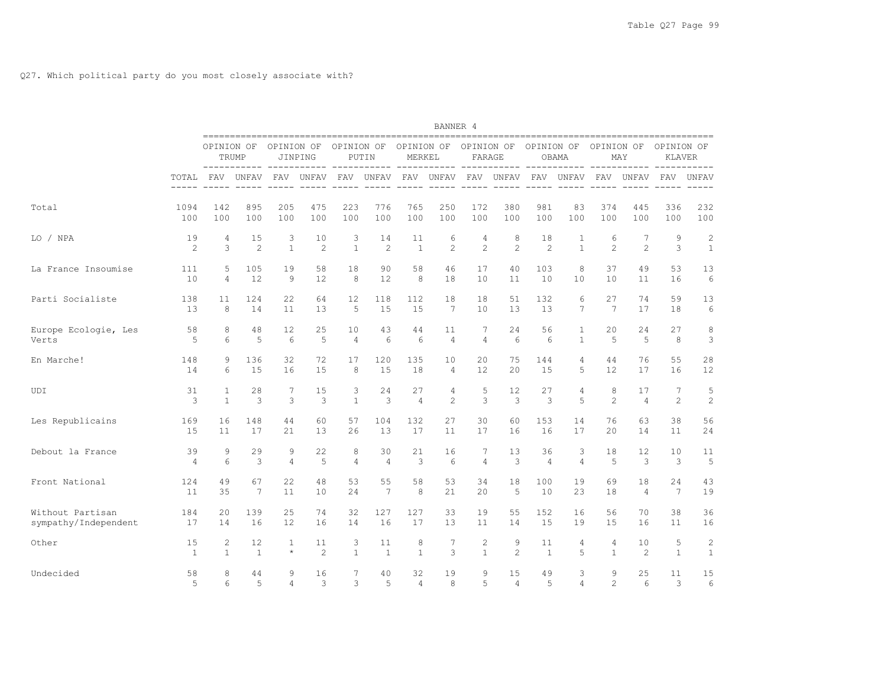|                      |                      |                |                 |                      |                        |                    |                        |                      | BANNER 4                       |                                 |                        |                                   |                        |                |                |                             |                |
|----------------------|----------------------|----------------|-----------------|----------------------|------------------------|--------------------|------------------------|----------------------|--------------------------------|---------------------------------|------------------------|-----------------------------------|------------------------|----------------|----------------|-----------------------------|----------------|
|                      |                      | OPINION OF     | TRUMP           | OPINION OF           | JINPING                | OPINION OF         | PUTIN                  | MERKEL               |                                | OPINION OF OPINION OF<br>FARAGE |                        | OPINION OF                        | OBAMA                  | OPINION OF     | MAY            | OPINION OF<br><b>KLAVER</b> |                |
|                      | TOTAL<br>$- - - - -$ | FAV            | UNFAV           | FAV<br>$- - - - - -$ | UNFAV<br>$- - - - - -$ | FAV<br>$- - - - -$ | UNFAV<br>$- - - - - -$ | FAV<br>$- - - - - -$ | ----<br>UNFAV<br>$- - - - - -$ | FAV<br>$- - - - - -$            | UNFAV<br>$- - - - - -$ | ---- ----<br>FAV<br>$- - - - - -$ | UNFAV<br>$- - - - - -$ | FAV            | UNFAV          | FAV                         | <b>UNFAV</b>   |
| Total                | 1094                 | 142            | 895             | 205                  | 475                    | 223                | 776                    | 765                  | 250                            | 172                             | 380                    | 981                               | 83                     | 374            | 445            | 336                         | 232            |
|                      | 100                  | 100            | 100             | 100                  | 100                    | 100                | 100                    | 100                  | 100                            | 100                             | 100                    | 100                               | 100                    | 100            | 100            | 100                         | 100            |
| LO / NPA             | 19                   | 4              | 15              | 3                    | 10                     | 3                  | 14                     | 11                   | 6                              | $\overline{4}$                  | 8                      | 18                                | $\mathbf{1}$           | 6              | 7              | 9                           | $\overline{c}$ |
|                      | 2                    | 3              | 2               | $\mathbf{1}$         | 2                      | $\mathbf{1}$       | 2                      | $\mathbf{1}$         | 2                              | 2                               | 2                      | $\overline{c}$                    | $\mathbf{1}$           | 2              | 2              | 3                           | $\mathbf{1}$   |
| La France Insoumise  | 111                  | 5              | 105             | 19                   | 58                     | 18                 | 90                     | 58                   | 46                             | 17                              | 40                     | 103                               | 8                      | 37             | 49             | 53                          | 13             |
|                      | 10                   | $\overline{4}$ | 12              | 9                    | 12                     | 8                  | 12                     | 8                    | 18                             | 10                              | 11                     | 10                                | 10                     | 10             | 11             | 16                          | 6              |
| Parti Socialiste     | 138                  | 11             | 124             | 22                   | 64                     | 12                 | 118                    | 112                  | 18                             | 18                              | 51                     | 132                               | 6                      | 27             | 74             | 59                          | 13             |
|                      | 13                   | 8              | 14              | 11                   | 13                     | 5                  | 15                     | 15                   | 7                              | 10                              | 13                     | 13                                | $7\overline{ }$        | 7              | 17             | 18                          | 6              |
| Europe Ecologie, Les | 58                   | 8              | 48              | 12                   | 25                     | 10                 | 43                     | 44                   | 11                             | 7                               | 24                     | 56                                | $\mathbf{1}$           | 20             | 24             | 27                          | 8              |
| Verts                | 5                    | $\epsilon$     | 5               | $6\overline{6}$      | 5                      | $\overline{4}$     | 6                      | 6                    | $\overline{4}$                 | $\overline{4}$                  | 6                      | 6                                 | $\mathbf{1}$           | 5              | 5              | 8                           | 3              |
| En Marche!           | 148                  | 9              | 136             | 32                   | 72                     | 17                 | 120                    | 135                  | 10                             | 20                              | 75                     | 144                               | $\overline{4}$         | 44             | 76             | 55                          | 28             |
|                      | 14                   | 6              | 1.5             | 16                   | 15                     | 8                  | 1.5                    | 18                   | $\overline{4}$                 | 12.                             | 2.0                    | 15                                | 5                      | 12.            | 17             | 16                          | 12             |
| UDI                  | 31                   | $\mathbf{1}$   | 28              | 7                    | 15                     | 3                  | 24                     | 27                   | 4                              | 5                               | 12                     | 27                                | 4                      | 8              | 17             | $7\phantom{.0}$             | 5              |
|                      | 3                    | $\mathbf{1}$   | 3               | 3                    | 3                      | $\mathbf{1}$       | $\mathbf{3}$           | $\overline{4}$       | $\mathfrak{D}$                 | 3                               | 3                      | 3                                 | 5                      | $\mathfrak{D}$ | $\overline{4}$ | $\overline{2}$              | 2              |
| Les Republicains     | 169                  | 16             | 148             | 44                   | 60                     | 57                 | 104                    | 132                  | 27                             | 30                              | 60                     | 153                               | 14                     | 76             | 63             | 38                          | 56             |
|                      | 15                   | 11             | 17              | 21                   | 13                     | 2.6                | 13                     | 17                   | 11                             | 17                              | 16                     | 16                                | 17                     | 2.0            | 14             | 11                          | 24             |
| Debout la France     | 39                   | 9              | 29              | 9                    | 22                     | 8                  | 30                     | 21                   | 16                             | 7                               | 13                     | 36                                | 3                      | 18             | 12             | 10                          | 11             |
|                      | 4                    | 6              | 3               | $\overline{4}$       | 5                      | $\overline{4}$     | $\overline{4}$         | 3                    | 6                              | $\overline{4}$                  | 3                      | $\overline{4}$                    | $\overline{4}$         | .5             | 3              | 3                           | 5              |
| Front National       | 124                  | 49             | 67              | 22                   | 48                     | 53                 | 55                     | 58                   | 53                             | 34                              | 18                     | 100                               | 19                     | 69             | 18             | 2.4                         | 43             |
|                      | 11                   | 35             | $7\phantom{.0}$ | 11                   | 10                     | 24                 | $7\phantom{.0}$        | 8                    | 21                             | 20                              | 5                      | 10                                | 23                     | 18             | $\overline{4}$ | 7                           | 19             |
| Without Partisan     | 184                  | 20             | 139             | 25                   | 74                     | 32                 | 127                    | 127                  | 33                             | 19                              | 55                     | 152                               | 16                     | 56             | 70             | 38                          | 36             |
| sympathy/Independent | 17                   | 14             | 16              | 12                   | 16                     | 14                 | 16                     | 17                   | 13                             | 11                              | 14                     | 15                                | 19                     | 15             | 16             | 11                          | 16             |
| Other                | 15                   | 2              | 12              | $\mathbf{1}$         | 11                     | 3                  | 11                     | 8                    | 7                              | $\overline{c}$                  | 9                      | 11                                | 4                      | 4              | 10             | 5                           | 2              |
|                      | 1                    | $\mathbf{1}$   | $\mathbf{1}$    | $\star$              | 2                      | $\mathbf{1}$       | $\overline{1}$         | $\mathbf{1}$         | $\mathbf{3}$                   | $\mathbf{1}$                    | 2                      | 1                                 | 5                      | $\mathbf{1}$   | 2              | $\mathbf{1}$                | $\mathbf{1}$   |
| Undecided            | 58                   | 8              | 44              | 9                    | 16                     | 7                  | 40                     | 32                   | 19                             | 9                               | 15                     | 49                                | 3                      | 9              | 25             | 11                          | 15             |
|                      | 5                    | 6              | 5               | $\overline{4}$       | 3                      | 3                  | 5                      | 4                    | 8                              | 5                               | $\overline{4}$         | 5                                 | 4                      | $\overline{a}$ | 6              | 3                           | 6              |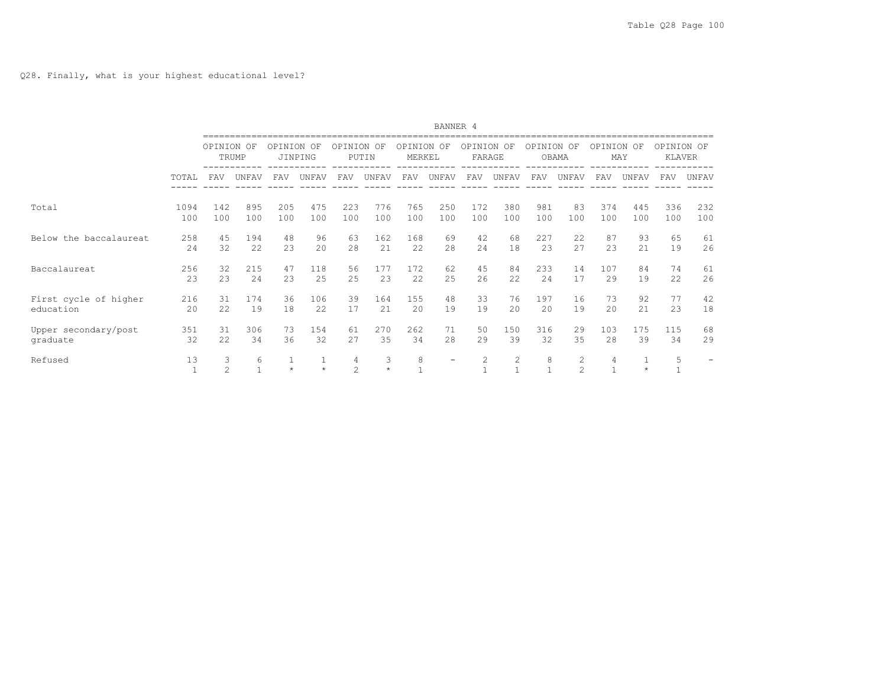|                        |                      | BANNER 4           |                   |            |                         |                     |              |                      |                          |                      |       |                   |                     |            |         |                             |       |
|------------------------|----------------------|--------------------|-------------------|------------|-------------------------|---------------------|--------------|----------------------|--------------------------|----------------------|-------|-------------------|---------------------|------------|---------|-----------------------------|-------|
|                        |                      | OPINION OF         | TRUMP             | OPINION OF | JINPING                 | OPINION OF          | PUTIN        | OPINION OF<br>MERKEL |                          | OPINION OF<br>FARAGE |       | OPINION OF        | OBAMA               | OPINION OF | MAY     | OPINION OF<br><b>KLAVER</b> |       |
|                        | TOTAL                | FAV                | UNFAV             | <b>FAV</b> | UNFAV                   | <b>FAV</b>          | UNFAV        | <b>FAV</b>           | UNFAV                    | <b>FAV</b>           | UNFAV | <b>FAV</b>        | UNFAV               | <b>FAV</b> | UNFAV   | <b>FAV</b>                  | UNFAV |
| Total                  | 1094                 | 142                | 895               | 205        | 475                     | 223                 | 776          | 765                  | 250                      | 172                  | 380   | 981               | 83                  | 374        | 445     | 336                         | 232   |
|                        | 100                  | 100                | 100               | 100        | 100                     | 100                 | 100          | 100                  | 100                      | 100                  | 100   | 100               | 100                 | 100        | 100     | 100                         | 100   |
| Below the baccalaureat | 258                  | 45                 | 194               | 48         | 96                      | 63                  | 162          | 168                  | 69                       | 42                   | 68    | 227               | 22                  | 87         | 93      | 65                          | 61    |
|                        | 24                   | 32                 | 22                | 23         | 20                      | 2.8                 | 21           | 22                   | 28                       | 24                   | 18    | 23                | 2.7                 | 2.3        | 2.1     | 19                          | 26    |
| Baccalaureat           | 256                  | 32                 | 215               | 47         | 118                     | 56                  | 177          | 172                  | 62                       | 45                   | 84    | 233               | 14                  | 107        | 84      | 74                          | 61    |
|                        | 23                   | 23                 | 24                | 23         | 25                      | 25                  | 23           | 22                   | 25                       | 26                   | 22    | 24                | 17                  | 2.9        | 19      | 22                          | 26    |
| First cycle of higher  | 216                  | 31                 | 174               | 36         | 106                     | 39                  | 164          | 155                  | 48                       | 33                   | 76    | 197               | 16                  | 73         | 92      | 77                          | 42    |
| education              | 20                   | 22                 | 19                | 18         | 22                      | 17                  | 21           | 20                   | 19                       | 19                   | 2.0   | 2.0               | 19                  | 2.0        | 21      | 23                          | 18    |
| Upper secondary/post   | 351                  | 31                 | 306               | 73         | 154                     | 61                  | 270          | 262                  | 71                       | 50                   | 150   | 316               | 29                  | 103        | 175     | 115                         | 68    |
| graduate               | 32                   | 22                 | 34                | 36         | 32                      | 2.7                 | 35           | 34                   | 28                       | 29                   | 39    | 32                | 35                  | 28         | 39      | 34                          | 29    |
| Refused                | 13<br>$\overline{1}$ | 3<br>$\mathcal{L}$ | 6<br>$\mathbf{1}$ | $\star$    | $\mathbf{1}$<br>$\star$ | 4<br>$\mathfrak{D}$ | 3<br>$\star$ | 8                    | $\overline{\phantom{a}}$ | $\overline{c}$       | 2     | 8<br>$\mathbf{1}$ | 2<br>$\mathfrak{D}$ | 4          | $\star$ | 5                           |       |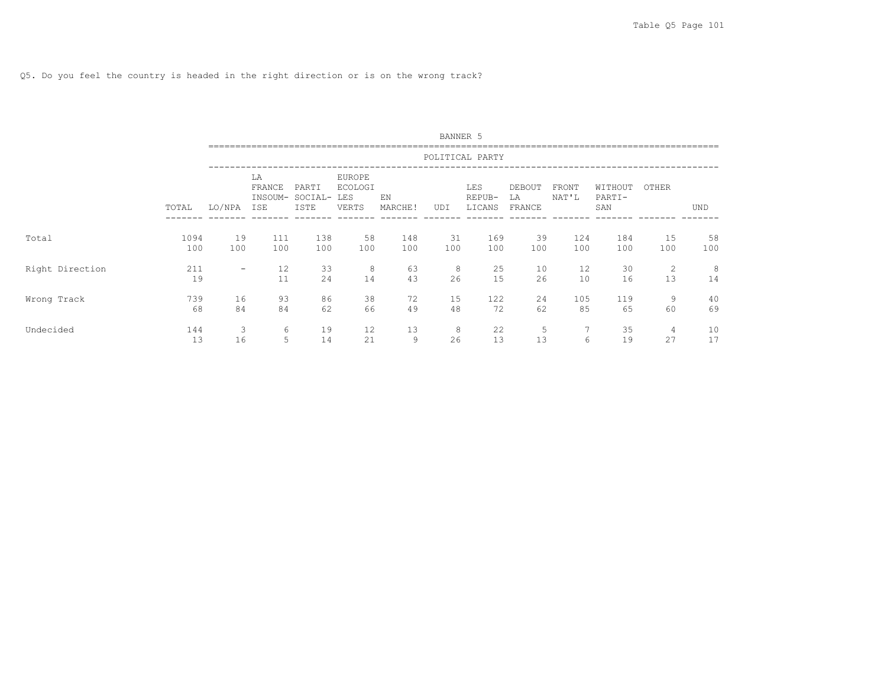Q5. Do you feel the country is headed in the right direction or is on the wrong track?

|                 |             |           |                                       |                          |                                                 |               | BANNER 5  |                         |                        |                |                          |                      |           |
|-----------------|-------------|-----------|---------------------------------------|--------------------------|-------------------------------------------------|---------------|-----------|-------------------------|------------------------|----------------|--------------------------|----------------------|-----------|
|                 |             |           |                                       |                          |                                                 |               |           | POLITICAL PARTY         |                        |                |                          |                      |           |
|                 | TOTAL       | LO/NPA    | LA<br>FRANCE<br>INSOUM-<br><b>ISE</b> | PARTI<br>SOCIAL-<br>ISTE | <b>EUROPE</b><br><b>ECOLOGI</b><br>LES<br>VERTS | EN<br>MARCHE! | UDI       | LES<br>REPUB-<br>LICANS | DEBOUT<br>LA<br>FRANCE | FRONT<br>NAT'L | WITHOUT<br>PARTI-<br>SAN | OTHER                | UND       |
| Total           | 1094<br>100 | 19<br>100 | 111<br>100                            | 138<br>100               | 58<br>100                                       | 148<br>100    | 31<br>100 | 169<br>100              | 39<br>100              | 124<br>100     | 184<br>100               | 15<br>100            | 58<br>100 |
| Right Direction | 211<br>19   | -         | 12<br>11                              | 33<br>24                 | 8<br>14                                         | 63<br>43      | 8<br>26   | 25<br>15                | 10<br>26               | 12<br>10       | 30<br>16                 | 2<br>13              | 8<br>14   |
| Wrong Track     | 739<br>68   | 16<br>84  | 93<br>84                              | 86<br>62                 | 38<br>66                                        | 72<br>49      | 15<br>48  | 122<br>72               | 24<br>62               | 105<br>85      | 119<br>65                | 9<br>60              | 40<br>69  |
| Undecided       | 144<br>13   | 3<br>16   | 6<br>5                                | 19<br>14                 | 12<br>21                                        | 13<br>9       | 8<br>26   | 22<br>13                | 5<br>13                | 7<br>6         | 35<br>19                 | $\overline{4}$<br>27 | 10<br>17  |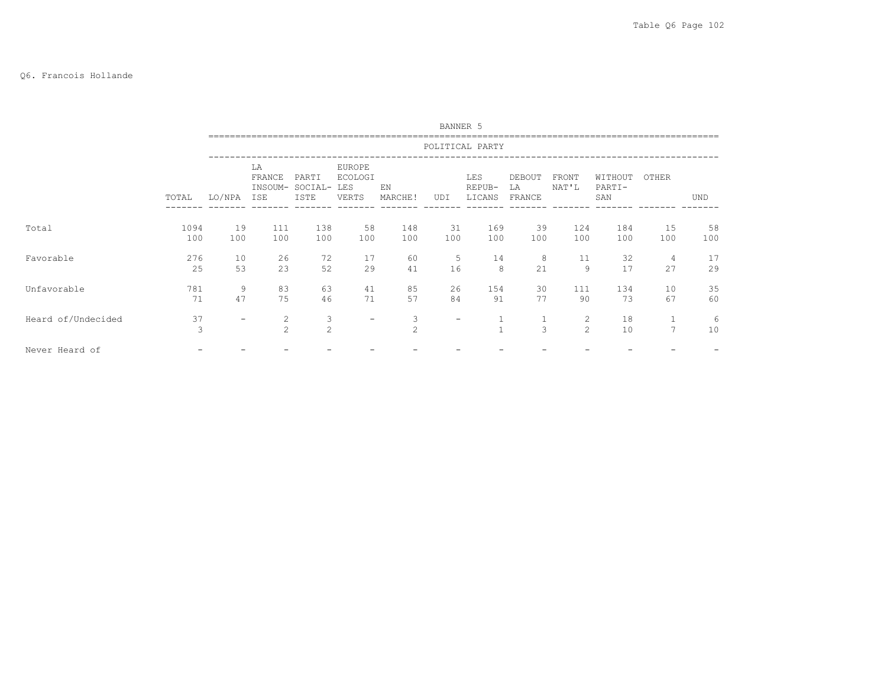# Q6. Francois Hollande

|                    |                    |                          |                                  |                          |                                                 |                     | BANNER 5  |                         |                        |                     |                          |                |            |
|--------------------|--------------------|--------------------------|----------------------------------|--------------------------|-------------------------------------------------|---------------------|-----------|-------------------------|------------------------|---------------------|--------------------------|----------------|------------|
|                    |                    |                          |                                  |                          |                                                 |                     |           | POLITICAL PARTY         |                        |                     |                          |                |            |
|                    | TOTAL              | LO/NPA                   | LA<br>FRANCE<br>INSOUM-<br>ISE   | PARTI<br>SOCIAL-<br>ISTE | <b>EUROPE</b><br><b>ECOLOGI</b><br>LES<br>VERTS | EN<br>MARCHE!       | UDI       | LES<br>REPUB-<br>LICANS | DEBOUT<br>LA<br>FRANCE | FRONT<br>NAT'L      | WITHOUT<br>PARTI-<br>SAN | OTHER          | <b>UND</b> |
| Total              | 1094<br>100        | 19<br>100                | 111<br>100                       | 138<br>100               | 58<br>100                                       | 148<br>100          | 31<br>100 | 169<br>100              | 39<br>100              | 124<br>100          | 184<br>100               | 15<br>100      | 58<br>100  |
| Favorable          | 276<br>25          | 10<br>53                 | 26<br>23                         | 72<br>52                 | 17<br>29                                        | 60<br>41            | 5<br>16   | 14<br>8                 | 8<br>21                | 11<br>9             | 32<br>17                 | 4<br>27        | 17<br>29   |
| Unfavorable        | 781<br>71          | 9<br>47                  | 83<br>75                         | 63<br>46                 | 41<br>71                                        | 85<br>57            | 26<br>84  | 154<br>91               | 30<br>77               | 111<br>90           | 134<br>73                | 10<br>67       | 35<br>60   |
| Heard of/Undecided | 37<br>$\mathbf{3}$ | $\overline{\phantom{m}}$ | $\overline{c}$<br>$\overline{2}$ | 3<br>$\overline{2}$      | $-$                                             | 3<br>$\overline{c}$ | -         | $\mathbf{1}$            | $\mathbf{1}$<br>3      | 2<br>$\overline{c}$ | 18<br>10                 | $\overline{7}$ | 6<br>10    |
| Never Heard of     |                    |                          |                                  |                          |                                                 |                     |           |                         |                        |                     |                          |                |            |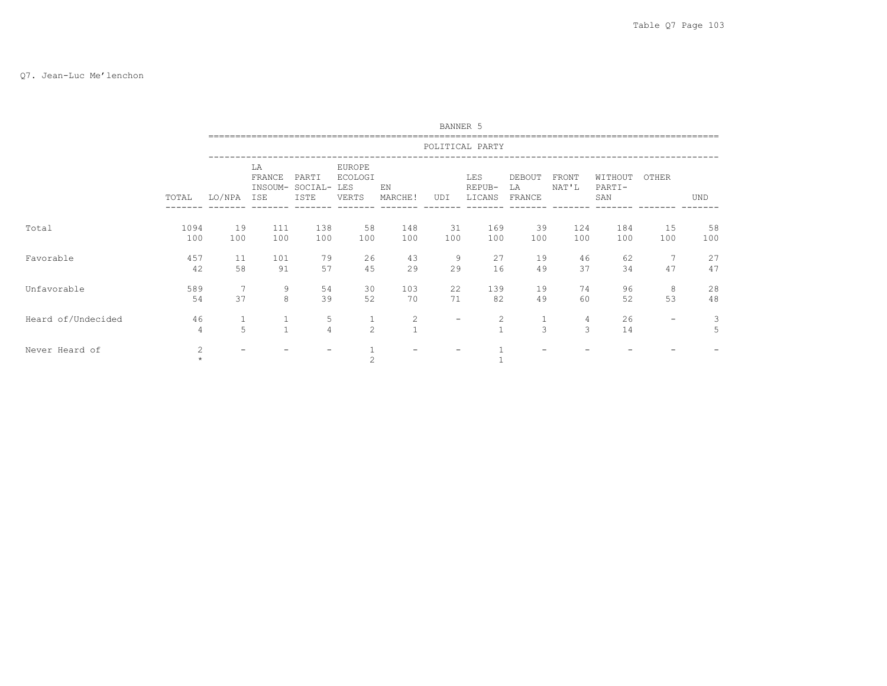# Q7. Jean-Luc Me'lenchon

|                    |             |                   |                                |                          |                                          |                                | BANNER 5  |                         |                        |                |                          |                          |            |
|--------------------|-------------|-------------------|--------------------------------|--------------------------|------------------------------------------|--------------------------------|-----------|-------------------------|------------------------|----------------|--------------------------|--------------------------|------------|
|                    |             |                   |                                |                          |                                          |                                |           | POLITICAL PARTY         |                        |                |                          |                          |            |
|                    | TOTAL       | LO/NPA            | LA<br>FRANCE<br>INSOUM-<br>ISE | PARTI<br>SOCIAL-<br>ISTE | EUROPE<br><b>ECOLOGI</b><br>LES<br>VERTS | EN<br>MARCHE!                  | UDI       | LES<br>REPUB-<br>LICANS | DEBOUT<br>LA<br>FRANCE | FRONT<br>NAT'L | WITHOUT<br>PARTI-<br>SAN | OTHER                    | <b>UND</b> |
| Total              | 1094<br>100 | 19<br>100         | 111<br>100                     | 138<br>100               | 58<br>100                                | 148<br>100                     | 31<br>100 | 169<br>100              | 39<br>100              | 124<br>100     | 184<br>100               | 15<br>100                | 58<br>100  |
| Favorable          | 457<br>42   | 11<br>58          | 101<br>91                      | 79<br>57                 | 26<br>45                                 | 43<br>29                       | 9<br>29   | 27<br>16                | 19<br>49               | 46<br>37       | 62<br>34                 | 7<br>47                  | 27<br>47   |
| Unfavorable        | 589<br>54   | 7<br>37           | 9<br>8                         | 54<br>39                 | 30<br>52                                 | 103<br>70                      | 22<br>71  | 139<br>82               | 19<br>49               | 74<br>60       | 96<br>52                 | 8<br>53                  | 28<br>48   |
| Heard of/Undecided | 46<br>4     | $\mathbf{1}$<br>5 | $\mathcal{L}$                  | 5<br>$\overline{4}$      | $\mathbf{1}$<br>$\overline{2}$           | $\overline{c}$<br>$\mathbf{1}$ | -         | 2                       | 1<br>$\overline{3}$    | 4<br>3         | 26<br>14                 | $\overline{\phantom{0}}$ | 3<br>5     |
| Never Heard of     | 2           |                   |                                |                          | $\overline{c}$                           |                                |           |                         |                        |                |                          |                          |            |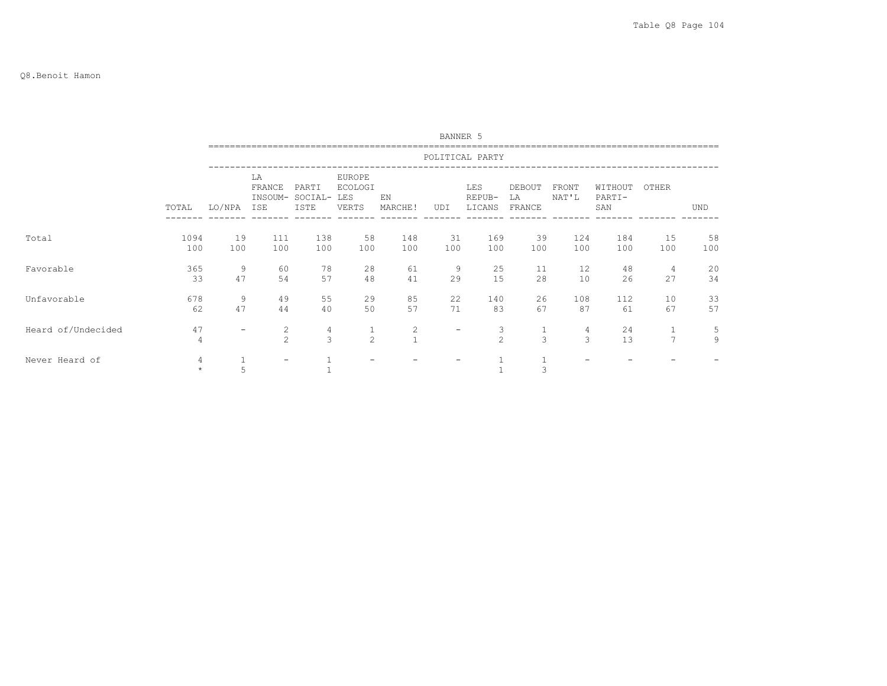#### Q8.Benoit Hamon

|                    |             |                          |                                |                          |                                          |                              | BANNER 5          |                         |                        |                |                          |                |            |
|--------------------|-------------|--------------------------|--------------------------------|--------------------------|------------------------------------------|------------------------------|-------------------|-------------------------|------------------------|----------------|--------------------------|----------------|------------|
|                    |             |                          |                                |                          |                                          |                              |                   | POLITICAL PARTY         |                        |                |                          |                |            |
|                    | TOTAL       | LO/NPA                   | LA<br>FRANCE<br>INSOUM-<br>ISE | PARTI<br>SOCIAL-<br>ISTE | EUROPE<br><b>ECOLOGI</b><br>LES<br>VERTS | EN<br>MARCHE!                | UDI               | LES<br>REPUB-<br>LICANS | DEBOUT<br>LA<br>FRANCE | FRONT<br>NAT'L | WITHOUT<br>PARTI-<br>SAN | OTHER          | <b>UND</b> |
| Total              | 1094<br>100 | 19<br>100                | 111<br>100                     | 138<br>100               | 58<br>100                                | 148<br>100                   | 31<br>100         | 169<br>100              | 39<br>100              | 124<br>100     | 184<br>100               | 15<br>100      | 58<br>100  |
| Favorable          | 365<br>33   | 9<br>47                  | 60<br>54                       | 78<br>57                 | 28<br>48                                 | 61<br>41                     | 9<br>29           | 25<br>15                | 11<br>28               | 12<br>10       | 48<br>26                 | 4<br>27        | 20<br>34   |
| Unfavorable        | 678<br>62   | 9<br>47                  | 49<br>44                       | 55<br>40                 | 29<br>50                                 | 85<br>57                     | 22<br>71          | 140<br>83               | 26<br>67               | 108<br>87      | 112<br>61                | 10<br>67       | 33<br>57   |
| Heard of/Undecided | 47<br>4     | $\overline{\phantom{m}}$ | 2<br>$\overline{c}$            | 4<br>$\mathfrak{Z}$      | $\overline{c}$                           | $\mathbf{2}$<br>$\mathbf{1}$ | $\qquad \qquad -$ | 3<br>$\overline{c}$     | 1<br>3                 | 4<br>3         | 24<br>13                 | $\overline{7}$ | 5<br>9     |
| Never Heard of     | 4           | 5                        |                                |                          |                                          |                              |                   |                         | 3                      |                |                          |                |            |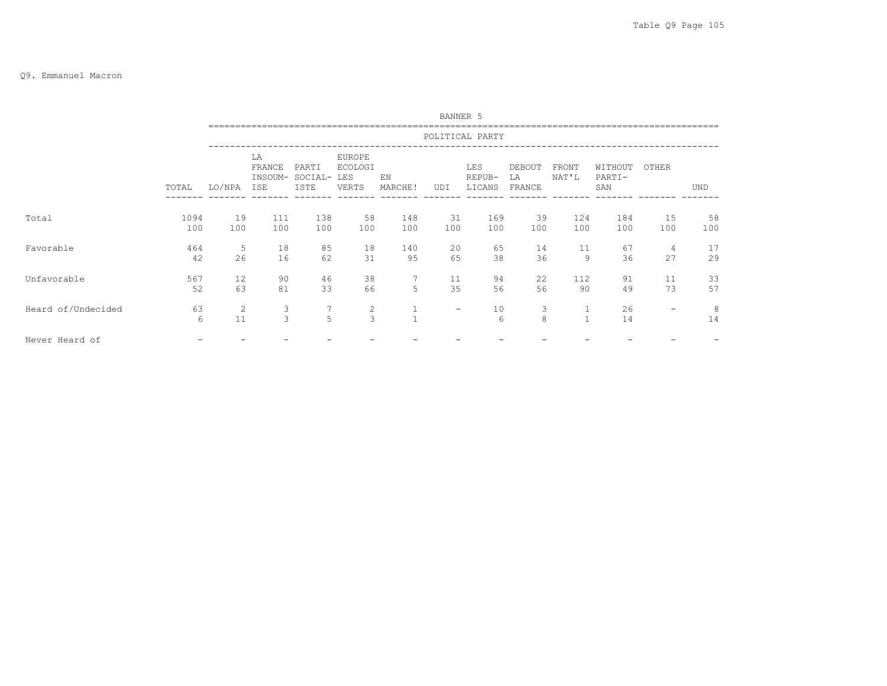#### Q9. Emmanuel Macron

|                    |             |           |                     |                                         |                                                 |               | BANNER 5                 |                         |                        |                              |                          |                          |            |
|--------------------|-------------|-----------|---------------------|-----------------------------------------|-------------------------------------------------|---------------|--------------------------|-------------------------|------------------------|------------------------------|--------------------------|--------------------------|------------|
|                    |             |           |                     |                                         |                                                 |               |                          | POLITICAL PARTY         |                        |                              |                          |                          |            |
|                    | TOTAL       | LO/NPA    | LA<br>FRANCE<br>ISE | PARTI<br>INSOUM- SOCIAL-<br><b>ISTE</b> | <b>EUROPE</b><br><b>ECOLOGI</b><br>LES<br>VERTS | EN<br>MARCHE! | UDI                      | LES<br>REPUB-<br>LICANS | DEBOUT<br>LA<br>FRANCE | FRONT<br>NAT'L               | WITHOUT<br>PARTI-<br>SAN | OTHER                    | <b>UND</b> |
| Total              | 1094<br>100 | 19<br>100 | 111<br>100          | 138<br>100                              | 58<br>100                                       | 148<br>100    | 31<br>100                | 169<br>100              | 39<br>100              | 124<br>100                   | 184<br>100               | 15<br>100                | 58<br>100  |
| Favorable          | 464<br>42   | -5<br>26  | 18<br>16            | 85<br>62                                | 18<br>31                                        | 140<br>95     | 20<br>65                 | 65<br>38                | 14<br>36               | 11<br>9                      | 67<br>36                 | 4<br>2.7                 | 17<br>29   |
| Unfavorable        | 567<br>52   | 12<br>63  | 90<br>81            | 46<br>33                                | 38<br>66                                        | 5             | 11<br>35                 | 94<br>56                | 22<br>56               | 112<br>90                    | 91<br>49                 | 11<br>73                 | 33<br>57   |
| Heard of/Undecided | 63<br>6     | 2<br>11   | 3<br>$\mathbf{3}$   | 7<br>5                                  | $\overline{c}$<br>3                             | $\mathbf{1}$  | $\overline{\phantom{a}}$ | 10<br>$6\overline{6}$   | 3<br>8                 | $\mathbf{1}$<br>$\mathbf{1}$ | 26<br>14                 | $\overline{\phantom{m}}$ | 8<br>14    |
| Never Heard of     |             |           |                     |                                         |                                                 |               |                          |                         |                        |                              |                          |                          |            |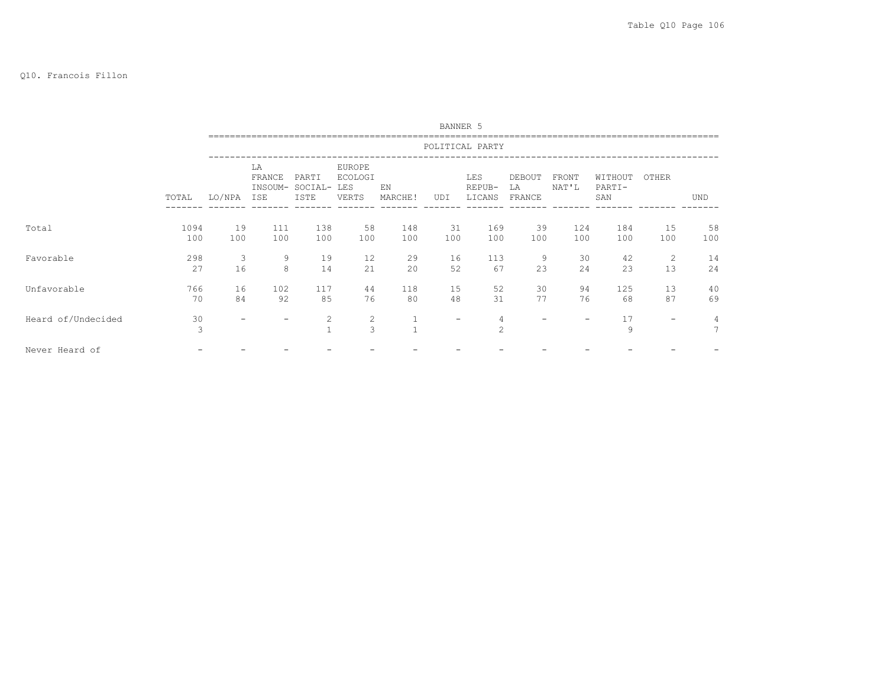# Q10. Francois Fillon

|                    |             |                          |                                |                          |                                          |               | BANNER 5  |                         |                        |                |                          |           |                      |
|--------------------|-------------|--------------------------|--------------------------------|--------------------------|------------------------------------------|---------------|-----------|-------------------------|------------------------|----------------|--------------------------|-----------|----------------------|
|                    |             |                          |                                |                          |                                          |               |           | POLITICAL PARTY         |                        |                |                          |           |                      |
|                    | TOTAL       | LO/NPA                   | LA<br>FRANCE<br>INSOUM-<br>ISE | PARTI<br>SOCIAL-<br>ISTE | EUROPE<br><b>ECOLOGI</b><br>LES<br>VERTS | EN<br>MARCHE! | UDI       | LES<br>REPUB-<br>LICANS | DEBOUT<br>LA<br>FRANCE | FRONT<br>NAT'L | WITHOUT<br>PARTI-<br>SAN | OTHER     | <b>UND</b>           |
| Total              | 1094<br>100 | 19<br>100                | 111<br>100                     | 138<br>100               | 58<br>100                                | 148<br>100    | 31<br>100 | 169<br>100              | 39<br>100              | 124<br>100     | 184<br>100               | 15<br>100 | 58<br>100            |
| Favorable          | 298<br>27   | 3<br>16                  | 9<br>8                         | 19<br>14                 | 12<br>21                                 | 29<br>20      | 16<br>52  | 113<br>67               | 9<br>23                | 30<br>24       | 42<br>23                 | 2<br>13   | 14<br>24             |
| Unfavorable        | 766<br>70   | 16<br>84                 | 102<br>92                      | 117<br>85                | 44<br>76                                 | 118<br>80     | 15<br>48  | 52<br>31                | 30<br>77               | 94<br>76       | 125<br>68                | 13<br>87  | 40<br>69             |
| Heard of/Undecided | 30<br>3     | $\overline{\phantom{m}}$ |                                | 2<br>$\mathbf{1}$        | $\overline{c}$<br>3                      | $\mathbf{1}$  | -         | 4<br>$\mathfrak{D}$     |                        |                | 17<br>9                  | -         | 4<br>$7\phantom{.0}$ |
| Never Heard of     |             |                          |                                |                          |                                          |               |           |                         |                        |                |                          |           |                      |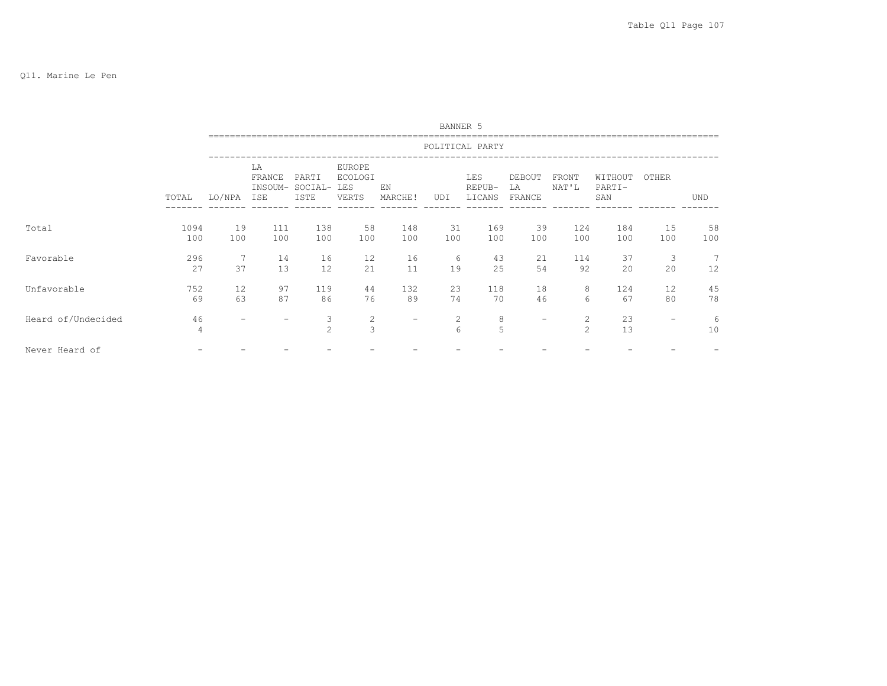|                    |             |           |                                |                          |                                                 |                          | BANNER 5              |                         |                        |                                |                          |                          |            |
|--------------------|-------------|-----------|--------------------------------|--------------------------|-------------------------------------------------|--------------------------|-----------------------|-------------------------|------------------------|--------------------------------|--------------------------|--------------------------|------------|
|                    |             |           |                                |                          |                                                 |                          |                       | POLITICAL PARTY         |                        |                                |                          |                          |            |
|                    | TOTAL       | LO/NPA    | LA<br>FRANCE<br>INSOUM-<br>ISE | PARTI<br>SOCIAL-<br>ISTE | <b>EUROPE</b><br><b>ECOLOGI</b><br>LES<br>VERTS | EN<br>MARCHE!            | UDI                   | LES<br>REPUB-<br>LICANS | DEBOUT<br>LA<br>FRANCE | FRONT<br>NAT'L                 | WITHOUT<br>PARTI-<br>SAN | OTHER                    | <b>UND</b> |
| Total              | 1094<br>100 | 19<br>100 | 111<br>100                     | 138<br>100               | 58<br>100                                       | 148<br>100               | 31<br>100             | 169<br>100              | 39<br>100              | 124<br>100                     | 184<br>100               | 15<br>100                | 58<br>100  |
| Favorable          | 296<br>27   | -7<br>37  | 14<br>13                       | 16<br>12                 | 12<br>21                                        | 16<br>11                 | 6<br>19               | 43<br>25                | 21<br>54               | 114<br>92                      | 37<br>20                 | 3<br>20                  | 7<br>12    |
| Unfavorable        | 752<br>69   | 12<br>63  | 97<br>87                       | 119<br>86                | 44<br>76                                        | 132<br>89                | 23<br>74              | 118<br>70               | 18<br>46               | 8<br>6                         | 124<br>67                | 12<br>80                 | 45<br>78   |
| Heard of/Undecided | 46<br>4     |           |                                | 3<br>2                   | $\mathbf{2}$<br>3                               | $\overline{\phantom{0}}$ | 2<br>$6 \overline{6}$ | 8<br>5                  | $\qquad \qquad$        | $\mathbf{2}$<br>$\overline{2}$ | 23<br>13                 | $\overline{\phantom{m}}$ | 6<br>10    |
| Never Heard of     |             |           |                                |                          |                                                 |                          |                       |                         |                        |                                |                          |                          |            |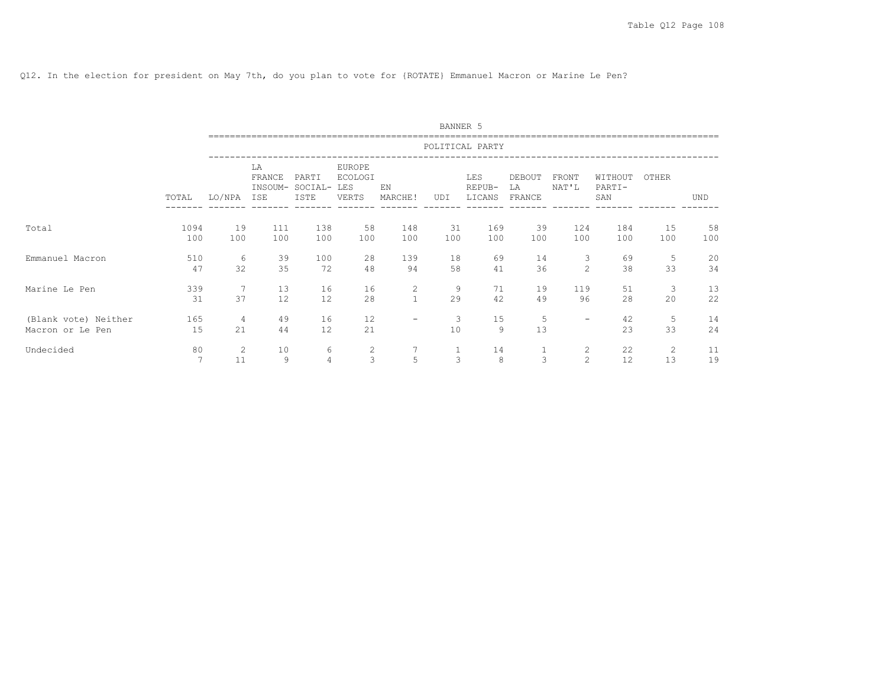Q12. In the election for president on May 7th, do you plan to vote for {ROTATE} Emmanuel Macron or Marine Le Pen?

|                                          |             |                      |                                |                          |                                          |                   | BANNER 5          |                         |                        |                                  |                          |           |            |
|------------------------------------------|-------------|----------------------|--------------------------------|--------------------------|------------------------------------------|-------------------|-------------------|-------------------------|------------------------|----------------------------------|--------------------------|-----------|------------|
|                                          |             |                      |                                |                          |                                          |                   |                   | POLITICAL PARTY         |                        |                                  |                          |           |            |
|                                          | TOTAL       | LO/NPA               | LA<br>FRANCE<br>INSOUM-<br>ISE | PARTI<br>SOCIAL-<br>ISTE | EUROPE<br><b>ECOLOGI</b><br>LES<br>VERTS | EN<br>MARCHE!     | UDI               | LES<br>REPUB-<br>LICANS | DEBOUT<br>LA<br>FRANCE | FRONT<br>NAT'L                   | WITHOUT<br>PARTI-<br>SAN | OTHER     | <b>UND</b> |
| Total                                    | 1094<br>100 | 19<br>100            | 111<br>100                     | 138<br>100               | 58<br>100                                | 148<br>100        | 31<br>100         | 169<br>100              | 39<br>100              | 124<br>100                       | 184<br>100               | 15<br>100 | 58<br>100  |
| Emmanuel Macron                          | 510<br>47   | 6<br>32              | 39<br>35                       | 100<br>72                | 28<br>48                                 | 139<br>94         | 18<br>58          | 69<br>41                | 14<br>36               | 3<br>2                           | 69<br>38                 | 5<br>33   | 20<br>34   |
| Marine Le Pen                            | 339<br>31   | 7<br>37              | 13<br>12                       | 16<br>12                 | 16<br>28                                 | 2<br>$\mathbf{1}$ | 9<br>29           | 71<br>42                | 19<br>49               | 119<br>96                        | 51<br>28                 | 3<br>20   | 13<br>22   |
| (Blank vote) Neither<br>Macron or Le Pen | 165<br>15   | $\overline{4}$<br>21 | 49<br>44                       | 16<br>12                 | 12<br>21                                 | -                 | 3<br>10           | 15<br>9                 | 5<br>13                | $\overline{\phantom{0}}$         | 42<br>23                 | 5<br>33   | 14<br>24   |
| Undecided                                | 80<br>7     | 2<br>11              | 10<br>9                        | 6<br>$\overline{4}$      | 2<br>3                                   | 5                 | $\mathbf{1}$<br>3 | 14<br>8                 | 3                      | $\overline{c}$<br>$\overline{c}$ | 22<br>12                 | 2<br>13   | 11<br>19   |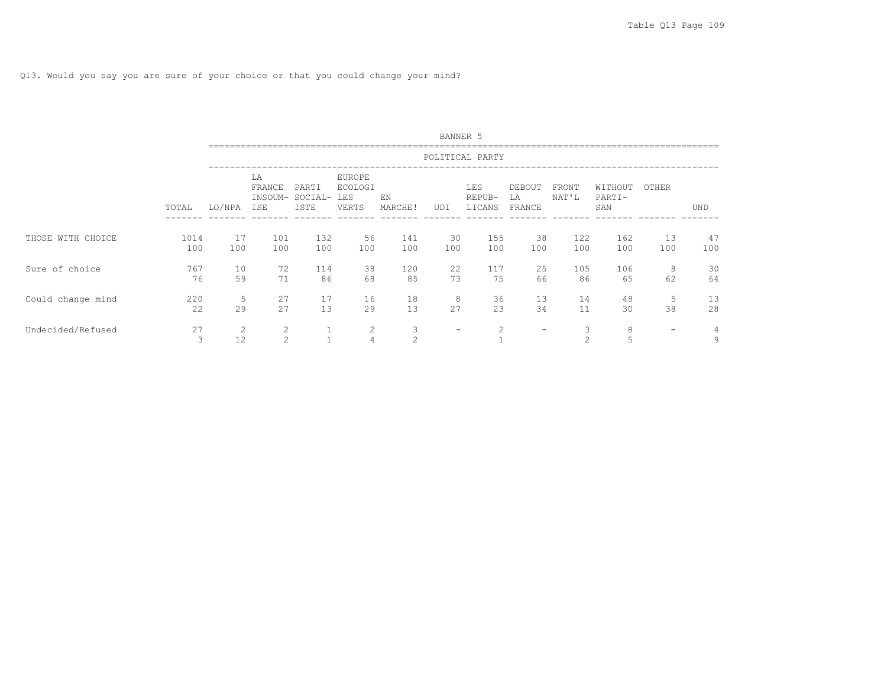Q13. Would you say you are sure of your choice or that you could change your mind?

|                   |             |                      |                                |                          |                                          |                     | BANNER 5          |                                |                          |                     |                          |                          |            |
|-------------------|-------------|----------------------|--------------------------------|--------------------------|------------------------------------------|---------------------|-------------------|--------------------------------|--------------------------|---------------------|--------------------------|--------------------------|------------|
|                   |             |                      |                                |                          |                                          |                     |                   | POLITICAL PARTY                |                          |                     |                          |                          |            |
|                   | TOTAL       | LO/NPA               | LA<br>FRANCE<br>INSOUM-<br>ISE | PARTI<br>SOCIAL-<br>ISTE | EUROPE<br><b>ECOLOGI</b><br>LES<br>VERTS | EN<br>MARCHE!       | UDI               | <b>LES</b><br>REPUB-<br>LICANS | DEBOUT<br>LA<br>FRANCE   | FRONT<br>NAT'L      | WITHOUT<br>PARTI-<br>SAN | OTHER                    | <b>UND</b> |
| THOSE WITH CHOICE | 1014<br>100 | 17<br>100            | 101<br>100                     | 132<br>100               | 56<br>100                                | 141<br>100          | 30<br>100         | 155<br>100                     | 38<br>100                | 122<br>100          | 162<br>100               | 13<br>100                | 47<br>100  |
| Sure of choice    | 767<br>76   | 10<br>59             | 72<br>71                       | 114<br>86                | 38<br>68                                 | 120<br>85           | 22<br>73          | 117<br>75                      | 25<br>66                 | 105<br>86           | 106<br>65                | 8<br>62                  | 30<br>64   |
| Could change mind | 220<br>22   | 5<br>29              | 27<br>27                       | 17<br>13                 | 16<br>29                                 | 18<br>13            | 8<br>27           | 36<br>23                       | 13<br>34                 | 14<br>11            | 48<br>30                 | 5<br>38                  | 13<br>28   |
| Undecided/Refused | 27<br>3     | $\overline{2}$<br>12 | 2<br>$\mathfrak{D}$            | $\mathbf{1}$             | 2<br>$\overline{4}$                      | 3<br>$\mathfrak{D}$ | $\qquad \qquad -$ | 2                              | $\overline{\phantom{m}}$ | 3<br>$\mathfrak{D}$ | 8<br>5                   | $\overline{\phantom{0}}$ | 4<br>9     |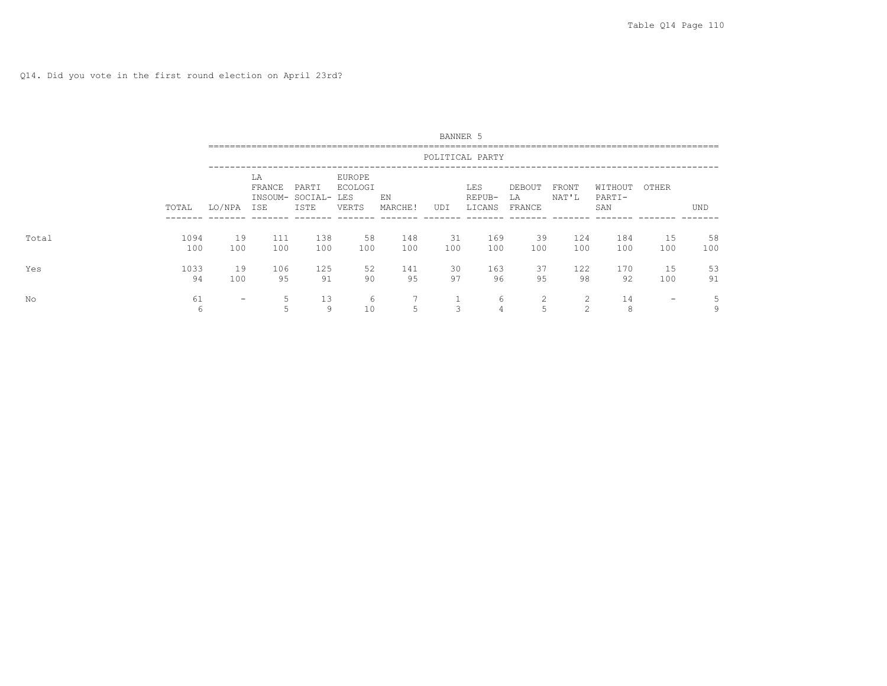|       |             |           |                     |                                      |                                   |               | BANNER 5  |                         |                        |                |                          |                          |           |
|-------|-------------|-----------|---------------------|--------------------------------------|-----------------------------------|---------------|-----------|-------------------------|------------------------|----------------|--------------------------|--------------------------|-----------|
|       |             |           |                     |                                      |                                   |               |           | POLITICAL PARTY         |                        |                |                          |                          |           |
|       | TOTAL       | LO/NPA    | LA<br>FRANCE<br>ISE | PARTI<br>INSOUM- SOCIAL- LES<br>ISTE | EUROPE<br><b>ECOLOGI</b><br>VERTS | ΕN<br>MARCHE! | UDI       | LES<br>REPUB-<br>LICANS | DEBOUT<br>LA<br>FRANCE | FRONT<br>NAT'L | WITHOUT<br>PARTI-<br>SAN | OTHER                    | UND       |
| Total | 1094<br>100 | 19<br>100 | 111<br>100          | 138<br>100                           | 58<br>100                         | 148<br>100    | 31<br>100 | 169<br>100              | 39<br>100              | 124<br>100     | 184<br>100               | 15<br>100                | 58<br>100 |
| Yes   | 1033<br>94  | 19<br>100 | 106<br>95           | 125<br>91                            | 52<br>90                          | 141<br>95     | 30<br>97  | 163<br>96               | 37<br>95               | 122<br>98      | 170<br>92                | 15<br>100                | 53<br>91  |
| No    | 61<br>6     | -         | 5<br>5              | 13<br>9                              | 6<br>10                           | 5             | 3         | 6<br>4                  | 2<br>5                 | 2<br>2         | 14<br>8                  | $\overline{\phantom{0}}$ | 5<br>9    |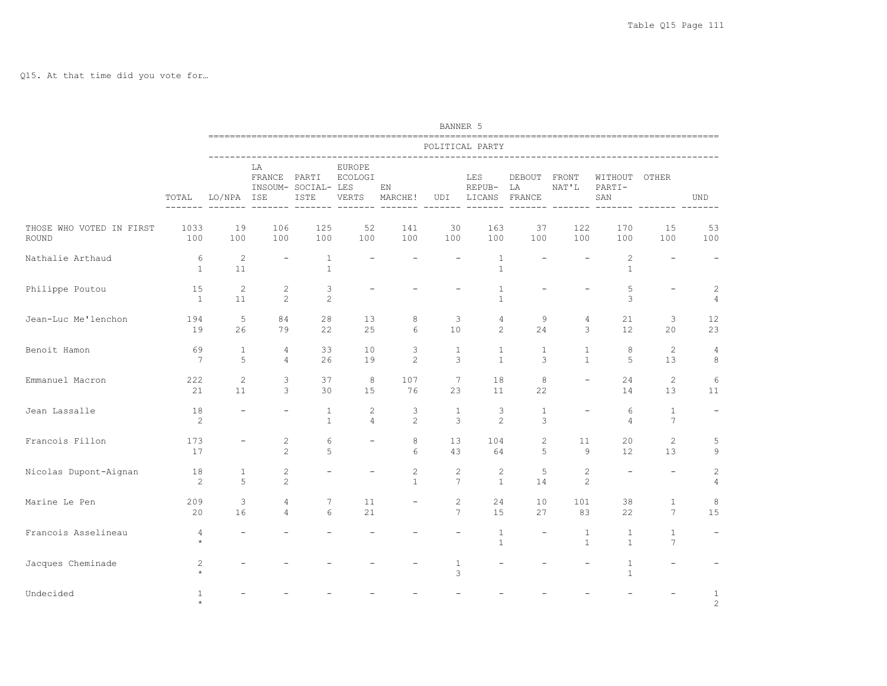Q15. At that time did you vote for…

|                                   |                             |                          |                                  |                              |                                          |                              | BANNER 5                                 |                              |                          |                                  |                              |                                 |                                  |
|-----------------------------------|-----------------------------|--------------------------|----------------------------------|------------------------------|------------------------------------------|------------------------------|------------------------------------------|------------------------------|--------------------------|----------------------------------|------------------------------|---------------------------------|----------------------------------|
|                                   |                             |                          |                                  |                              |                                          |                              |                                          | POLITICAL PARTY              |                          |                                  |                              |                                 |                                  |
|                                   | TOTAL                       | LO/NPA ISE               | LΑ<br>FRANCE PARTI               | INSOUM- SOCIAL- LES<br>ISTE  | <b>EUROPE</b><br><b>ECOLOGI</b><br>VERTS | ΕN<br>MARCHE!                | UDI                                      | LES<br>REPUB-<br>LICANS      | DEBOUT<br>LΑ<br>FRANCE   | FRONT<br>NAT'L                   | WITHOUT<br>PARTI-<br>SAN     | OTHER                           | <b>UND</b>                       |
| THOSE WHO VOTED IN FIRST<br>ROUND | 1033<br>100                 | 19<br>100                | 106<br>100                       | 125<br>100                   | 52<br>100                                | 141<br>100                   | 30<br>100                                | 163<br>100                   | 37<br>100                | 122<br>100                       | 170<br>100                   | 15<br>100                       | 53<br>100                        |
| Nathalie Arthaud                  | 6<br>$\mathbf{1}$           | 2<br>11                  | $\overline{\phantom{a}}$         | $\mathbf{1}$<br>$\mathbf{1}$ |                                          |                              |                                          | $\mathbf{1}$<br>$\mathbf{1}$ |                          |                                  | $\mathbf{2}$<br>$\mathbf{1}$ |                                 |                                  |
| Philippe Poutou                   | 15<br>$\overline{1}$        | 2<br>11                  | $\mathbf{2}$<br>$\overline{c}$   | 3<br>$\overline{c}$          |                                          |                              |                                          | 1<br>$\mathbf{1}$            |                          |                                  | 5<br>3                       |                                 | $\overline{c}$<br>$\overline{4}$ |
| Jean-Luc Me'lenchon               | 194<br>19                   | 5<br>26                  | 84<br>79                         | 28<br>22                     | 13<br>25                                 | 8<br>6                       | 3<br>10                                  | 4<br>$\overline{2}$          | 9<br>24                  | 4<br>3                           | 21<br>12                     | 3<br>20                         | 12<br>23                         |
| Benoit Hamon                      | 69<br>$7\phantom{.0}$       | $\mathbf{1}$<br>5        | 4<br>4                           | 33<br>26                     | 10 <sup>°</sup><br>19                    | 3<br>$\mathbf{2}$            | $\mathbf{1}$<br>3                        | $\mathbf{1}$<br>$\mathbf{1}$ | $\mathbf{1}$<br>3        | $\mathbf{1}$<br>$\mathbf{1}$     | 8<br>5                       | 2<br>13                         | 4<br>8                           |
| Emmanuel Macron                   | 222<br>21                   | 2<br>11                  | 3<br>3                           | 37<br>30                     | 8<br>15                                  | 107<br>76                    | $7\overline{ }$<br>23                    | 18<br>11                     | 8<br>22                  |                                  | 24<br>14                     | 2<br>13                         | 6<br>11                          |
| Jean Lassalle                     | 18<br>2                     |                          | $\overline{\phantom{m}}$         | $\mathbf{1}$<br>$\mathbf{1}$ | $\overline{c}$<br>$\overline{4}$         | 3<br>2                       | $\mathbf{1}$<br>3                        | 3<br>$\overline{2}$          | $\mathbf{1}$<br>3        | ÷                                | 6<br>$\overline{4}$          | $\mathbf{1}$<br>$7\phantom{.0}$ |                                  |
| Francois Fillon                   | 173<br>17                   | $\overline{\phantom{0}}$ | $\overline{c}$<br>$\overline{c}$ | 6<br>5                       |                                          | 8<br>6                       | 13<br>43                                 | 104<br>64                    | 2<br>5                   | 11<br>9                          | 20<br>$12 \overline{ }$      | 2<br>13                         | 5<br>9                           |
| Nicolas Dupont-Aignan             | 18<br>$\mathbf{2}^{\prime}$ | $\mathbf{1}$<br>5        | $\mathbf{2}$<br>$\overline{c}$   |                              |                                          | $\mathbf{2}$<br>$\mathbf{1}$ | $\overline{c}$<br>$7\phantom{.0}$        | $\mathbf{2}$<br>$\mathbf{1}$ | 5<br>14                  | $\overline{c}$<br>$\overline{c}$ |                              |                                 | $\overline{c}$<br>$\overline{4}$ |
| Marine Le Pen                     | 209<br>20                   | 3<br>16                  | $\overline{4}$<br>$\overline{4}$ | 7<br>6                       | 11<br>21                                 |                              | $\mathbf{2}^{\prime}$<br>$7\phantom{.0}$ | 24<br>15                     | 10<br>27                 | 101<br>83                        | 38<br>22                     | $\mathbf{1}$<br>$7\phantom{.0}$ | 8<br>15                          |
| Francois Asselineau               | 4<br>$\star$                |                          |                                  |                              |                                          |                              |                                          | $\mathbf{1}$<br>$\mathbf{1}$ | $\overline{\phantom{a}}$ | $\mathbf{1}$<br>$\mathbf{1}$     | $\mathbf{1}$<br>$\mathbf{1}$ | $\mathbf{1}$<br>$7\phantom{.0}$ |                                  |
| Jacques Cheminade                 | $\overline{c}$              |                          |                                  |                              |                                          |                              | $\mathbf{1}$<br>3                        |                              |                          |                                  | 1<br>$\mathbf{1}$            |                                 |                                  |
| Undecided                         | 1                           |                          |                                  |                              |                                          |                              |                                          |                              |                          |                                  |                              |                                 | 1<br>$\overline{c}$              |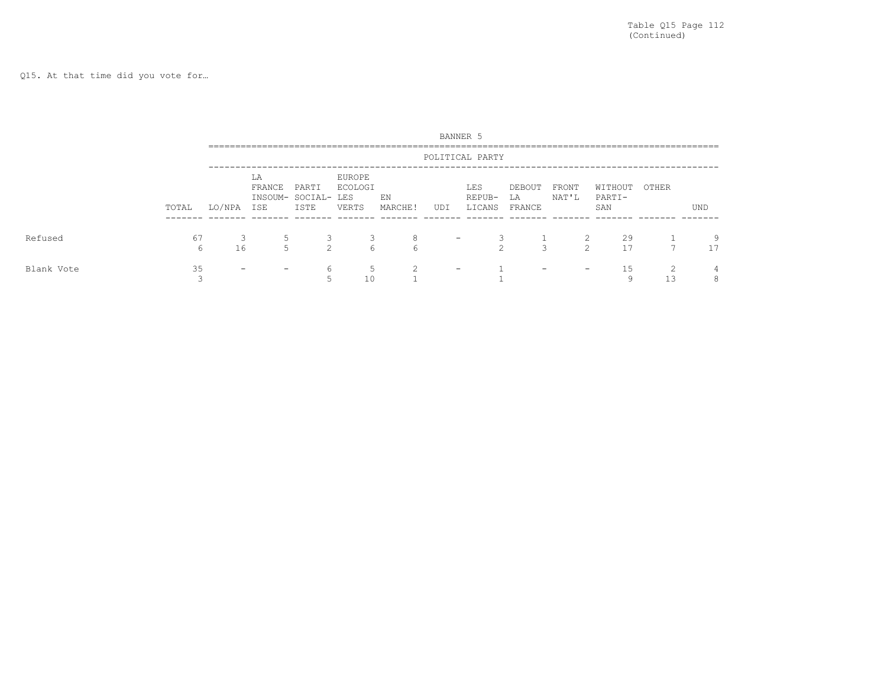Q15. At that time did you vote for…

|            |         |                          |                     |                                      |                            |               |                          | BANNER 5                |                          |                     |                                     |                     |         |
|------------|---------|--------------------------|---------------------|--------------------------------------|----------------------------|---------------|--------------------------|-------------------------|--------------------------|---------------------|-------------------------------------|---------------------|---------|
|            |         |                          |                     |                                      |                            |               |                          | POLITICAL PARTY         |                          |                     | ----------------------------------- |                     |         |
|            | TOTAL   | LO/NPA                   | LA<br>FRANCE<br>ISE | PARTI<br>INSOUM- SOCIAL- LES<br>ISTE | EUROPE<br>ECOLOGI<br>VERTS | EN<br>MARCHE! | UDI                      | LES<br>REPUB-<br>LICANS | DEBOUT<br>LA<br>FRANCE   | FRONT<br>NAT'L      | WITHOUT<br>PARTI-<br>SAN            | OTHER               | UND     |
| Refused    | 67<br>h | 16                       | 5<br>5              | 2                                    | 3<br>6                     | 8<br>6        | $\overline{\phantom{0}}$ | $\sim$                  | 3                        | 2<br>$\mathfrak{D}$ | 29<br>17                            | $\overline{ }$      | 9<br>17 |
| Blank Vote | 35      | $\overline{\phantom{a}}$ | -                   | 6                                    | 5<br>10                    | $\mathcal{D}$ | $\overline{\phantom{0}}$ |                         | $\overline{\phantom{0}}$ | -                   | 15<br>a                             | $\mathcal{D}$<br>13 | 4<br>8  |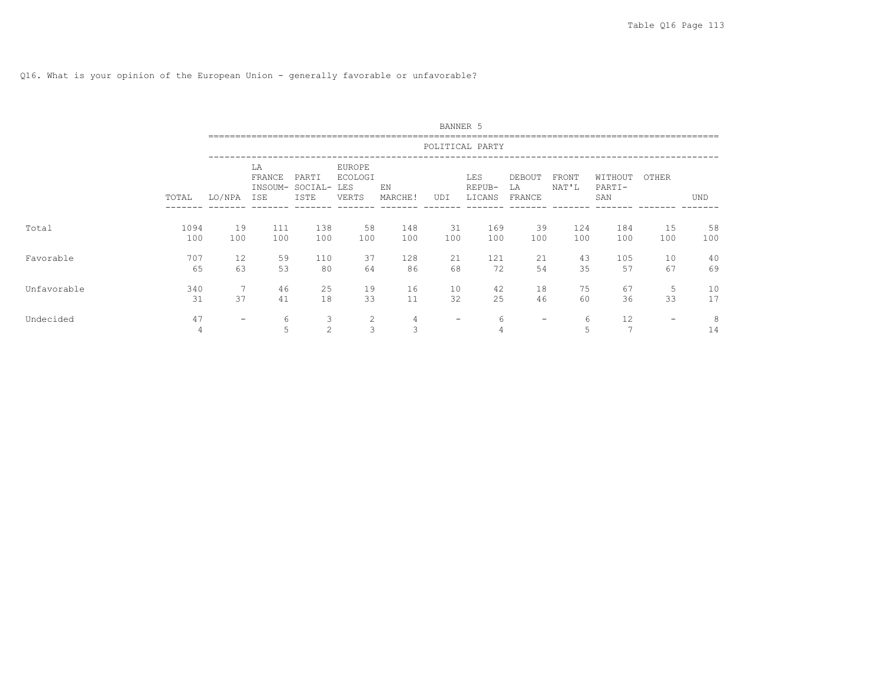Q16. What is your opinion of the European Union - generally favorable or unfavorable?

|             |             |                   |                                       |                          |                                          |               | BANNER 5                 |                         |                        |                |                          |                          |           |
|-------------|-------------|-------------------|---------------------------------------|--------------------------|------------------------------------------|---------------|--------------------------|-------------------------|------------------------|----------------|--------------------------|--------------------------|-----------|
|             |             |                   |                                       |                          |                                          |               |                          | POLITICAL PARTY         |                        |                |                          |                          |           |
|             | TOTAL       | LO/NPA            | LA<br>FRANCE<br>INSOUM-<br><b>ISE</b> | PARTI<br>SOCIAL-<br>ISTE | EUROPE<br><b>ECOLOGI</b><br>LES<br>VERTS | EN<br>MARCHE! | UDI                      | LES<br>REPUB-<br>LICANS | DEBOUT<br>LA<br>FRANCE | FRONT<br>NAT'L | WITHOUT<br>PARTI-<br>SAN | OTHER                    | UND       |
| Total       | 1094<br>100 | 19<br>100         | 111<br>100                            | 138<br>100               | 58<br>100                                | 148<br>100    | 31<br>100                | 169<br>100              | 39<br>100              | 124<br>100     | 184<br>100               | 15<br>100                | 58<br>100 |
| Favorable   | 707<br>65   | 12<br>63          | 59<br>53                              | 110<br>80                | 37<br>64                                 | 128<br>86     | 21<br>68                 | 121<br>72               | 21<br>54               | 43<br>35       | 105<br>57                | 10<br>67                 | 40<br>69  |
| Unfavorable | 340<br>31   | 37                | 46<br>41                              | 25<br>18                 | 19<br>33                                 | 16<br>11      | 10<br>32                 | 42<br>25                | 18<br>46               | 75<br>60       | 67<br>36                 | 5<br>33                  | 10<br>17  |
| Undecided   | 47<br>4     | $\qquad \qquad -$ | 6<br>5                                | 3<br>2                   | 2<br>3                                   | 4<br>3        | $\overline{\phantom{m}}$ | 6                       | $\qquad \qquad -$      | 6<br>5         | 12<br>$\overline{ }$     | $\overline{\phantom{a}}$ | 8<br>14   |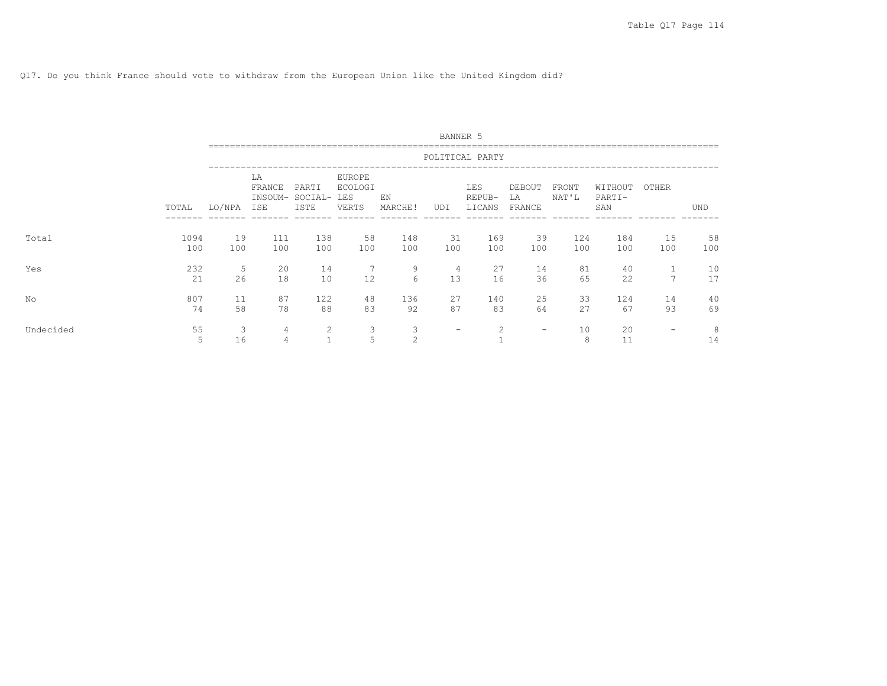# Q17. Do you think France should vote to withdraw from the European Union like the United Kingdom did?

|           |             |           |                                |                          |                                          |               | BANNER 5  |                                |                        |                |                          |                          |            |
|-----------|-------------|-----------|--------------------------------|--------------------------|------------------------------------------|---------------|-----------|--------------------------------|------------------------|----------------|--------------------------|--------------------------|------------|
|           |             |           |                                |                          |                                          |               |           | POLITICAL PARTY                |                        |                |                          |                          |            |
|           | TOTAL       | LO/NPA    | LA<br>FRANCE<br>INSOUM-<br>ISE | PARTI<br>SOCIAL-<br>ISTE | EUROPE<br><b>ECOLOGI</b><br>LES<br>VERTS | EN<br>MARCHE! | UDI       | <b>LES</b><br>REPUB-<br>LICANS | DEBOUT<br>LA<br>FRANCE | FRONT<br>NAT'L | WITHOUT<br>PARTI-<br>SAN | OTHER                    | <b>UND</b> |
| Total     | 1094<br>100 | 19<br>100 | 111<br>100                     | 138<br>100               | 58<br>100                                | 148<br>100    | 31<br>100 | 169<br>100                     | 39<br>100              | 124<br>100     | 184<br>100               | 15<br>100                | 58<br>100  |
| Yes       | 232<br>21   | 5<br>26   | 20<br>18                       | 14<br>10                 | 12                                       | 9<br>6        | 4<br>13   | 27<br>16                       | 14<br>36               | 81<br>65       | 40<br>22                 | $\overline{ }$           | 10<br>17   |
| No        | 807<br>74   | 11<br>58  | 87<br>78                       | 122<br>88                | 48<br>83                                 | 136<br>92     | 27<br>87  | 140<br>83                      | 25<br>64               | 33<br>27       | 124<br>67                | 14<br>93                 | 40<br>69   |
| Undecided | 55<br>5     | 3<br>16   | 4<br>4                         | 2<br>$\mathbf{1}$        | 3<br>5                                   | 3<br>2        | -         | 2                              | $\qquad \qquad$        | 10<br>8        | 20<br>11                 | $\overline{\phantom{a}}$ | 8<br>14    |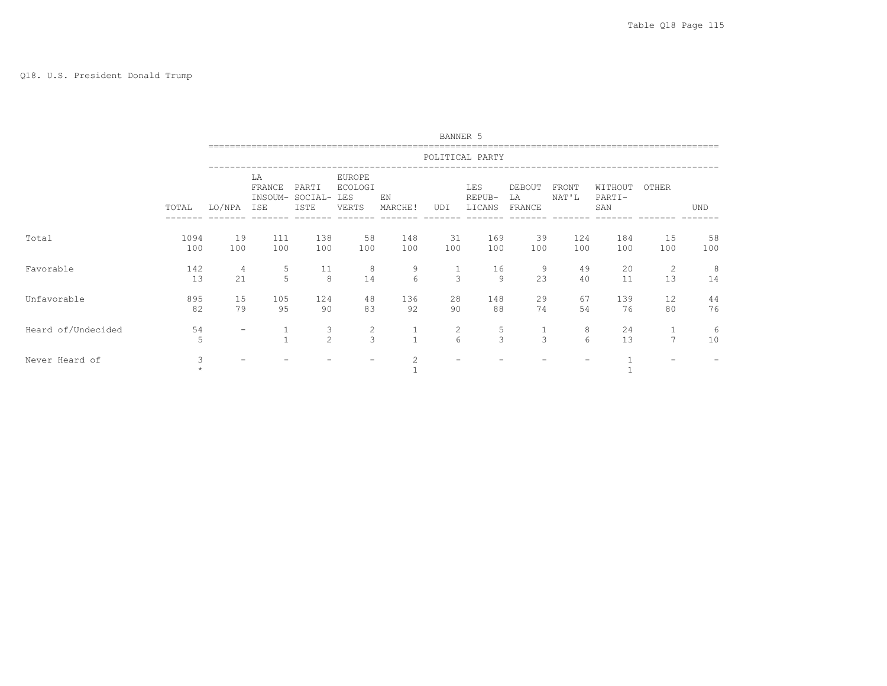#### Q18. U.S. President Donald Trump

|                    |              |           |                                |                          |                                                        |                 | <b>BANNER 5</b>            |                         |                        |                |                          |                |            |
|--------------------|--------------|-----------|--------------------------------|--------------------------|--------------------------------------------------------|-----------------|----------------------------|-------------------------|------------------------|----------------|--------------------------|----------------|------------|
|                    |              |           |                                |                          |                                                        |                 |                            | POLITICAL PARTY         |                        |                |                          |                |            |
|                    | TOTAL        | LO/NPA    | LA<br>FRANCE<br>INSOUM-<br>ISE | PARTI<br>SOCIAL-<br>ISTE | <b>EUROPE</b><br><b>ECOLOGI</b><br><b>LES</b><br>VERTS | EN<br>MARCHE!   | UDI                        | LES<br>REPUB-<br>LICANS | DEBOUT<br>LA<br>FRANCE | FRONT<br>NAT'L | WITHOUT<br>PARTI-<br>SAN | OTHER          | <b>UND</b> |
| Total              | 1094<br>100  | 19<br>100 | 111<br>100                     | 138<br>100               | 58<br>100                                              | 148<br>100      | 31<br>100                  | 169<br>100              | 39<br>100              | 124<br>100     | 184<br>100               | 15<br>100      | 58<br>100  |
| Favorable          | 142<br>13    | 4<br>21   | 5<br>5                         | 11<br>8                  | 8<br>14                                                | 9<br>$\sqrt{6}$ | $\mathbf{1}$<br>3          | 16<br>9                 | 9<br>23                | 49<br>40       | 20<br>11                 | 2<br>13        | 8<br>14    |
| Unfavorable        | 895<br>82    | 15<br>79  | 105<br>95                      | 124<br>90                | 48<br>83                                               | 136<br>92       | 28<br>90                   | 148<br>88               | 29<br>74               | 67<br>54       | 139<br>76                | 12<br>80       | 44<br>76   |
| Heard of/Undecided | 54<br>5      | -         |                                | 3<br>$\overline{c}$      | $\mathbf{2}$<br>3                                      | $\mathbf{1}$    | $\mathbf{2}^{\prime}$<br>6 | 5<br>3                  | $\mathbf{1}$<br>3      | 8<br>6         | 24<br>13                 | $\overline{7}$ | 6<br>10    |
| Never Heard of     | 3<br>$\star$ |           |                                |                          |                                                        | $\overline{2}$  |                            |                         |                        |                |                          |                |            |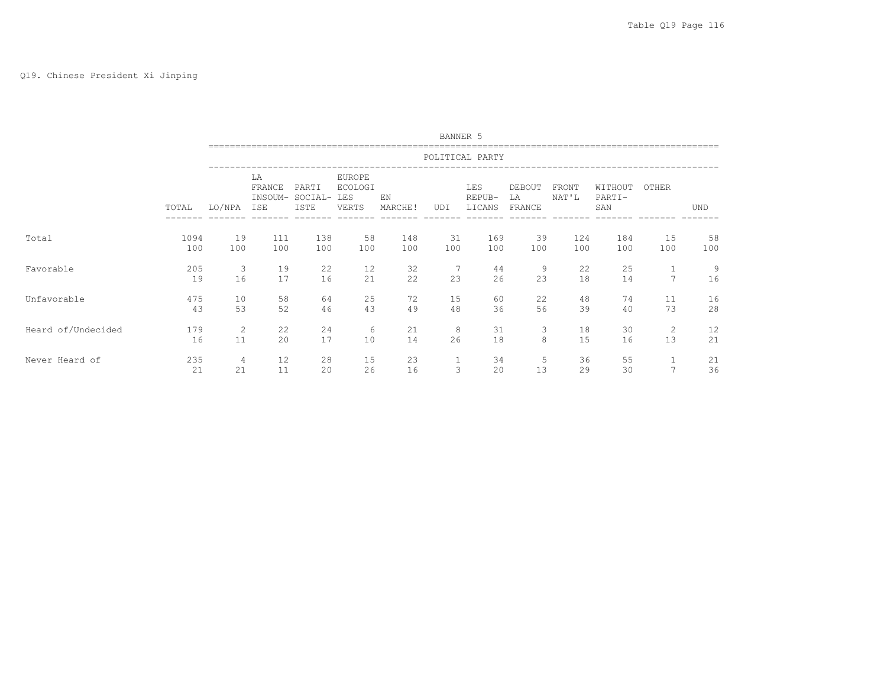# Q19. Chinese President Xi Jinping

|                    |           |                |                                |                          |                                          |               | BANNER 5     |                         |                        |                |                          |                |            |
|--------------------|-----------|----------------|--------------------------------|--------------------------|------------------------------------------|---------------|--------------|-------------------------|------------------------|----------------|--------------------------|----------------|------------|
|                    |           |                |                                |                          |                                          |               |              | POLITICAL PARTY         |                        |                |                          |                |            |
|                    | TOTAL     | LO/NPA         | LA<br>FRANCE<br>INSOUM-<br>ISE | PARTI<br>SOCIAL-<br>ISTE | EUROPE<br><b>ECOLOGI</b><br>LES<br>VERTS | EN<br>MARCHE! | UDI          | LES<br>REPUB-<br>LICANS | DEBOUT<br>LA<br>FRANCE | FRONT<br>NAT'L | WITHOUT<br>PARTI-<br>SAN | OTHER          | <b>UND</b> |
| Total              | 1094      | 19             | 111                            | 138                      | 58                                       | 148           | 31           | 169                     | 39                     | 124            | 184                      | 15             | 58         |
|                    | 100       | 100            | 100                            | 100                      | 100                                      | 100           | 100          | 100                     | 100                    | 100            | 100                      | 100            | 100        |
| Favorable          | 205<br>19 | 3<br>16        | 19<br>17                       | 22<br>16                 | 12<br>21                                 | 32<br>22      | 7<br>23      | 44<br>26                | 9<br>23                | 22<br>18       | 25<br>14                 | $\overline{7}$ | 9<br>16    |
| Unfavorable        | 475       | 10             | 58                             | 64                       | 25                                       | 72            | 15           | 60                      | 22                     | 48             | 74                       | 11             | 16         |
|                    | 43        | 53             | 52                             | 46                       | 43                                       | 49            | 48           | 36                      | 56                     | 39             | 40                       | 73             | 28         |
| Heard of/Undecided | 179       | 2              | 22                             | 24                       | 6                                        | 21            | 8            | 31                      | 3                      | 18             | 30                       | 2              | 12         |
|                    | 16        | 11             | 20                             | 17                       | 10                                       | 14            | 26           | 18                      | 8                      | 15             | 16                       | 13             | 21         |
| Never Heard of     | 235       | $\overline{4}$ | 12                             | 28                       | 15                                       | 23            | $\mathbf{1}$ | 34                      | 5                      | 36             | 55                       | 1              | 21         |
|                    | 21        | 21             | 11                             | 20                       | 26                                       | 16            | 3            | 20                      | 13                     | 29             | 30                       | $\overline{7}$ | 36         |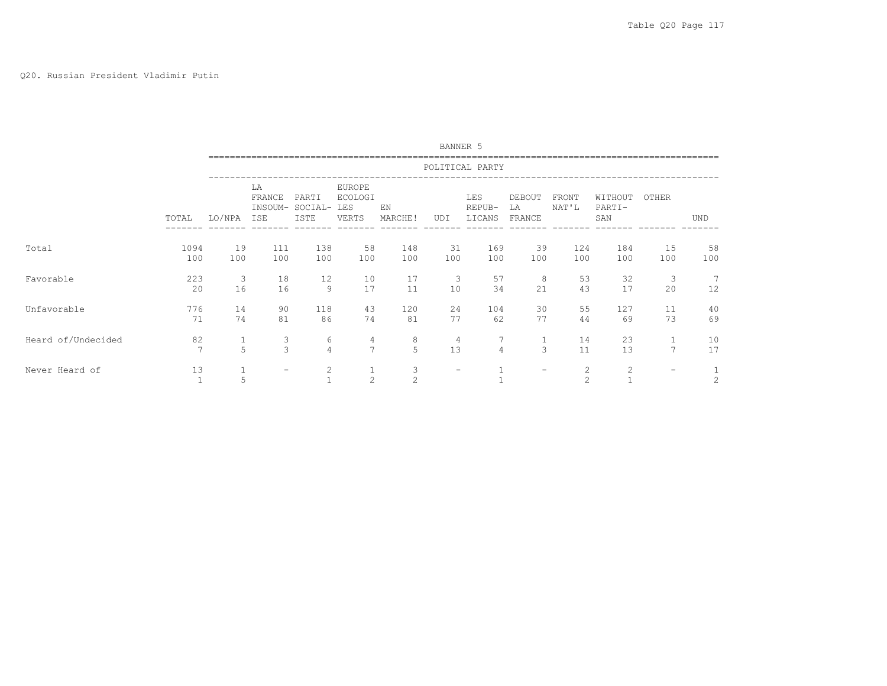#### Q20. Russian President Vladimir Putin

|                    |                      |                   |                                |                                |                                                 |               | BANNER 5             |                                |                        |                                  |                          |                                |                |
|--------------------|----------------------|-------------------|--------------------------------|--------------------------------|-------------------------------------------------|---------------|----------------------|--------------------------------|------------------------|----------------------------------|--------------------------|--------------------------------|----------------|
|                    |                      |                   |                                |                                |                                                 |               |                      | POLITICAL PARTY                |                        |                                  |                          |                                |                |
|                    | TOTAL                | LO/NPA            | LA<br>FRANCE<br>INSOUM-<br>ISE | PARTI<br>SOCIAL-<br>ISTE       | <b>EUROPE</b><br><b>ECOLOGI</b><br>LES<br>VERTS | EN<br>MARCHE! | UDI                  | <b>LES</b><br>REPUB-<br>LICANS | DEBOUT<br>LA<br>FRANCE | FRONT<br>NAT'L                   | WITHOUT<br>PARTI-<br>SAN | OTHER                          | <b>UND</b>     |
| Total              | 1094<br>100          | 19<br>100         | 111<br>100                     | 138<br>100                     | 58<br>100                                       | 148<br>100    | 31<br>100            | 169<br>100                     | 39<br>100              | 124<br>100                       | 184<br>100               | 15<br>100                      | 58<br>100      |
| Favorable          | 223<br>20            | 3<br>16           | 18<br>16                       | 12<br>9                        | 10<br>17                                        | 17<br>11      | 3<br>10              | 57<br>34                       | 8<br>21                | 53<br>43                         | 32<br>17                 | 3<br>20                        | 12             |
| Unfavorable        | 776<br>71            | 14<br>74          | 90<br>81                       | 118<br>86                      | 43<br>74                                        | 120<br>81     | 24<br>77             | 104<br>62                      | 30<br>77               | 55<br>44                         | 127<br>69                | 11<br>73                       | 40<br>69       |
| Heard of/Undecided | 82<br>$\overline{7}$ | $\mathbf{1}$<br>5 | 3<br>3                         | 6<br>$\overline{4}$            | 4<br>7                                          | 8<br>5        | $\overline{4}$<br>13 | $\overline{4}$                 | $\mathbf{1}$<br>3      | 14<br>11                         | 23<br>13                 | $\mathbf{1}$<br>$\overline{7}$ | 10<br>17       |
| Never Heard of     | 13                   | 5                 |                                | $\overline{c}$<br>$\mathbf{1}$ | 2                                               | 3<br>2        | $\qquad \qquad -$    |                                | -                      | $\overline{c}$<br>$\overline{c}$ | $\overline{c}$           |                                | $\overline{c}$ |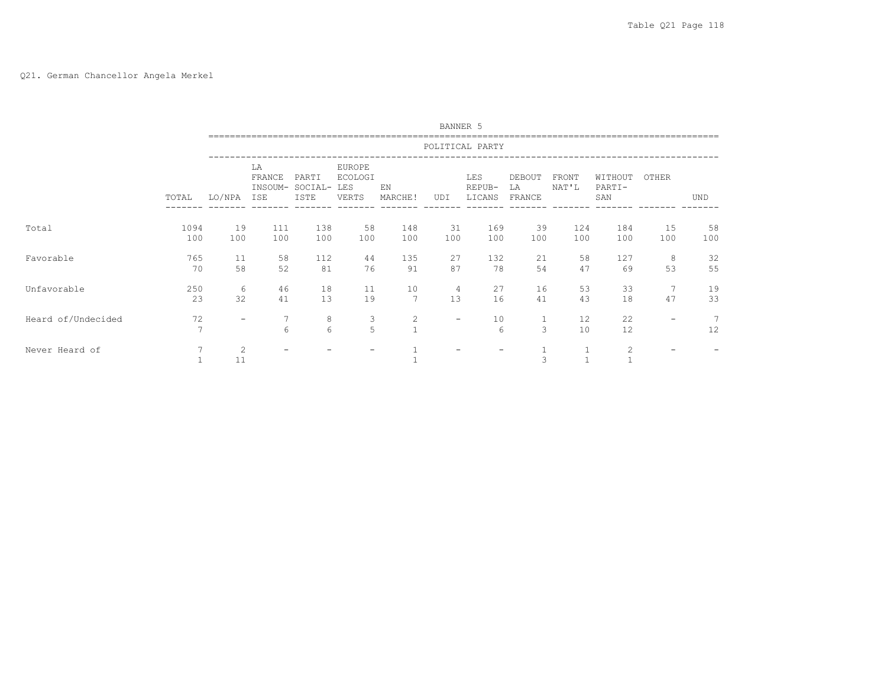# Q21. German Chancellor Angela Merkel

|                    |                      |                          |                                |                          |                                          |                                  | BANNER 5                 |                         |                        |                       |                          |           |            |
|--------------------|----------------------|--------------------------|--------------------------------|--------------------------|------------------------------------------|----------------------------------|--------------------------|-------------------------|------------------------|-----------------------|--------------------------|-----------|------------|
|                    |                      |                          |                                |                          |                                          |                                  |                          | POLITICAL PARTY         |                        |                       |                          |           |            |
|                    | TOTAL                | LO/NPA                   | LA<br>FRANCE<br>INSOUM-<br>ISE | PARTI<br>SOCIAL-<br>ISTE | EUROPE<br><b>ECOLOGI</b><br>LES<br>VERTS | EN<br>MARCHE!                    | UDI                      | LES<br>REPUB-<br>LICANS | DEBOUT<br>LΑ<br>FRANCE | <b>FRONT</b><br>NAT'L | WITHOUT<br>PARTI-<br>SAN | OTHER     | <b>UND</b> |
| Total              | 1094<br>100          | 19<br>100                | 111<br>100                     | 138<br>100               | 58<br>100                                | 148<br>100                       | 31<br>100                | 169<br>100              | 39<br>100              | 124<br>100            | 184<br>100               | 15<br>100 | 58<br>100  |
| Favorable          | 765<br>70            | 11<br>58                 | 58<br>52                       | 112<br>81                | 44<br>76                                 | 135<br>91                        | 27<br>87                 | 132<br>78               | 21<br>54               | 58<br>47              | 127<br>69                | 8<br>53   | 32<br>55   |
| Unfavorable        | 250<br>23            | 6<br>32                  | 46<br>41                       | 18<br>13                 | 11<br>19                                 | 10<br>$7\phantom{.0}$            | 4<br>13                  | 27<br>16                | 16<br>41               | 53<br>43              | 33<br>18                 | 7<br>47   | 19<br>33   |
| Heard of/Undecided | 72<br>$\overline{ }$ | $\overline{\phantom{m}}$ | 7<br>6                         | 8<br>6                   | 3<br>5                                   | $\overline{c}$<br>$\overline{1}$ | $\overline{\phantom{m}}$ | 10<br>6                 | $\mathbf{1}$<br>3      | 12<br>10              | 22<br>12                 |           | 12         |
| Never Heard of     |                      | 2<br>11                  |                                |                          |                                          |                                  |                          |                         | 3                      | h                     | 2<br>$\mathbf{1}$        |           |            |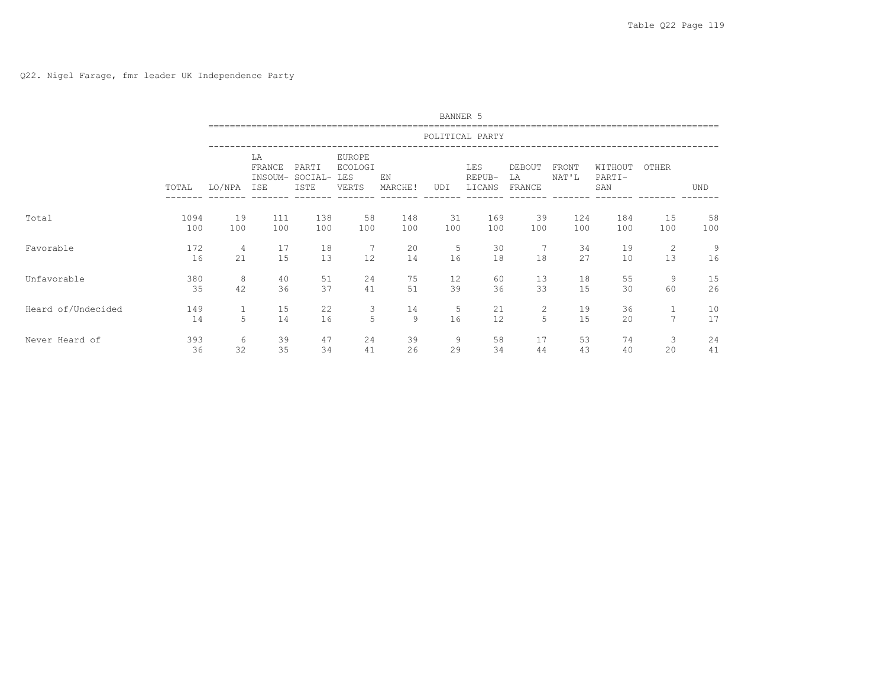|                    |           |              |                                |                          |                                                 |               |         | BANNER 5                |                        |                |                          |                      |            |
|--------------------|-----------|--------------|--------------------------------|--------------------------|-------------------------------------------------|---------------|---------|-------------------------|------------------------|----------------|--------------------------|----------------------|------------|
|                    |           |              |                                |                          |                                                 |               |         | POLITICAL PARTY         |                        |                |                          |                      |            |
|                    | TOTAL     | LO/NPA       | LA<br>FRANCE<br>INSOUM-<br>ISE | PARTI<br>SOCIAL-<br>ISTE | <b>EUROPE</b><br><b>ECOLOGI</b><br>LES<br>VERTS | EN<br>MARCHE! | UDI     | LES<br>REPUB-<br>LICANS | DEBOUT<br>LA<br>FRANCE | FRONT<br>NAT'L | WITHOUT<br>PARTI-<br>SAN | OTHER                | <b>UND</b> |
| Total              | 1094      | 19           | 111                            | 138                      | 58                                              | 148           | 31      | 169                     | 39                     | 124            | 184                      | 15                   | 58         |
|                    | 100       | 100          | 100                            | 100                      | 100                                             | 100           | 100     | 100                     | 100                    | 100            | 100                      | 100                  | 100        |
| Favorable          | 172<br>16 | 4<br>21      | 17<br>15                       | 18<br>13                 | 7<br>12                                         | 20<br>14      | 5<br>16 | 30<br>18                | 18                     | 34<br>27       | 19<br>10                 | $\overline{c}$<br>13 | 9<br>16    |
| Unfavorable        | 380       | 8            | 40                             | 51                       | 24                                              | 75            | 12      | 60                      | 13                     | 18             | 55                       | 9                    | 15         |
|                    | 35        | 42           | 36                             | 37                       | 41                                              | 51            | 39      | 36                      | 33                     | 15             | 30                       | 60                   | 26         |
| Heard of/Undecided | 149       | $\mathbf{1}$ | 15                             | 22                       | 3                                               | 14            | 5       | 21                      | $\overline{2}$         | 19             | 36                       | 1                    | 10         |
|                    | 14        | 5            | 14                             | 16                       | 5                                               | 9             | 16      | 12                      | 5                      | 15             | 20                       | $\overline{7}$       | 17         |
| Never Heard of     | 393       | 6            | 39                             | 47                       | 24                                              | 39            | 9       | 58                      | 17                     | 53             | 74                       | 3                    | 24         |
|                    | 36        | 32           | 35                             | 34                       | 41                                              | 26            | 29      | 34                      | 44                     | 43             | 40                       | 20                   | 41         |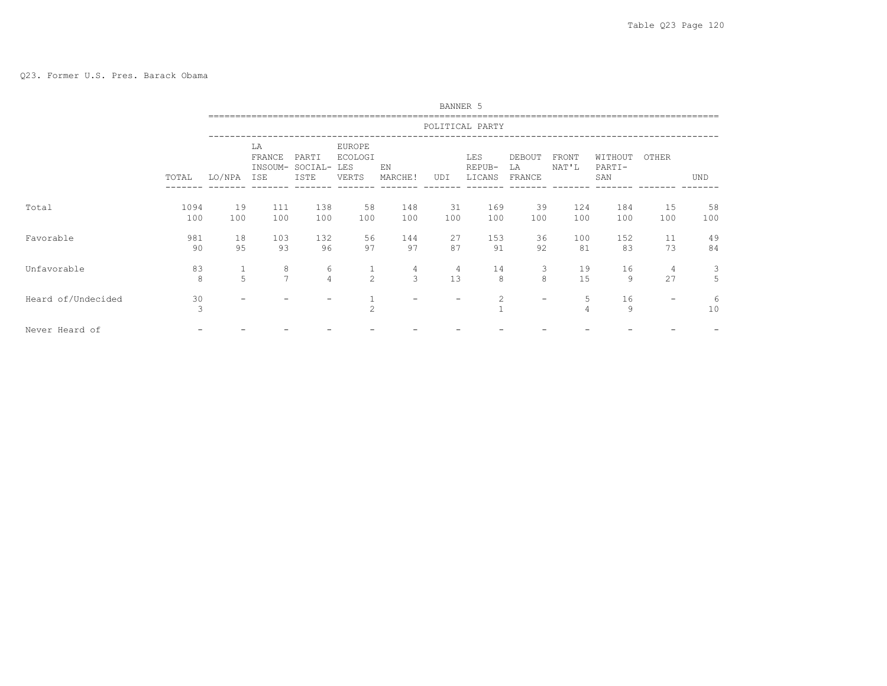|                    |             |           |                                |                          |                                                 |               | BANNER 5  |                         |                        |                       |                          |           |            |
|--------------------|-------------|-----------|--------------------------------|--------------------------|-------------------------------------------------|---------------|-----------|-------------------------|------------------------|-----------------------|--------------------------|-----------|------------|
|                    |             |           |                                |                          |                                                 |               |           | POLITICAL PARTY         |                        |                       |                          |           |            |
|                    | TOTAL       | LO/NPA    | LA<br>FRANCE<br>INSOUM-<br>ISE | PARTI<br>SOCIAL-<br>ISTE | <b>EUROPE</b><br><b>ECOLOGI</b><br>LES<br>VERTS | ΕN<br>MARCHE! | UDI       | LES<br>REPUB-<br>LICANS | DEBOUT<br>LA<br>FRANCE | <b>FRONT</b><br>NAT'L | WITHOUT<br>PARTI-<br>SAN | OTHER     | <b>UND</b> |
| Total              | 1094<br>100 | 19<br>100 | 111<br>100                     | 138<br>100               | 58<br>100                                       | 148<br>100    | 31<br>100 | 169<br>100              | 39<br>100              | 124<br>100            | 184<br>100               | 15<br>100 | 58<br>100  |
| Favorable          | 981<br>90   | 18<br>95  | 103<br>93                      | 132<br>96                | 56<br>97                                        | 144<br>97     | 27<br>87  | 153<br>91               | 36<br>92               | 100<br>81             | 152<br>83                | 11<br>73  | 49<br>84   |
| Unfavorable        | 83<br>8     | 1<br>5    | 8<br>$\overline{7}$            | 6<br>$\overline{4}$      | 1<br>2                                          | 4<br>3        | 4<br>13   | 14<br>8                 | 3<br>8                 | 19<br>15              | 16<br>9                  | 4<br>27   | 3<br>5     |
| Heard of/Undecided | 30<br>3     |           |                                |                          | $\overline{c}$                                  |               | -         | 2                       | $\qquad \qquad$        | 5<br>4                | 16<br>9                  | -         | 6<br>10    |
| Never Heard of     |             |           |                                |                          |                                                 |               |           |                         |                        |                       |                          |           |            |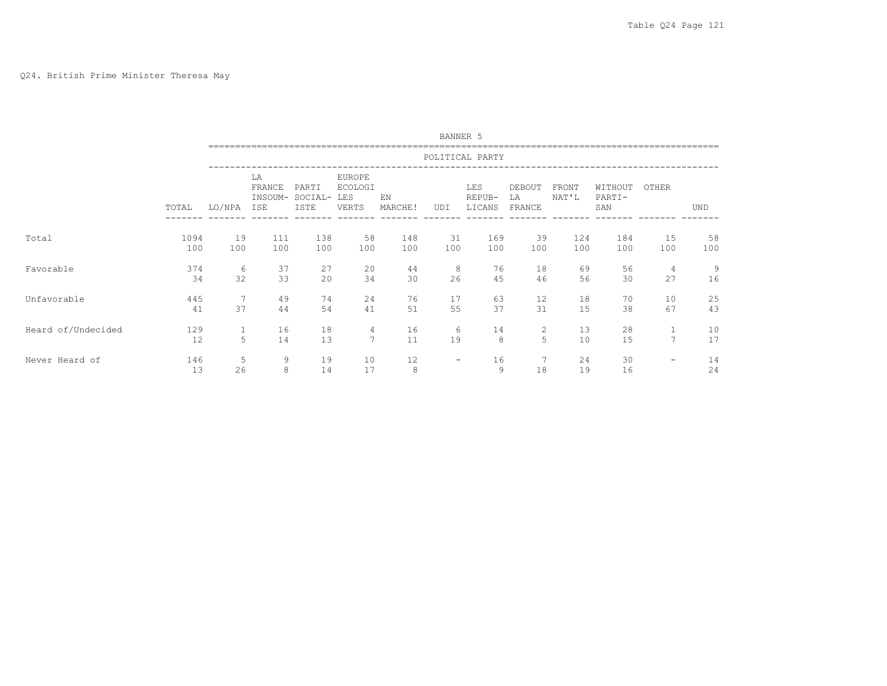#### Q24. British Prime Minister Theresa May

|                    |                 | BANNER 5     |                                |                          |                                                 |                |                          |                         |                        |                |                          |                          |            |
|--------------------|-----------------|--------------|--------------------------------|--------------------------|-------------------------------------------------|----------------|--------------------------|-------------------------|------------------------|----------------|--------------------------|--------------------------|------------|
|                    | POLITICAL PARTY |              |                                |                          |                                                 |                |                          |                         |                        |                |                          |                          |            |
|                    | TOTAL           | LO/NPA       | LA<br>FRANCE<br>INSOUM-<br>ISE | PARTI<br>SOCIAL-<br>ISTE | EUROPE<br><b>ECOLOGI</b><br><b>LES</b><br>VERTS | F.N<br>MARCHE! | UDI                      | LES<br>REPUB-<br>LICANS | DEBOUT<br>LA<br>FRANCE | FRONT<br>NAT'L | WITHOUT<br>PARTI-<br>SAN | OTHER                    | <b>UND</b> |
| Total              | 1094            | 19           | 111                            | 138                      | 58                                              | 148            | 31                       | 169                     | 39                     | 124            | 184                      | 15                       | 58         |
|                    | 100             | 100          | 100                            | 100                      | 100                                             | 100            | 100                      | 100                     | 100                    | 100            | 100                      | 100                      | 100        |
| Favorable          | 374             | 6            | 37                             | 27                       | 20                                              | 44             | 8                        | 76                      | 18                     | 69             | 56                       | 4                        | 9          |
|                    | 34              | 32           | 33                             | 20                       | 34                                              | 30             | 26                       | 45                      | 46                     | 56             | 30                       | 27                       | 16         |
| Unfavorable        | 445             | 7            | 49                             | 74                       | 24                                              | 76             | 17                       | 63                      | 12                     | 18             | 70                       | 10                       | 25         |
|                    | 41              | 37           | 44                             | 54                       | 41                                              | 51             | 55                       | 37                      | 31                     | 15             | 38                       | 67                       | 43         |
| Heard of/Undecided | 129             | $\mathbf{1}$ | 16                             | 18                       | 4                                               | 16             | 6                        | 14                      | $\overline{c}$         | 13             | 28                       | $\mathbf{1}$             | 10         |
|                    | 12              | 5            | 14                             | 13                       | $\overline{7}$                                  | 11             | 19                       | 8                       | 5                      | 10             | 15                       | $\overline{7}$           | 17         |
| Never Heard of     | 146<br>13       | 5<br>26      | 9<br>8                         | 19<br>14                 | 10<br>17                                        | 12<br>8        | $\overline{\phantom{a}}$ | 16<br>9                 | 7<br>18                | 24<br>19       | 30<br>16                 | $\overline{\phantom{m}}$ | 14<br>24   |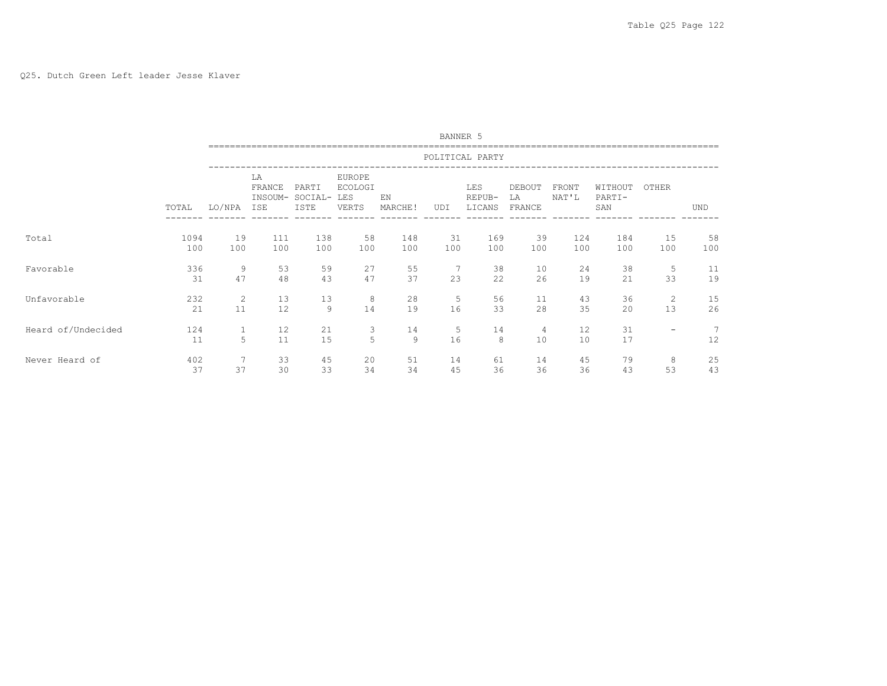#### Q25. Dutch Green Left leader Jesse Klaver

|                    |                 | BANNER 5          |                                |                          |                                          |               |         |                         |                        |                |                          |                          |            |
|--------------------|-----------------|-------------------|--------------------------------|--------------------------|------------------------------------------|---------------|---------|-------------------------|------------------------|----------------|--------------------------|--------------------------|------------|
|                    | POLITICAL PARTY |                   |                                |                          |                                          |               |         |                         |                        |                |                          |                          |            |
|                    | TOTAL           | LO/NPA            | LA<br>FRANCE<br>INSOUM-<br>ISE | PARTI<br>SOCIAL-<br>ISTE | EUROPE<br><b>ECOLOGI</b><br>LES<br>VERTS | EN<br>MARCHE! | UDI     | LES<br>REPUB-<br>LICANS | DEBOUT<br>LA<br>FRANCE | FRONT<br>NAT'L | WITHOUT<br>PARTI-<br>SAN | OTHER                    | <b>UND</b> |
| Total              | 1094            | 19                | 111                            | 138                      | 58                                       | 148           | 31      | 169                     | 39                     | 124            | 184                      | 15                       | 58         |
|                    | 100             | 100               | 100                            | 100                      | 100                                      | 100           | 100     | 100                     | 100                    | 100            | 100                      | 100                      | 100        |
| Favorable          | 336             | 9                 | 53                             | 59                       | 27                                       | 55            | 7       | 38                      | 10                     | 24             | 38                       | 5                        | 11         |
|                    | 31              | 47                | 48                             | 43                       | 47                                       | 37            | 23      | 22                      | 26                     | 19             | 21                       | 33                       | 19         |
| Unfavorable        | 232             | 2                 | 13                             | 13                       | 8                                        | 28            | 5       | 56                      | 11                     | 43             | 36                       | 2                        | 15         |
|                    | 21              | 11                | 12                             | $\overline{9}$           | 14                                       | 19            | 16      | 33                      | 28                     | 35             | 20                       | 13                       | 26         |
| Heard of/Undecided | 124<br>11       | $\mathbf{1}$<br>5 | 12<br>11                       | 21<br>15                 | 3<br>5                                   | 14<br>9       | 5<br>16 | 14<br>8                 | 4<br>10                | 12<br>10       | 31<br>17                 | $\overline{\phantom{0}}$ | 7<br>12    |
| Never Heard of     | 402             | 7                 | 33                             | 45                       | 20                                       | 51            | 14      | 61                      | 14                     | 45             | 79                       | 8                        | 25         |
|                    | 37              | 37                | 30                             | 33                       | 34                                       | 34            | 45      | 36                      | 36                     | 36             | 43                       | 53                       | 43         |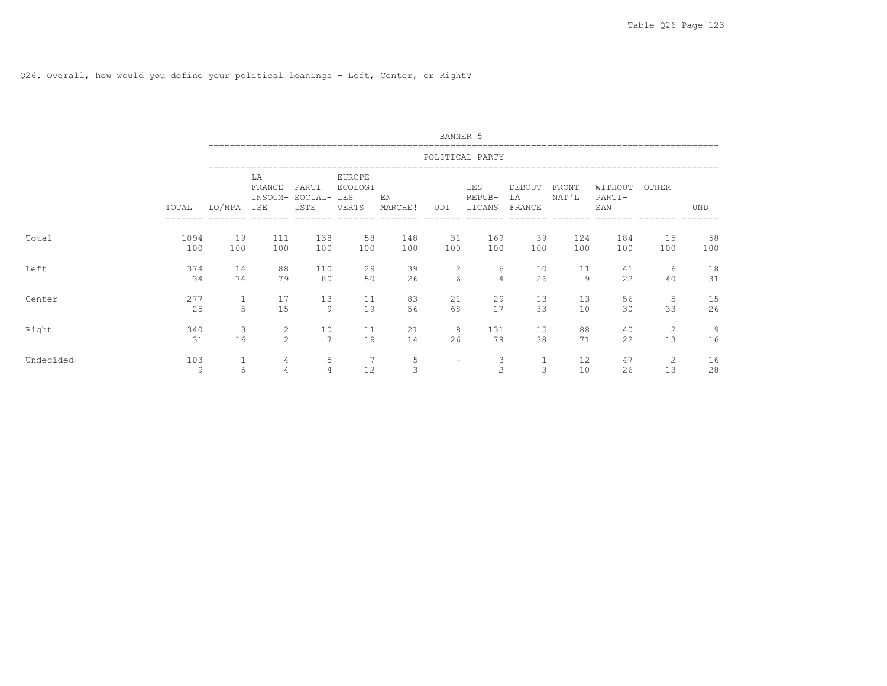# Q26. Overall, how would you define your political leanings - Left, Center, or Right?

|           |          | BANNER 5        |                                |                          |                                                 |               |                   |                         |                        |                |                          |         |            |
|-----------|----------|-----------------|--------------------------------|--------------------------|-------------------------------------------------|---------------|-------------------|-------------------------|------------------------|----------------|--------------------------|---------|------------|
|           |          | POLITICAL PARTY |                                |                          |                                                 |               |                   |                         |                        |                |                          |         |            |
|           | TOTAL    | LO/NPA          | LA<br>FRANCE<br>INSOUM-<br>ISE | PARTI<br>SOCIAL-<br>ISTE | <b>EUROPE</b><br><b>ECOLOGI</b><br>LES<br>VERTS | EN<br>MARCHE! | UDI               | LES<br>REPUB-<br>LICANS | DEBOUT<br>LA<br>FRANCE | FRONT<br>NAT'L | WITHOUT<br>PARTI-<br>SAN | OTHER   | <b>UND</b> |
| Total     | 1094     | 19              | 111                            | 138                      | 58                                              | 148           | 31                | 169                     | 39                     | 124            | 184                      | 15      | 58         |
|           | 100      | 100             | 100                            | 100                      | 100                                             | 100           | 100               | 100                     | 100                    | 100            | 100                      | 100     | 100        |
| Left      | 374      | 14              | 88                             | 110                      | 29                                              | 39            | $\overline{c}$    | 6                       | 10                     | 11             | 41                       | 6       | 18         |
|           | 34       | 74              | 79                             | 80                       | 50                                              | 26            | 6                 | $\overline{4}$          | 26                     | 9              | 22                       | 40      | 31         |
| Center    | 277      | $\mathbf{1}$    | 17                             | 13                       | 11                                              | 83            | 21                | 29                      | 13                     | 13             | 56                       | 5       | 15         |
|           | 25       | 5               | 15                             | 9                        | 19                                              | 56            | 68                | 17                      | 33                     | 10             | 30                       | 33      | 26         |
| Right     | 340      | 3               | 2                              | 10                       | 11                                              | 21            | 8                 | 131                     | 15                     | 88             | 40                       | 2       | 9          |
|           | 31       | 16              | $\overline{c}$                 | 7                        | 19                                              | 14            | 26                | 78                      | 38                     | 71             | 22                       | 13      | 16         |
| Undecided | 103<br>9 | 1<br>5          | 4<br>$\overline{4}$            | 5<br>$\overline{4}$      | 7<br>12                                         | 5<br>3        | $\qquad \qquad -$ | 3<br>$\overline{c}$     | 1<br>3                 | 12<br>10       | 47<br>26                 | 2<br>13 | 16<br>28   |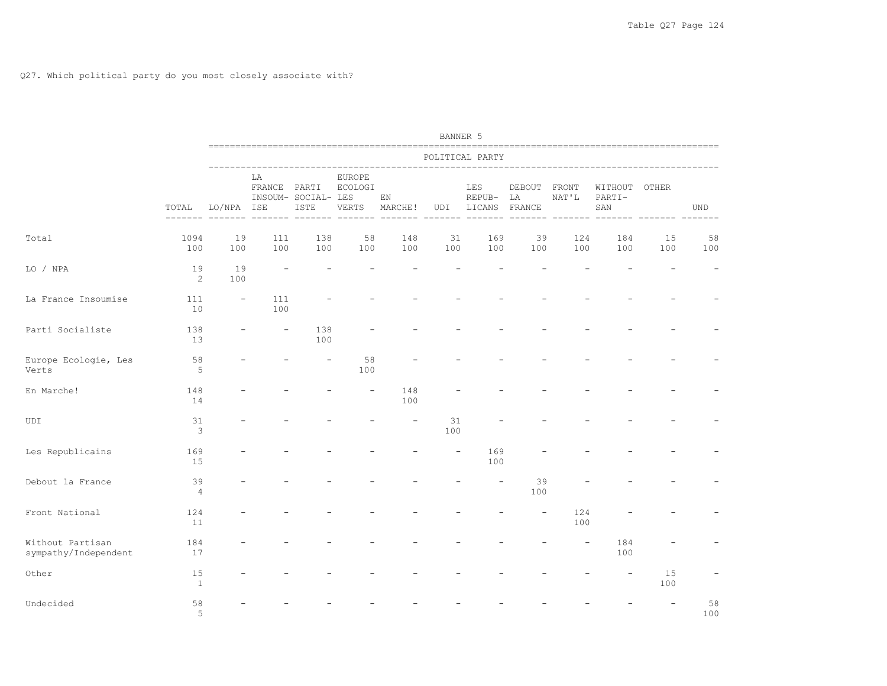|                                          |                      | BANNER 5                 |            |                                                                       |                                   |               |           |                                                       |           |                       |                                            |           |           |
|------------------------------------------|----------------------|--------------------------|------------|-----------------------------------------------------------------------|-----------------------------------|---------------|-----------|-------------------------------------------------------|-----------|-----------------------|--------------------------------------------|-----------|-----------|
|                                          | POLITICAL PARTY      |                          |            |                                                                       |                                   |               |           |                                                       |           |                       |                                            |           |           |
|                                          | TOTAL                | LO/NPA ISE               | LA         | FRANCE PARTI<br>INSOUM- SOCIAL- LES<br>ISTE<br>------- ------- ------ | <b>EUROPE</b><br>ECOLOGI<br>VERTS | EN<br>MARCHE! |           | LES<br>REPUB-<br>UDI LICANS FRANCE<br>------- ------- | LA        | DEBOUT FRONT<br>NAT'L | WITHOUT OTHER<br>PARTI-<br>SAN<br>-------- |           | UND       |
| Total                                    | 1094<br>100          | 19<br>100                | 111<br>100 | 138<br>100                                                            | 58<br>100                         | 148<br>100    | 31<br>100 | 169<br>100                                            | 39<br>100 | 124<br>100            | 184<br>100                                 | 15<br>100 | 58<br>100 |
| LO / NPA                                 | 19<br>2              | 19<br>100                |            |                                                                       |                                   |               |           |                                                       |           |                       |                                            |           |           |
| La France Insoumise                      | 111<br>10            | $\overline{\phantom{a}}$ | 111<br>100 |                                                                       |                                   |               |           |                                                       |           |                       |                                            |           |           |
| Parti Socialiste                         | 138<br>13            |                          |            | 138<br>100                                                            |                                   |               |           |                                                       |           |                       |                                            |           |           |
| Europe Ecologie, Les<br>Verts            | 58<br>5              |                          |            |                                                                       | 58<br>100                         |               |           |                                                       |           |                       |                                            |           |           |
| En Marche!                               | 148<br>14            |                          |            |                                                                       |                                   | 148<br>100    |           |                                                       |           |                       |                                            |           |           |
| UDI                                      | 31<br>$\mathbf{3}$   |                          |            |                                                                       |                                   |               | 31<br>100 |                                                       |           |                       |                                            |           |           |
| Les Republicains                         | 169<br>15            |                          |            |                                                                       |                                   |               |           | 169<br>100                                            |           |                       |                                            |           |           |
| Debout la France                         | 39<br>$\overline{4}$ |                          |            |                                                                       |                                   |               |           |                                                       | 39<br>100 |                       |                                            |           |           |
| Front National                           | 124<br>11            |                          |            |                                                                       |                                   |               |           |                                                       |           | 124<br>100            |                                            |           |           |
| Without Partisan<br>sympathy/Independent | 184<br>17            |                          |            |                                                                       |                                   |               |           |                                                       |           |                       | 184<br>100                                 |           |           |
| Other                                    | 15<br>1              |                          |            |                                                                       |                                   |               |           |                                                       |           |                       |                                            | 15<br>100 |           |
| Undecided                                | 58<br>5              |                          |            |                                                                       |                                   |               |           |                                                       |           |                       |                                            |           | 58<br>100 |